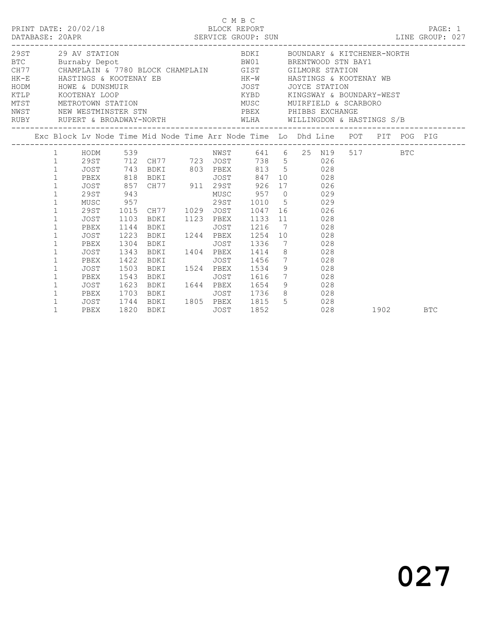|  | DATABASE: 20APR<br>--------------                                                                                                                                                                                                                                         | PRINT DATE: 20/02/18                                                              |                                              | SERVICE GROUP: SUN<br>LINE GROUP: 027                                                                                                                                                                                                                                                                                                                                                                                                                                                                                                                                                                   |             | C M B C<br>BLOCK REPORT                         |                                    |     |                                                                                               |          |     | PAGE: 1 |  |
|--|---------------------------------------------------------------------------------------------------------------------------------------------------------------------------------------------------------------------------------------------------------------------------|-----------------------------------------------------------------------------------|----------------------------------------------|---------------------------------------------------------------------------------------------------------------------------------------------------------------------------------------------------------------------------------------------------------------------------------------------------------------------------------------------------------------------------------------------------------------------------------------------------------------------------------------------------------------------------------------------------------------------------------------------------------|-------------|-------------------------------------------------|------------------------------------|-----|-----------------------------------------------------------------------------------------------|----------|-----|---------|--|
|  |                                                                                                                                                                                                                                                                           | 29ST 29 AV STATION<br>KTLP KOOTENAY LOOP                                          |                                              | MTST METROTOWN STATION<br>NETROTOWN STATION<br>NEST NEW MENTION<br>NWST NEW WESTMINSTER STN<br>RUBY RUPERT & BROADWAY-NORTH WLHA WILLINGDON & HASTINGS S/B                                                                                                                                                                                                                                                                                                                                                                                                                                              |             | PBEX PHIBBS EXCHANGE                            |                                    |     | BDKI BOUNDARY & KITCHENER-NORTH<br>KYBD KINGSWAY & BOUNDARY-WEST<br>MUSC MUIRFIELD & SCARBORO |          |     |         |  |
|  |                                                                                                                                                                                                                                                                           |                                                                                   |                                              | Exc Block Lv Node Time Mid Node Time Arr Node Time Lo Dhd Line POT PIT POG PIG                                                                                                                                                                                                                                                                                                                                                                                                                                                                                                                          |             |                                                 |                                    |     |                                                                                               |          |     |         |  |
|  | $\mathbf{1}$<br>$\mathbf{1}$<br>$\mathbf{1}$<br>$\mathbf{1}$<br>$\mathbf{1}$<br>$\mathbf{1}$<br>$\mathbf{1}$<br>$\mathbf{1}$<br>$\mathbf{1}$<br>$\mathbf 1$<br>$\mathbf{1}$<br>$\mathbf{1}$<br>$\mathbf{1}$<br>$\mathbf{1}$<br>$\mathbf{1}$<br>$\mathbf 1$<br>$\mathbf 1$ | JOST<br>PBEX<br>JOST<br>PBEX<br>JOST<br>PBEX<br>JOST<br>PBEX<br>JOST 1623<br>PBEX | 1223<br>1304<br>1343<br>1422<br>1503<br>1543 | 1 HODM 539 NWST 641 6 25 N19 517<br>1 29ST 712 CH77 723 JOST 738 5 026<br>JOST 743 BDKI 803 PBEX 813 5 028<br>9951 743 BDKI<br>19951 743 BDKI<br>1996 1087 847 10<br>1997 943 MUSC 957 0 029<br>1998 MUSC 957 298T 1010 5<br>1998 298T 1015 CH77 1029 JOST 1047 16<br>1998 1010 5<br>1998 1010 16<br>1998 1010 1047 1029<br>1103 BDKI 1123 PBEX 1133 11 028<br>1144 BDKI<br>BDKI 1244 PBEX<br><b>BDKI</b><br>BDKI 1404 PBEX 1414 8 028<br><b>BDKI</b><br>BDKI 1524 PBEX 1534 9 028<br><b>BDKI</b><br>BDKI 1644 PBEX 1654 9 028<br>PBEX 1703 BDKI JOST 1736 8 028<br>JOST 1744 BDKI 1805 PBEX 1815 5 028 | JOST        | JOST 1336<br>JOST 1456 7 028<br>JOST 1616 7 028 | 1216 7 028<br>1254 10 028<br>7 028 |     |                                                                                               |          | BTC |         |  |
|  | $\mathbf{1}$                                                                                                                                                                                                                                                              | PBEX                                                                              |                                              | 1820 BDKI                                                                                                                                                                                                                                                                                                                                                                                                                                                                                                                                                                                               | <b>JOST</b> | 1852                                            |                                    | 028 |                                                                                               | 1902 BTC |     |         |  |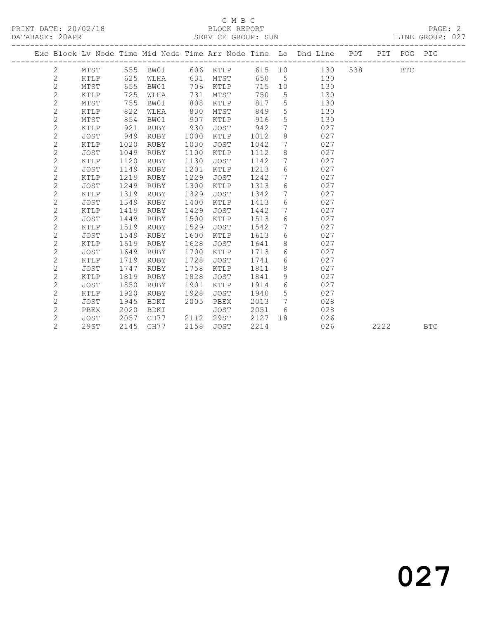### C M B C<br>BLOCK REPORT SERVICE GROUP: SUN

|                |             |      |             |      |             |      |    | Exc Block Lv Node Time Mid Node Time Arr Node Time Lo Dhd Line POT |     |      | PIT POG PIG |            |
|----------------|-------------|------|-------------|------|-------------|------|----|--------------------------------------------------------------------|-----|------|-------------|------------|
| 2              | MTST        | 555  | BW01        |      | 606 KTLP    | 615  | 10 | 130                                                                | 538 |      | <b>BTC</b>  |            |
| $\mathbf{2}$   | KTLP        | 625  | WLHA        | 631  | MTST        | 650  | 5  | 130                                                                |     |      |             |            |
| $\mathbf{2}$   | MTST        | 655  | BW01        | 706  | KTLP        | 715  | 10 | 130                                                                |     |      |             |            |
| $\overline{c}$ | KTLP        | 725  | WLHA        | 731  | MTST        | 750  | 5  | 130                                                                |     |      |             |            |
| $\mathbf{2}$   | MTST        | 755  | BW01        | 808  | KTLP        | 817  | 5  | 130                                                                |     |      |             |            |
| $\mathbf{2}$   | KTLP        | 822  | WLHA        | 830  | MTST        | 849  | 5  | 130                                                                |     |      |             |            |
| $\overline{c}$ | MTST        | 854  | BW01        | 907  | KTLP        | 916  | 5  | 130                                                                |     |      |             |            |
| $\overline{c}$ | KTLP        | 921  | <b>RUBY</b> | 930  | <b>JOST</b> | 942  | 7  | 027                                                                |     |      |             |            |
| $\overline{c}$ | <b>JOST</b> | 949  | <b>RUBY</b> | 1000 | KTLP        | 1012 | 8  | 027                                                                |     |      |             |            |
| $\mathbf{2}$   | KTLP        | 1020 | <b>RUBY</b> | 1030 | <b>JOST</b> | 1042 | 7  | 027                                                                |     |      |             |            |
| $\overline{c}$ | JOST        | 1049 | RUBY        | 1100 | KTLP        | 1112 | 8  | 027                                                                |     |      |             |            |
| $\overline{c}$ | KTLP        | 1120 | <b>RUBY</b> | 1130 | <b>JOST</b> | 1142 | 7  | 027                                                                |     |      |             |            |
| $\mathbf{2}$   | JOST        | 1149 | RUBY        | 1201 | KTLP        | 1213 | 6  | 027                                                                |     |      |             |            |
| $\overline{c}$ | KTLP        | 1219 | RUBY        | 1229 | <b>JOST</b> | 1242 | 7  | 027                                                                |     |      |             |            |
| $\overline{c}$ | JOST        | 1249 | RUBY        | 1300 | KTLP        | 1313 | 6  | 027                                                                |     |      |             |            |
| 2              | KTLP        | 1319 | <b>RUBY</b> | 1329 | JOST        | 1342 | 7  | 027                                                                |     |      |             |            |
| $\overline{c}$ | <b>JOST</b> | 1349 | <b>RUBY</b> | 1400 | KTLP        | 1413 | 6  | 027                                                                |     |      |             |            |
| $\overline{c}$ | KTLP        | 1419 | <b>RUBY</b> | 1429 | <b>JOST</b> | 1442 | 7  | 027                                                                |     |      |             |            |
| $\sqrt{2}$     | <b>JOST</b> | 1449 | RUBY        | 1500 | KTLP        | 1513 | 6  | 027                                                                |     |      |             |            |
| $\overline{c}$ | KTLP        | 1519 | RUBY        | 1529 | JOST        | 1542 | 7  | 027                                                                |     |      |             |            |
| $\overline{c}$ | <b>JOST</b> | 1549 | <b>RUBY</b> | 1600 | KTLP        | 1613 | 6  | 027                                                                |     |      |             |            |
| $\mathbf{2}$   | KTLP        | 1619 | <b>RUBY</b> | 1628 | <b>JOST</b> | 1641 | 8  | 027                                                                |     |      |             |            |
| $\overline{c}$ | <b>JOST</b> | 1649 | <b>RUBY</b> | 1700 | KTLP        | 1713 | 6  | 027                                                                |     |      |             |            |
| $\overline{c}$ | KTLP        | 1719 | <b>RUBY</b> | 1728 | <b>JOST</b> | 1741 | 6  | 027                                                                |     |      |             |            |
| $\overline{c}$ | JOST        | 1747 | RUBY        | 1758 | KTLP        | 1811 | 8  | 027                                                                |     |      |             |            |
| $\mathbf{2}$   | <b>KTLP</b> | 1819 | <b>RUBY</b> | 1828 | JOST        | 1841 | 9  | 027                                                                |     |      |             |            |
| $\mathbf{2}$   | JOST        | 1850 | <b>RUBY</b> | 1901 | KTLP        | 1914 | 6  | 027                                                                |     |      |             |            |
| $\overline{c}$ | KTLP        | 1920 | <b>RUBY</b> | 1928 | <b>JOST</b> | 1940 | 5  | 027                                                                |     |      |             |            |
| $\mathbf{2}$   | <b>JOST</b> | 1945 | <b>BDKI</b> | 2005 | PBEX        | 2013 | 7  | 028                                                                |     |      |             |            |
| $\mathbf{2}$   | PBEX        | 2020 | BDKI        |      | JOST        | 2051 | 6  | 028                                                                |     |      |             |            |
| 2              | JOST        | 2057 | CH77        | 2112 | 29ST        | 2127 | 18 | 026                                                                |     |      |             |            |
| $\overline{c}$ | 29ST        | 2145 | CH77        | 2158 | <b>JOST</b> | 2214 |    | 026                                                                |     | 2222 |             | <b>BTC</b> |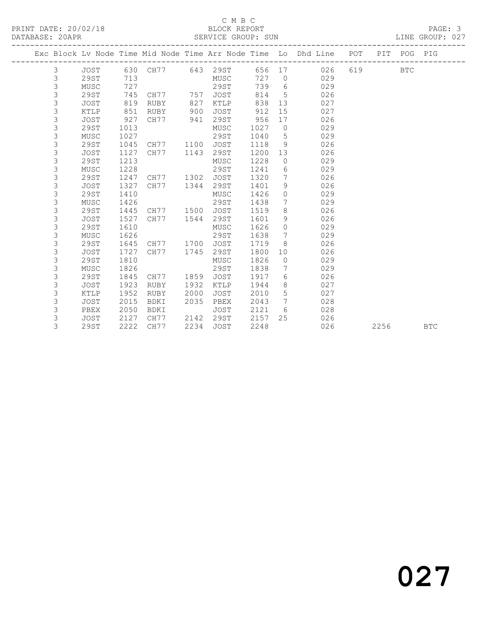## C M B C<br>BLOCK REPORT SERVICE GROUP: SUN

|  |                |             |      |      |      |             |      |                 | Exc Block Lv Node Time Mid Node Time Arr Node Time Lo Dhd Line POT |     |      | PIT POG PIG |            |
|--|----------------|-------------|------|------|------|-------------|------|-----------------|--------------------------------------------------------------------|-----|------|-------------|------------|
|  | 3              | JOST        | 630  | CH77 |      | 643 29ST    | 656  | 17              | 026                                                                | 619 |      | <b>BTC</b>  |            |
|  | 3              | 29ST        | 713  |      |      | MUSC        | 727  | $\overline{0}$  | 029                                                                |     |      |             |            |
|  | 3              | MUSC        | 727  |      |      | 29ST        | 739  | 6               | 029                                                                |     |      |             |            |
|  | 3              | 29ST        | 745  | CH77 | 757  | <b>JOST</b> | 814  | 5               | 026                                                                |     |      |             |            |
|  | 3              | <b>JOST</b> | 819  | RUBY | 827  | KTLP        | 838  | 13              | 027                                                                |     |      |             |            |
|  | $\mathfrak{Z}$ | KTLP        | 851  | RUBY | 900  | <b>JOST</b> | 912  | 15              | 027                                                                |     |      |             |            |
|  | $\mathsf 3$    | <b>JOST</b> | 927  | CH77 | 941  | 29ST        | 956  | 17              | 026                                                                |     |      |             |            |
|  | 3              | 29ST        | 1013 |      |      | MUSC        | 1027 | $\circ$         | 029                                                                |     |      |             |            |
|  | 3              | MUSC        | 1027 |      |      | 29ST        | 1040 | 5               | 029                                                                |     |      |             |            |
|  | 3              | 29ST        | 1045 | CH77 | 1100 | <b>JOST</b> | 1118 | 9               | 026                                                                |     |      |             |            |
|  | 3              | <b>JOST</b> | 1127 | CH77 | 1143 | 29ST        | 1200 | 13              | 026                                                                |     |      |             |            |
|  | 3              | 29ST        | 1213 |      |      | MUSC        | 1228 | $\circ$         | 029                                                                |     |      |             |            |
|  | $\mathfrak{Z}$ | MUSC        | 1228 |      |      | <b>29ST</b> | 1241 | 6               | 029                                                                |     |      |             |            |
|  | 3              | 29ST        | 1247 | CH77 | 1302 | JOST        | 1320 | 7               | 026                                                                |     |      |             |            |
|  | 3              | JOST        | 1327 | CH77 | 1344 | 29ST        | 1401 | 9               | 026                                                                |     |      |             |            |
|  | 3              | 29ST        | 1410 |      |      | MUSC        | 1426 | $\circ$         | 029                                                                |     |      |             |            |
|  | 3              | MUSC        | 1426 |      |      | 29ST        | 1438 | 7               | 029                                                                |     |      |             |            |
|  | 3              | 29ST        | 1445 | CH77 | 1500 | <b>JOST</b> | 1519 | 8               | 026                                                                |     |      |             |            |
|  | 3              | JOST        | 1527 | CH77 | 1544 | 29ST        | 1601 | 9               | 026                                                                |     |      |             |            |
|  | 3              | 29ST        | 1610 |      |      | MUSC        | 1626 | $\circ$         | 029                                                                |     |      |             |            |
|  | 3              | MUSC        | 1626 |      |      | 29ST        | 1638 | $7\phantom{.0}$ | 029                                                                |     |      |             |            |
|  | 3              | 29ST        | 1645 | CH77 | 1700 | <b>JOST</b> | 1719 | 8               | 026                                                                |     |      |             |            |
|  | 3              | <b>JOST</b> | 1727 | CH77 | 1745 | 29ST        | 1800 | 10              | 026                                                                |     |      |             |            |
|  | 3              | 29ST        | 1810 |      |      | MUSC        | 1826 | $\circ$         | 029                                                                |     |      |             |            |
|  | 3              | MUSC        | 1826 |      |      | 29ST        | 1838 | 7               | 029                                                                |     |      |             |            |
|  | 3              | 29ST        | 1845 | CH77 | 1859 | JOST        | 1917 | 6               | 026                                                                |     |      |             |            |
|  | $\mathfrak{Z}$ | <b>JOST</b> | 1923 | RUBY | 1932 | KTLP        | 1944 | 8               | 027                                                                |     |      |             |            |
|  | 3              | <b>KTLP</b> | 1952 | RUBY | 2000 | <b>JOST</b> | 2010 | 5               | 027                                                                |     |      |             |            |
|  | 3              | <b>JOST</b> | 2015 | BDKI | 2035 | PBEX        | 2043 | 7               | 028                                                                |     |      |             |            |
|  | 3              | PBEX        | 2050 | BDKI |      | <b>JOST</b> | 2121 | 6               | 028                                                                |     |      |             |            |
|  | 3              | <b>JOST</b> | 2127 | CH77 | 2142 | 29ST        | 2157 | 25              | 026                                                                |     |      |             |            |
|  | 3              | 29ST        | 2222 | CH77 | 2234 | <b>JOST</b> | 2248 |                 | 026                                                                |     | 2256 |             | <b>BTC</b> |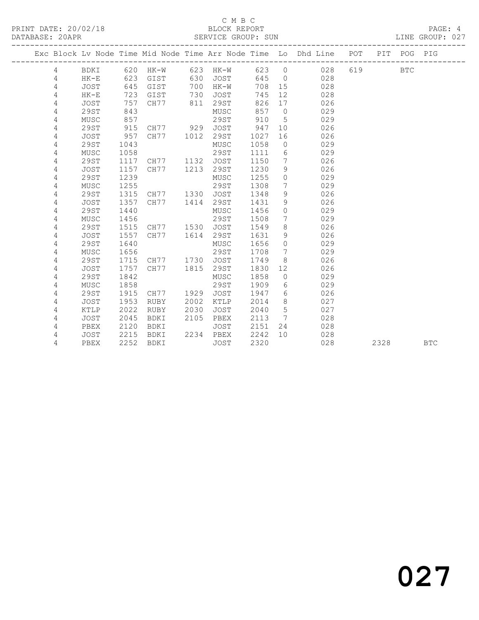## C M B C<br>BLOCK REPORT

LINE GROUP: 027

|   |             |      |                     |      |             |      |                 | Exc Block Lv Node Time Mid Node Time Arr Node Time Lo Dhd Line POT<br>------------------------- |     | PIT  | POG        | PIG        |
|---|-------------|------|---------------------|------|-------------|------|-----------------|-------------------------------------------------------------------------------------------------|-----|------|------------|------------|
| 4 | BDKI        | 620  | HK-W 623 HK-W 623 0 |      |             |      |                 | 028                                                                                             | 619 |      | <b>BTC</b> |            |
| 4 | $HK-E$      | 623  | GIST                | 630  | JOST        | 645  | $\overline{0}$  | 028                                                                                             |     |      |            |            |
| 4 | <b>JOST</b> | 645  | GIST                | 700  | $HK-W$      | 708  | 15              | 028                                                                                             |     |      |            |            |
| 4 | $HK-E$      | 723  | GIST                | 730  | JOST        | 745  | 12              | 028                                                                                             |     |      |            |            |
| 4 | <b>JOST</b> | 757  | CH77                | 811  | 29ST        | 826  | 17              | 026                                                                                             |     |      |            |            |
| 4 | 29ST        | 843  |                     |      | MUSC        | 857  | $\overline{0}$  | 029                                                                                             |     |      |            |            |
| 4 | MUSC        | 857  |                     |      | 29ST        | 910  | 5               | 029                                                                                             |     |      |            |            |
| 4 | 29ST        | 915  | CH77 929            |      | JOST        | 947  | 10 <sup>°</sup> | 026                                                                                             |     |      |            |            |
| 4 | <b>JOST</b> | 957  | CH77                | 1012 | 29ST        | 1027 | 16              | 026                                                                                             |     |      |            |            |
| 4 | 29ST        | 1043 |                     |      | MUSC        | 1058 | $\circ$         | 029                                                                                             |     |      |            |            |
| 4 | MUSC        | 1058 |                     |      | <b>29ST</b> | 1111 | $6\,$           | 029                                                                                             |     |      |            |            |
| 4 | 29ST        | 1117 | CH77                | 1132 | <b>JOST</b> | 1150 | 7               | 026                                                                                             |     |      |            |            |
| 4 | <b>JOST</b> | 1157 | CH77                | 1213 | 29ST        | 1230 | 9               | 026                                                                                             |     |      |            |            |
| 4 | <b>29ST</b> | 1239 |                     |      | MUSC        | 1255 | $\circ$         | 029                                                                                             |     |      |            |            |
| 4 | MUSC        | 1255 |                     |      | 29ST        | 1308 | 7               | 029                                                                                             |     |      |            |            |
| 4 | 29ST        | 1315 | CH77                | 1330 | JOST        | 1348 | 9               | 026                                                                                             |     |      |            |            |
| 4 | <b>JOST</b> | 1357 | CH77                | 1414 | 29ST        | 1431 | 9               | 026                                                                                             |     |      |            |            |
| 4 | 29ST        | 1440 |                     |      | MUSC        | 1456 | $\circ$         | 029                                                                                             |     |      |            |            |
| 4 | MUSC        | 1456 |                     |      | <b>29ST</b> | 1508 | 7               | 029                                                                                             |     |      |            |            |
| 4 | 29ST        | 1515 | CH77                | 1530 | JOST        | 1549 | 8               | 026                                                                                             |     |      |            |            |
| 4 | <b>JOST</b> | 1557 | CH77                | 1614 | 29ST        | 1631 | 9               | 026                                                                                             |     |      |            |            |
| 4 | 29ST        | 1640 |                     |      | MUSC        | 1656 | $\Omega$        | 029                                                                                             |     |      |            |            |
| 4 | MUSC        | 1656 |                     |      | 29ST        | 1708 | 7               | 029                                                                                             |     |      |            |            |
| 4 | 29ST        | 1715 | CH77 1730           |      | <b>JOST</b> | 1749 | 8               | 026                                                                                             |     |      |            |            |
| 4 | <b>JOST</b> | 1757 | CH77                | 1815 | 29ST        | 1830 | 12              | 026                                                                                             |     |      |            |            |
| 4 | 29ST        | 1842 |                     |      | MUSC        | 1858 | $\circ$         | 029                                                                                             |     |      |            |            |
| 4 | MUSC        | 1858 |                     |      | 29ST        | 1909 | 6               | 029                                                                                             |     |      |            |            |
| 4 | 29ST        | 1915 | CH77                | 1929 | <b>JOST</b> | 1947 | 6               | 026                                                                                             |     |      |            |            |
| 4 | <b>JOST</b> | 1953 | RUBY                | 2002 | KTLP        | 2014 | 8               | 027                                                                                             |     |      |            |            |
| 4 | KTLP        | 2022 | RUBY                | 2030 | <b>JOST</b> | 2040 | 5               | 027                                                                                             |     |      |            |            |
| 4 | <b>JOST</b> | 2045 | BDKI                | 2105 | PBEX        | 2113 | $7\phantom{.0}$ | 028                                                                                             |     |      |            |            |
| 4 | PBEX        | 2120 | BDKI                |      | JOST        | 2151 | 24              | 028                                                                                             |     |      |            |            |
| 4 | JOST        | 2215 | BDKI                | 2234 | PBEX        | 2242 | 10              | 028                                                                                             |     |      |            |            |
| 4 | PBEX        | 2252 | <b>BDKI</b>         |      | JOST        | 2320 |                 | 028                                                                                             |     | 2328 |            | <b>BTC</b> |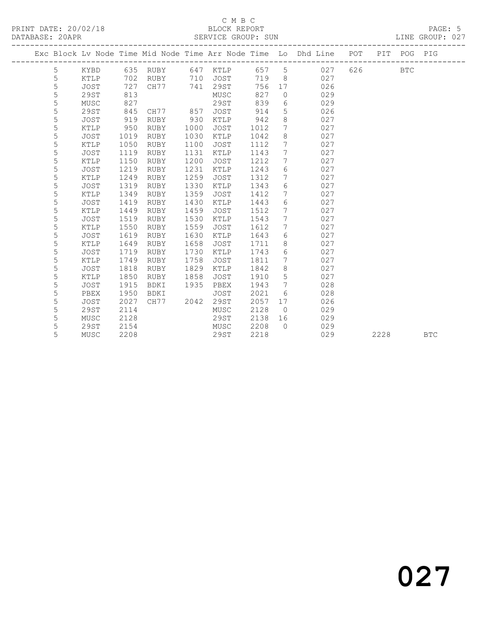## C M B C<br>BLOCK REPORT SERVICE GROUP: SUN

|  |   |             |      |             |      |          |      |                 | Exc Block Lv Node Time Mid Node Time Arr Node Time Lo Dhd Line POT<br>------------- |     |      | PIT POG PIG |            |
|--|---|-------------|------|-------------|------|----------|------|-----------------|-------------------------------------------------------------------------------------|-----|------|-------------|------------|
|  | 5 | KYBD        |      | 635 RUBY    |      | 647 KTLP | 657  | $5^{\circ}$     | 027                                                                                 | 626 |      | <b>BTC</b>  |            |
|  | 5 | KTLP        | 702  | RUBY        | 710  | JOST     | 719  | 8               | 027                                                                                 |     |      |             |            |
|  | 5 | <b>JOST</b> | 727  | CH77        | 741  | 29ST     | 756  | 17              | 026                                                                                 |     |      |             |            |
|  | 5 | 29ST        | 813  |             |      | MUSC     | 827  | $\circ$         | 029                                                                                 |     |      |             |            |
|  | 5 | MUSC        | 827  |             |      | 29ST     | 839  | 6               | 029                                                                                 |     |      |             |            |
|  | 5 | 29ST        | 845  | CH77        | 857  | JOST     | 914  | 5               | 026                                                                                 |     |      |             |            |
|  | 5 | <b>JOST</b> | 919  | RUBY        | 930  | KTLP     | 942  | 8               | 027                                                                                 |     |      |             |            |
|  | 5 | KTLP        | 950  | RUBY        | 1000 | JOST     | 1012 | $7\phantom{.0}$ | 027                                                                                 |     |      |             |            |
|  | 5 | <b>JOST</b> | 1019 | RUBY        | 1030 | KTLP     | 1042 | 8               | 027                                                                                 |     |      |             |            |
|  | 5 | KTLP        | 1050 | RUBY        | 1100 | JOST     | 1112 | 7               | 027                                                                                 |     |      |             |            |
|  | 5 | <b>JOST</b> | 1119 | RUBY        | 1131 | KTLP     | 1143 | 7               | 027                                                                                 |     |      |             |            |
|  | 5 | KTLP        | 1150 | RUBY        | 1200 | JOST     | 1212 | $7\phantom{.0}$ | 027                                                                                 |     |      |             |            |
|  | 5 | <b>JOST</b> | 1219 | RUBY        | 1231 | KTLP     | 1243 | 6               | 027                                                                                 |     |      |             |            |
|  | 5 | KTLP        | 1249 | RUBY        | 1259 | JOST     | 1312 | 7               | 027                                                                                 |     |      |             |            |
|  | 5 | <b>JOST</b> | 1319 | RUBY        | 1330 | KTLP     | 1343 | 6               | 027                                                                                 |     |      |             |            |
|  | 5 | KTLP        | 1349 | RUBY        | 1359 | JOST     | 1412 | 7               | 027                                                                                 |     |      |             |            |
|  | 5 | <b>JOST</b> | 1419 | RUBY        | 1430 | KTLP     | 1443 | 6               | 027                                                                                 |     |      |             |            |
|  | 5 | KTLP        | 1449 | RUBY        | 1459 | JOST     | 1512 | $7\phantom{.0}$ | 027                                                                                 |     |      |             |            |
|  | 5 | <b>JOST</b> | 1519 | RUBY        | 1530 | KTLP     | 1543 | 7               | 027                                                                                 |     |      |             |            |
|  | 5 | KTLP        | 1550 | RUBY        | 1559 | JOST     | 1612 | $7\phantom{.0}$ | 027                                                                                 |     |      |             |            |
|  | 5 | <b>JOST</b> | 1619 | RUBY        | 1630 | KTLP     | 1643 | 6               | 027                                                                                 |     |      |             |            |
|  | 5 | KTLP        | 1649 | RUBY        | 1658 | JOST     | 1711 | $\,8\,$         | 027                                                                                 |     |      |             |            |
|  | 5 | <b>JOST</b> | 1719 | <b>RUBY</b> | 1730 | KTLP     | 1743 | 6               | 027                                                                                 |     |      |             |            |
|  | 5 | KTLP        | 1749 | <b>RUBY</b> | 1758 | JOST     | 1811 | $7\phantom{.0}$ | 027                                                                                 |     |      |             |            |
|  | 5 | <b>JOST</b> | 1818 | RUBY        | 1829 | KTLP     | 1842 | 8               | 027                                                                                 |     |      |             |            |
|  | 5 | KTLP        | 1850 | <b>RUBY</b> | 1858 | JOST     | 1910 | 5               | 027                                                                                 |     |      |             |            |
|  | 5 | JOST        | 1915 | <b>BDKI</b> | 1935 | PBEX     | 1943 | $7\overline{ }$ | 028                                                                                 |     |      |             |            |
|  | 5 | PBEX        | 1950 | BDKI        |      | JOST     | 2021 | 6               | 028                                                                                 |     |      |             |            |
|  | 5 | <b>JOST</b> | 2027 | CH77        | 2042 | 29ST     | 2057 | 17              | 026                                                                                 |     |      |             |            |
|  | 5 | 29ST        | 2114 |             |      | MUSC     | 2128 | $\overline{0}$  | 029                                                                                 |     |      |             |            |
|  | 5 | MUSC        | 2128 |             |      | 29ST     | 2138 | 16              | 029                                                                                 |     |      |             |            |
|  | 5 | <b>29ST</b> | 2154 |             |      | MUSC     | 2208 | $\bigcap$       | 029                                                                                 |     |      |             |            |
|  | 5 | MUSC        | 2208 |             |      | 29ST     | 2218 |                 | 029                                                                                 |     | 2228 |             | <b>BTC</b> |

# 027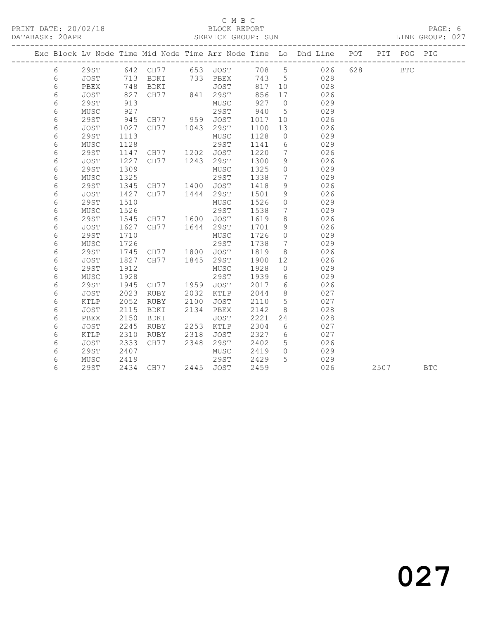## C M B C<br>BLOCK REPORT

LINE GROUP: 027

|            |             |      |                   |      |               |       |                              | Exc Block Lv Node Time Mid Node Time Arr Node Time Lo Dhd Line POT |       | PIT  | POG PIG    |            |
|------------|-------------|------|-------------------|------|---------------|-------|------------------------------|--------------------------------------------------------------------|-------|------|------------|------------|
| 6          | 29ST        |      | 642 CH77 653 JOST |      |               |       |                              | 708 5 026                                                          | 628 8 |      | <b>BTC</b> |            |
| 6          | JOST        | 713  |                   |      | BDKI 733 PBEX | 743 5 |                              | 028                                                                |       |      |            |            |
| 6          | PBEX        | 748  | BDKI              |      | JOST          | 817   | 10                           | 028                                                                |       |      |            |            |
| 6          | JOST        | 827  | CH77 841 29ST     |      |               | 856   | 17                           | 026                                                                |       |      |            |            |
| 6          | <b>29ST</b> | 913  |                   |      | MUSC          | 927   | $\overline{0}$               | 029                                                                |       |      |            |            |
| 6          | MUSC        | 927  |                   |      | 29ST          | 940   | $5^{\circ}$                  | 029                                                                |       |      |            |            |
| 6          | 29ST        | 945  | CH77 959 JOST     |      |               | 1017  | 10                           | 026                                                                |       |      |            |            |
| 6          | JOST        | 1027 | CH77 1043         |      | 29ST          | 1100  | 13                           | 026                                                                |       |      |            |            |
| 6          | <b>29ST</b> | 1113 |                   |      | MUSC          | 1128  | $\overline{0}$               | 029                                                                |       |      |            |            |
| 6          | MUSC        | 1128 |                   |      | 29ST          | 1141  | 6                            | 029                                                                |       |      |            |            |
| 6          | <b>29ST</b> | 1147 | CH77 1202         |      | JOST          | 1220  | $7\phantom{.0}$              | 026                                                                |       |      |            |            |
| 6          | JOST        | 1227 | CH77 1243         |      | 29ST          | 1300  | 9                            | 026                                                                |       |      |            |            |
| $\epsilon$ | <b>29ST</b> | 1309 |                   |      | MUSC          | 1325  | $\circ$                      | 029                                                                |       |      |            |            |
| 6          | MUSC        | 1325 |                   |      | 29ST          | 1338  | $7\overline{ }$              | 029                                                                |       |      |            |            |
| 6          | <b>29ST</b> | 1345 | CH77              | 1400 | JOST          | 1418  | 9                            | 026                                                                |       |      |            |            |
| 6          | JOST        | 1427 | CH77 1444         |      | 29ST          | 1501  | 9                            | 026                                                                |       |      |            |            |
| 6          | <b>29ST</b> | 1510 |                   |      | MUSC          | 1526  | $\circ$                      | 029                                                                |       |      |            |            |
| 6          | MUSC        | 1526 |                   |      | 29ST          | 1538  | $7\phantom{.0}$              | 029                                                                |       |      |            |            |
| 6          | 29ST        | 1545 | CH77 1600         |      | JOST          | 1619  | 8                            | 026                                                                |       |      |            |            |
| $\epsilon$ | JOST        | 1627 | CH77              | 1644 | 29ST          | 1701  | 9                            | 026                                                                |       |      |            |            |
| $\epsilon$ | <b>29ST</b> | 1710 |                   |      | MUSC          | 1726  | $\circ$                      | 029                                                                |       |      |            |            |
| 6          | MUSC        | 1726 |                   |      | 29ST          | 1738  | $7\phantom{.0}\phantom{.0}7$ | 029                                                                |       |      |            |            |
| 6          | <b>29ST</b> | 1745 | CH77 1800 JOST    |      |               | 1819  | - 8                          | 026                                                                |       |      |            |            |
| 6          | JOST        | 1827 | CH77 1845         |      | 29ST          | 1900  | 12                           | 026                                                                |       |      |            |            |
| 6          | <b>29ST</b> | 1912 |                   |      | MUSC          | 1928  | $\overline{0}$               | 029                                                                |       |      |            |            |
| 6          | MUSC        | 1928 |                   |      | 29ST          | 1939  | 6                            | 029                                                                |       |      |            |            |
| 6          | <b>29ST</b> | 1945 | CH77 1959         |      | JOST          | 2017  | 6                            | 026                                                                |       |      |            |            |
| 6          | JOST        | 2023 | RUBY              | 2032 | KTLP          | 2044  | 8                            | 027                                                                |       |      |            |            |
| 6          | KTLP        | 2052 | RUBY              | 2100 | JOST          | 2110  | 5                            | 027                                                                |       |      |            |            |
| 6          | JOST        | 2115 | BDKI              | 2134 | PBEX          | 2142  | 8                            | 028                                                                |       |      |            |            |
| 6          | PBEX        | 2150 | BDKI              |      | JOST          | 2221  | 24                           | 028                                                                |       |      |            |            |
| 6          | JOST        | 2245 | RUBY              | 2253 | KTLP          | 2304  | 6                            | 027                                                                |       |      |            |            |
| 6          | KTLP        | 2310 | RUBY              | 2318 | JOST          | 2327  | 6                            | 027                                                                |       |      |            |            |
| 6          | JOST        | 2333 | CH77              | 2348 | 29ST          | 2402  | 5 <sup>5</sup>               | 026                                                                |       |      |            |            |
| 6          | <b>29ST</b> | 2407 |                   |      | MUSC          | 2419  | $\circ$                      | 029                                                                |       |      |            |            |
| 6          | MUSC        | 2419 |                   |      | 29ST          | 2429  | 5                            | 029                                                                |       |      |            |            |
| 6          | <b>29ST</b> |      | 2434 CH77         |      | 2445 JOST     | 2459  |                              | 026                                                                |       | 2507 |            | <b>BTC</b> |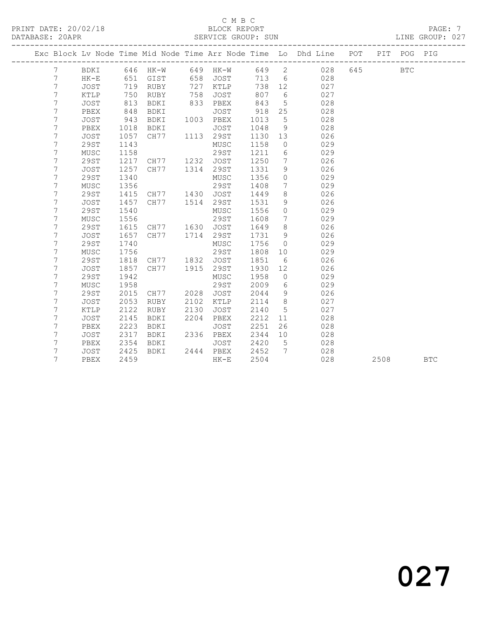## C M B C<br>BLOCK REPORT

LINE GROUP: 027

|                | Exc Block Lv Node Time Mid Node Time Arr Node Time Lo Dhd Line POT |      | ____________________________ |      |             |      |                              |           |     | PIT  | POG        | PIG        |
|----------------|--------------------------------------------------------------------|------|------------------------------|------|-------------|------|------------------------------|-----------|-----|------|------------|------------|
| 7              | BDKI                                                               |      | 646 HK-W                     |      | 649 HK-W    |      |                              | 649 2 028 | 645 |      | <b>BTC</b> |            |
| 7              | $HK-E$                                                             | 651  | GIST                         | 658  | JOST        | 713  | 6                            | 028       |     |      |            |            |
| 7              | JOST                                                               | 719  | RUBY                         | 727  | KTLP        | 738  | 12                           | 027       |     |      |            |            |
| 7              | KTLP                                                               | 750  | RUBY                         | 758  | JOST        | 807  | 6                            | 027       |     |      |            |            |
| 7              | JOST                                                               | 813  | BDKI                         | 833  | PBEX        | 843  | 5                            | 028       |     |      |            |            |
| 7              | PBEX                                                               | 848  | BDKI                         |      | <b>JOST</b> | 918  | 25                           | 028       |     |      |            |            |
| 7              | JOST                                                               | 943  | BDKI                         |      | 1003 PBEX   | 1013 | $5\overline{)}$              | 028       |     |      |            |            |
| $\overline{7}$ | PBEX                                                               | 1018 | BDKI                         |      | <b>JOST</b> | 1048 | 9                            | 028       |     |      |            |            |
| 7              | JOST                                                               | 1057 | CH77                         |      | 1113 29ST   | 1130 | 13                           | 026       |     |      |            |            |
| 7              | 29ST                                                               | 1143 |                              |      | MUSC        | 1158 | $\overline{0}$               | 029       |     |      |            |            |
| 7              | ${\tt MUSC}$                                                       | 1158 |                              |      | 29ST        | 1211 | 6                            | 029       |     |      |            |            |
| 7              | 29ST                                                               | 1217 | CH77 1232                    |      | JOST        | 1250 | $7\phantom{.0}\phantom{.0}7$ | 026       |     |      |            |            |
| $7\phantom{.}$ | <b>JOST</b>                                                        | 1257 | CH77 1314                    |      | 29ST        | 1331 | 9                            | 026       |     |      |            |            |
| 7              | 29ST                                                               | 1340 |                              |      | MUSC        | 1356 | $\circ$                      | 029       |     |      |            |            |
| 7              | MUSC                                                               | 1356 |                              |      | 29ST        | 1408 | $7\phantom{.0}$              | 029       |     |      |            |            |
| 7              | 29ST                                                               | 1415 | CH77 1430                    |      | JOST        | 1449 | 8                            | 026       |     |      |            |            |
| 7              | <b>JOST</b>                                                        | 1457 | CH77                         |      | 1514 29ST   | 1531 | $\overline{9}$               | 026       |     |      |            |            |
| 7              | 29ST                                                               | 1540 |                              |      | MUSC        | 1556 | $\circ$                      | 029       |     |      |            |            |
| $\overline{7}$ | MUSC                                                               | 1556 |                              |      | 29ST        | 1608 | $7\phantom{.0}$              | 029       |     |      |            |            |
| 7              | 29ST                                                               | 1615 | CH77 1630 JOST               |      |             | 1649 | 8                            | 026       |     |      |            |            |
| $\overline{7}$ | <b>JOST</b>                                                        | 1657 | CH77                         | 1714 | 29ST        | 1731 | 9                            | 026       |     |      |            |            |
| 7              | 29ST                                                               | 1740 |                              |      | MUSC        | 1756 | $\overline{0}$               | 029       |     |      |            |            |
| 7              | MUSC                                                               | 1756 |                              |      | 29ST        | 1808 | 10 <sup>°</sup>              | 029       |     |      |            |            |
| 7              | 29ST                                                               | 1818 | CH77                         | 1832 | JOST        | 1851 | 6                            | 026       |     |      |            |            |
| $7\phantom{.}$ | <b>JOST</b>                                                        | 1857 | CH77                         | 1915 | 29ST        | 1930 | 12                           | 026       |     |      |            |            |
| $7\phantom{.}$ | 29ST                                                               | 1942 |                              |      | MUSC        | 1958 | $\circ$                      | 029       |     |      |            |            |
| 7              | MUSC                                                               | 1958 |                              |      | 29ST        | 2009 | 6                            | 029       |     |      |            |            |
| 7              | 29ST                                                               | 2015 | CH77                         | 2028 | JOST        | 2044 | 9                            | 026       |     |      |            |            |
| 7              | <b>JOST</b>                                                        | 2053 | RUBY                         | 2102 | KTLP        | 2114 | 8                            | 027       |     |      |            |            |
| $\overline{7}$ | KTLP                                                               | 2122 | RUBY                         | 2130 | JOST        | 2140 | 5                            | 027       |     |      |            |            |
| 7              | JOST                                                               | 2145 | BDKI                         | 2204 | PBEX        | 2212 | 11                           | 028       |     |      |            |            |
| 7              | PBEX                                                               | 2223 | BDKI                         |      | <b>JOST</b> | 2251 | 26                           | 028       |     |      |            |            |
| 7              | JOST                                                               | 2317 | BDKI                         |      | 2336 PBEX   | 2344 | 10                           | 028       |     |      |            |            |
| $7\phantom{.}$ | PBEX                                                               | 2354 | BDKI                         |      | JOST        | 2420 | $5^{\circ}$                  | 028       |     |      |            |            |
| 7              | JOST                                                               | 2425 | BDKI                         |      | 2444 PBEX   | 2452 | $\overline{7}$               | 028       |     |      |            |            |
| 7              | PBEX                                                               | 2459 |                              |      | HK-E        | 2504 |                              | 028       |     | 2508 |            | <b>BTC</b> |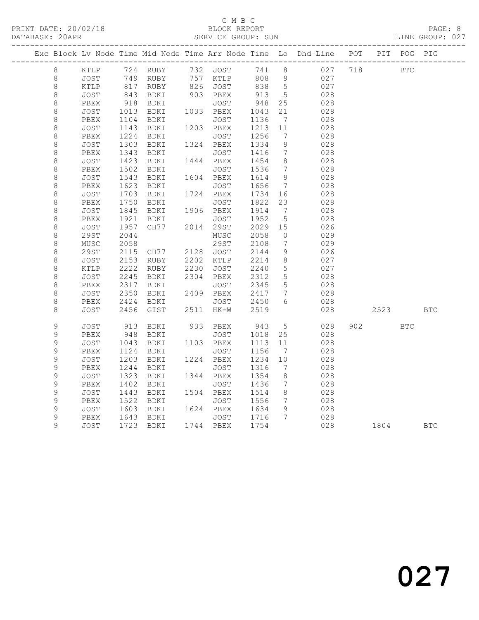## C M B C<br>BLOCK REPORT SERVICE GROUP: SUN

|             |             |      |                              |                                |                 |                              | Exc Block Lv Node Time Mid Node Time Arr Node Time Lo Dhd Line POT PIT POG PIG |         |            |            |            |
|-------------|-------------|------|------------------------------|--------------------------------|-----------------|------------------------------|--------------------------------------------------------------------------------|---------|------------|------------|------------|
| 8           |             |      | KTLP 724 RUBY 732 JOST 741 8 |                                |                 |                              | 027                                                                            | 718     | <b>BTC</b> |            |            |
| $\,8\,$     | JOST        |      | 749 RUBY                     | 757 KTLP                       | 808 9           |                              | 027                                                                            |         |            |            |            |
| $\,8\,$     | KTLP        |      | 817 RUBY                     | 826 JOST 838                   |                 | $5\overline{)}$              | 027                                                                            |         |            |            |            |
| $\,8\,$     | JOST        |      | 843 BDKI<br>918 BDKI         | $903$ PBEX                     | 913 5<br>948 25 |                              | 028                                                                            |         |            |            |            |
| 8           | PBEX        |      |                              | JOST                           |                 |                              | 028                                                                            |         |            |            |            |
| 8           | JOST        |      | 1013 BDKI 1033 PBEX          |                                | 1043<br>1136    | 21                           | 028                                                                            |         |            |            |            |
| 8           | PBEX        | 1104 | BDKI                         | JOST                           | 1136            | $\overline{7}$               | 028                                                                            |         |            |            |            |
| 8           | JOST        |      | 1143 BDKI                    | 1203 PBEX                      | 1213            | 11                           | 028                                                                            |         |            |            |            |
| $\,8\,$     | PBEX        | 1224 | BDKI                         | JOST                           | 1256            | $\overline{7}$               | 028                                                                            |         |            |            |            |
| $\,8\,$     | JOST        | 1303 | BDKI 1324 PBEX               |                                | 1334            | 9                            | 028                                                                            |         |            |            |            |
| 8           | PBEX        | 1343 | BDKI                         | JOST                           | 1416            | $\overline{7}$               | 028                                                                            |         |            |            |            |
| $\,8\,$     | JOST        | 1423 | BDKI                         | 1444 PBEX                      | 1454            | 8 <sup>8</sup>               | 028                                                                            |         |            |            |            |
| $\,8\,$     | PBEX        | 1502 | BDKI                         | JOST                           | 1536            | $\overline{7}$               | 028                                                                            |         |            |            |            |
| 8           | JOST        | 1543 | BDKI 1604 PBEX               |                                | 1614            | 9                            | 028                                                                            |         |            |            |            |
| $\,8\,$     | PBEX        | 1623 | BDKI                         | JOST                           | 1656            | $\overline{7}$               | 028                                                                            |         |            |            |            |
| $\,8\,$     | JOST        | 1703 | BDKI                         | 1724 PBEX                      | 1734 16         |                              | 028                                                                            |         |            |            |            |
| 8           | PBEX        | 1750 | BDKI                         | JOST                           | 1822            | 23                           | 028                                                                            |         |            |            |            |
| 8           | JOST        | 1845 | BDKI 1906 PBEX               |                                | 1914<br>1952    | $\overline{7}$               | 028                                                                            |         |            |            |            |
| $\,8\,$     | PBEX        | 1921 | BDKI                         | JOST                           |                 | $5\overline{)}$              | 028                                                                            |         |            |            |            |
| 8           | <b>JOST</b> | 1957 | CH77 2014 29ST               |                                | 2029 15         |                              | 026                                                                            |         |            |            |            |
| $\,8\,$     | 29ST        | 2044 |                              | MUSC                           | 2058            | $\overline{0}$               | 029                                                                            |         |            |            |            |
| 8           | MUSC        | 2058 |                              | 29ST                           | 2108            | $\overline{7}$               | 029                                                                            |         |            |            |            |
| $\,8\,$     | 29ST        | 2115 | CH77 2128 JOST               |                                | 2144            | 9                            | 026                                                                            |         |            |            |            |
| 8           | <b>JOST</b> | 2153 | RUBY                         | 2202 KTLP 2214                 |                 | 8 <sup>8</sup>               | 027                                                                            |         |            |            |            |
| 8           | KTLP        | 2222 | RUBY                         | 2230 JOST<br>2304 PBEX         | 2240<br>2312    | $5\phantom{.0}$              | 027                                                                            |         |            |            |            |
| 8           | JOST        | 2245 | BDKI                         |                                |                 | $5\overline{)}$              | 028                                                                            |         |            |            |            |
| 8           | PBEX        | 2317 | BDKI<br>BDKI 2409            | JOST                           | 2345            | $5\overline{)}$              | 028                                                                            |         |            |            |            |
| $\,8\,$     | JOST        | 2350 |                              | 2409 PBEX                      | 2417            | $7\phantom{.0}\phantom{.0}7$ | 028                                                                            |         |            |            |            |
| $\,8\,$     | PBEX        | 2424 | BDKI                         | JOST 2450                      |                 | 6                            | 028                                                                            |         |            |            |            |
| 8           | JOST        | 2456 | GIST                         | 2511 HK-W 2519                 |                 |                              | 028                                                                            |         | 2523       |            | <b>BTC</b> |
| $\mathsf 9$ | JOST        |      |                              |                                |                 | $5\overline{)}$              | 028                                                                            | 902 200 |            | <b>BTC</b> |            |
| $\mathsf 9$ | PBEX        |      | 913 BDKI<br>948 BDKI         | 933 PBEX 943 5<br>JOST 1018 25 |                 |                              | 028                                                                            |         |            |            |            |
| $\mathsf 9$ | JOST        | 1043 | BDKI                         | 1103 PBEX                      | 1113            | 11                           | 028                                                                            |         |            |            |            |
| $\mathsf 9$ | PBEX        | 1124 | BDKI                         | JOST                           | 1156            | $\overline{7}$               | 028                                                                            |         |            |            |            |
| $\mathsf 9$ | JOST        | 1203 | BDKI                         | 1224 PBEX                      | 1234            | 10                           | 028                                                                            |         |            |            |            |
| $\mathsf 9$ | PBEX        | 1244 | BDKI                         | JOST                           | 1316            | $\overline{7}$               | 028                                                                            |         |            |            |            |
| 9           | <b>JOST</b> | 1323 | BDKI                         | 1344 PBEX                      | 1354            | 8 <sup>8</sup>               | 028                                                                            |         |            |            |            |
| $\mathsf 9$ | PBEX        | 1402 | BDKI                         | JOST                           | 1436            | $\overline{7}$               | 028                                                                            |         |            |            |            |
| $\mathsf 9$ | JOST        | 1443 | BDKI 1504 PBEX               |                                | 1514            | 8 <sup>8</sup>               | 028                                                                            |         |            |            |            |
| $\mathsf 9$ | PBEX        | 1522 | BDKI                         | JOST                           | 1556            | $\overline{7}$               | 028                                                                            |         |            |            |            |
| $\mathsf 9$ | JOST        | 1603 | BDKI 1624 PBEX               |                                | 1634            | 9                            | 028                                                                            |         |            |            |            |
| $\mathsf 9$ | PBEX        |      | 1643 BDKI                    | JOST 1716 7                    |                 |                              | 028                                                                            |         |            |            |            |
| 9           | JOST        |      | 1723 BDKI 1744 PBEX          |                                | 1754            |                              | 028                                                                            | 1804    |            |            | <b>BTC</b> |
|             |             |      |                              |                                |                 |                              |                                                                                |         |            |            |            |

027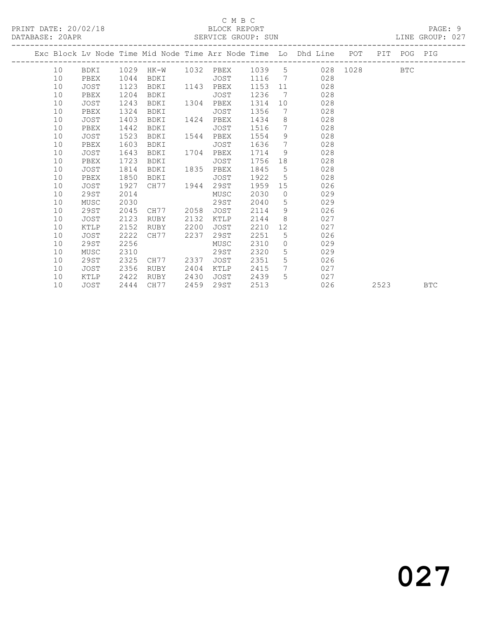## C M B C<br>BLOCK REPORT

LINE GROUP: 027

|  |    |             |      |                            |      |      |      |                 | Exc Block Lv Node Time Mid Node Time Arr Node Time Lo Dhd Line POT |          |      | PIT POG PIG |            |
|--|----|-------------|------|----------------------------|------|------|------|-----------------|--------------------------------------------------------------------|----------|------|-------------|------------|
|  | 10 | BDKI        |      | 1029 HK-W 1032 PBEX 1039 5 |      |      |      |                 |                                                                    | 028 1028 |      | <b>BTC</b>  |            |
|  | 10 | PBEX        | 1044 | BDKI                       |      | JOST | 1116 |                 | 028<br>$7\overline{ }$                                             |          |      |             |            |
|  | 10 | JOST        | 1123 | BDKI                       | 1143 | PBEX | 1153 |                 | 11<br>028                                                          |          |      |             |            |
|  | 10 | PBEX        | 1204 | BDKI                       |      | JOST | 1236 | 7               | 028                                                                |          |      |             |            |
|  | 10 | JOST        | 1243 | BDKI                       | 1304 | PBEX | 1314 | 10              | 028                                                                |          |      |             |            |
|  | 10 | PBEX        | 1324 | BDKI                       |      | JOST | 1356 | $7\overline{ }$ | 028                                                                |          |      |             |            |
|  | 10 | JOST        | 1403 | BDKI                       | 1424 | PBEX | 1434 |                 | $8 - 8$<br>028                                                     |          |      |             |            |
|  | 10 | PBEX        | 1442 | BDKI                       |      | JOST | 1516 | $7\overline{ }$ | 028                                                                |          |      |             |            |
|  | 10 | JOST        | 1523 | BDKI                       | 1544 | PBEX | 1554 | 9               | 028                                                                |          |      |             |            |
|  | 10 | PBEX        | 1603 | BDKI                       |      | JOST | 1636 | 7               | 028                                                                |          |      |             |            |
|  | 10 | JOST        | 1643 | BDKI                       | 1704 | PBEX | 1714 | 9               | 028                                                                |          |      |             |            |
|  | 10 | PBEX        | 1723 | BDKI                       |      | JOST | 1756 | 18              | 028                                                                |          |      |             |            |
|  | 10 | JOST        | 1814 | BDKI                       | 1835 | PBEX | 1845 | 5               | 028                                                                |          |      |             |            |
|  | 10 | PBEX        | 1850 | BDKI                       |      | JOST | 1922 | 5 <sup>5</sup>  | 028                                                                |          |      |             |            |
|  | 10 | JOST        | 1927 | CH77 1944                  |      | 29ST | 1959 |                 | 15<br>026                                                          |          |      |             |            |
|  | 10 | 29ST        | 2014 |                            |      | MUSC | 2030 | $\overline{0}$  | 029                                                                |          |      |             |            |
|  | 10 | MUSC        | 2030 |                            |      | 29ST | 2040 | 5               | 029                                                                |          |      |             |            |
|  | 10 | 29ST        | 2045 | CH77                       | 2058 | JOST | 2114 | 9               | 026                                                                |          |      |             |            |
|  | 10 | JOST        | 2123 | RUBY                       | 2132 | KTLP | 2144 | 8               | 027                                                                |          |      |             |            |
|  | 10 | KTLP        | 2152 | RUBY                       | 2200 | JOST | 2210 | 12 <sup>7</sup> | 027                                                                |          |      |             |            |
|  | 10 | <b>JOST</b> | 2222 | CH77                       | 2237 | 29ST | 2251 | 5               | 026                                                                |          |      |             |            |
|  | 10 | 29ST        | 2256 |                            |      | MUSC | 2310 | $\circ$         | 029                                                                |          |      |             |            |
|  | 10 | MUSC        | 2310 |                            |      | 29ST | 2320 | 5 <sup>1</sup>  | 029                                                                |          |      |             |            |
|  | 10 | 29ST        | 2325 | CH77 2337                  |      | JOST | 2351 | 5 <sup>5</sup>  | 026                                                                |          |      |             |            |
|  | 10 | JOST        | 2356 | RUBY                       | 2404 | KTLP | 2415 | $7\phantom{0}$  | 027                                                                |          |      |             |            |
|  | 10 | KTLP        | 2422 | RUBY                       | 2430 | JOST | 2439 | 5               | 027                                                                |          |      |             |            |
|  | 10 | JOST        | 2444 | CH77                       | 2459 | 29ST | 2513 |                 | 026                                                                |          | 2523 |             | <b>BTC</b> |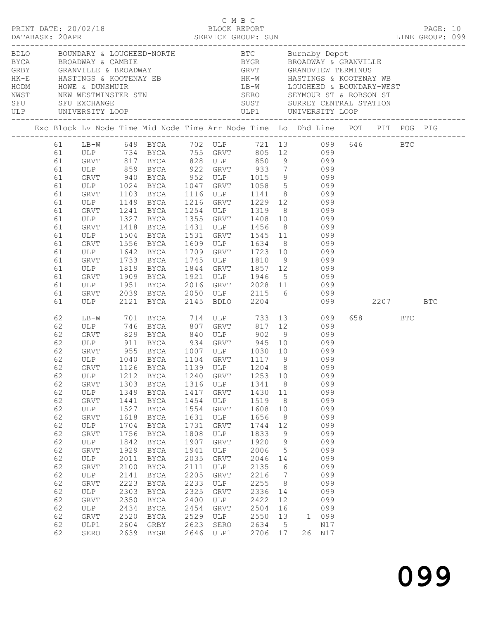|                                                                                                                                                                | BDLO BOUNDARY & LOUGHEED-NORTH BTC Burnaby Depot<br>BYCA BROADWAY & CAMBIE BYGR BROADWAY & GRANVILLE<br>GRBY GRANVILLE & BROADWAY GRY GRANDVIEW TERMINUS<br>HK-E HASTINGS & KOOTENAY EB HK-W HASTINGS & KOOTENAY WB<br>HODM HOWE & DUN       |                                                                                                                                                      |                                                                                                                                                                                           |                                                                                                                                                              |                                                                                                                                                     |                                                                                                                                                                    |                                                                                                                                                                             |                                                                                                                                                                                                                                                                                                                                                                                                                                    |       |     |            |  |
|----------------------------------------------------------------------------------------------------------------------------------------------------------------|----------------------------------------------------------------------------------------------------------------------------------------------------------------------------------------------------------------------------------------------|------------------------------------------------------------------------------------------------------------------------------------------------------|-------------------------------------------------------------------------------------------------------------------------------------------------------------------------------------------|--------------------------------------------------------------------------------------------------------------------------------------------------------------|-----------------------------------------------------------------------------------------------------------------------------------------------------|--------------------------------------------------------------------------------------------------------------------------------------------------------------------|-----------------------------------------------------------------------------------------------------------------------------------------------------------------------------|------------------------------------------------------------------------------------------------------------------------------------------------------------------------------------------------------------------------------------------------------------------------------------------------------------------------------------------------------------------------------------------------------------------------------------|-------|-----|------------|--|
|                                                                                                                                                                |                                                                                                                                                                                                                                              |                                                                                                                                                      |                                                                                                                                                                                           |                                                                                                                                                              |                                                                                                                                                     |                                                                                                                                                                    |                                                                                                                                                                             |                                                                                                                                                                                                                                                                                                                                                                                                                                    |       |     |            |  |
| 61<br>61<br>61<br>61<br>61<br>61<br>61<br>61<br>61<br>61<br>61<br>61<br>61<br>61<br>61<br>61<br>61<br>61<br>61<br>61                                           | LB-W 649 BYCA 702 ULP 721 13 099 646 BTC<br>ULP 734 BYCA 755 GRVT 805 12 099<br>GRVT 817 BYCA 828 ULP 850 9 099<br>GRVT<br>ULP<br>GRVT 1241<br>ULP 1327<br>GRVT<br>ULP<br>GRVT 1556<br>ULP 1642<br>GRVT<br>ULP<br>GRVT<br>ULP<br>GRVT<br>ULP | 1103<br>1149<br>1418<br>1504<br>1733<br>1819<br>1909<br>1951<br>1951                                                                                 | BYCA<br>BYCA<br>BYCA<br>BYCA<br>BYCA<br><b>BYCA</b><br>BYCA<br>BYCA<br>BYCA<br><b>BYCA</b><br>BYCA<br><b>BYCA</b><br>2039 BYCA<br>2121 BYCA                                               | 1709<br>1745                                                                                                                                                 | 1216 GRVT<br>2145 BDLO                                                                                                                              |                                                                                                                                                                    |                                                                                                                                                                             | ULP 859 BYCA 922 GRVT 933 7 099<br>GRVT 940 BYCA 952 ULP 1015 9 099<br>ULP 1024 BYCA 1047 GRVT 1058 5 099<br>1116 ULP 1141 8 099<br>1229 12 099<br>1254 ULP 1319 8 099<br>1355 GRVT 1408 10 099<br>1431 ULP 1456 8 099<br>1531 GRVT 1545 11 099<br>1609 ULP 1634 8 099<br>1709 GRVT 1723 10 099<br>ULP 1810 9 099<br>1844 GRVT 1857 12 099<br>1921 ULP 1946 5 099<br>2016 GRVT 2028 11 099<br>2050 ULP 2115 6 099<br>2204 099 2207 |       |     | <b>BTC</b> |  |
| 62<br>62<br>62<br>62<br>62<br>62<br>62<br>62<br>62<br>62<br>62<br>62<br>62<br>62<br>62<br>62<br>62<br>62<br>62<br>62<br>62<br>62<br>62<br>62<br>62<br>62<br>62 | GRVT<br>ULP 911<br>GRVT 955<br>ULP 1040<br>ULP<br>GRVT<br>ULP<br>GRVT<br>ULP<br>GRVT<br>ULP<br>GRVT<br>ULP<br>GRVT<br>ULP<br>GRVT<br>ULP<br>GRVT<br>ULP<br>GRVT<br>ULP<br>GRVT<br>ULP1<br>SERO                                               | 1212<br>1303<br>1349<br>1441<br>1527<br>1618<br>1704<br>1756<br>1842<br>1929<br>2011<br>2100<br>2141<br>2223<br>2303<br>2350<br>2434<br>2520<br>2604 | 829 BYCA 840 ULP 902<br>BYCA<br>BYCA<br>BYCA<br>BYCA<br>BYCA<br>BYCA<br>BYCA<br>BYCA<br>BYCA<br>BYCA<br>BYCA<br>BYCA<br>BYCA<br>BYCA<br>BYCA<br>BYCA<br>BYCA<br>BYCA<br>GRBY<br>2639 BYGR | 1240<br>1316<br>1417<br>1454<br>1554<br>1631<br>1731<br>1808<br>1907<br>1941<br>2035<br>2111<br>2205<br>2233<br>2325<br>2400<br>2454<br>2529<br>2623<br>2646 | GRVT<br>ULP<br>GRVT<br>ULP<br>GRVT<br>ULP<br>GRVT<br>ULP<br>GRVT<br>ULP<br>GRVT<br>ULP<br>GRVT<br>ULP<br>GRVT<br>ULP<br>GRVT<br>ULP<br>SERO<br>ULP1 | 1253 10<br>1341<br>1430<br>1519<br>1608<br>1656<br>1744<br>1833<br>1920<br>2006<br>2046<br>2135<br>2216<br>2255<br>2336<br>2422<br>2504<br>2550<br>2634<br>2706 17 | 8 <sup>8</sup><br>11<br>8<br>10<br>8 <sup>8</sup><br>12<br>9<br>9<br>$5\overline{)}$<br>14<br>$6\overline{6}$<br>$\overline{7}$<br>8<br>14<br>12<br>16<br>13<br>$5^{\circ}$ | LB-W 701 BYCA 714 ULP 733 13 099<br>ULP 746 BYCA 807 GRVT 817 12 099<br>$817 \quad 12$<br>9 099<br>BYCA 934 GRVT 945 10 099<br>BYCA 1007 ULP 1030 10 099<br>BYCA 1104 GRVT 1117 9 099<br>GRVT 1126 BYCA 1139 ULP 1204 8 099<br>099<br>099<br>099<br>099<br>099<br>099<br>099<br>099<br>099<br>099<br>099<br>099<br>099<br>099<br>099<br>099<br>099<br>1 099<br>N17<br>26 N17                                                       | 658 3 | BTC |            |  |

099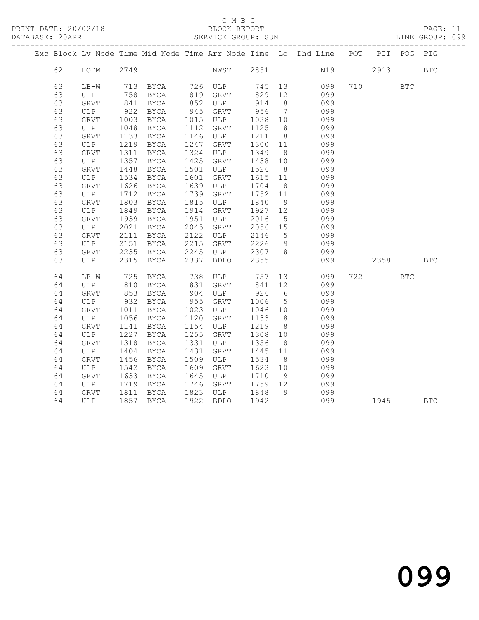## C M B C<br>BLOCK REPORT

PAGE: 11<br>LINE GROUP: 099

|    |             |      |                                                              |      |                                                          |         |                 | Exc Block Lv Node Time Mid Node Time Arr Node Time Lo Dhd Line POT PIT POG PIG |          |              |              |
|----|-------------|------|--------------------------------------------------------------|------|----------------------------------------------------------|---------|-----------------|--------------------------------------------------------------------------------|----------|--------------|--------------|
| 62 | HODM 2749   |      |                                                              |      |                                                          |         |                 | NWST 2851 N19 2913 BTC                                                         |          |              |              |
| 63 |             |      | LB-W 713 BYCA 726 ULP 745 13<br>ULP 758 BYCA 819 GRVT 829 12 |      |                                                          |         |                 | 099                                                                            | 710      | $_{\rm BTC}$ |              |
| 63 |             |      |                                                              |      |                                                          |         |                 | 099                                                                            |          |              |              |
| 63 | GRVT        |      | 841 BYCA                                                     |      | 852 ULP                                                  | 914     | 8 <sup>8</sup>  | 099                                                                            |          |              |              |
| 63 | ULP         | 922  | <b>BYCA</b>                                                  |      | 945 GRVT                                                 | 956     | $7\overline{)}$ | 099                                                                            |          |              |              |
| 63 | GRVT        |      | 1003 BYCA                                                    |      | 1015 ULP                                                 | 1038 10 |                 | 099                                                                            |          |              |              |
| 63 | ULP         |      | 1048 BYCA                                                    | 1112 | GRVT                                                     | 1125    | 8 <sup>2</sup>  | 099                                                                            |          |              |              |
| 63 | GRVT        | 1133 | <b>BYCA</b>                                                  |      | 1146 ULP                                                 | 1211    | 8 <sup>8</sup>  | 099                                                                            |          |              |              |
| 63 | ULP         |      | 1219 BYCA                                                    | 1247 | GRVT                                                     | 1300 11 |                 | 099                                                                            |          |              |              |
| 63 | GRVT        | 1311 | <b>BYCA</b>                                                  | 1324 | ULP                                                      | 1349    | 8 <sup>8</sup>  | 099                                                                            |          |              |              |
| 63 | ULP         | 1357 | <b>BYCA</b>                                                  |      | 1425 GRVT                                                | 1438 10 |                 | 099                                                                            |          |              |              |
| 63 | GRVT        | 1448 | BYCA                                                         |      | 1501 ULP                                                 | 1526    | 8 <sup>8</sup>  | 099                                                                            |          |              |              |
| 63 | ULP         |      | 1534 BYCA                                                    | 1601 | GRVT                                                     | 1615 11 |                 | 099                                                                            |          |              |              |
| 63 | GRVT        |      | 1626 BYCA                                                    | 1639 | <b>ULP</b>                                               | 1704    | 8 <sup>8</sup>  | 099                                                                            |          |              |              |
| 63 | ULP         | 1712 | BYCA                                                         | 1739 | GRVT                                                     | 1752    | 11              | 099                                                                            |          |              |              |
| 63 | GRVT        | 1803 | BYCA                                                         |      | 1815 ULP                                                 | 1840    | 9               | 099                                                                            |          |              |              |
| 63 | ULP         |      | 1849 BYCA                                                    | 1914 | GRVT                                                     | 1927 12 |                 | 099                                                                            |          |              |              |
| 63 | GRVT        | 1939 | BYCA                                                         |      | 1951 ULP 2016 5<br>2045 GRVT 2056 15<br>2122 ULP 2146 5  |         |                 | 099                                                                            |          |              |              |
| 63 | ULP         | 2021 | BYCA                                                         |      |                                                          |         |                 | 099                                                                            |          |              |              |
| 63 | GRVT        | 2111 | <b>BYCA</b>                                                  | 2122 |                                                          |         |                 | 099                                                                            |          |              |              |
| 63 | ULP         | 2151 | <b>BYCA</b>                                                  | 2215 | GRVT 2226                                                |         | 9               | 099                                                                            |          |              |              |
| 63 | GRVT        | 2235 | <b>BYCA</b>                                                  |      | 2245 ULP        2307      8<br>2337    BDLO         2355 |         |                 | 099                                                                            |          |              |              |
| 63 | ULP         |      | 2315 BYCA                                                    |      | 2337 BDLO                                                |         |                 | 099                                                                            | 2358     |              | $_{\rm BTC}$ |
| 64 | $LB-W$      | 725  | <b>BYCA</b>                                                  |      | 738 ULP 757                                              |         | 13              | 099                                                                            | 722      | <b>BTC</b>   |              |
| 64 | ULP         |      | 810 BYCA                                                     |      | 831 GRVT                                                 | 841 12  |                 | 099                                                                            |          |              |              |
| 64 | GRVT        |      | 853 BYCA                                                     | 904  | ULP                                                      | 926     | $6\overline{6}$ | 099                                                                            |          |              |              |
| 64 | ULP         | 932  | <b>BYCA</b>                                                  | 955  | GRVT                                                     | 1006    | $5\overline{)}$ | 099                                                                            |          |              |              |
| 64 | GRVT        | 1011 | <b>BYCA</b>                                                  | 1023 | ULP                                                      | 1046 10 |                 | 099                                                                            |          |              |              |
| 64 | ULP         |      | 1056 BYCA                                                    | 1120 | GRVT                                                     | 1133    | 8 <sup>8</sup>  | 099                                                                            |          |              |              |
| 64 | GRVT        | 1141 | <b>BYCA</b>                                                  |      | 1154 ULP                                                 | 1219    | 8 <sup>8</sup>  | 099                                                                            |          |              |              |
| 64 | ULP         | 1227 | <b>BYCA</b>                                                  | 1255 | GRVT                                                     | 1308 10 |                 | 099                                                                            |          |              |              |
| 64 | GRVT        | 1318 | BYCA                                                         | 1331 | ULP                                                      | 1356    | 8 <sup>8</sup>  | 099                                                                            |          |              |              |
| 64 | ULP         |      | 1404 BYCA                                                    | 1431 | GRVT                                                     | 1445 11 |                 | 099                                                                            |          |              |              |
| 64 | GRVT        | 1456 | BYCA                                                         | 1509 | ULP                                                      | 1534    | 8 <sup>8</sup>  | 099                                                                            |          |              |              |
| 64 | ULP         | 1542 | BYCA                                                         | 1609 | GRVT                                                     | 1623 10 |                 | 099                                                                            |          |              |              |
| 64 | GRVT        | 1633 | BYCA                                                         | 1645 | ULP                                                      | 1710    | 9               | 099                                                                            |          |              |              |
| 64 | ULP         | 1719 | BYCA                                                         |      | 1746 GRVT                                                | 1759 12 |                 | 099                                                                            |          |              |              |
| 64 | GRVT        | 1811 | BYCA                                                         |      | 1823 ULP 1848                                            |         | $\overline{9}$  | 099                                                                            |          |              |              |
| 64 | ukvt<br>ULP |      | 1857 BYCA                                                    |      | 1922 BDLO                                                | 1942    |                 | 099                                                                            | 1945 BTC |              |              |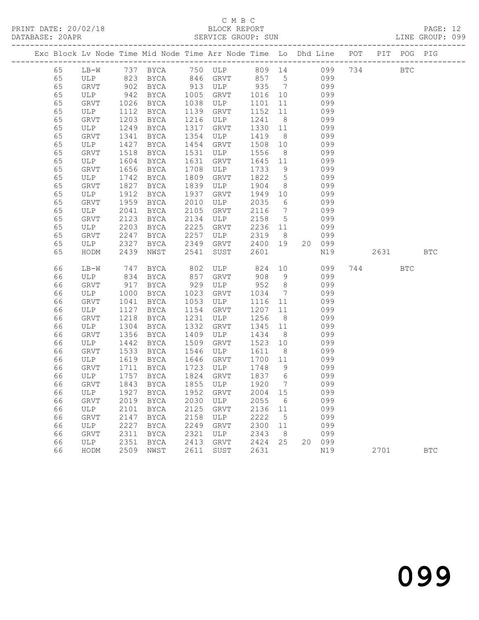## C M B C<br>BLOCK REPORT

PAGE: 12<br>LINE GROUP: 099

|    |             |                  |             |      | Exc Block Lv Node Time Mid Node Time Arr Node Time Lo Dhd Line POT PIT POG PIG |         |                              |     |        |      |            |            |
|----|-------------|------------------|-------------|------|--------------------------------------------------------------------------------|---------|------------------------------|-----|--------|------|------------|------------|
| 65 |             |                  |             |      | LB-W 737 BYCA 750 ULP 809 14 099 734 BTC<br>ULP 823 BYCA 846 GRVT 857 5 099    |         |                              |     |        |      |            |            |
| 65 |             |                  |             |      |                                                                                |         |                              |     |        |      |            |            |
| 65 | GRVT        | 902              | BYCA        |      | 913 ULP 935 7                                                                  |         |                              | 099 |        |      |            |            |
| 65 | ULP         | 942              | BYCA        | 1005 | GRVT                                                                           | 1016    | 10                           | 099 |        |      |            |            |
| 65 | GRVT        | 1026             | BYCA        | 1038 | ULP                                                                            | 1101    | 11                           |     | 099    |      |            |            |
| 65 | ULP         | 1112             | BYCA        | 1139 | GRVT                                                                           | 1152    | 11                           |     | 099    |      |            |            |
| 65 | GRVT        | 1203             | BYCA        | 1216 | ULP                                                                            | 1241    | 8 <sup>8</sup>               |     | 099    |      |            |            |
| 65 | ULP         | 1249             | BYCA        | 1317 | GRVT                                                                           | 1330    | 11                           |     | 099    |      |            |            |
| 65 | GRVT        | 1341             | BYCA        | 1354 | ULP                                                                            | 1419    | 8 <sup>8</sup>               |     | 099    |      |            |            |
| 65 | ULP         | 1427             | <b>BYCA</b> | 1454 | GRVT                                                                           | 1508    | 10                           |     | 099    |      |            |            |
| 65 | GRVT        | 1518             | BYCA        | 1531 | ULP                                                                            | 1556    | 8 <sup>8</sup>               |     | 099    |      |            |            |
| 65 | ULP         | 1604             | BYCA        | 1631 | GRVT                                                                           | 1645    | 11                           |     | 099    |      |            |            |
| 65 | GRVT        | 1656             | BYCA        | 1708 | ULP                                                                            | 1733    | 9                            |     | 099    |      |            |            |
| 65 | ULP         | 1742             | BYCA        | 1809 | GRVT                                                                           | 1822    | $5\overline{)}$              |     | 099    |      |            |            |
| 65 | GRVT        | 1827             | BYCA        | 1839 | ULP                                                                            | 1904    | 8 <sup>8</sup>               |     | 099    |      |            |            |
| 65 | ULP         | 1912             | BYCA        | 1937 | GRVT                                                                           | 1949    | 10                           |     | 099    |      |            |            |
| 65 | <b>GRVT</b> | 1959             | BYCA        | 2010 | ULP                                                                            | 2035    | 6                            |     | 099    |      |            |            |
| 65 | ULP         | 2041             | BYCA        | 2105 | GRVT                                                                           | 2116    | $7\phantom{.0}\phantom{.0}7$ |     | 099    |      |            |            |
| 65 | GRVT        | 2123             | BYCA        | 2134 | ULP                                                                            | 2158    | $5\overline{)}$              |     | 099    |      |            |            |
| 65 | ULP         | 2203             | BYCA        | 2225 | GRVT                                                                           | 2236 11 |                              |     | 099    |      |            |            |
| 65 | GRVT        | 2247             | BYCA        | 2257 | ULP                                                                            | 2319    | 8 <sup>8</sup>               |     | 099    |      |            |            |
| 65 | ULP         | 2327             | BYCA        | 2349 | GRVT                                                                           | 2400 19 |                              |     | 20 099 |      |            |            |
| 65 | HODM        | 2439             | NWST        | 2541 | SUST                                                                           | 2601    |                              |     | N19    | 2631 |            | <b>BTC</b> |
| 66 | LB-W        | 747              | BYCA        | 802  | ULP 824                                                                        |         | 10                           |     | 099    | 744  | <b>BTC</b> |            |
| 66 | ULP         |                  | BYCA        | 857  | GRVT                                                                           | 908     | 9                            |     | 099    |      |            |            |
| 66 | GRVT        | 834<br>917       | BYCA        | 929  | ULP                                                                            | 952     | 8 <sup>8</sup>               |     | 099    |      |            |            |
| 66 | ULP         | 1000             | BYCA        | 1023 | GRVT                                                                           | 1034    | $7\overline{ }$              |     | 099    |      |            |            |
| 66 | GRVT        | 1041             | BYCA        | 1053 | ULP                                                                            | 1116    | 11                           |     | 099    |      |            |            |
| 66 | ULP         | 1127             | BYCA        | 1154 | GRVT                                                                           | 1207    | 11                           |     | 099    |      |            |            |
| 66 | GRVT        | 1218             | BYCA        | 1231 | ULP                                                                            | 1256    | 8 <sup>8</sup>               |     | 099    |      |            |            |
| 66 | ULP         | 1304             | BYCA        | 1332 | GRVT                                                                           | 1345    | 11                           |     | 099    |      |            |            |
| 66 | GRVT        | 1356             | BYCA        | 1409 | ULP                                                                            | 1434    | 8 <sup>8</sup>               |     | 099    |      |            |            |
| 66 | ULP         | 1442             | BYCA        | 1509 | GRVT                                                                           | 1523    | 10                           |     | 099    |      |            |            |
| 66 | GRVT        | 1533             | BYCA        | 1546 | ULP                                                                            | 1611    | 8 <sup>8</sup>               |     | 099    |      |            |            |
| 66 | ULP         | 1619             | BYCA        | 1646 | GRVT                                                                           | 1700    | 11                           |     | 099    |      |            |            |
| 66 | GRVT        | 1711             | BYCA        | 1723 | ULP                                                                            | 1748    | 9                            |     | 099    |      |            |            |
| 66 | ULP         |                  | BYCA        | 1824 | GRVT                                                                           | 1837 6  |                              |     | 099    |      |            |            |
| 66 | GRVT        | $\frac{1}{1843}$ | BYCA        |      | 1855 ULP                                                                       | 1920    | $\overline{7}$               |     | 099    |      |            |            |
| 66 |             |                  |             |      | ULP 1927 BYCA 1952 GRVT 2004 15                                                |         |                              |     | 099    |      |            |            |
| 66 | GRVT        |                  | 2019 BYCA   | 2030 | ULP                                                                            | 2055    | 6                            |     | 099    |      |            |            |
| 66 | ULP         | 2101             | BYCA        | 2125 | GRVT                                                                           | 2136    | 11                           |     | 099    |      |            |            |
| 66 | GRVT        | 2147             | BYCA        | 2158 | ULP                                                                            | 2222    | 5                            |     | 099    |      |            |            |
| 66 | ULP         | 2227             | BYCA        | 2249 | GRVT                                                                           | 2300    | 11                           |     | 099    |      |            |            |
| 66 | GRVT        | 2311             | BYCA        | 2321 | ULP                                                                            | 2343    | 8                            |     | 099    |      |            |            |
| 66 | ULP         | 2351             | BYCA        | 2413 | GRVT                                                                           | 2424    | 25                           |     | 20 099 |      |            |            |
| 66 | HODM        | 2509             | NWST        | 2611 | SUST                                                                           | 2631    |                              |     | N19    | 2701 |            | <b>BTC</b> |
|    |             |                  |             |      |                                                                                |         |                              |     |        |      |            |            |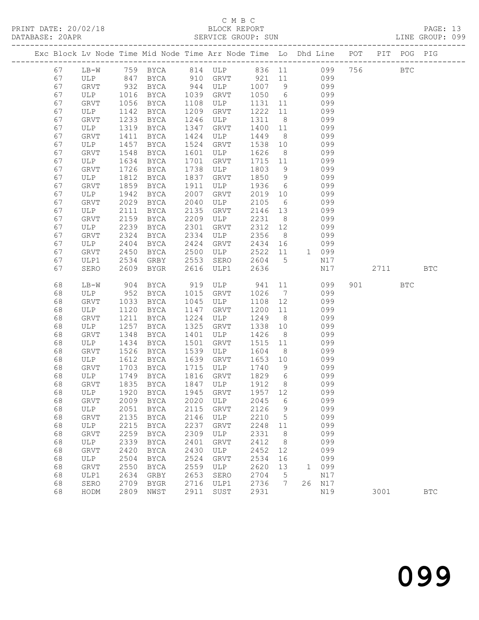### C M B C<br>BLOCK REPORT SERVICE GROUP: SUN

| Exc Block Lv Node Time Mid Node Time Arr Node Time Lo Dhd Line POT PIT POG PIG |              |              |                                                                          |              |             |              |                      |           |            |           |            |              |
|--------------------------------------------------------------------------------|--------------|--------------|--------------------------------------------------------------------------|--------------|-------------|--------------|----------------------|-----------|------------|-----------|------------|--------------|
| 67                                                                             |              |              |                                                                          |              |             |              |                      |           |            |           | <b>BTC</b> |              |
| 67                                                                             |              |              | LB-W 759 BYCA 814 ULP 836 11 099 756<br>ULP 847 BYCA 910 GRVT 921 11 099 |              |             | 921 11       |                      |           |            |           |            |              |
| 67                                                                             | GRVT         | 932          | BYCA                                                                     | 944          | ULP         | 1007 9 099   |                      |           |            |           |            |              |
| 67                                                                             | ULP          | 1016         | BYCA                                                                     | 1039         | GRVT        | 1050         | 6                    |           | 099        |           |            |              |
| 67                                                                             | GRVT         | 1056         | BYCA                                                                     | 1108         | ULP         | 1131 11      |                      |           | 099        |           |            |              |
| 67                                                                             | ULP          | 1142         | BYCA                                                                     | 1209         | GRVT        | 1222         | 11                   |           | 099        |           |            |              |
| 67                                                                             | GRVT         | 1233         | BYCA                                                                     | 1246         | ULP         | 1311         | 8 <sup>8</sup>       |           | 099        |           |            |              |
| 67                                                                             | ULP          | 1319         | BYCA                                                                     | 1347         | GRVT        | 1400         | 11                   |           | 099        |           |            |              |
| 67                                                                             | GRVT         | 1411         | BYCA                                                                     | 1424         | ULP         | 1449         | 8 <sup>8</sup>       |           | 099        |           |            |              |
| 67                                                                             | ULP          | 1457         | BYCA                                                                     | 1524         | GRVT        | 1538         | 10                   |           | 099        |           |            |              |
| 67                                                                             | GRVT         | 1548         | BYCA                                                                     | 1601         | ULP         | 1626         | 8 <sup>8</sup>       |           | 099        |           |            |              |
| 67                                                                             | ULP          | 1634         | BYCA                                                                     | 1701         | GRVT        | 1715         | 11                   |           | 099        |           |            |              |
| 67                                                                             | GRVT         | 1726         | BYCA                                                                     | 1738         | ULP         | 1803         | 9                    |           | 099        |           |            |              |
| 67                                                                             | ULP          | 1812         | BYCA                                                                     | 1837         | GRVT        | 1850         | 9                    |           | 099        |           |            |              |
| 67                                                                             | GRVT         | 1859         | BYCA                                                                     | 1911         | ULP         | 1936         | $6\overline{6}$      |           | 099        |           |            |              |
| 67                                                                             | ULP          | 1942         | BYCA                                                                     | 2007         | GRVT        | 2019         | 10                   |           | 099        |           |            |              |
| 67                                                                             | <b>GRVT</b>  | 2029         | BYCA                                                                     | 2040         | ULP         | 2105         | 6                    |           | 099        |           |            |              |
| 67<br>67                                                                       | ULP<br>GRVT  | 2111<br>2159 | BYCA<br>BYCA                                                             | 2135<br>2209 | GRVT<br>ULP | 2146<br>2231 | 13<br>8 <sup>8</sup> |           | 099<br>099 |           |            |              |
| 67                                                                             | ULP          | 2239         | BYCA                                                                     | 2301         | GRVT        | 2312 12      |                      |           | 099        |           |            |              |
| 67                                                                             | GRVT         | 2324         | BYCA                                                                     | 2334         | ULP         | 2356         | 8 <sup>8</sup>       |           | 099        |           |            |              |
| 67                                                                             | ULP          | 2404         | BYCA                                                                     | 2424         | GRVT        | 2434         | 16                   |           | 099        |           |            |              |
| 67                                                                             | GRVT         | 2450         | BYCA                                                                     | 2500         | ULP         | 2522         | 11                   |           | 1 099      |           |            |              |
| 67                                                                             | ULP1         | 2534         | GRBY                                                                     | 2553         | SERO        | 2604         | 5                    |           | N17        |           |            |              |
| 67                                                                             | SERO         | 2609         | BYGR                                                                     | 2616         | ULP1        | 2636         |                      |           | N17        | 2711      |            | <b>BTC</b>   |
|                                                                                |              |              |                                                                          |              |             |              |                      |           |            |           |            |              |
| 68                                                                             | LB-W         | 904          | BYCA                                                                     | 919          | ULP 941     |              |                      | 11        | 099        | 901 — 100 | BTC        |              |
| 68                                                                             | ULP          | 952          | BYCA                                                                     | 1015         | GRVT        | 1026         | $7\overline{ }$      |           | 099        |           |            |              |
| 68                                                                             | GRVT         | 1033         | BYCA                                                                     | 1045         | ULP         | 1108         | 12                   |           | 099        |           |            |              |
| 68                                                                             | ULP          | 1120         | BYCA                                                                     | 1147         | GRVT        | 1200         | 11                   |           | 099        |           |            |              |
| 68                                                                             | GRVT         | 1211         | BYCA                                                                     | 1224         | ULP         | 1249         | 8 <sup>8</sup>       |           | 099        |           |            |              |
| 68                                                                             | ULP          | 1257         | BYCA                                                                     | 1325         | GRVT        | 1338         | 10                   |           | 099        |           |            |              |
| 68                                                                             | GRVT         | 1348         | BYCA                                                                     | 1401         | ULP         | 1426         | 8 <sup>8</sup>       |           | 099        |           |            |              |
| 68                                                                             | ULP          | 1434         | BYCA                                                                     | 1501         | GRVT        | 1515         | 11                   |           | 099        |           |            |              |
| 68<br>68                                                                       | GRVT<br>ULP  | 1526<br>1612 | BYCA<br>BYCA                                                             | 1539<br>1639 | ULP<br>GRVT | 1604<br>1653 | 8 <sup>8</sup><br>10 |           | 099<br>099 |           |            |              |
| 68                                                                             | GRVT         | 1703         | BYCA                                                                     | 1715         | ULP         | 1740         | 9                    |           | 099        |           |            |              |
| 68                                                                             | ULP          | 1749         | BYCA                                                                     | 1816         | GRVT        | 1829         | 6                    |           | 099        |           |            |              |
| 68                                                                             | GRVT         | 1835         | BYCA                                                                     |              | 1847 ULP    | 1912         | 8 <sup>8</sup>       |           | 099        |           |            |              |
| 68                                                                             |              |              | ULP 1920 BYCA 1945 GRVT 1957 12                                          |              |             |              |                      |           | 099        |           |            |              |
| 68                                                                             | ${\tt GRVT}$ |              | 2009 BYCA                                                                | 2020         | ULP         | 2045         | 6                    |           | 099        |           |            |              |
| 68                                                                             | ULP          | 2051         | BYCA                                                                     | 2115         | GRVT        | 2126         | 9                    |           | 099        |           |            |              |
| 68                                                                             | GRVT         | 2135         | BYCA                                                                     | 2146         | ULP         | 2210         | $5^{\circ}$          |           | 099        |           |            |              |
| 68                                                                             | ULP          | 2215         | BYCA                                                                     | 2237         | GRVT        | 2248         | 11                   |           | 099        |           |            |              |
| 68                                                                             | GRVT         | 2259         | BYCA                                                                     | 2309         | ULP         | 2331         | 8                    |           | 099        |           |            |              |
| 68                                                                             | ULP          | 2339         | BYCA                                                                     | 2401         | GRVT        | 2412         | - 8                  |           | 099        |           |            |              |
| 68                                                                             | <b>GRVT</b>  | 2420         | BYCA                                                                     | 2430         | ULP         | 2452         | 12                   |           | 099        |           |            |              |
| 68                                                                             | ULP          | 2504         | <b>BYCA</b>                                                              | 2524         | GRVT        | 2534         | 16                   |           | 099        |           |            |              |
| 68                                                                             | GRVT         | 2550         | BYCA                                                                     | 2559         | ULP         | 2620         | 13                   | $1 \quad$ | 099        |           |            |              |
| 68                                                                             | ULP1         | 2634         | GRBY                                                                     | 2653         | SERO        | 2704         | 5                    |           | N17        |           |            |              |
| 68                                                                             | SERO         | 2709         | BYGR                                                                     | 2716         | ULP1        | 2736         | 7                    |           | 26 N17     |           |            |              |
| 68                                                                             | HODM         | 2809         | NWST                                                                     | 2911         | SUST        | 2931         |                      |           | N19        | 3001      |            | $_{\rm BTC}$ |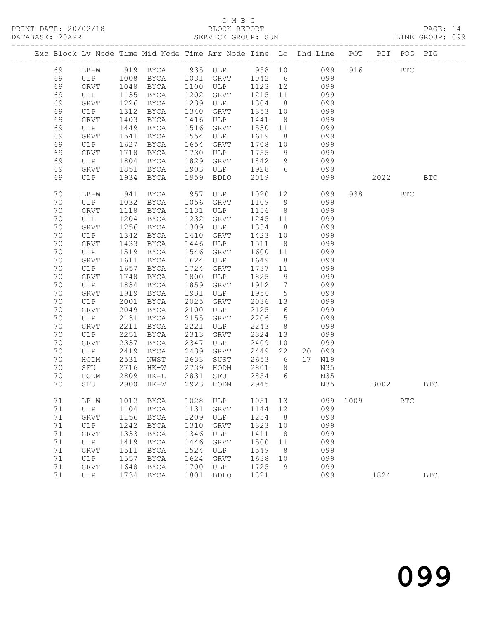## C M B C<br>BLOCK REPORT

PAGE: 14<br>LINE GROUP: 099

|  |          |             |              |              |              | Exc Block Lv Node Time Mid Node Time Arr Node Time Lo Dhd Line POT |              |                      |    |            |      |           | PIT POG PIG |              |
|--|----------|-------------|--------------|--------------|--------------|--------------------------------------------------------------------|--------------|----------------------|----|------------|------|-----------|-------------|--------------|
|  | 69       | $LB-W$      |              |              |              | 919 BYCA 935 ULP 958 10 099                                        |              |                      |    |            | 916  |           | <b>BTC</b>  |              |
|  | 69       | ULP 1008    |              | BYCA         |              | 1031 GRVT                                                          | 1042 6       |                      |    | 099        |      |           |             |              |
|  | 69       | GRVT        | 1048         | BYCA         | 1100         | ULP                                                                | 1123 12      |                      |    | 099        |      |           |             |              |
|  | 69       | ULP         | 1135         | BYCA         | 1202         | GRVT                                                               | 1215         | 11                   |    | 099        |      |           |             |              |
|  | 69       | GRVT        | 1226         | BYCA         | 1239         | ULP                                                                | 1304         | 8 <sup>8</sup>       |    | 099        |      |           |             |              |
|  | 69       | ULP         | 1312         | BYCA         | 1340         | GRVT                                                               | 1353         | 10                   |    | 099        |      |           |             |              |
|  | 69       | GRVT        | 1403         | BYCA         | 1416         | ULP                                                                | 1441         | 8 <sup>8</sup>       |    | 099        |      |           |             |              |
|  | 69       | ULP         | 1449         | BYCA         | 1516         | GRVT                                                               | 1530         | 11                   |    | 099        |      |           |             |              |
|  | 69       | <b>GRVT</b> | 1541         | BYCA         | 1554         | ULP                                                                | 1619         | 8 <sup>8</sup>       |    | 099        |      |           |             |              |
|  | 69       | ULP         | 1627         | BYCA         | 1654         | GRVT                                                               | 1708         | 10                   |    | 099        |      |           |             |              |
|  | 69       | GRVT        | 1718         | BYCA         | 1730         | ULP                                                                | 1755         | 9                    |    | 099        |      |           |             |              |
|  | 69       | ULP         | 1804         | BYCA         | 1829         | GRVT                                                               | 1842         | 9                    |    | 099        |      |           |             |              |
|  | 69       | GRVT        | 1851         | BYCA         | 1903         | ULP                                                                | 1928         | 6                    |    | 099        |      |           |             |              |
|  | 69       | ULP         | 1934         | BYCA         | 1959         | <b>BDLO</b>                                                        | 2019         |                      |    | 099        |      | 2022 2023 |             | <b>BTC</b>   |
|  | 70       | $LB-W$      | 941          | BYCA         | 957          | ULP                                                                | 1020         |                      | 12 | 099        |      | 938 8     | <b>BTC</b>  |              |
|  | 70       | ULP         | 1032         | BYCA         | 1056         | GRVT                                                               | 1109         | - 9                  |    | 099        |      |           |             |              |
|  | 70       | <b>GRVT</b> | 1118         | BYCA         | 1131         | ULP                                                                | 1156         | 8 <sup>8</sup>       |    | 099        |      |           |             |              |
|  | 70       | ULP         | 1204         | BYCA         | 1232         | GRVT                                                               | 1245 11      |                      |    | 099        |      |           |             |              |
|  | 70       | GRVT        | 1256         | BYCA         | 1309         | ULP                                                                | 1334         | 8 <sup>8</sup>       |    | 099        |      |           |             |              |
|  | 70       | ULP         | 1342         | BYCA         | 1410         | GRVT                                                               | 1423         | 10                   |    | 099        |      |           |             |              |
|  | 70       | GRVT        | 1433         | BYCA         | 1446         | ULP                                                                | 1511         | 8 <sup>8</sup>       |    | 099        |      |           |             |              |
|  | 70       | ULP         | 1519         | BYCA         | 1546         | GRVT                                                               | 1600         | 11                   |    | 099        |      |           |             |              |
|  | 70       | GRVT        | 1611         | BYCA         | 1624         | ULP                                                                | 1649         | 8 <sup>8</sup>       |    | 099        |      |           |             |              |
|  | 70       | ULP         | 1657         | BYCA         | 1724         | GRVT                                                               | 1737         | 11                   |    | 099        |      |           |             |              |
|  | 70       | GRVT        | 1748         | BYCA         | 1800         | ULP                                                                | 1825         | 9                    |    | 099        |      |           |             |              |
|  | 70       | ULP         | 1834         | BYCA         | 1859         | GRVT                                                               | 1912         | $\overline{7}$       |    | 099        |      |           |             |              |
|  | 70       | GRVT        | 1919         | BYCA         | 1931         | ULP                                                                | 1956         | $5\overline{)}$      |    | 099        |      |           |             |              |
|  | 70       | ULP         | 2001         | BYCA         | 2025         | GRVT                                                               | 2036 13      |                      |    | 099        |      |           |             |              |
|  | 70       | <b>GRVT</b> | 2049         | BYCA         | 2100         | ULP                                                                | 2125         | 6                    |    | 099        |      |           |             |              |
|  | 70       | ULP         | 2131         | BYCA         | 2155         | GRVT                                                               | 2206         | $5\overline{)}$      |    | 099        |      |           |             |              |
|  | 70<br>70 | GRVT<br>ULP | 2211<br>2251 | BYCA         | 2221<br>2313 | ULP                                                                | 2243<br>2324 | 8 <sup>8</sup><br>13 |    | 099<br>099 |      |           |             |              |
|  | 70       | <b>GRVT</b> | 2337         | BYCA         | 2347         | GRVT<br>ULP                                                        | 2409         | 10                   |    | 099        |      |           |             |              |
|  | 70       | ULP         | 2419         | BYCA<br>BYCA | 2439         | GRVT                                                               | 2449         | 22                   |    | 20 099     |      |           |             |              |
|  | 70       | HODM        | 2531         | NWST         | 2633         | SUST                                                               | 2653         | 6                    |    | 17 N19     |      |           |             |              |
|  | 70       | SFU         | 2716         | HK-W         | 2739         | HODM                                                               | 2801         | 8 <sup>8</sup>       |    | N35        |      |           |             |              |
|  | 70       | HODM        | 2809         | $HK-E$       | 2831         | SFU                                                                | 2854         | 6                    |    | N35        |      |           |             |              |
|  | 70       | SFU         | 2900         | HK-W         |              | 2923 HODM                                                          | 2945         |                      |    | N35        |      | 3002      |             | BTC          |
|  | 71       | $LB-W$      | 1012         | BYCA         | 1028         | ULP                                                                | 1051         | 13                   |    | 099        | 1009 |           | <b>BTC</b>  |              |
|  | 71       | ULP         | 1104         | <b>BYCA</b>  | 1131         | GRVT                                                               | 1144         | 12                   |    | 099        |      |           |             |              |
|  | 71       | GRVT        | 1156         | <b>BYCA</b>  | 1209         | ULP                                                                | 1234         | 8                    |    | 099        |      |           |             |              |
|  | 71       | ULP         | 1242         | <b>BYCA</b>  | 1310         | GRVT                                                               | 1323         | 10                   |    | 099        |      |           |             |              |
|  | $71\,$   | GRVT        | 1333         | BYCA         | 1346         | ULP                                                                | 1411         | 8                    |    | 099        |      |           |             |              |
|  | $71\,$   | ULP         | 1419         | <b>BYCA</b>  | 1446         | GRVT                                                               | 1500         | 11                   |    | 099        |      |           |             |              |
|  | 71       | GRVT        | 1511         | <b>BYCA</b>  | 1524         | ULP                                                                | 1549         | 8                    |    | 099        |      |           |             |              |
|  | 71       | ULP         | 1557         | <b>BYCA</b>  | 1624         | GRVT                                                               | 1638         | 10                   |    | 099        |      |           |             |              |
|  | $71\,$   | GRVT        | 1648         | BYCA         | 1700         | ULP                                                                | 1725         | 9                    |    | 099        |      |           |             |              |
|  | 71       | ULP         | 1734         | <b>BYCA</b>  | 1801         | <b>BDLO</b>                                                        | 1821         |                      |    | 099        |      | 1824      |             | $_{\rm BTC}$ |
|  |          |             |              |              |              |                                                                    |              |                      |    |            |      |           |             |              |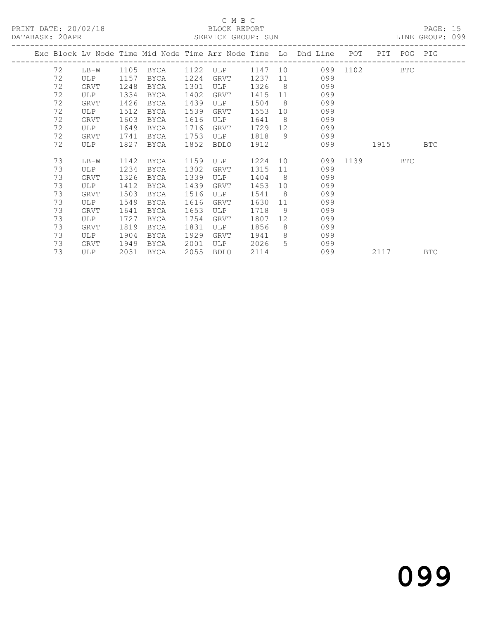## C M B C<br>BLOCK REPORT

PAGE: 15<br>LINE GROUP: 099

|    |             |      |             |      | OUISALON OROOL . OON |      |                 |                                                                    |          |             |            |
|----|-------------|------|-------------|------|----------------------|------|-----------------|--------------------------------------------------------------------|----------|-------------|------------|
|    |             |      |             |      |                      |      |                 | Exc Block Lv Node Time Mid Node Time Arr Node Time Lo Dhd Line POT |          | PIT POG PIG |            |
| 72 | $LB-W$      |      | 1105 BYCA   |      | 1122 ULP 1147 10     |      |                 |                                                                    | 099 1102 | <b>BTC</b>  |            |
| 72 | ULP         | 1157 | BYCA        | 1224 | GRVT                 | 1237 |                 | 099                                                                |          |             |            |
| 72 | GRVT        | 1248 | BYCA        | 1301 | ULP                  | 1326 |                 | $8 \overline{)}$<br>099                                            |          |             |            |
| 72 | ULP         | 1334 | BYCA        | 1402 | GRVT                 | 1415 |                 | 099<br>11                                                          |          |             |            |
| 72 | GRVT        | 1426 | BYCA        | 1439 | ULP                  | 1504 | 8 <sup>8</sup>  | 099                                                                |          |             |            |
| 72 | ULP         | 1512 | BYCA        | 1539 | GRVT                 | 1553 | 10              | 099                                                                |          |             |            |
| 72 | GRVT        | 1603 | BYCA        | 1616 | ULP                  | 1641 | 8 <sup>8</sup>  | 099                                                                |          |             |            |
| 72 | ULP         | 1649 | BYCA        | 1716 | GRVT                 | 1729 | 12              | 099                                                                |          |             |            |
| 72 | GRVT        | 1741 | BYCA        | 1753 | ULP                  | 1818 |                 | 9<br>099                                                           |          |             |            |
| 72 | ULP         | 1827 | BYCA        | 1852 | BDLO                 | 1912 |                 | 099                                                                | 1915     |             | <b>BTC</b> |
| 73 | LB-W        | 1142 | BYCA        | 1159 | ULP                  | 1224 |                 | 10                                                                 | 099 1139 | BTC         |            |
| 73 | ULP         | 1234 | BYCA        | 1302 | GRVT                 | 1315 | 11              | 099                                                                |          |             |            |
| 73 | GRVT        | 1326 | BYCA        | 1339 | ULP                  | 1404 | $8 - 8$         | 099                                                                |          |             |            |
| 73 | ULP         | 1412 | <b>BYCA</b> | 1439 | <b>GRVT</b>          | 1453 | 10 <sup>°</sup> | 099                                                                |          |             |            |
| 73 | GRVT        | 1503 | BYCA        | 1516 | ULP                  | 1541 | 8 <sup>8</sup>  | 099                                                                |          |             |            |
| 73 | ULP         | 1549 | BYCA        | 1616 | GRVT                 | 1630 | 11              | 099                                                                |          |             |            |
| 73 | GRVT        | 1641 | BYCA        | 1653 | ULP                  | 1718 | 9               | 099                                                                |          |             |            |
| 73 | ULP         | 1727 | BYCA        | 1754 | GRVT                 | 1807 | 12 <sup>7</sup> | 099                                                                |          |             |            |
| 73 | <b>GRVT</b> | 1819 | BYCA        | 1831 | ULP                  | 1856 | 8               | 099                                                                |          |             |            |
| 73 | ULP         | 1904 | BYCA        | 1929 | GRVT                 | 1941 | 8               | 099                                                                |          |             |            |
| 73 | GRVT        | 1949 | BYCA        | 2001 | ULP                  | 2026 | 5               | 099                                                                |          |             |            |
| 73 | ULP         | 2031 | BYCA        | 2055 | BDLO                 | 2114 |                 | 099                                                                | 2117     |             | <b>BTC</b> |

# 099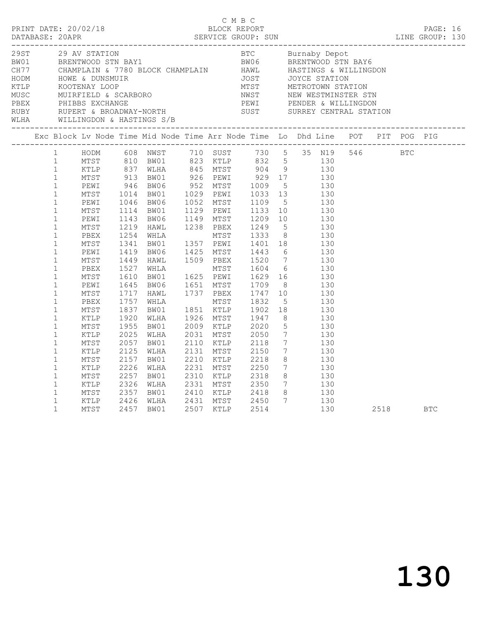| D M B C<br>PRINT DATE: 20/02/18 BLOCK REPORT<br>DATABASE: 20APR SERVICE GROUP: SUN SERVICE GROUP: SUN LINE GROUP: 130 |                                                                              |                                      |                                      |                                                                                |           | C M B C                                                           |  |                                                                                                                                                                                 |  |      |            |  |
|-----------------------------------------------------------------------------------------------------------------------|------------------------------------------------------------------------------|--------------------------------------|--------------------------------------|--------------------------------------------------------------------------------|-----------|-------------------------------------------------------------------|--|---------------------------------------------------------------------------------------------------------------------------------------------------------------------------------|--|------|------------|--|
|                                                                                                                       |                                                                              |                                      |                                      |                                                                                |           |                                                                   |  |                                                                                                                                                                                 |  |      |            |  |
|                                                                                                                       |                                                                              |                                      |                                      | Exc Block Lv Node Time Mid Node Time Arr Node Time Lo Dhd Line POT PIT POG PIG |           |                                                                   |  |                                                                                                                                                                                 |  |      |            |  |
|                                                                                                                       |                                                                              |                                      |                                      | 1 HODM 608 NWST 710 SUST 730 5 35 N19 546 BTC                                  |           |                                                                   |  |                                                                                                                                                                                 |  |      |            |  |
|                                                                                                                       | $\mathbf{1}$<br>$\mathbf{1}$<br>$\mathbf{1}$<br>$\mathbf{1}$<br>$\mathbf{1}$ | MTST<br>KTLP<br>MTST<br>KTLP<br>MTST | 2057<br>2125<br>2157<br>2226<br>2257 | BW01<br>WLHA<br>BW01<br>WLHA<br>BW01                                           | 2131 MTST | 2110 KTLP 2118<br>2150<br>2210 KTLP 2218                          |  | 7 130<br>$\begin{array}{ccc} 7 & \hspace{1.5cm} 130 \\ 8 & \hspace{1.5cm} 130 \end{array}$<br>$\begin{array}{ccc} 7 & \hspace{1.5cm} 130 \\ 8 & \hspace{1.5cm} 130 \end{array}$ |  |      |            |  |
|                                                                                                                       | $\mathbf{1}$<br>$\mathbf{1}$<br>$\mathbf{1}$<br>$\mathbf{1}$                 | KTLP<br>MTST<br>KTLP<br>MTST         | 2326<br>2357<br>2426                 | WLHA 2331 MTST 2350<br>BW01 2410 KTLP 2418<br>WLHA<br>2457 BW01                |           | 130<br>2410 KTLP 2418 8<br>2431 MTST 2450 7 130<br>2507 KTLP 2514 |  |                                                                                                                                                                                 |  | 2518 | <b>BTC</b> |  |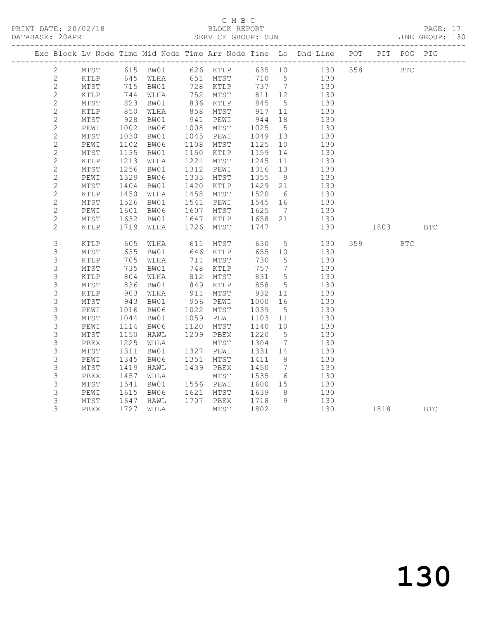PRINT DATE: 20/02/18 BLOCK REPORT BATABASE: 20APR

## C M B C<br>BLOCK REPORT

PAGE: 17<br>LINE GROUP: 130

|                |                 |                          |           |      |                     |             |                              | Exc Block Lv Node Time Mid Node Time Arr Node Time Lo Dhd Line POT        |          | PIT POG PIG |            |
|----------------|-----------------|--------------------------|-----------|------|---------------------|-------------|------------------------------|---------------------------------------------------------------------------|----------|-------------|------------|
| $\mathbf{2}$   |                 |                          |           |      |                     |             |                              |                                                                           |          | <b>BTC</b>  |            |
| 2              |                 |                          |           |      |                     |             |                              | MTST 615 BW01 626 KTLP 635 10 130 558<br>KTLP 645 WLHA 651 MTST 710 5 130 |          |             |            |
| $\overline{c}$ | MTST            |                          |           |      | BW01 728 KTLP       |             |                              | 737 7 130                                                                 |          |             |            |
| $\sqrt{2}$     | KTLP            |                          | WLHA      |      | 752 MTST            | 811 12      |                              | 130                                                                       |          |             |            |
| $\sqrt{2}$     | MTST            | $\frac{715}{744}$<br>823 | BW01      |      | $132$ -<br>836 KTLP | 845         | 5 <sup>5</sup>               | 130                                                                       |          |             |            |
| $\overline{c}$ | KTLP            | 850                      | WLHA      | 858  | MTST                | 917         | 11                           | 130                                                                       |          |             |            |
| $\mathbf{2}$   | MTST            | 928                      | BW01      | 941  | PEWI                |             | 18                           | 130                                                                       |          |             |            |
| $\mathbf{2}$   | PEWI            | 1002                     | BW06      | 1008 | MTST                | 944<br>1025 | $5\overline{)}$              | 130                                                                       |          |             |            |
| $\mathbf{2}$   | MTST            | 1030                     | BW01      | 1045 | PEWI                | 1049        | 13                           | 130                                                                       |          |             |            |
| $\sqrt{2}$     | PEWI            | 1102                     | BW06      | 1108 | MTST                | 1125        | 10                           | 130                                                                       |          |             |            |
| $\mathbf{2}$   | $\mathtt{MTST}$ | 1135                     | BW01      | 1150 | KTLP                | 1159        | 14                           | 130                                                                       |          |             |            |
| $\mathbf{2}$   | KTLP            | 1213                     | WLHA      | 1221 | MTST                | 1245        | 11                           | 130                                                                       |          |             |            |
| $\sqrt{2}$     | MTST            | 1256                     | BW01      | 1312 | PEWI                | 1316 13     |                              | 130                                                                       |          |             |            |
| $\mathbf{2}$   | PEWI            | 1329                     | BW06      | 1335 | MTST                | 1355        | 9                            | 130                                                                       |          |             |            |
| $\mathbf{2}$   | MTST            | 1404                     | BW01      | 1420 | KTLP                | 1429        | 21                           | 130                                                                       |          |             |            |
| $\mathbf{2}$   | KTLP            | 1450                     | WLHA      | 1458 | MTST                | 1520        | $6\overline{6}$              | 130                                                                       |          |             |            |
| $\mathbf{2}$   | MTST            | 1526                     | BW01      | 1541 | PEWI                | 1545 16     |                              | 130                                                                       |          |             |            |
| $\mathbf{2}$   | PEWI            |                          | BW06      | 1607 | MTST                | 1625        | $7\overline{)}$              | 130                                                                       |          |             |            |
| $\mathbf{2}$   | $\mathtt{MTST}$ | $100$<br>1632<br>1719    | BW01      | 1647 | KTLP                | 1658 21     |                              | 130                                                                       |          |             |            |
| $\overline{c}$ | KTLP            |                          | 1719 WLHA | 1726 | MTST                | 1747        |                              | 130                                                                       | 1803 BTC |             |            |
|                |                 |                          |           |      |                     |             |                              |                                                                           |          |             |            |
| $\mathsf S$    | $\texttt{KTLP}$ | 605                      | WLHA      |      | 611 MTST            | 630         |                              | $5 - 5$<br>130                                                            | 559 35   | <b>BTC</b>  |            |
| 3              | MTST            | 635                      | BW01      |      | 646 KTLP            | 655 10      |                              | 130                                                                       |          |             |            |
| 3              | KTLP            | 705                      | WLHA      | 711  | MTST                | 730         | $5\overline{)}$              | 130                                                                       |          |             |            |
| $\mathsf S$    | $\mathtt{MTST}$ | 735                      | BW01      | 748  | KTLP                | 757         | $7\phantom{.0}\phantom{.0}7$ | 130                                                                       |          |             |            |
| $\mathsf S$    | KTLP            | 804                      | WLHA      | 812  | MTST                | 831         | $5\overline{)}$              | 130                                                                       |          |             |            |
| 3              | $\mathtt{MTST}$ | 836<br>903               | BW01      | 849  | KTLP                | 858<br>932  | 5 <sup>5</sup>               | 130                                                                       |          |             |            |
| $\mathsf S$    | KTLP            |                          | WLHA      | 911  | MTST                |             | 11                           | 130                                                                       |          |             |            |
| $\mathsf S$    | MTST            | 943                      | BW01      |      | 956 PEWI            | 1000        | 16                           | 130                                                                       |          |             |            |
| $\mathsf 3$    | PEWI            | 1016                     | BW06      | 1022 | MTST                | 1039        | $5\overline{)}$              | 130                                                                       |          |             |            |
| $\mathsf S$    | MTST            | 1044                     | BW01      | 1059 | PEWI                | 1103 11     |                              | 130                                                                       |          |             |            |
| $\mathsf S$    | PEWI            | 1114                     | BW06      | 1120 | MTST                | 1140        | 10                           | 130                                                                       |          |             |            |
| $\mathsf S$    | MTST            | 1150                     | HAWL      | 1209 | PBEX                | 1220        | $5\overline{)}$              | 130                                                                       |          |             |            |
| $\mathsf S$    | PBEX            | 1225                     | WHLA      |      | MTST                | 1304        | $\overline{7}$               | 130                                                                       |          |             |            |
| $\mathsf S$    | MTST            | 1311                     | BW01      |      | 1327 PEWI           | 1331 14     |                              | 130                                                                       |          |             |            |
| 3              | PEWI            | 1345                     | BW06      | 1351 | MTST                | 1411        | 8 <sup>8</sup>               | 130                                                                       |          |             |            |
| 3              | MTST            | 1419                     | HAWL      |      | 1439 PBEX           | 1450        | $7\overline{ }$              | 130                                                                       |          |             |            |
| $\mathsf S$    | PBEX            | 1457                     | WHLA      |      | MTST                | 1535        | $6\overline{6}$              | 130                                                                       |          |             |            |
| 3              | $\mathtt{MTST}$ | 1541                     | BW01      |      | 1556 PEWI           | 1600 15     |                              | 130                                                                       |          |             |            |
| $\mathsf 3$    | PEWI            | 1615                     | BW06      |      | 1621 MTST           | 1639        | 8 <sup>8</sup>               | 130                                                                       |          |             |            |
| 3              | $\mathtt{MTST}$ | 1647                     | HAWL      |      | 1707 PBEX           | 1718        | 9                            | 130                                                                       |          |             |            |
| 3              | PBEX            | 1727                     | WHLA      |      | MTST                | 1802        |                              | 130                                                                       | 1818     |             | <b>BTC</b> |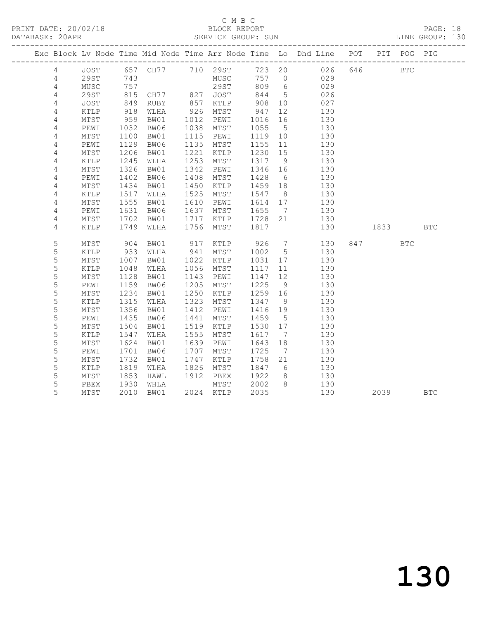PRINT DATE: 20/02/18 BLOCK REPORT BATABASE: 20APR

## C M B C<br>BLOCK REPORT

PAGE: 18<br>LINE GROUP: 130

|                |                 |      |               |      |           |         |                              | Exc Block Lv Node Time Mid Node Time Arr Node Time Lo Dhd Line POT |         | PIT POG PIG |            |
|----------------|-----------------|------|---------------|------|-----------|---------|------------------------------|--------------------------------------------------------------------|---------|-------------|------------|
| 4              |                 |      |               |      |           |         |                              | JOST 657 CH77 710 29ST 723 20 026                                  | 646 BTC |             |            |
| 4              | 29ST            | 743  |               |      | MUSC      | 757 0   |                              | 029                                                                |         |             |            |
| 4              | MUSC            | 757  |               |      | 29ST      | 809 6   |                              | 029                                                                |         |             |            |
| 4              | 29ST            | 815  | CH77 827 JOST |      |           | 844     | $5\overline{)}$              | 026                                                                |         |             |            |
| $\overline{4}$ | <b>JOST</b>     | 849  | RUBY          | 857  | KTLP      | 908     | 10                           | 027                                                                |         |             |            |
| 4              | $\texttt{KTLP}$ | 918  | WLHA          | 926  | MTST      | 947     | 12                           | 130                                                                |         |             |            |
| 4              | MTST            | 959  | BW01          | 1012 | PEWI      | 1016    | 16                           | 130                                                                |         |             |            |
| 4              | PEWI            | 1032 | BW06          | 1038 | MTST      | 1055    | $5^{\circ}$                  | 130                                                                |         |             |            |
| $\sqrt{4}$     | $\mathtt{MTST}$ | 1100 | BW01          | 1115 | PEWI      | 1119 10 |                              | 130                                                                |         |             |            |
| 4              | PEWI            | 1129 | BW06          | 1135 | MTST      | 1155    | 11                           | 130                                                                |         |             |            |
| 4              | MTST            | 1206 | BW01          | 1221 | KTLP      | 1230    | 15                           | 130                                                                |         |             |            |
| 4              | KTLP            | 1245 | WLHA          | 1253 | MTST      | 1317    | 9                            | 130                                                                |         |             |            |
| 4              | $\mathtt{MTST}$ | 1326 | BW01          | 1342 | PEWI      | 1346    | 16                           | 130                                                                |         |             |            |
| 4              | PEWI            | 1402 | BW06          | 1408 | MTST      | 1428    | $6\overline{6}$              | 130                                                                |         |             |            |
| 4              | MTST            | 1434 | BW01          | 1450 | KTLP      | 1459    | 18                           | 130                                                                |         |             |            |
| 4              | KTLP            | 1517 | WLHA          | 1525 | MTST      | 1547    | 8 <sup>8</sup>               | 130                                                                |         |             |            |
| 4              | $\mathtt{MTST}$ | 1555 | BW01          | 1610 | PEWI      | 1614 17 |                              | 130                                                                |         |             |            |
| 4              | PEWI            | 1631 | BW06          | 1637 | MTST      | 1655    | $\overline{7}$               | 130                                                                |         |             |            |
| 4              | MTST            | 1702 | BW01          | 1717 | KTLP      | 1728 21 |                              | 130                                                                |         |             |            |
| 4              | KTLP            | 1749 | WLHA          | 1756 | MTST      | 1817    |                              | 130                                                                | 1833    |             | <b>BTC</b> |
| 5              | MTST            | 904  | BW01          | 917  | KTLP      | 926     |                              | $7\overline{ }$<br>130                                             | 847     | <b>BTC</b>  |            |
| 5              | KTLP            | 933  | WLHA          | 941  | MTST      | 1002    | $5^{\circ}$                  | 130                                                                |         |             |            |
| 5              | MTST            | 1007 | BW01          | 1022 | KTLP      | 1031    | 17                           | 130                                                                |         |             |            |
| 5              | $\verb KTLP $   | 1048 | WLHA          | 1056 | MTST      | 1117    | 11                           | 130                                                                |         |             |            |
| 5              | MTST            | 1128 | BW01          | 1143 | PEWI      | 1147    | 12                           | 130                                                                |         |             |            |
| 5              | PEWI            | 1159 | BW06          | 1205 | MTST      | 1225    | 9                            | 130                                                                |         |             |            |
| 5              | MTST            | 1234 | BW01          | 1250 | KTLP      | 1259 16 |                              | 130                                                                |         |             |            |
| 5              | $\verb KTLP $   | 1315 | WLHA          | 1323 | MTST      | 1347    | 9                            | 130                                                                |         |             |            |
| 5              | MTST            | 1356 | BW01          | 1412 | PEWI      | 1416    | 19                           | 130                                                                |         |             |            |
| 5              | PEWI            | 1435 | BW06          | 1441 | MTST      | 1459    | $5^{\circ}$                  | 130                                                                |         |             |            |
| 5              | MTST            | 1504 | BW01          | 1519 | KTLP      | 1530    | 17                           | 130                                                                |         |             |            |
| 5              | $\texttt{KTLP}$ | 1547 | WLHA          | 1555 | MTST      | 1617    | $7\phantom{.0}\phantom{.0}7$ | 130                                                                |         |             |            |
| 5              | MTST            | 1624 | BW01          | 1639 | PEWI      | 1643    | 18                           | 130                                                                |         |             |            |
| 5              | PEWI            | 1701 | BW06          | 1707 | MTST      | 1725    | $\overline{7}$               | 130                                                                |         |             |            |
| 5              | MTST            | 1732 | BW01          | 1747 | KTLP      | 1758    | 21                           | 130                                                                |         |             |            |
| 5              | KTLP            | 1819 | WLHA          | 1826 | MTST      | 1847    | 6                            | 130                                                                |         |             |            |
| 5              | MTST            | 1853 | HAWL          | 1912 | PBEX      | 1922    | 8 <sup>8</sup>               | 130                                                                |         |             |            |
| 5              | PBEX            | 1930 | WHLA          |      | MTST      | 2002    | 8 <sup>8</sup>               | 130                                                                |         |             |            |
| 5              | MTST            | 2010 | BW01          |      | 2024 KTLP | 2035    |                              | 130                                                                | 2039    |             | <b>BTC</b> |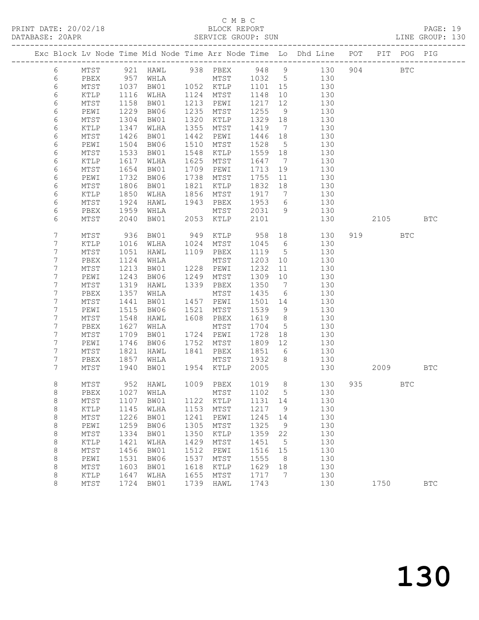PRINT DATE: 20/02/18 BLOCK REPORT BATABASE: 20APR

## C M B C<br>BLOCK REPORT

PAGE: 19<br>LINE GROUP: 130

|                |      |             |          |      |                                          |         |                 | Exc Block Lv Node Time Mid Node Time Arr Node Time Lo Dhd Line POT |     |         | PIT POG PIG |            |
|----------------|------|-------------|----------|------|------------------------------------------|---------|-----------------|--------------------------------------------------------------------|-----|---------|-------------|------------|
| 6              | MTST |             | 921 HAWL |      | 938 PBEX 948 9                           |         |                 | 130                                                                | 904 |         | <b>BTC</b>  |            |
| 6              | PBEX |             | WHLA     |      |                                          |         |                 | 130                                                                |     |         |             |            |
| 6              | MTST | 957<br>1037 | BW01     |      | MTST 1032 5<br>KTLP 1101 15<br>1052 KTLP | 1101 15 |                 | 130                                                                |     |         |             |            |
| 6              | KTLP | 1116        | WLHA     |      | 1124 MTST                                | 1148    | 10              | 130                                                                |     |         |             |            |
| 6              | MTST | 1158        | BW01     | 1213 | PEWI                                     | 1217    | 12              | 130                                                                |     |         |             |            |
| 6              | PEWI | 1229        | BW06     | 1235 | MTST                                     | 1255    | 9               | 130                                                                |     |         |             |            |
| 6              | MTST | 1304        | BW01     | 1320 | KTLP                                     | 1329    | 18              | 130                                                                |     |         |             |            |
| 6              | KTLP | 1347        | WLHA     | 1355 | MTST                                     | 1419    | $\overline{7}$  | 130                                                                |     |         |             |            |
| 6              | MTST | 1426        | BW01     | 1442 | PEWI                                     | 1446    | 18              | 130                                                                |     |         |             |            |
| 6              | PEWI | 1504        | BW06     | 1510 | MTST                                     | 1528    | $5^{\circ}$     | 130                                                                |     |         |             |            |
| 6              | MTST | 1533        | BW01     | 1548 | KTLP                                     | 1559 18 |                 | 130                                                                |     |         |             |            |
| 6              | KTLP | 1617        | WLHA     | 1625 | MTST                                     | 1647    | $\overline{7}$  | 130                                                                |     |         |             |            |
| 6              | MTST | 1654        | BW01     | 1709 | PEWI                                     | 1713    | 19              | 130                                                                |     |         |             |            |
|                |      |             |          |      |                                          |         |                 |                                                                    |     |         |             |            |
| 6              | PEWI | 1732        | BW06     | 1738 | MTST                                     | 1755    | 11              | 130                                                                |     |         |             |            |
| 6              | MTST | 1806        | BW01     | 1821 | KTLP                                     | 1832    | 18              | 130                                                                |     |         |             |            |
| 6              | KTLP | 1850        | WLHA     | 1856 | MTST                                     | 1917    | $7\overline{ }$ | 130                                                                |     |         |             |            |
| 6              | MTST | 1924        | HAWL     | 1943 | PBEX                                     | 1953    | 6               | 130                                                                |     |         |             |            |
| 6              | PBEX | 1959        | WHLA     |      | MTST                                     | 2031 9  |                 | 130                                                                |     |         |             |            |
| 6              | MTST | 2040        | BW01     |      | 2053 KTLP                                | 2101    |                 | 130                                                                |     | 2105    |             | <b>BTC</b> |
| 7              | MTST | 936         | BW01     | 949  | KTLP                                     | 958 18  |                 | 130                                                                |     | 919     | <b>BTC</b>  |            |
| 7              | KTLP | 1016        | WLHA     | 1024 | MTST                                     | 1045    | $6\overline{6}$ | 130                                                                |     |         |             |            |
| 7              | MTST | 1051        | HAWL     | 1109 | PBEX                                     | 1119    | $5\overline{)}$ | 130                                                                |     |         |             |            |
| 7              | PBEX | 1124        | WHLA     |      | MTST                                     | 1203    | 10              | 130                                                                |     |         |             |            |
| 7              | MTST | 1213        | BW01     | 1228 | PEWI                                     | 1232    | 11              | 130                                                                |     |         |             |            |
| 7              | PEWI | 1243        | BW06     | 1249 | MTST                                     | 1309    | 10              | 130                                                                |     |         |             |            |
| 7              | MTST | 1319        | HAWL     | 1339 | PBEX                                     | 1350    | $\overline{7}$  | 130                                                                |     |         |             |            |
| $\overline{7}$ | PBEX | 1357        | WHLA     |      | MTST                                     | 1435    | 6               | 130                                                                |     |         |             |            |
| 7              | MTST | 1441        | BW01     | 1457 | PEWI                                     | 1501 14 |                 | 130                                                                |     |         |             |            |
| 7              | PEWI | 1515        | BW06     | 1521 | MTST                                     | 1539    | 9               | 130                                                                |     |         |             |            |
| 7              | MTST | 1548        | HAWL     | 1608 | PBEX                                     | 1619    | 8 <sup>8</sup>  | 130                                                                |     |         |             |            |
| 7              | PBEX | 1627        | WHLA     |      | MTST                                     | 1704    | $5\phantom{.0}$ | 130                                                                |     |         |             |            |
| 7              | MTST | 1709        | BW01     |      | 1724 PEWI                                | 1728    | 18              | 130                                                                |     |         |             |            |
| 7              | PEWI | 1746        | BW06     | 1752 | MTST                                     | 1809    | 12              | 130                                                                |     |         |             |            |
| 7              | MTST | 1821        | HAWL     | 1841 | PBEX                                     | 1851    | 6               | 130                                                                |     |         |             |            |
| 7              | PBEX | 1857        | WHLA     |      | MTST                                     | 1932    | 8               | 130                                                                |     |         |             |            |
| 7              | MTST | 1940        | BW01     |      | 1954 KTLP                                | 2005    |                 | 130                                                                |     | 2009    |             | <b>BTC</b> |
|                |      |             |          |      |                                          |         |                 |                                                                    |     |         |             |            |
| 8              | MTST |             | 952 HAWL |      | 1009 PBEX                                |         |                 | 1019 8<br>130                                                      |     | 935 BTC |             |            |
| 8              |      |             |          |      | PBEX 1027 WHLA MTST 1102 5               |         |                 | 130                                                                |     |         |             |            |
| 8              | MTST | 1107        | BW01     | 1122 | KTLP                                     | 1131    | 14              | 130                                                                |     |         |             |            |
| 8              | KTLP | 1145        | WLHA     | 1153 | MTST                                     | 1217    | 9               | 130                                                                |     |         |             |            |
| 8              | MTST | 1226        | BW01     | 1241 | PEWI                                     | 1245    | 14              | 130                                                                |     |         |             |            |
| $\,8\,$        | PEWI | 1259        | BW06     | 1305 | MTST                                     | 1325    | 9               | 130                                                                |     |         |             |            |
| $\,8\,$        | MTST | 1334        | BW01     | 1350 | KTLP                                     | 1359    | 22              | 130                                                                |     |         |             |            |
| 8              | KTLP | 1421        | WLHA     | 1429 | MTST                                     | 1451    | 5               | 130                                                                |     |         |             |            |
| 8              | MTST | 1456        | BW01     | 1512 | PEWI                                     | 1516    | 15              | 130                                                                |     |         |             |            |
| $\,8\,$        | PEWI | 1531        | BW06     | 1537 | MTST                                     | 1555    | 8               | 130                                                                |     |         |             |            |
| 8              | MTST | 1603        | BW01     | 1618 | KTLP                                     | 1629    | 18              | 130                                                                |     |         |             |            |
| 8              | KTLP | 1647        | WLHA     | 1655 | MTST                                     | 1717    | 7               | 130                                                                |     |         |             |            |
| 8              | MTST | 1724        | BW01     | 1739 | HAWL                                     | 1743    |                 | 130                                                                |     | 1750    |             | <b>BTC</b> |
|                |      |             |          |      |                                          |         |                 |                                                                    |     |         |             |            |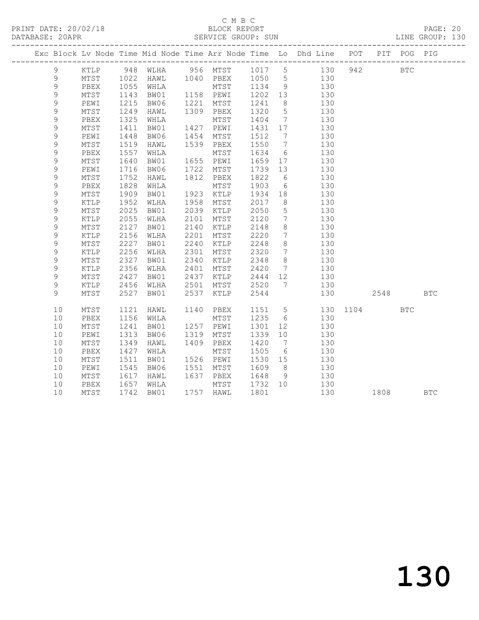## C M B C<br>BLOCK REPORT

PAGE: 20<br>LINE GROUP: 130

|             |                         |                         |                |      |                   |                 |                 | Exc Block Lv Node Time Mid Node Time Arr Node Time Lo Dhd Line POT PIT POG PIG |            |            |            |
|-------------|-------------------------|-------------------------|----------------|------|-------------------|-----------------|-----------------|--------------------------------------------------------------------------------|------------|------------|------------|
| 9           |                         |                         |                |      |                   |                 |                 | KTLP 948 WLHA 956 MTST 1017 5 130 942                                          | <b>BTC</b> |            |            |
| 9           | MTST                    | 1022                    |                |      |                   |                 |                 | HAWL 1040 PBEX 1050 5 130                                                      |            |            |            |
| 9           | PBEX                    | 1055                    | WHLA           |      | MTST 1134 9       |                 |                 | 130                                                                            |            |            |            |
| 9           | MTST                    | 1143<br>1215            | BW01 1158 PEWI |      |                   | 1202 13         |                 | 130                                                                            |            |            |            |
| 9           | PEWI                    |                         | BW06           |      | 1221 MTST         | 1241 8          |                 | 130                                                                            |            |            |            |
| 9           | $\mathtt{MTST}$         | 1249                    | HAWL           |      | 1309 PBEX         | 1320            | $5\overline{)}$ | 130                                                                            |            |            |            |
| 9           | PBEX                    | 1325                    | WHLA           |      | MTST              | 1404            | $7\overline{ }$ | 130                                                                            |            |            |            |
| 9           | MTST                    | $14$<br>$1448$<br>$-19$ | BW01           |      | 1427 PEWI         | 1431 17         |                 | 130                                                                            |            |            |            |
| 9           | PEWI                    |                         | BW06           |      | 1454 MTST         | 1512 7          |                 | 130                                                                            |            |            |            |
| 9           | MTST                    | 1519                    | HAWL           |      | 1539 PBEX         | 1550            | $7\overline{ }$ | 130                                                                            |            |            |            |
| 9           | PBEX                    | 1557                    | WHLA           |      | MTST              | 1634            | $6\overline{6}$ | 130                                                                            |            |            |            |
| 9           | MTST                    | 1640                    | BW01           |      | 1655 PEWI         | $1659$ 17       |                 | 130                                                                            |            |            |            |
| $\mathsf 9$ | PEWI                    | 1716                    | BW06           |      | 1722 MTST         | 1739 13         |                 | 130                                                                            |            |            |            |
| 9           | MTST                    | 1752                    | HAWL           |      | 1812 PBEX         | 1822            | $6\overline{6}$ | 130                                                                            |            |            |            |
| 9           | PBEX                    | 1828                    | WHLA           |      | MTST              | 1903            | $6\overline{6}$ | 130                                                                            |            |            |            |
| 9           | MTST                    | 1909<br>$150.$<br>1952  | BW01           |      | 1923 KTLP         | 1934 18         |                 | 130                                                                            |            |            |            |
| $\mathsf 9$ | KTLP                    |                         | WLHA           |      | 1958 MTST         | 2017 8          |                 | 130                                                                            |            |            |            |
| 9           | MTST                    | 2025                    | BW01           | 2039 | KTLP              | 2050            | $5\overline{)}$ | 130                                                                            |            |            |            |
| 9           | $\verb KTLP $           | 2055                    | WLHA           | 2101 | MTST              | 2120            | $7\overline{ }$ | 130                                                                            |            |            |            |
| 9           | MTST                    | 2127                    | BW01           | 2140 | KTLP              | 2148            | 8 <sup>8</sup>  | 130                                                                            |            |            |            |
| $\mathsf 9$ | KTLP                    | 2156                    | WLHA           | 2201 | MTST              | 2220            | $7\overline{ }$ | 130                                                                            |            |            |            |
| 9           | MTST                    | 2227                    | BW01           | 2240 | KTLP              | 2248            | 8 <sup>8</sup>  | 130                                                                            |            |            |            |
| 9           | $\verb KTLP $           | 2256                    | WLHA           | 2301 | MTST              | 2320            | $7\overline{ }$ | 130                                                                            |            |            |            |
| 9           | MTST                    | 2327                    | BW01           |      | 2340 KTLP         | 2348            | 8 <sup>8</sup>  | 130                                                                            |            |            |            |
| $\mathsf 9$ | KTLP                    | 2356                    | WLHA           | 2401 | MTST              | 2420            | $7\overline{ }$ | 130                                                                            |            |            |            |
| 9           | MTST                    | 2427                    | BW01           | 2437 | KTLP              | 2444 12         |                 | 130                                                                            |            |            |            |
| 9           | KTLP                    | 2456                    | WLHA           | 2501 | MTST              | 2520            | $\overline{7}$  | 130                                                                            |            |            |            |
| 9           | MTST                    | 2527                    | BW01           |      | 2537 KTLP         | 2544            |                 | 130                                                                            | 2548       |            | BTC        |
| 10          |                         |                         |                |      | 1140 PBEX         |                 |                 |                                                                                |            |            |            |
| 10          | MTST                    | 1121                    | HAWL           |      |                   | 1235 6          |                 | 1151 5 130 1104<br>130                                                         |            | <b>BTC</b> |            |
| 10          | PBEX<br>$\mathtt{MTST}$ | 1156<br>1241            | WHLA<br>BW01   |      | MTST<br>1257 PEWI | 1301            | 12              | 130                                                                            |            |            |            |
| 10          |                         | 1313                    |                |      | 1319 MTST         | 1339 10         |                 | 130                                                                            |            |            |            |
| 10          | PEWI<br>MTST            | 1349                    | BW06<br>HAWL   | 1409 | PBEX              | 1420            | $7\overline{ }$ | 130                                                                            |            |            |            |
| 10          |                         |                         |                |      |                   |                 |                 |                                                                                |            |            |            |
| 10          | PBEX<br>$\mathtt{MTST}$ | 1427<br>1511            | WHLA<br>BW01   |      | MTST<br>1526 PEWI | 1505<br>1530 15 | $6\overline{6}$ | 130<br>130                                                                     |            |            |            |
| 10          |                         | 1545                    |                |      | 1551 MTST         | 1609 8          |                 | 130                                                                            |            |            |            |
| 10          | PEWI<br>MTST            | 1617                    | BW06<br>HAWL   |      | 1637 PBEX         | 1648            | 9               | 130                                                                            |            |            |            |
| 10          | PBEX                    |                         | WHLA           |      | MTST              | 1732 10         |                 |                                                                                |            |            |            |
| 10          | MTST                    | 1657<br>1742            |                |      | 1757 HAWL         | 1801            |                 | 130<br>130                                                                     |            |            |            |
|             |                         |                         | BW01           |      |                   |                 |                 |                                                                                | 1808       |            | <b>BTC</b> |

130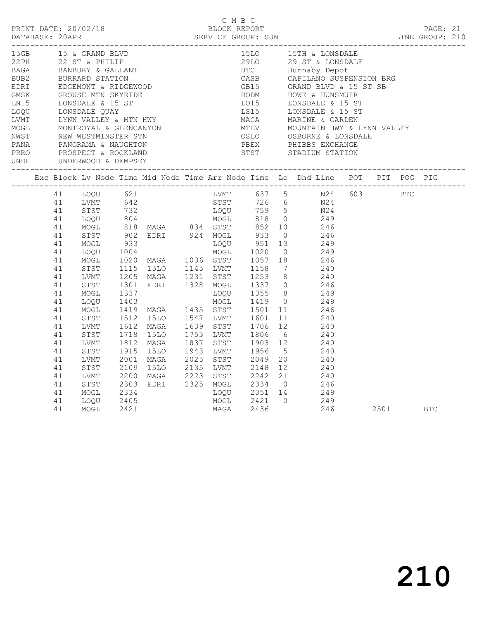|                                                  |                                                                                                                                                                |                                                                                                      |              |  | C M B C | PRINT DATE: 20/02/18 BLOCK REPORT PAGE: 21<br>DATABASE: 20APR SERVICE GROUP: SUN LINE GROUP: 210                                                                                                                                                                                                                                                                                                                                                                                                 |  |  |  |
|--------------------------------------------------|----------------------------------------------------------------------------------------------------------------------------------------------------------------|------------------------------------------------------------------------------------------------------|--------------|--|---------|--------------------------------------------------------------------------------------------------------------------------------------------------------------------------------------------------------------------------------------------------------------------------------------------------------------------------------------------------------------------------------------------------------------------------------------------------------------------------------------------------|--|--|--|
| 15GB 15 & GRAND BLVD<br>UNDE UNDERWOOD & DEMPSEY |                                                                                                                                                                |                                                                                                      |              |  |         | 15LO 15TH & LONSDALE                                                                                                                                                                                                                                                                                                                                                                                                                                                                             |  |  |  |
|                                                  |                                                                                                                                                                |                                                                                                      |              |  |         | Exc Block Lv Node Time Mid Node Time Arr Node Time Lo Dhd Line POT PIT POG PIG                                                                                                                                                                                                                                                                                                                                                                                                                   |  |  |  |
|                                                  | 41<br>41<br>41<br>41<br>41<br>41<br>41<br>41<br>41<br>41<br>41<br>41<br>41<br>41<br>41<br>41<br>41<br>41<br>41<br>41<br>41<br>41<br>41<br>41<br>41<br>41<br>41 | MOGL<br>STST<br>LVMT<br>STST<br>LVMT<br>STST<br>LVMT<br>STST<br>LVMT<br>STST<br>MOGL<br>LOQU<br>MOGL | 2405<br>2421 |  |         | 1.0000 621 1.0000 621 1.0000 621 1.0000 621 1.0000 621 1.0000 759 5 1024 603 BTC<br>1.0000 621 1.0000 759 5 1024 603 BTC<br>1.0000 804 MOGL 818 0 249<br>1.0000 804 MOGL 818 0 249<br>1.0000 818 MAGA 834 STST 852 10 246<br>1.0000 951 13 24<br>2001 MAGA 2025 STST 2049 20<br>2001 MAGA 2025 STST 2049 20<br>2109 15LO 2135 LVMT 2148 12 240<br>2200 MAGA 2223 STST 2242 21 240<br>2303 EDRI 2325 MOGL 2334 0 246<br>2334 LOQU 2351 14 249<br>MOGL 2421 0 249<br>MAGA 2436 246<br>246 2501 BTC |  |  |  |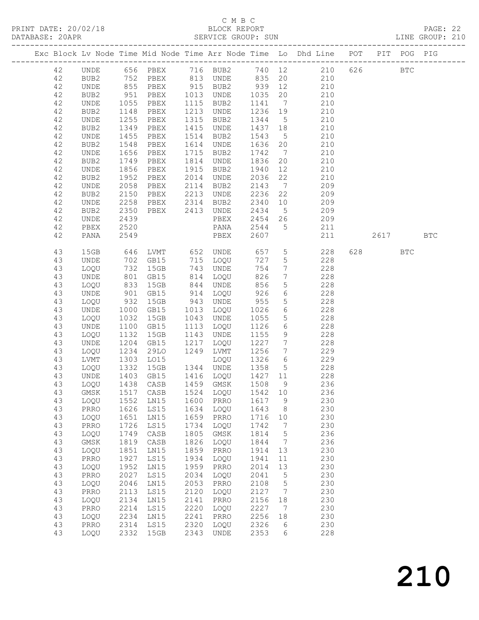## C M B C<br>BLOCK REPORT

| DATABASE: 20APR |          |              |              |                                  |              | SERVICE GROUP: SUN              |                                                                    |                                    |                                                                                                  |       |            | LINE GROUP: 210 |  |
|-----------------|----------|--------------|--------------|----------------------------------|--------------|---------------------------------|--------------------------------------------------------------------|------------------------------------|--------------------------------------------------------------------------------------------------|-------|------------|-----------------|--|
|                 |          |              |              |                                  |              |                                 |                                                                    |                                    | Exc Block Lv Node Time Mid Node Time Arr Node Time Lo Dhd Line POT PIT POG PIG                   |       |            |                 |  |
|                 | 42       |              |              |                                  |              |                                 |                                                                    |                                    | UNDE 656 PBEX 716 BUB2 740 12 210 626 BTC                                                        |       |            |                 |  |
|                 | 42       | BUB2         |              |                                  |              |                                 |                                                                    |                                    | 752 PBEX 813 UNDE 835 20 210                                                                     |       |            |                 |  |
|                 | 42       | UNDE         |              |                                  |              |                                 |                                                                    |                                    | 855 PBEX 915 BUB2 939 12 210<br>951 PBEX 1013 UNDE 1035 20 210<br>1055 PBEX 1115 BUB2 1141 7 210 |       |            |                 |  |
|                 | 42       | BUB2         |              |                                  |              |                                 |                                                                    |                                    |                                                                                                  |       |            |                 |  |
|                 | 42       | UNDE         |              |                                  |              |                                 |                                                                    |                                    | $\frac{1}{7}$                                                                                    |       |            |                 |  |
|                 | 42       | BUB2         | 1148         | PBEX                             |              | 1213 UNDE                       | 1236 19                                                            |                                    | 210                                                                                              |       |            |                 |  |
|                 | 42       | UNDE         | 1255         | PBEX                             |              | 1315 BUB2                       | 1344 5                                                             |                                    | 210                                                                                              |       |            |                 |  |
|                 | 42       | BUB2         | 1349<br>1455 | PBEX                             |              | 1415 UNDE                       | 1437 18                                                            |                                    | 210                                                                                              |       |            |                 |  |
|                 | 42       | UNDE         |              | PBEX                             |              | 1514 BUB2                       | 1543                                                               | $5\overline{)}$                    | 210                                                                                              |       |            |                 |  |
|                 | 42       | BUB2         | 1548         | PBEX                             |              | 1614 UNDE                       | 1636 20                                                            |                                    | 210                                                                                              |       |            |                 |  |
|                 | 42       | UNDE         | 1656         | PBEX                             |              | 1715 BUB2                       | 1742                                                               | $7\overline{)}$                    | 210                                                                                              |       |            |                 |  |
|                 | 42       | BUB2         | 1749<br>1856 | PBEX                             |              | 1814 UNDE                       | 1836                                                               | 20                                 | 210                                                                                              |       |            |                 |  |
|                 | 42       | UNDE         |              | PBEX                             |              | 1915 BUB2                       | 1940                                                               | 12                                 | 210                                                                                              |       |            |                 |  |
|                 | 42       | BUB2         | 1952         | PBEX                             |              | 2014 UNDE                       | 2036                                                               | 22                                 | 210                                                                                              |       |            |                 |  |
|                 | 42       | UNDE         | 2058         | PBEX                             |              | 2114 BUB2                       | 2143                                                               |                                    | $7\overline{ }$<br>209                                                                           |       |            |                 |  |
|                 | 42       | BUB2         | 2150         | PBEX 2213 UNDE<br>PBEX 2314 BUB2 |              |                                 | 2236                                                               | 22                                 | 209                                                                                              |       |            |                 |  |
|                 | 42       | UNDE         | 2258         |                                  |              |                                 | $\begin{array}{c}\n 2340 \quad 10 \\  \hline\n 0.15\n \end{array}$ |                                    | 209                                                                                              |       |            |                 |  |
|                 | 42       | BUB2         | 2350         | PBEX 2413 UNDE                   |              |                                 | 2434 5                                                             |                                    | 209                                                                                              |       |            |                 |  |
|                 | 42       | UNDE         | 2439         |                                  |              | PBEX                            |                                                                    |                                    | 2454 26 209                                                                                      |       |            |                 |  |
|                 | 42       | PBEX         | 2520         |                                  |              | PANA                            | 2544 5                                                             |                                    | 211                                                                                              |       |            |                 |  |
|                 | 42       | PANA         | 2549         |                                  |              | PBEX                            | 2607                                                               |                                    | 211                                                                                              | 2617  |            | <b>BTC</b>      |  |
|                 | 43       | 15GB         | 646          |                                  |              | LVMT 652 UNDE 657               |                                                                    | $5\overline{)}$                    | 228                                                                                              | 628 8 | <b>BTC</b> |                 |  |
|                 | 43       | UNDE         |              |                                  |              | 715 LOQU<br>743 IINDE           | 727                                                                | $5\overline{)}$                    | 228                                                                                              |       |            |                 |  |
|                 | 43       | LOQU         |              | 702 GB15<br>732 15GB<br>801 GB15 |              | 743 UNDE                        | 754<br>826                                                         | $7\overline{ }$<br>$7\overline{ }$ | 228<br>228                                                                                       |       |            |                 |  |
|                 | 43<br>43 | UNDE<br>LOQU | 833          | 15GB                             |              | 814 LOQU<br>844 UNDE            | 856                                                                | $5\overline{)}$                    | 228                                                                                              |       |            |                 |  |
|                 | 43       | UNDE         |              | GB15                             |              | 914 LOQU                        | 926                                                                | 6 <sup>1</sup>                     | 228                                                                                              |       |            |                 |  |
|                 | 43       | LOQU         | 901<br>932   | 15GB                             |              | 943 UNDE                        | 955                                                                | 5 <sup>5</sup>                     | 228                                                                                              |       |            |                 |  |
|                 | 43       | UNDE         | 1000         | GB15                             |              | 1013 LOQU                       | 1026                                                               | 6                                  | 228                                                                                              |       |            |                 |  |
|                 | 43       | LOQU         | 1032         | 15GB                             |              | 1043 UNDE                       | 1055                                                               | 5 <sup>5</sup>                     | 228                                                                                              |       |            |                 |  |
|                 | 43       | UNDE         | 1100         | GB15                             |              | 1113 LOQU                       | 1126                                                               | 6                                  | 228                                                                                              |       |            |                 |  |
|                 | 43       | LOQU         | 1132         | 15GB                             |              | 1143 UNDE                       | 1155                                                               | 9                                  | 228                                                                                              |       |            |                 |  |
|                 | 43       | UNDE         | 1204         | GB15                             |              | 1217 LOQU                       | 1227                                                               | $7\overline{ }$                    | 228                                                                                              |       |            |                 |  |
|                 | 43       | LOQU         | 1234         | 29LO                             |              | 1249 LVMT                       | 1256                                                               | $7\overline{ }$                    | 229                                                                                              |       |            |                 |  |
|                 | 43       | LVMT         | 1303         | LO15                             |              | LOQU                            | 1326                                                               | $6\overline{6}$                    | 229                                                                                              |       |            |                 |  |
|                 | 43       | LOQU         |              | 1332 15GB<br>1403 GB15<br>15GB   |              | 1344 UNDE                       | 1358                                                               | 5 <sup>5</sup>                     | $\frac{228}{ }$                                                                                  |       |            |                 |  |
|                 | 43       | UNDE         |              |                                  |              | 1416 LOQU                       | $\begin{array}{c}\n1427 \\ 11\n\end{array}$                        |                                    | 228                                                                                              |       |            |                 |  |
|                 | 43       |              |              |                                  |              | LOQU 1438 CASB 1459 GMSK 1508 9 |                                                                    |                                    | 236                                                                                              |       |            |                 |  |
|                 | 43       | GMSK         | 1517         | CASB                             | 1524         | LOQU                            | 1542                                                               | 10                                 | 236                                                                                              |       |            |                 |  |
|                 | 43       | LOQU         | 1552         | LN15                             | 1600         | PRRO                            | 1617                                                               | 9                                  | 230                                                                                              |       |            |                 |  |
|                 | 43       | PRRO         | 1626         | LS15                             | 1634         | LOQU                            | 1643                                                               | 8                                  | 230                                                                                              |       |            |                 |  |
|                 | 43       | LOQU         | 1651         | LN15                             | 1659         | PRRO                            | 1716                                                               | 10                                 | 230                                                                                              |       |            |                 |  |
|                 | 43       | PRRO         | 1726         | LS15                             | 1734         | LOQU                            | 1742                                                               | $\overline{7}$                     | 230                                                                                              |       |            |                 |  |
|                 | 43       | LOQU         | 1749         | CASB                             | 1805         | $\rm{GMSK}$                     | 1814                                                               | $5\phantom{.0}$                    | 236                                                                                              |       |            |                 |  |
|                 | 43       | $\rm{GMSK}$  | 1819         | CASB                             | 1826         | LOQU                            | 1844                                                               | $7\phantom{.0}\phantom{.0}7$       | 236                                                                                              |       |            |                 |  |
|                 | 43       | LOQU         | 1851         | LN15                             | 1859         | PRRO                            | 1914                                                               | 13                                 | 230                                                                                              |       |            |                 |  |
|                 | 43       | PRRO         | 1927         | LS15                             | 1934         | LOQU                            | 1941                                                               | 11                                 | 230                                                                                              |       |            |                 |  |
|                 | 43<br>43 | LOQU<br>PRRO | 1952<br>2027 | LN15<br>LS15                     | 1959<br>2034 | PRRO                            | 2014<br>2041                                                       | 13<br>$5\overline{)}$              | 230<br>230                                                                                       |       |            |                 |  |
|                 | 43       | LOQU         | 2046         | LN15                             | 2053         | LOQU<br>PRRO                    | 2108                                                               | $5\phantom{.0}$                    | 230                                                                                              |       |            |                 |  |
|                 | 43       | PRRO         | 2113         | LS15                             | 2120         | LOQU                            | 2127                                                               | $\overline{7}$                     | 230                                                                                              |       |            |                 |  |
|                 | 43       | LOQU         | 2134         | LN15                             | 2141         | PRRO                            | 2156                                                               | 18                                 | 230                                                                                              |       |            |                 |  |
|                 | 43       | PRRO         | 2214         | LS15                             | 2220         | LOQU                            | 2227                                                               | $\overline{7}$                     | 230                                                                                              |       |            |                 |  |
|                 | 43       | LOQU         | 2234         | LN15                             | 2241         | PRRO                            | 2256                                                               | 18                                 | 230                                                                                              |       |            |                 |  |
|                 |          |              |              |                                  |              |                                 |                                                                    |                                    |                                                                                                  |       |            |                 |  |

 43 PRRO 2314 LS15 2320 LOQU 2326 6 230 43 LOQU 2332 15GB 2343 UNDE 2353 6 228

# 210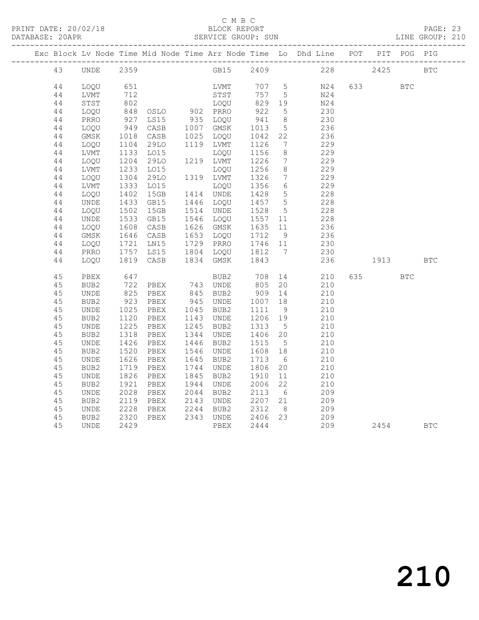## C M B C<br>BLOCK REPORT

DATABASE: 20APR SERVICE GROUP: SUN LINE GROUP: 210 ------------------------------------------------------------------------------------------------- Exc Block Lv Node Time Mid Node Time Arr Node Time Lo Dhd Line POT PIT POG PIG ------------------------------------------------------------------------------------------------- 43 UNDE 2359 GB15 2409 228 2425 BTC 44 LOQU 651 LVMT 707 5 N24 633 BTC 44 LVMT 712 STST 757 5 N24 44 STST 802 LOQU 829 19 N24 44 LOQU 848 OSLO 902 PRRO 922 5 230 44 PRRO 927 LS15 935 LOQU 941 8 230 44 LOQU 949 CASB 1007 GMSK 1013 5 236 44 GMSK 1018 CASB 1025 LOQU 1042 22 236 44 LOQU 1104 29LO 1119 LVMT 1126 7 229 44 LVMT 1133 LO15 LOQU 1156 8 229 44 LOQU 1204 29LO 1219 LVMT 1226 7 229 44 LVMT 1233 LO15 LOQU 1256 8 229 44 LOQU 1304 29LO 1319 LVMT 1326 7 229 44 LVMT 1333 LO15 LOQU 1356 6 229 44 LOQU 1402 15GB 1414 UNDE 1428 5 228 44 UNDE 1433 GB15 1446 LOQU 1457 5 228 44 LOQU 1502 15GB 1514 UNDE 1528 5 228 44 UNDE 1533 GB15 1546 LOQU 1557 11 228 44 LOQU 1608 CASB 1626 GMSK 1635 11 236 44 GMSK 1646 CASB 1653 LOQU 1712 9 236 44 LOQU 1721 LN15 1729 PRRO 1746 11 230 44 PRRO 1757 LS15 1804 LOQU 1812 7 230 44 LOQU 1819 CASB 1834 GMSK 1843 236 1913 BTC 45 PBEX 647 BUB2 708 14 210 635 BTC 45 BUB2 722 PBEX 743 UNDE 805 20 210 45 UNDE 825 PBEX 845 BUB2 909 14 210 45 BUB2 923 PBEX 945 UNDE 1007 18 210 45 UNDE 1025 PBEX 1045 BUB2 1111 9 210 45 BUB2 1120 PBEX 1143 UNDE 1206 19 210 45 UNDE 1225 PBEX 1245 BUB2 1313 5 210 45 BUB2 1318 PBEX 1344 UNDE 1406 20 210 45 UNDE 1426 PBEX 1446 BUB2 1515 5 210 45 BUB2 1520 PBEX 1546 UNDE 1608 18 210 45 UNDE 1626 PBEX 1645 BUB2 1713 6 210 45 BUB2 1719 PBEX 1744 UNDE 1806 20 210 45 UNDE 1826 PBEX 1845 BUB2 1910 11 210 45 BUB2 1921 PBEX 1944 UNDE 2006 22 210 45 UNDE 2028 PBEX 2044 BUB2 2113 6 209 45 BUB2 2119 PBEX 2143 UNDE 2207 21 209 45 UNDE 2228 PBEX 2244 BUB2 2312 8 209 45 BUB2 2320 PBEX 2343 UNDE 2406 23 209

45 UNDE 2429 PBEX 2444 209 2454 BTC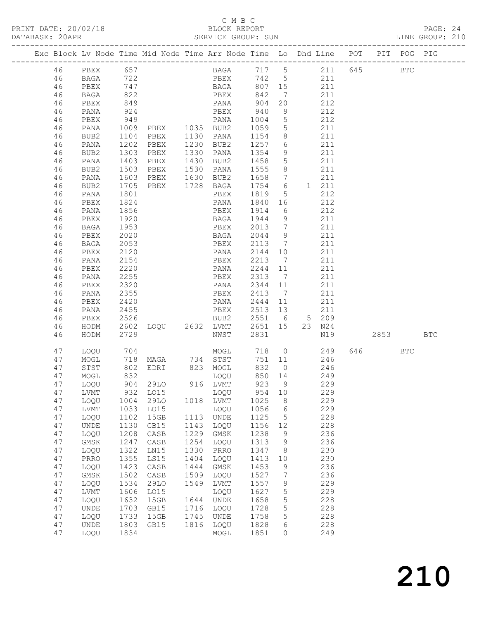# C M B C<br>BLOCK REPORT<br>SERVICE GROUP: SUN

| DATABASE: 20APR |    |             |                   |                            |      | SERVICE GROUP: SUN    |         |                 | LINE GROUP: 210                                                                |        |            |            |  |
|-----------------|----|-------------|-------------------|----------------------------|------|-----------------------|---------|-----------------|--------------------------------------------------------------------------------|--------|------------|------------|--|
|                 |    |             |                   | -------------------------- |      |                       |         |                 | Exc Block Lv Node Time Mid Node Time Arr Node Time Lo Dhd Line POT PIT POG PIG |        |            |            |  |
|                 | 46 | PBEX 657    |                   |                            |      |                       |         |                 | BAGA 717 5 211 645 BTC                                                         |        |            |            |  |
|                 | 46 | BAGA        | 722               |                            |      |                       |         |                 | PBEX 742 5 211                                                                 |        |            |            |  |
|                 | 46 | PBEX        | 747<br>822<br>849 |                            |      |                       |         |                 | BAGA 807 15 211                                                                |        |            |            |  |
|                 | 46 | BAGA        |                   |                            |      |                       |         | $7\overline{ }$ | 211                                                                            |        |            |            |  |
|                 | 46 | PBEX        |                   |                            |      |                       |         | 20              | $\frac{212}{212}$                                                              |        |            |            |  |
|                 | 46 | PANA        | 924               |                            |      | PBEX 940              |         | 9               | 212                                                                            |        |            |            |  |
|                 | 46 | PBEX        |                   |                            |      |                       |         |                 | 212                                                                            |        |            |            |  |
|                 | 46 | PANA        |                   |                            |      |                       |         |                 | 211                                                                            |        |            |            |  |
|                 | 46 | BUB2        |                   |                            |      |                       |         |                 | $211$                                                                          |        |            |            |  |
|                 | 46 | PANA        | 1202              |                            |      | PBEX 1230 BUB2 1257 6 |         |                 | 211                                                                            |        |            |            |  |
|                 | 46 | BUB2        | 1303              | PBEX                       |      | 1330 PANA 1354        |         | 9               | 211                                                                            |        |            |            |  |
|                 | 46 | PANA        |                   | PBEX                       |      | 1430 BUB2             | 1458 5  |                 | 211                                                                            |        |            |            |  |
|                 | 46 | BUB2        | 1403<br>1503      | PBEX                       |      | $1530$ PANA $1555$ 8  |         |                 | $\frac{1}{211}$                                                                |        |            |            |  |
|                 |    |             | 1603              |                            |      |                       |         |                 | PBEX 1630 BUB2 1658 7 211                                                      |        |            |            |  |
|                 | 46 | PANA        |                   |                            |      |                       |         |                 |                                                                                |        |            |            |  |
|                 | 46 | BUB2        | 1705              |                            |      | PBEX 1728 BAGA 1754 6 |         |                 | 1 211                                                                          |        |            |            |  |
|                 | 46 | PANA        | 1801<br>1824      |                            |      | PBEX                  | 1819 5  |                 | 212                                                                            |        |            |            |  |
|                 | 46 | PBEX        |                   |                            |      | PANA                  | 1840 16 |                 | 212                                                                            |        |            |            |  |
|                 | 46 | PANA        | 1856              |                            |      | PBEX 1914 6           |         |                 | 212                                                                            |        |            |            |  |
|                 | 46 | PBEX        | 1920              |                            |      | BAGA 1944 9           |         |                 | 211                                                                            |        |            |            |  |
|                 | 46 | BAGA        | 1953              |                            |      | PBEX 2013 7           |         |                 | 211                                                                            |        |            |            |  |
|                 | 46 | PBEX        | 2020              |                            |      | BAGA 2044 9           |         |                 | $\begin{array}{c} 2+2 \\ 211 \end{array}$                                      |        |            |            |  |
|                 | 46 | BAGA        | 2053              |                            |      | PBEX 2113 7           |         |                 | 211                                                                            |        |            |            |  |
|                 | 46 | PBEX        | 2120              |                            |      | PANA                  | 2144 10 |                 | 211                                                                            |        |            |            |  |
|                 | 46 | PANA        | 2154              |                            |      | PBEX 2213 7           |         |                 | 211                                                                            |        |            |            |  |
|                 | 46 | PBEX        | 2220              |                            |      | PANA                  | 2244 11 |                 | 211                                                                            |        |            |            |  |
|                 | 46 | PANA        | 2255              |                            |      | PBEX 2313 7           |         |                 | 211                                                                            |        |            |            |  |
|                 | 46 | PBEX        | 2320              |                            |      | PANA 2344 11          |         |                 | 211                                                                            |        |            |            |  |
|                 | 46 | PANA        | 2355              |                            |      | PBEX 2413 7           |         |                 | 211                                                                            |        |            |            |  |
|                 | 46 | PBEX        |                   |                            |      | PANA 2444 11          |         |                 | 211                                                                            |        |            |            |  |
|                 | 46 | PANA        | 2420<br>2455      |                            |      | PBEX 2513 13          |         |                 | 211                                                                            |        |            |            |  |
|                 | 46 | PBEX        | 2526              |                            |      |                       |         |                 | BUB2 2551 6 5 209                                                              |        |            |            |  |
|                 | 46 | HODM        | 2602              |                            |      |                       |         |                 | LOQU 2632 LVMT 2651 15 23 N24                                                  |        |            |            |  |
|                 | 46 | HODM        | 2729              |                            |      | NWST                  | 2831    |                 | N19 2853                                                                       |        |            | <b>BTC</b> |  |
|                 | 47 | LOQU        | 704               |                            |      |                       |         |                 | MOGL 718 0 249                                                                 | 646 10 | <b>BTC</b> |            |  |
|                 | 47 | MOGL        |                   |                            |      |                       |         |                 | 751 11 246                                                                     |        |            |            |  |
|                 | 47 | STST        |                   |                            |      |                       |         | 832 0           | $\frac{18}{246}$                                                               |        |            |            |  |
|                 | 47 | MOGL        |                   |                            |      |                       |         | $850$ $14$      | 249                                                                            |        |            |            |  |
|                 |    | 47 LOQU     |                   | 904 29LO                   |      | 916 LVMT              |         |                 | 923 9 229                                                                      |        |            |            |  |
|                 | 47 | LVMT        | 932               | L015                       |      | LOQU                  | 954     | 10              | 229                                                                            |        |            |            |  |
|                 | 47 | LOQU        | 1004              | 29LO                       |      | 1018 LVMT             | 1025    | 8               | 229                                                                            |        |            |            |  |
|                 | 47 | LVMT        | 1033              | LO15                       |      | LOQU                  | 1056    | 6               | 229                                                                            |        |            |            |  |
|                 | 47 | LOQU        | 1102              | 15GB                       | 1113 | UNDE                  | 1125    | 5               | 228                                                                            |        |            |            |  |
|                 | 47 | UNDE        | 1130              | GB15                       | 1143 | LOQU                  | 1156    | 12              | 228                                                                            |        |            |            |  |
|                 | 47 | LOQU        | 1208              | CASB                       | 1229 | $\rm{GMSK}$           | 1238    | 9               | 236                                                                            |        |            |            |  |
|                 | 47 | $\rm{GMSK}$ | 1247              | CASB                       | 1254 | LOQU                  | 1313    | 9               | 236                                                                            |        |            |            |  |
|                 | 47 | LOQU        | 1322              | LN15                       | 1330 | PRRO                  | 1347    | 8 <sup>8</sup>  | 230                                                                            |        |            |            |  |
|                 | 47 | PRRO        | 1355              | LS15                       | 1404 | LOQU                  | 1413    | 10              | 230                                                                            |        |            |            |  |
|                 | 47 | LOQU        | 1423              | CASB                       | 1444 | GMSK                  | 1453    | 9               | 236                                                                            |        |            |            |  |
|                 | 47 | $\rm{GMSK}$ | 1502              | CASB                       | 1509 | LOQU                  | 1527    | $\overline{7}$  | 236                                                                            |        |            |            |  |
|                 | 47 | LOQU        | 1534              | 29LO                       | 1549 | LVMT                  | 1557    | 9               | 229                                                                            |        |            |            |  |
|                 | 47 | LVMT        | 1606              | LO15                       |      | LOQU                  | 1627    | 5               | 229                                                                            |        |            |            |  |
|                 | 47 | LOQU        | 1632              | 15GB                       | 1644 | UNDE                  | 1658    | 5               | 228                                                                            |        |            |            |  |
|                 | 47 |             | 1703              | GB15                       | 1716 |                       | 1728    |                 | 228                                                                            |        |            |            |  |
|                 |    | UNDE        |                   |                            |      | LOQU                  |         | 5               |                                                                                |        |            |            |  |
|                 | 47 | LOQU        | 1733              | 15GB                       | 1745 | UNDE                  | 1758    | 5               | 228                                                                            |        |            |            |  |
|                 | 47 | <b>UNDE</b> | 1803              | GB15                       | 1816 | LOQU                  | 1828    | 6               | 228                                                                            |        |            |            |  |
|                 | 47 | LOQU        | 1834              |                            |      | MOGL                  | 1851    | 0               | 249                                                                            |        |            |            |  |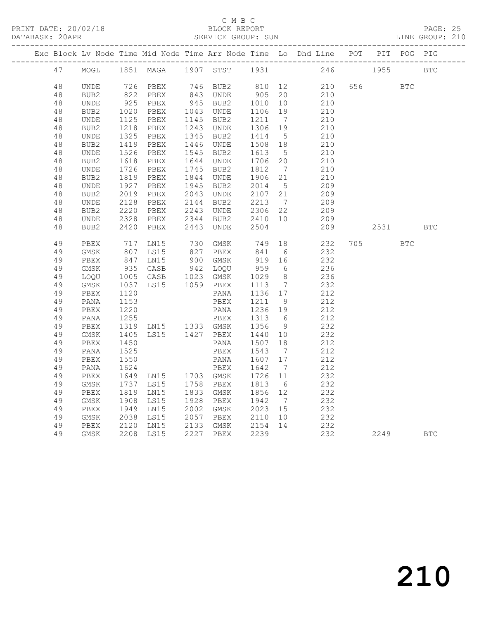## C M B C

|  | DATABASE: 20APR |                  |              |                |      | SERVICE GROUP: SUN |              |                      |                                                                    |     |      |            | LINE GROUP: 210 |
|--|-----------------|------------------|--------------|----------------|------|--------------------|--------------|----------------------|--------------------------------------------------------------------|-----|------|------------|-----------------|
|  |                 |                  |              |                |      |                    |              |                      | Exc Block Lv Node Time Mid Node Time Arr Node Time Lo Dhd Line POT |     |      | PIT POG    | PIG             |
|  | 47              | MOGL             |              | 1851 MAGA      | 1907 | STST               | 1931         |                      | 246                                                                |     | 1955 |            | <b>BTC</b>      |
|  | 48              | UNDE             | 726          | PBEX           | 746  | BUB2               | 810          | 12                   | 210                                                                | 656 |      | <b>BTC</b> |                 |
|  | 48              | BUB2             | 822          | PBEX           | 843  | UNDE               | 905          | 20                   | 210                                                                |     |      |            |                 |
|  | 48              | UNDE             | 925          | PBEX           |      | 945 BUB2           | 1010         | 10                   | 210                                                                |     |      |            |                 |
|  | 48              | BUB2             | 1020         | PBEX           | 1043 | UNDE               | 1106         | 19                   | 210                                                                |     |      |            |                 |
|  | 48              | UNDE             | 1125         | PBEX           | 1145 | BUB2               | 1211         | $\overline{7}$       | 210                                                                |     |      |            |                 |
|  | 48              | BUB2             | 1218         | PBEX           | 1243 | UNDE               | 1306         | 19                   | 210                                                                |     |      |            |                 |
|  | $4\,8$          | UNDE             | 1325         | PBEX           | 1345 | BUB2               | 1414         | $5\overline{)}$      | 210                                                                |     |      |            |                 |
|  | 48              | BUB2             | 1419         | PBEX           | 1446 | UNDE               | 1508         | 18                   | 210                                                                |     |      |            |                 |
|  | 48              | UNDE             | 1526         | PBEX           | 1545 | BUB2               | 1613         | $-5$                 | 210                                                                |     |      |            |                 |
|  | 48              | BUB2             | 1618         | PBEX           | 1644 | UNDE               | 1706         | 20                   | 210                                                                |     |      |            |                 |
|  | 48              | UNDE             | 1726         | PBEX           | 1745 | BUB2               | 1812         | $\overline{7}$       | 210                                                                |     |      |            |                 |
|  | 48              | BUB2             | 1819         | PBEX           | 1844 | UNDE               | 1906         | 21                   | 210                                                                |     |      |            |                 |
|  | 48              | UNDE             | 1927         | PBEX           | 1945 | BUB2               | 2014         | $5^{\circ}$          | 209                                                                |     |      |            |                 |
|  | 48              | BUB2             | 2019         | PBEX           | 2043 | UNDE               | 2107         | 21                   | 209                                                                |     |      |            |                 |
|  | 48              | UNDE             | 2128         | PBEX           | 2144 | BUB2               | 2213         | $\overline{7}$       | 209                                                                |     |      |            |                 |
|  | 48              | BUB2             | 2220         | PBEX           | 2243 | UNDE               | 2306         | 22                   | 209                                                                |     |      |            |                 |
|  | 48              | UNDE             | 2328         | PBEX           | 2344 | BUB2               | 2410         | 10                   | 209                                                                |     |      |            |                 |
|  | 48              | BUB <sub>2</sub> | 2420         | PBEX           | 2443 | UNDE               | 2504         |                      | 209                                                                |     | 2531 |            | <b>BTC</b>      |
|  | 49              | PBEX             | 717          | LN15           | 730  | GMSK               | 749          | 18                   | 232                                                                | 705 |      | <b>BTC</b> |                 |
|  | 49              | GMSK             | 807          | LS15           | 827  | PBEX               | 841          | 6                    | 232                                                                |     |      |            |                 |
|  | 49              | PBEX             | 847          | LN15           | 900  | GMSK               | 919          | 16                   | 232                                                                |     |      |            |                 |
|  | 49              | GMSK             | 935          | CASB           | 942  | LOQU               | 959          | 6                    | 236                                                                |     |      |            |                 |
|  | 49              | LOQU             | 1005         | CASB           | 1023 | GMSK               | 1029         | 8                    | 236                                                                |     |      |            |                 |
|  | 49              | GMSK             | 1037         | LS15           |      | 1059 PBEX          | 1113         | $\overline{7}$       | 232                                                                |     |      |            |                 |
|  | 49              | PBEX             | 1120         |                |      | PANA               | 1136         | 17                   | 212                                                                |     |      |            |                 |
|  | 49              | PANA             | 1153         |                |      | PBEX               | 1211         | 9                    | 212                                                                |     |      |            |                 |
|  | 49              | PBEX             | 1220         |                |      | PANA               | 1236         | 19                   | 212                                                                |     |      |            |                 |
|  | 49              | PANA             | 1255         |                |      | PBEX               | 1313         | 6                    | 212                                                                |     |      |            |                 |
|  | 49              | PBEX             | 1319         | LN15 1333 GMSK |      |                    | 1356         | 9                    | 232                                                                |     |      |            |                 |
|  | 49              | GMSK             | 1405         | LS15           | 1427 | PBEX               | 1440         | 10                   | 232                                                                |     |      |            |                 |
|  | 49              | PBEX             | 1450         |                |      | PANA               | 1507         | 18                   | 212                                                                |     |      |            |                 |
|  | 49              | PANA             | 1525<br>1550 |                |      | PBEX               | 1543         | $\overline{7}$       | 212                                                                |     |      |            |                 |
|  | 49<br>49        | PBEX             |              |                |      | PANA               | 1607         | 17                   | 212<br>212                                                         |     |      |            |                 |
|  | 49              | PANA             | 1624         | LN15           |      | PBEX<br>1703 GMSK  | 1642         | $\overline{7}$<br>11 | 232                                                                |     |      |            |                 |
|  | 49              | PBEX             | 1649<br>1737 | LS15           | 1758 |                    | 1726<br>1813 | 6                    | 232                                                                |     |      |            |                 |
|  | 49              | GMSK             | 1819         |                | 1833 | PBEX               | 1856         |                      | 232                                                                |     |      |            |                 |
|  | 49              | PBEX<br>GMSK     | 1908         | LN15<br>LS15   | 1928 | GMSK<br>PBEX       | 1942         | 12<br>$\overline{7}$ | 232                                                                |     |      |            |                 |
|  | 49              | PBEX             | 1949         | LN15           | 2002 | GMSK               | 2023         | 15                   | 232                                                                |     |      |            |                 |
|  | 49              | GMSK             | 2038         | LS15           | 2057 | PBEX               | 2110         | 10                   | 232                                                                |     |      |            |                 |
|  | 49              | PBEX             | 2120         | LN15           | 2133 | GMSK               | 2154         | 14                   | 232                                                                |     |      |            |                 |
|  | 49              | GMSK             | 2208         | LS15           | 2227 | PBEX               | 2239         |                      | 232                                                                |     | 2249 |            | <b>BTC</b>      |
|  |                 |                  |              |                |      |                    |              |                      |                                                                    |     |      |            |                 |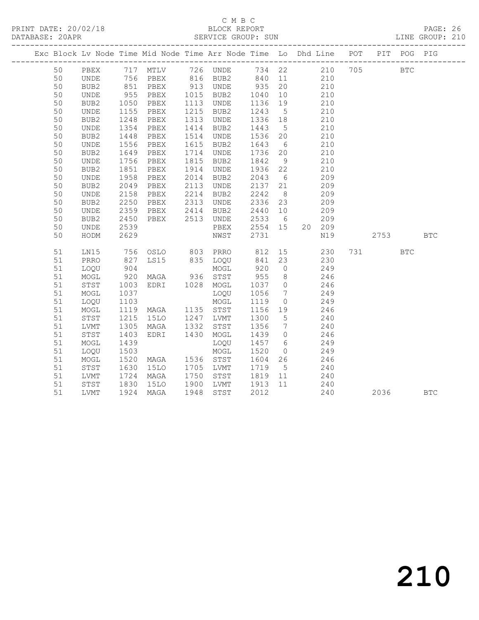## C M B C<br>BLOCK REPORT

PAGE: 26<br>LINE GROUP: 210

|    |             |                      |                                                          |                                        |                    |                 | Exc Block Lv Node Time Mid Node Time Arr Node Time Lo Dhd Line POT PIT POG PIG |      |              |            |
|----|-------------|----------------------|----------------------------------------------------------|----------------------------------------|--------------------|-----------------|--------------------------------------------------------------------------------|------|--------------|------------|
| 50 |             |                      |                                                          |                                        |                    |                 | PBEX 717 MTLV 726 UNDE 734 22 210 705 BTC                                      |      |              |            |
| 50 | <b>UNDE</b> |                      |                                                          |                                        |                    |                 | 756 PBEX 816 BUB2 840 11 210                                                   |      |              |            |
| 50 | BUB2        |                      |                                                          | 851 PBEX 913 UNDE 935 20               |                    |                 | 210                                                                            |      |              |            |
| 50 | UNDE        |                      |                                                          |                                        |                    |                 | 210                                                                            |      |              |            |
| 50 | BUB2        | 955<br>1050          | PBEX 1015 BUB2<br>PBEX 1113 UNDE                         |                                        | 1040 10<br>1136 19 |                 | 210                                                                            |      |              |            |
| 50 | UNDE        | 1155                 | PBEX                                                     | 1215 BUB2                              | 1243               | $5\overline{)}$ | 210                                                                            |      |              |            |
| 50 | BUB2        | 1248                 | PBEX                                                     | 1313 UNDE                              | 1336 18            |                 | 210                                                                            |      |              |            |
| 50 | UNDE        | 1354<br>1448         | PBEX                                                     | 1414 BUB2                              | 1443               | 5 <sup>5</sup>  | 210                                                                            |      |              |            |
| 50 | BUB2        |                      | PBEX                                                     | 1514 UNDE                              | 1536 20            |                 | 210                                                                            |      |              |            |
| 50 | UNDE        | 1556                 | PBEX                                                     | 1615 BUB2                              | 1643               | $6\overline{6}$ | 210                                                                            |      |              |            |
| 50 | BUB2        |                      | PBEX                                                     | 1714 UNDE                              | 1736 20            |                 | 210                                                                            |      |              |            |
| 50 | <b>UNDE</b> | 1649<br>1756         | PBEX                                                     | 1815 BUB2                              | 1842               | 9               | 210                                                                            |      |              |            |
| 50 | BUB2        | 1851                 | PBEX                                                     | 1914 UNDE                              | 1936 22            |                 | 210                                                                            |      |              |            |
| 50 | UNDE        | 1958                 | PBEX                                                     | 2014 BUB2                              | 2043               | 6               | 209                                                                            |      |              |            |
| 50 | BUB2        | 2049                 | PBEX                                                     | 2113 UNDE<br>2214 BUB2                 | 2137 21<br>2242 8  |                 | 209                                                                            |      |              |            |
| 50 | UNDE        | 2158                 | PBEX                                                     |                                        |                    |                 | 209                                                                            |      |              |            |
| 50 | BUB2        | 2250                 | PBEX                                                     | 2313 UNDE                              | 2336 23            |                 | 209                                                                            |      |              |            |
| 50 | UNDE        | 2359                 | PBEX                                                     | 2414 BUB2                              | 2440 10            |                 | 209                                                                            |      |              |            |
| 50 | BUB2        | 2450                 | PBEX                                                     | 2513 UNDE                              | 2533 6<br>2554 15  |                 | 209                                                                            |      |              |            |
| 50 | UNDE        | 2539                 |                                                          | PBEX                                   |                    |                 | 20 209                                                                         |      |              |            |
| 50 | HODM        | 2629                 |                                                          | NWST                                   | 2731               |                 | N19                                                                            | 2753 |              | <b>BTC</b> |
| 51 | LN15        |                      |                                                          |                                        |                    |                 |                                                                                | 731  | $_{\rm BTC}$ |            |
| 51 | PRRO        |                      |                                                          |                                        |                    |                 |                                                                                |      |              |            |
| 51 | LOOU        | 904                  |                                                          | MOGL                                   | 920                | $\overline{0}$  | 249                                                                            |      |              |            |
| 51 | MOGL        | 920                  | MAGA 936 STST                                            |                                        | 955                | 8 <sup>8</sup>  | 246                                                                            |      |              |            |
| 51 | STST        |                      | EDRI 1028 MOGL                                           |                                        | 1037 0             |                 | 246                                                                            |      |              |            |
| 51 | MOGL        | 1003<br>1037<br>1037 |                                                          | LOQU                                   | 1056               | $7\overline{ }$ | 249                                                                            |      |              |            |
| 51 | LOQU        | 1103                 |                                                          | MOGL                                   | 1119               | $\overline{0}$  | 249                                                                            |      |              |            |
| 51 | MOGL        |                      | 1119 MAGA     1135   STST<br>1215   15LO     1247   LVMT |                                        | 1156 19            |                 | 246                                                                            |      |              |            |
| 51 | STST        |                      |                                                          |                                        | 1300 5             |                 | 240                                                                            |      |              |            |
| 51 | LVMT        | 1305                 | MAGA                                                     | 1332 STST                              | 1356               | $\overline{7}$  | 240                                                                            |      |              |            |
| 51 | STST        | 1403                 | EDRI 1430 MOGL                                           |                                        | 1439               | $\overline{0}$  | 246                                                                            |      |              |            |
| 51 | MOGL        | 1439                 |                                                          | LOQU                                   | 1457 6             |                 | $249$<br>$249$                                                                 |      |              |            |
| 51 | LOQU        | 1503                 |                                                          | MOGL                                   | 1520               | $\overline{0}$  |                                                                                |      |              |            |
| 51 | MOGL        | 1520                 | MAGA 1536 STST                                           |                                        | 1604 26            |                 | 246                                                                            |      |              |            |
| 51 | STST        | 1630                 | 15LO                                                     | 1705 LVMT                              | 1719               | $5\overline{)}$ | 240                                                                            |      |              |            |
| 51 | LVMT        | 1724<br>1830         | MAGA                                                     | 1750 STST 1819 11<br>1900 LVMT 1913 11 |                    |                 | $\begin{array}{c} 240 \\ 240 \end{array}$                                      |      |              |            |
| 51 | STST        |                      | 15LO                                                     |                                        |                    |                 |                                                                                |      |              |            |
| 51 | LVMT        |                      | 1924 MAGA                                                | 1948 STST                              | 2012               |                 | 240                                                                            | 2036 |              | <b>BTC</b> |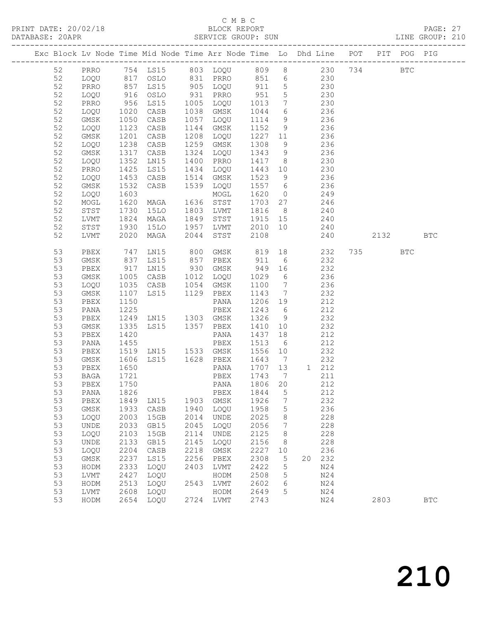PRINT DATE: 20/02/18 BLOCK REPORT<br>DATABASE: 20APR PAGE: 20APR SERVICE GROUP: SUN

## C M B C<br>BLOCK REPORT

PAGE: 27<br>LINE GROUP: 210

|          |              |              | Exc Block Lv Node Time Mid Node Time Arr Node Time Lo Dhd Line POT PIT POG PIG |              |                     |              |                |                        |          |              |              |
|----------|--------------|--------------|--------------------------------------------------------------------------------|--------------|---------------------|--------------|----------------|------------------------|----------|--------------|--------------|
| 52       |              |              | PRRO 754 LS15 803 LOQU 809 8 230 734                                           |              |                     |              |                |                        |          | $_{\rm BTC}$ |              |
| 52       | LOQU         |              | 817 OSLO                                                                       |              | 831 PRRO 851 6 230  |              |                |                        |          |              |              |
| 52       | PRRO         |              |                                                                                |              | 905 LOQU            |              |                |                        |          |              |              |
| 52       | LOQU         |              | 857 LS15<br>916 OSLO                                                           |              | 931 PRRO            |              |                | 911 5 230<br>951 5 230 |          |              |              |
| 52       | PRRO         | 956          | LS15                                                                           |              | 1005 LOQU 1013      |              |                | 7 230                  |          |              |              |
| 52       | LOQU         | 1020         | CASB                                                                           |              | 1038 GMSK           | 1044         |                | 6 236                  |          |              |              |
| 52       | GMSK         |              | CASB                                                                           |              | 1057 LOQU           | 1114         | $\frac{1}{9}$  | 236                    |          |              |              |
| 52       | LOQU         | 1050<br>1123 | CASB                                                                           |              | 1144 GMSK           | 1152         | 9              | 236                    |          |              |              |
| 52       | GMSK         | 1201         | CASB                                                                           | 1208         | LOQU                |              |                | 1227 11 236            |          |              |              |
| 52       | LOQU         | 1238         | CASB                                                                           | 1259         | GMSK                | 1308         | 9              | 236                    |          |              |              |
| 52       | GMSK         | 1317         | CASB                                                                           | 1324         | LOQU                | 1343         | 9              | 236                    |          |              |              |
| 52       | LOQU         | 1352         | LN15                                                                           |              | 1400 PRRO           | 1417 8       |                | 230                    |          |              |              |
| 52       | PRRO         | 1425         | LS15                                                                           | 1434         | LOQU                | 1443 10      |                | 230                    |          |              |              |
| 52       | LOQU         | 1453         | CASB                                                                           | 1514         | GMSK                | 1523         | 9              | 236                    |          |              |              |
| 52       | GMSK         | 1532         | CASB                                                                           | 1539         | LOQU                | 1557         | 6              | 236                    |          |              |              |
| 52       | LOQU         | 1603         |                                                                                |              | MOGL                | 1620         | $\overline{0}$ | 249                    |          |              |              |
| 52       | MOGL         | 1620         | MAGA                                                                           |              | 1636 STST           |              |                | 1703 27 246            |          |              |              |
| 52       | STST         | 1730         | 15LO                                                                           |              | 1803 LVMT           | 1816         | 8 <sup>8</sup> | 240                    |          |              |              |
| 52       | LVMT         | 1824         | MAGA                                                                           | 1849         | STST                | 1915 15      |                | 240                    |          |              |              |
| 52       | STST         | 1930<br>2020 | 15LO                                                                           |              | 1957 LVMT           | 2010 10      |                | 240                    |          |              |              |
| 52       | LVMT         | 2020         | MAGA                                                                           | 2044         | STST                | 2108         |                | 240                    | 2132 BTC |              |              |
| 53       | PBEX         | 747          | LN15                                                                           | 800          | GMSK                | 819          |                | 18 232                 | 735      | <b>BTC</b>   |              |
| 53       | GMSK         | 837<br>917   | LS15                                                                           |              | 857 PBEX            | 911<br>949   | 6              | 232                    |          |              |              |
| 53       | PBEX         |              | LN15                                                                           |              | 930 GMSK            |              | 16             | 232                    |          |              |              |
| 53       | GMSK         | 1005         | CASB                                                                           | 1012         | LOQU                | 1029         | 6              | 236                    |          |              |              |
| 53       | LOQU         | 1035         | CASB                                                                           | 1054         | GMSK                | 1100         | $\overline{7}$ | 236                    |          |              |              |
| 53       | GMSK         | 1107         | LS15 1129 PBEX                                                                 |              |                     | 1143         | $\overline{7}$ | 232                    |          |              |              |
| 53       | PBEX         | 1150         |                                                                                |              | PANA                | 1206 19      |                | 212                    |          |              |              |
| 53       | PANA         | 1225         |                                                                                |              | PBEX                | 1243 6       |                | 212                    |          |              |              |
| 53       | PBEX         | 1249         | LN15 1303 GMSK                                                                 |              |                     | 1326         | 9              | 232                    |          |              |              |
| 53       | GMSK         | 1335         | LS15 1357 PBEX                                                                 |              |                     | 1410         | 10             | 232                    |          |              |              |
| 53       | PBEX         | 1420         |                                                                                |              | PANA                | 1437         | 18             | 212                    |          |              |              |
| 53       | PANA         | 1455         |                                                                                |              | PBEX                | 1513         | 6              | 212                    |          |              |              |
| 53       | PBEX         | 1519         | LN15 1533 GMSK                                                                 |              |                     | 1556         | 10             | 232                    |          |              |              |
| 53       | GMSK         | 1606         | LS15 1628 PBEX                                                                 |              |                     | 1643         | $\overline{7}$ | 232                    |          |              |              |
| 53       | PBEX         | 1650         |                                                                                |              | PANA                | 1707         | 13             | 1 212                  |          |              |              |
| 53       | BAGA         | 1721         |                                                                                |              | PBEX                | 1743         | 7              | 211                    |          |              |              |
| 53       | PBEX         | 1750         |                                                                                |              | PANA                | 1806 20      |                | 212                    |          |              |              |
| 53       | PANA         | 1826         |                                                                                |              | PBEX                | 1844         | $\overline{5}$ | 212                    |          |              |              |
| 53       | PBEX         | 1849         | LN15                                                                           | 1903         | GMSK                | 1926         | 7              | 232                    |          |              |              |
| 53       | GMSK         | 1933         | CASB                                                                           | 1940         | LOQU                | 1958         | 5              | 236                    |          |              |              |
| 53       | LOQU         | 2003         | 15GB                                                                           | 2014         | <b>UNDE</b>         | 2025         | 8              | 228                    |          |              |              |
| 53       | <b>UNDE</b>  | 2033         | GB15                                                                           | 2045         | LOQU                | 2056         | 7              | 228                    |          |              |              |
| 53<br>53 | LOQU         | 2103<br>2133 | 15GB                                                                           | 2114<br>2145 | UNDE                | 2125         | 8              | 228                    |          |              |              |
| 53       | UNDE         | 2204         | GB15<br>CASB                                                                   | 2218         | LOQU<br><b>GMSK</b> | 2156<br>2227 | 8<br>10        | 228<br>236             |          |              |              |
| 53       | LOQU<br>GMSK | 2237         | LS15                                                                           | 2256         | PBEX                | 2308         | 5              | 232<br>20              |          |              |              |
| 53       | HODM         | 2333         | LOQU                                                                           | 2403         | LVMT                | 2422         | 5              | N24                    |          |              |              |
| 53       | ${\rm LVMT}$ | 2427         | LOQU                                                                           |              | HODM                | 2508         | 5              | N24                    |          |              |              |
| 53       | HODM         | 2513         | LOQU                                                                           | 2543         | LVMT                | 2602         | 6              | N24                    |          |              |              |
| 53       | LVMT         | 2608         | LOQU                                                                           |              | HODM                | 2649         | 5              | N24                    |          |              |              |
| 53       | HODM         | 2654         | LOQU                                                                           | 2724         | LVMT                | 2743         |                | N24                    | 2803     |              | $_{\rm BTC}$ |
|          |              |              |                                                                                |              |                     |              |                |                        |          |              |              |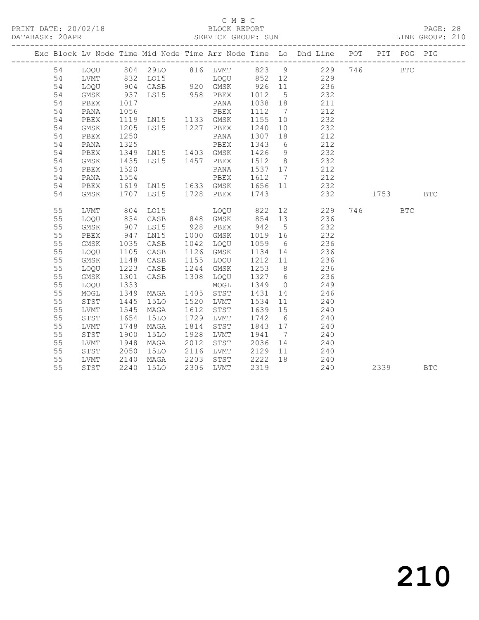## C M B C<br>BLOCK REPORT

PAGE: 28<br>LINE GROUP: 210

|  |    |      |      |                                  |      |           |         |                | Exc Block Lv Node Time Mid Node Time Arr Node Time Lo Dhd Line POT PIT POG PIG |      |            |            |
|--|----|------|------|----------------------------------|------|-----------|---------|----------------|--------------------------------------------------------------------------------|------|------------|------------|
|  | 54 |      |      |                                  |      |           |         |                | LOQU 804 29LO 816 LVMT 823 9 229 746                                           |      | <b>BTC</b> |            |
|  | 54 | LVMT |      | 832 LO15                         |      |           |         |                | LOQU 852 12 229                                                                |      |            |            |
|  | 54 | LOQU | 904  | CASB 920 GMSK                    |      |           | 926     |                | 11 236                                                                         |      |            |            |
|  | 54 | GMSK | 937  | LS15 958 PBEX                    |      |           | 1012    | $5^{\circ}$    | 232                                                                            |      |            |            |
|  | 54 | PBEX | 1017 |                                  |      | PANA      | 1038 18 |                | 211                                                                            |      |            |            |
|  | 54 | PANA |      | 1056 PBEX<br>1119 LN15 1133 GMSK |      |           | 1112    | $7\phantom{0}$ | 212                                                                            |      |            |            |
|  | 54 | PBEX |      |                                  |      |           | 1155    | 10             | 232                                                                            |      |            |            |
|  | 54 | GMSK | 1205 | LS15 1227 PBEX                   |      |           | 1240    | 10             | 232                                                                            |      |            |            |
|  | 54 | PBEX | 1250 |                                  |      | PANA      | 1307    | 18             | 212                                                                            |      |            |            |
|  | 54 | PANA | 1325 |                                  |      | PBEX      | 1343    | 6              | 212                                                                            |      |            |            |
|  | 54 | PBEX | 1349 | LN15 1403 GMSK                   |      |           | 1426    | 9              | 232                                                                            |      |            |            |
|  | 54 | GMSK | 1435 | LS15 1457 PBEX                   |      |           | 1512    | 8 <sup>8</sup> | 232                                                                            |      |            |            |
|  | 54 | PBEX | 1520 |                                  |      | PANA      | 1537 17 |                | 212                                                                            |      |            |            |
|  | 54 | PANA | 1554 |                                  |      | PBEX      | 1612    | $\overline{7}$ | 212                                                                            |      |            |            |
|  | 54 | PBEX | 1619 | LN15 1633 GMSK                   |      |           | 1656 11 |                | 232                                                                            |      |            |            |
|  | 54 | GMSK | 1707 | LS15                             |      | 1728 PBEX | 1743    |                | 232                                                                            | 1753 |            | <b>BTC</b> |
|  |    |      |      |                                  |      |           |         |                |                                                                                |      |            |            |
|  | 55 | LVMT | 804  | LO15                             |      | LOOU      | 822     |                | 12 and $\overline{a}$<br>229                                                   | 746  | <b>BTC</b> |            |
|  | 55 | LOQU | 834  | CASB                             |      | 848 GMSK  | 854     | 13             | 236                                                                            |      |            |            |
|  | 55 | GMSK | 907  | LS15                             | 928  | PBEX      | 942     | $5^{\circ}$    | 232                                                                            |      |            |            |
|  | 55 | PBEX | 947  | LN15                             | 1000 | GMSK      | 1019 16 |                | 232                                                                            |      |            |            |
|  | 55 | GMSK | 1035 | CASB                             | 1042 | LOQU      | 1059    | 6              | 236                                                                            |      |            |            |
|  | 55 | LOQU | 1105 | CASB                             | 1126 | GMSK      | 1134 14 |                | 236                                                                            |      |            |            |
|  | 55 | GMSK | 1148 | CASB                             | 1155 | LOQU      | 1212 11 |                | 236                                                                            |      |            |            |
|  | 55 | LOQU | 1223 | CASB                             | 1244 | GMSK      | 1253    | 8 <sup>8</sup> | 236                                                                            |      |            |            |
|  | 55 | GMSK | 1301 | CASB                             | 1308 | LOQU      | 1327 6  |                | 236                                                                            |      |            |            |
|  | 55 | LOQU | 1333 |                                  |      | MOGL      | 1349    | $\overline{0}$ | 249                                                                            |      |            |            |
|  | 55 | MOGL | 1349 | MAGA                             | 1405 | STST      | 1431    | 14             | 246                                                                            |      |            |            |
|  | 55 | STST | 1445 | <b>15LO</b>                      | 1520 | LVMT      | 1534    | 11             | 240                                                                            |      |            |            |
|  | 55 | LVMT | 1545 | MAGA                             | 1612 | STST      | 1639    | 15             | 240                                                                            |      |            |            |
|  | 55 | STST | 1654 | 15LO                             | 1729 | LVMT      | 1742    | 6              | 240                                                                            |      |            |            |
|  | 55 | LVMT | 1748 | MAGA                             | 1814 | STST      | 1843 17 |                | 240                                                                            |      |            |            |
|  | 55 | STST | 1900 | <b>15LO</b>                      | 1928 | LVMT      | 1941    | $\overline{7}$ | 240                                                                            |      |            |            |
|  | 55 | LVMT | 1948 | MAGA                             | 2012 | STST      | 2036    | 14             | 240                                                                            |      |            |            |
|  | 55 | STST | 2050 | 15LO                             | 2116 | LVMT      | 2129    | 11             | 240                                                                            |      |            |            |
|  | 55 | LVMT | 2140 | MAGA                             | 2203 | STST      | 2222    | 18             | 240                                                                            |      |            |            |
|  | 55 | STST | 2240 | 15LO                             | 2306 | LVMT      | 2319    |                | 240                                                                            | 2339 |            | <b>BTC</b> |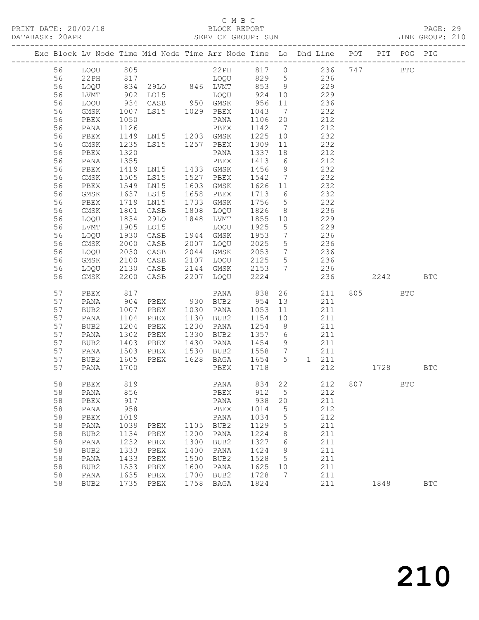## C M B C<br>BLOCK REPORT

## PAGE: 29<br>LINE GROUP: 210

|  |          |              |              |                        |      |                        |              |                      | Exc Block Lv Node Time Mid Node Time Arr Node Time Lo Dhd Line POT |     |         | PIT POG PIG |            |
|--|----------|--------------|--------------|------------------------|------|------------------------|--------------|----------------------|--------------------------------------------------------------------|-----|---------|-------------|------------|
|  | 56       |              |              |                        |      |                        |              |                      | 22PH 817 0 236 747                                                 |     |         |             |            |
|  |          | LOQU 805     |              |                        |      |                        |              |                      |                                                                    |     |         | <b>BTC</b>  |            |
|  | 56<br>56 | $22$ PH      |              |                        |      |                        |              |                      | 236<br>229                                                         |     |         |             |            |
|  |          | LOQU         | 902          | LO15                   |      | LOQU 924 10            |              |                      | 229                                                                |     |         |             |            |
|  | 56       | LVMT         |              |                        |      |                        |              |                      |                                                                    |     |         |             |            |
|  | 56       | LOQU         | 934          | CASB 950 GMSK          |      |                        | 956<br>1043  | 11                   | 236                                                                |     |         |             |            |
|  | 56<br>56 | GMSK         | 1007<br>1050 | LS15 1029 PBEX         |      |                        | 1106         | $\overline{7}$       | 232<br>212                                                         |     |         |             |            |
|  | 56       | PBEX<br>PANA | 1126         |                        |      | PANA<br>PBEX           | 1142         | 20<br>$\overline{7}$ | 212                                                                |     |         |             |            |
|  | 56       | PBEX         | 1149         | LN15 1203 GMSK         |      |                        | 1225         | 10                   | 232                                                                |     |         |             |            |
|  | 56       | GMSK         |              | LS15 1257 PBEX         |      |                        | 1309         | 11                   | 232                                                                |     |         |             |            |
|  | 56       | PBEX         | 1235<br>1320 |                        |      | PANA                   | 1337         | 18                   | 212                                                                |     |         |             |            |
|  | 56       | PANA         | 1355         |                        |      | PBEX                   | 1413         | 6                    | 212                                                                |     |         |             |            |
|  | 56       | PBEX         | 1419         | LN15 1433 GMSK         |      |                        | 1456         | 9                    | 232                                                                |     |         |             |            |
|  | 56       | GMSK         |              | LS15                   |      | 1527 PBEX              | 1542         | $\overline{7}$       | 232                                                                |     |         |             |            |
|  | 56       | PBEX         | 1505<br>1549 | LN15                   |      | 1603 GMSK              | 1626 11      |                      | 232                                                                |     |         |             |            |
|  | 56       | GMSK         | 1637         | LS15                   |      | 1658 PBEX              | 1713 6       |                      | 232                                                                |     |         |             |            |
|  | 56       | PBEX         | 1719         | LN15                   |      | 1733 GMSK              | 1756         | $5\overline{)}$      | 232                                                                |     |         |             |            |
|  | 56       | GMSK         | 1801         | CASB                   |      | 1808 LOQU              | 1826         | 8 <sup>8</sup>       | 236                                                                |     |         |             |            |
|  | 56       | LOQU         | 1834         | 29LO                   |      | 1848 LVMT              | 1855 10      |                      | 229                                                                |     |         |             |            |
|  | 56       | LVMT         | 1905         | LO15                   |      | LOQU                   | 1925         | $5\overline{)}$      | 229                                                                |     |         |             |            |
|  | 56       | LOQU         | 1930         | CASB                   |      | 1944 GMSK              | 1953         | $7\overline{ }$      | 236                                                                |     |         |             |            |
|  | 56       | GMSK         | 2000         | CASB                   |      | 2007 LOQU              | 2025         | $5\overline{)}$      | 236                                                                |     |         |             |            |
|  | 56       | LOQU         |              | CASB                   |      | 2044 GMSK              | 2053         | $7\overline{7}$      |                                                                    |     |         |             |            |
|  | 56       | GMSK         | 2030<br>2100 | CASB                   |      | 2107 LOQU 2125         |              | 5 <sup>5</sup>       | 236<br>236                                                         |     |         |             |            |
|  | 56       | LOQU         | 2130         |                        |      |                        |              |                      | CASB 2144 GMSK 2153 7 236                                          |     |         |             |            |
|  | 56       | GMSK         | 2200         | CASB                   |      | 2207 LOQU              | 2224         |                      |                                                                    | 236 | 2242    |             | <b>BTC</b> |
|  |          |              |              |                        |      |                        |              |                      |                                                                    |     |         |             |            |
|  | 57       | PBEX         | 817          |                        |      | PANA 838               |              |                      | 26<br>211                                                          |     | 805 BTC |             |            |
|  | 57       | PANA         | 904          | PBEX 930 BUB2          |      |                        | 954          | 13                   | 211                                                                |     |         |             |            |
|  | 57       | BUB2         | 1007         | PBEX                   |      | 1030 PANA              | 1053         | 11                   | 211                                                                |     |         |             |            |
|  | 57       | PANA         | 1104         | PBEX                   |      | 1130 BUB2              | 1154         | 10                   | 211                                                                |     |         |             |            |
|  | 57       | BUB2         | 1204         | PBEX                   |      | 1230 PANA              | 1254         | 8 <sup>8</sup>       | 211                                                                |     |         |             |            |
|  | 57       | PANA         | 1302         | PBEX                   |      | 1330 BUB2              | 1357 6       |                      | 211                                                                |     |         |             |            |
|  | 57       | BUB2         | 1403         | PBEX                   |      | 1430 PANA<br>1530 BUB2 | 1454         | 9                    | 211                                                                |     |         |             |            |
|  | 57<br>57 | PANA         | 1503<br>1605 | PBEX<br>PBEX 1628 BAGA |      |                        | 1558 7       | 5 <sup>5</sup>       | 211                                                                |     |         |             |            |
|  | 57       | BUB2<br>PANA | 1700         |                        |      | PBEX                   | 1654<br>1718 |                      | 1 211<br>212                                                       |     | 1728    |             | <b>BTC</b> |
|  |          |              |              |                        |      |                        |              |                      |                                                                    |     |         |             |            |
|  | 58       | PBEX         | 819          |                        |      | PANA                   | 834 22       |                      |                                                                    |     | 212 807 | BTC         |            |
|  |          | 58 PANA 856  |              |                        |      | PBEX 912 5             |              |                      | 212                                                                |     |         |             |            |
|  | 58       | PBEX         | 917          |                        |      | PANA                   | 938          | 20                   | 211                                                                |     |         |             |            |
|  | 58       | PANA         | 958          |                        |      | PBEX                   | 1014         | 5                    | 212                                                                |     |         |             |            |
|  | 58       | PBEX         | 1019         |                        |      | PANA                   | 1034         | 5                    | 212                                                                |     |         |             |            |
|  | 58       | PANA         | 1039         | PBEX                   | 1105 | BUB2                   | 1129         | $\mathsf S$          | 211                                                                |     |         |             |            |
|  | 58       | BUB2         | 1134         | PBEX                   | 1200 | PANA                   | 1224         | 8                    | 211                                                                |     |         |             |            |
|  | 58       | PANA         | 1232         | PBEX                   | 1300 | BUB2                   | 1327         | 6                    | 211                                                                |     |         |             |            |
|  | 58       | BUB2         | 1333         | PBEX                   | 1400 | PANA                   | 1424         | 9                    | 211                                                                |     |         |             |            |
|  | 58       | PANA         | 1433         | PBEX                   | 1500 | BUB2                   | 1528         | 5                    | 211                                                                |     |         |             |            |
|  | 58       | BUB2         | 1533         | PBEX                   | 1600 | PANA                   | 1625         | 10                   | 211                                                                |     |         |             |            |
|  | 58       | PANA         | 1635         | PBEX                   | 1700 | BUB2                   | 1728         | 7                    | 211                                                                |     |         |             |            |
|  | 58       | BUB2         | 1735         | PBEX                   | 1758 | BAGA                   | 1824         |                      | 211                                                                |     | 1848    |             | <b>BTC</b> |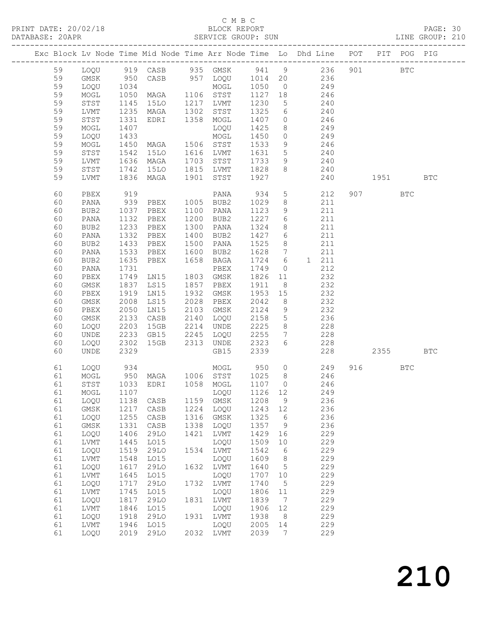## C M B C<br>BLOCK REPORT

PAGE: 30<br>LINE GROUP: 210

|  |          |              |              | Exc Block Lv Node Time Mid Node Time Arr Node Time Lo Dhd Line POT |              |                       |              |                                   |                |            |     |       | PIT POG PIG |            |
|--|----------|--------------|--------------|--------------------------------------------------------------------|--------------|-----------------------|--------------|-----------------------------------|----------------|------------|-----|-------|-------------|------------|
|  | 59       | LOQU         |              | 919 CASB 935 GMSK 941 9 236                                        |              |                       |              |                                   |                |            | 901 |       | <b>BTC</b>  |            |
|  | 59       | GMSK         |              |                                                                    |              | CASB 957 LOQU 1014 20 |              |                                   |                | 236        |     |       |             |            |
|  | 59       | LOQU         | 950<br>1034  |                                                                    |              | MOGL                  | 1050         | $\overline{0}$                    |                | 249        |     |       |             |            |
|  | 59       | MOGL         | 1050         | MAGA 1106 STST                                                     |              |                       | 1127         | 18                                | 246            |            |     |       |             |            |
|  | 59       | STST         | 1145         | 15LO                                                               | 1217         | LVMT                  | 1230         | $5^{\circ}$                       |                | 240        |     |       |             |            |
|  | 59       | LVMT         | 1235<br>1331 | MAGA                                                               | 1302         | STST                  | 1325         | 6                                 |                | 240        |     |       |             |            |
|  | 59       | STST         |              | EDRI                                                               |              | 1358 MOGL             | 1407         | $\overline{0}$                    |                | 246        |     |       |             |            |
|  | 59       | MOGL         | 1407         |                                                                    |              | LOQU                  | 1425         | 8                                 | 249            |            |     |       |             |            |
|  | 59       | LOQU         | 1433         |                                                                    |              | MOGL                  | 1450         | $\overline{0}$                    | 249            |            |     |       |             |            |
|  | 59       | MOGL         | 1450         | MAGA                                                               |              | 1506 STST             | 1533         | 9                                 |                | 246        |     |       |             |            |
|  | 59       | STST         | 1542         | 15LO                                                               |              | 1616 LVMT             | 1631         | 5 <sup>5</sup>                    |                | 240        |     |       |             |            |
|  | 59       | LVMT         | 1636         | MAGA                                                               | 1703         | STST                  | 1733         | 9                                 | 240            |            |     |       |             |            |
|  | 59       | STST         | 1742         | 15LO                                                               |              | 1815 LVMT             | 1828         | 8                                 | 240            |            |     |       |             |            |
|  | 59       | LVMT         | 1836         | MAGA                                                               | 1901         | STST                  | 1927         |                                   |                | 240        |     | 1951  |             | <b>BTC</b> |
|  | 60       | PBEX         | 919          |                                                                    |              | PANA                  | 934          | 5 <sup>5</sup>                    |                | 212        |     | 907   | <b>BTC</b>  |            |
|  | 60       | PANA         | 939          | PBEX                                                               | 1005         | BUB2                  | 1029         | 8                                 |                | 211        |     |       |             |            |
|  | 60       | BUB2         | 1037         | PBEX                                                               | 1100         | PANA                  | 1123         | 9                                 |                | 211        |     |       |             |            |
|  | 60       | PANA         | 1132         | PBEX                                                               |              | 1200 BUB2             | 1227         | 6                                 |                | 211        |     |       |             |            |
|  | 60       | BUB2         | 1233         | PBEX                                                               | 1300         | PANA                  | 1324         | 8                                 |                | 211        |     |       |             |            |
|  | 60       | PANA         | 1332         | PBEX                                                               | 1400         | BUB2                  | 1427         | $6\overline{6}$                   |                | 211        |     |       |             |            |
|  | 60       | BUB2         | 1433         | PBEX                                                               | 1500         | PANA                  | 1525         | 8                                 |                | 211        |     |       |             |            |
|  | 60<br>60 | PANA         | 1533         | PBEX                                                               | 1600<br>1658 | BUB2                  | 1628<br>1724 | $7\phantom{.0}\phantom{.0}7$<br>6 | 1 211          | 211        |     |       |             |            |
|  | 60       | BUB2<br>PANA | 1635<br>1731 | PBEX                                                               |              | BAGA<br>PBEX          | 1749         | $\circ$                           |                | 212        |     |       |             |            |
|  | 60       | PBEX         | 1749         | LN15                                                               | 1803         | GMSK                  | 1826         | 11                                |                | 232        |     |       |             |            |
|  | 60       | GMSK         | 1837         | LS15                                                               | 1857         | PBEX                  | 1911         | 8 <sup>8</sup>                    |                | 232        |     |       |             |            |
|  | 60       | PBEX         | 1919         | LN15                                                               | 1932         | GMSK                  | 1953         | 15                                |                | 232        |     |       |             |            |
|  | 60       | GMSK         | 2008         | LS15                                                               | 2028         | PBEX                  | 2042         | 8 <sup>8</sup>                    |                | 232        |     |       |             |            |
|  | 60       | PBEX         | 2050         | LN15                                                               | 2103         | GMSK                  | 2124         | 9                                 |                | 232        |     |       |             |            |
|  | 60       | GMSK         | 2133         | CASB                                                               | 2140         | LOQU                  | 2158         | $5\overline{)}$                   |                | 236        |     |       |             |            |
|  | 60       | LOQU         | 2203         | 15GB                                                               | 2214         | UNDE                  | 2225         | 8                                 |                | 228        |     |       |             |            |
|  | 60       | UNDE         | 2233         | GB15                                                               | 2245         | LOQU                  | 2255         | $7\phantom{.0}\,$                 |                | 228        |     |       |             |            |
|  | 60       | LOQU         | 2302         | 15GB                                                               | 2313         | UNDE                  | 2323         | 6                                 |                | 228        |     |       |             |            |
|  | 60       | <b>UNDE</b>  | 2329         |                                                                    |              | GB15                  | 2339         |                                   |                | 228        |     | 2355  |             | <b>BTC</b> |
|  | 61       | LOQU         | 934          |                                                                    |              | MOGL                  | 950          |                                   | $\overline{0}$ | 249        |     | 916 7 | BTC         |            |
|  | 61       | MOGL         |              | 950 MAGA 1006 STST                                                 |              |                       | 1025 8       |                                   | 246            |            |     |       |             |            |
|  | 61       | STST         |              | 1033 EDRI 1058 MOGL                                                |              |                       | 1107 0       |                                   |                | 246        |     |       |             |            |
|  |          |              |              | 61 MOGL 1107 LOQU 1126 12                                          |              |                       |              |                                   |                | 249        |     |       |             |            |
|  | 61       | LOQU         | 1138         | CASB                                                               | 1159         | GMSK                  | 1208         | 9                                 |                | 236        |     |       |             |            |
|  | 61       | <b>GMSK</b>  | 1217         | CASB                                                               | 1224         | LOQU                  | 1243         | 12                                |                | 236        |     |       |             |            |
|  | 61       | LOQU         | 1255         | CASB                                                               | 1316         | GMSK                  | 1325         | 6                                 |                | 236        |     |       |             |            |
|  | 61       | $\rm{GMSK}$  | 1331         | CASB<br><b>29LO</b>                                                | 1338<br>1421 | LOQU                  | 1357         | 9                                 |                | 236<br>229 |     |       |             |            |
|  | 61<br>61 | LOQU<br>LVMT | 1406<br>1445 | L015                                                               |              | LVMT<br>LOQU          | 1429<br>1509 | 16                                |                | 229        |     |       |             |            |
|  | 61       | LOQU         | 1519         | 29LO                                                               | 1534         | LVMT                  | 1542         | 10<br>6                           |                | 229        |     |       |             |            |
|  | 61       | LVMT         | 1548         | L015                                                               |              | LOQU                  | 1609         | 8                                 |                | 229        |     |       |             |            |
|  | 61       | LOQU         | 1617         | 29LO                                                               | 1632         | LVMT                  | 1640         | 5                                 |                | 229        |     |       |             |            |
|  | 61       | LVMT         | 1645         | L015                                                               |              | LOQU                  | 1707         | 10                                |                | 229        |     |       |             |            |
|  | 61       | LOQU         | 1717         | 29LO                                                               | 1732         | <b>LVMT</b>           | 1740         | 5                                 |                | 229        |     |       |             |            |
|  | 61       | LVMT         | 1745         | L015                                                               |              | LOQU                  | 1806         | 11                                |                | 229        |     |       |             |            |
|  | 61       | LOQU         | 1817         | 29LO                                                               | 1831         | LVMT                  | 1839         | $7\phantom{.0}$                   |                | 229        |     |       |             |            |
|  | 61       | LVMT         | 1846         | L015                                                               |              | LOQU                  | 1906         | 12                                |                | 229        |     |       |             |            |
|  | 61       | LOQU         | 1918         | <b>29LO</b>                                                        | 1931         | LVMT                  | 1938         | 8                                 |                | 229        |     |       |             |            |
|  | 61       | LVMT         | 1946         | LO15                                                               |              | LOQU                  | 2005         | 14                                |                | 229        |     |       |             |            |
|  | 61       | LOQU         | 2019         | 29LO                                                               | 2032         | LVMT                  | 2039         | 7                                 |                | 229        |     |       |             |            |
|  |          |              |              |                                                                    |              |                       |              |                                   |                |            |     |       |             |            |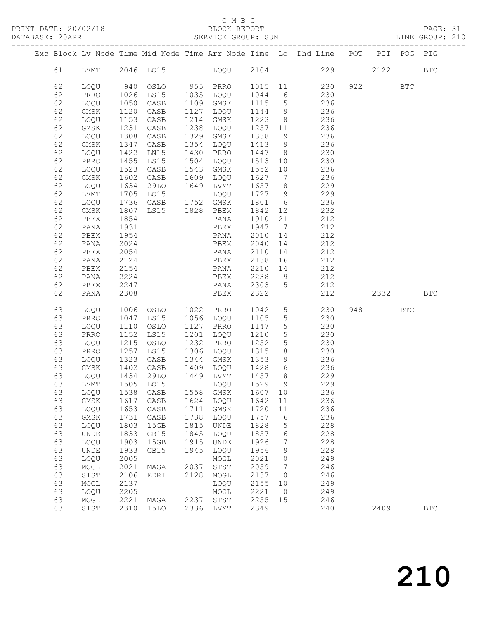# C M B C<br>BLOCK REPORT<br>SERVICE GROUP: SUN

| DATABASE: 20APR |          |                              |              |                                |      | SERVICE GROUP: SUN                        |                                                           |                 | LINE GROUP: 210                                                                |           |            |              |
|-----------------|----------|------------------------------|--------------|--------------------------------|------|-------------------------------------------|-----------------------------------------------------------|-----------------|--------------------------------------------------------------------------------|-----------|------------|--------------|
|                 |          |                              |              |                                |      |                                           |                                                           |                 | Exc Block Lv Node Time Mid Node Time Arr Node Time Lo Dhd Line POT PIT POG PIG |           |            |              |
|                 |          |                              |              |                                |      |                                           |                                                           |                 | 61 LVMT 2046 LO15 LOQU 2104 229 2122 BTC                                       |           |            |              |
|                 | 62       | LOQU                         |              |                                |      |                                           |                                                           |                 |                                                                                |           | <b>BTC</b> |              |
|                 | 62       | PRRO                         |              |                                |      |                                           |                                                           |                 |                                                                                |           |            |              |
|                 | 62       | LOQU                         |              |                                |      |                                           |                                                           |                 | $1109$ GMSK $1115$ 5 236                                                       |           |            |              |
|                 | 62       | GMSK                         | 1120         | CASB                           |      | 1127 LOQU                                 |                                                           |                 | 1144 9 236                                                                     |           |            |              |
|                 | 62       | LOQU                         | 1153         | CASB                           |      | 1214 GMSK                                 |                                                           |                 | 1223 8 236                                                                     |           |            |              |
|                 | 62       | GMSK                         | 1231<br>1308 | CASB                           |      | 1238 LOQU                                 | 1257 11                                                   |                 | $\frac{236}{6}$                                                                |           |            |              |
|                 | 62       | LOQU                         |              | CASB                           |      | 1329 GMSK                                 | 1338 9                                                    |                 | 236                                                                            |           |            |              |
|                 | 62       | GMSK                         | 1347         | CASB                           |      |                                           |                                                           |                 | 1354 LOQU 1413 9 236                                                           |           |            |              |
|                 | 62       | LOQU                         | 1422         | LN15                           |      | 1430 PRRO                                 |                                                           |                 | 1447 8 230                                                                     |           |            |              |
|                 | 62       | PRRO                         | 1455<br>1523 | LS15                           |      | 1504 LOQU                                 |                                                           |                 | 1513  10  230<br>1552  10  236                                                 |           |            |              |
|                 | 62       | LOQU                         |              | CASB                           |      | 1543 GMSK                                 |                                                           |                 |                                                                                |           |            |              |
|                 | 62       | GMSK                         | 1602         | CASB                           |      | 1609 LOQU                                 |                                                           |                 | 1627 7 236                                                                     |           |            |              |
|                 | 62       | LOQU                         | 1634         | 29LO                           |      | 1649 LVMT 1657 8                          |                                                           |                 | 229                                                                            |           |            |              |
|                 | 62       | LVMT                         |              |                                |      |                                           | $\begin{array}{ccc}\n1 & 0 & 0 \\ 1 & 7 & 2\n\end{array}$ |                 | 229                                                                            |           |            |              |
|                 | 62       | LOQU                         | 1807         | LS15 1828 PBEX                 |      | LVIII<br>LOQU 1727<br>$\frac{1801}{6}$ 12 |                                                           |                 | 236<br>232                                                                     |           |            |              |
|                 | 62<br>62 | GMSK<br>PBEX                 | 1854         |                                |      | PANA                                      | 1842 12<br>1910 21                                        |                 | 212                                                                            |           |            |              |
|                 | 62       | PANA                         | 1931         |                                |      | PBEX                                      | 1947 7                                                    |                 | 212                                                                            |           |            |              |
|                 | 62       | PBEX                         | 1954         |                                |      | PANA                                      | 2010 14                                                   |                 | 212                                                                            |           |            |              |
|                 | 62       | PANA                         | 2024         |                                |      | PBEX                                      | 2040                                                      |                 | 14 212                                                                         |           |            |              |
|                 | 62       | PBEX                         | 2054         |                                |      | PANA                                      | 2110                                                      |                 | 14 212                                                                         |           |            |              |
|                 | 62       | PANA                         | 2124         |                                |      | PBEX                                      | 2138                                                      |                 | 16 212                                                                         |           |            |              |
|                 | 62       | PBEX                         | 2154         |                                |      | PANA                                      | 2210 14                                                   |                 | 212                                                                            |           |            |              |
|                 | 62       | PANA                         | 2224         |                                |      |                                           |                                                           |                 | PBEX 2238 9 212                                                                |           |            |              |
|                 | 62       | PBEX                         | 2247         |                                |      |                                           |                                                           |                 | PANA 2303 5 212                                                                |           |            |              |
|                 | 62       | PANA                         | 2308         | <b>Example 18 PBEX</b>         |      |                                           | 2322 2323                                                 |                 | 212                                                                            | 2332      |            | <b>BTC</b>   |
|                 | 63       | LOQU                         |              | 1006 OSLO 1022 PRRO            |      |                                           |                                                           |                 | 1042 5<br>230                                                                  | 948 — 100 | <b>BTC</b> |              |
|                 | 63       | PRRO                         | 1047         | LS15                           |      | 1056 LOQU                                 | 1105                                                      | 5 <sup>5</sup>  | 230                                                                            |           |            |              |
|                 | 63       | LOQU                         | 1110         | OSLO                           |      | 1127 PRRO                                 | 1147 5                                                    |                 | 230                                                                            |           |            |              |
|                 | 63       | PRRO                         | 1152         | LS15                           |      | 1201 LOQU                                 | 1210                                                      | 5 <sup>5</sup>  | 230                                                                            |           |            |              |
|                 | 63       | LOQU                         | 1215         | OSLO                           |      | 1232 PRRO                                 | 1252                                                      | $5\overline{)}$ | 230                                                                            |           |            |              |
|                 | 63       | PRRO                         | 1257         | <b>LS15</b>                    |      | 1306 LOQU 1315                            |                                                           |                 | 8 230                                                                          |           |            |              |
|                 | 63       | LOQU                         | 1323         | CASB                           |      | 1344 GMSK                                 | 1353                                                      |                 | 9 236                                                                          |           |            |              |
|                 | 63       | GMSK                         |              | 1402 CASB<br>1434 29LO<br>CASB |      | 1409 LOQU 1428                            |                                                           | $6\overline{6}$ | 236                                                                            |           |            |              |
|                 | 63       | LOQU                         |              |                                |      | 1449 LVMT                                 | $\begin{array}{c}\n111 \\ 1457\n\end{array}$              |                 | 229<br>9                                                                       |           |            |              |
|                 | 63       |                              |              | LVMT 1505 LO15 LOQU 1529       | 1558 |                                           |                                                           |                 | 229<br>236                                                                     |           |            |              |
|                 | 63<br>63 | LOQU<br>GMSK                 | 1617         | 1538 CASB<br>CASB              | 1624 | GMSK<br>LOQU                              | 1607<br>1642                                              | 10<br>11        | 236                                                                            |           |            |              |
|                 | 63       | LOQU                         | 1653         | CASB                           | 1711 | GMSK                                      | 1720                                                      | 11              | 236                                                                            |           |            |              |
|                 | 63       | GMSK                         | 1731         | CASB                           | 1738 | LOQU                                      | 1757                                                      | 6               | 236                                                                            |           |            |              |
|                 | 63       | LOQU                         | 1803         | 15GB                           | 1815 | UNDE                                      | 1828                                                      | 5               | 228                                                                            |           |            |              |
|                 | 63       | $\ensuremath{\mathsf{UNDE}}$ | 1833         | GB15                           | 1845 | LOQU                                      | 1857                                                      | 6               | 228                                                                            |           |            |              |
|                 | 63       | LOQU                         | 1903         | 15GB                           | 1915 | UNDE                                      | 1926                                                      | $7\phantom{.0}$ | 228                                                                            |           |            |              |
|                 | 63       | UNDE                         | 1933         | GB15                           | 1945 | LOQU                                      | 1956                                                      | 9               | 228                                                                            |           |            |              |
|                 | 63       | LOQU                         | 2005         |                                |      | MOGL                                      | 2021                                                      | $\circ$         | 249                                                                            |           |            |              |
|                 | 63       | MOGL                         | 2021         | MAGA                           | 2037 | $_{\footnotesize\rm STST}$                | 2059                                                      | $\overline{7}$  | 246                                                                            |           |            |              |
|                 | 63       | STST                         | 2106         | EDRI                           | 2128 | MOGL                                      | 2137                                                      | $\overline{0}$  | 246                                                                            |           |            |              |
|                 | 63       | $\sf{MOGL}$                  | 2137         |                                |      | LOQU                                      | 2155                                                      | 10              | 249                                                                            |           |            |              |
|                 | 63       | LOQU                         | 2205         |                                |      | MOGL                                      | 2221                                                      | $\overline{0}$  | 249                                                                            |           |            |              |
|                 | 63       | MOGL                         | 2221         | MAGA                           |      | 2237 STST                                 | 2255                                                      | 15              | 246                                                                            |           |            |              |
|                 | 63       | STST                         |              | 2310 15LO                      |      | 2336 LVMT                                 | 2349                                                      |                 | 240                                                                            | 2409      |            | $_{\rm BTC}$ |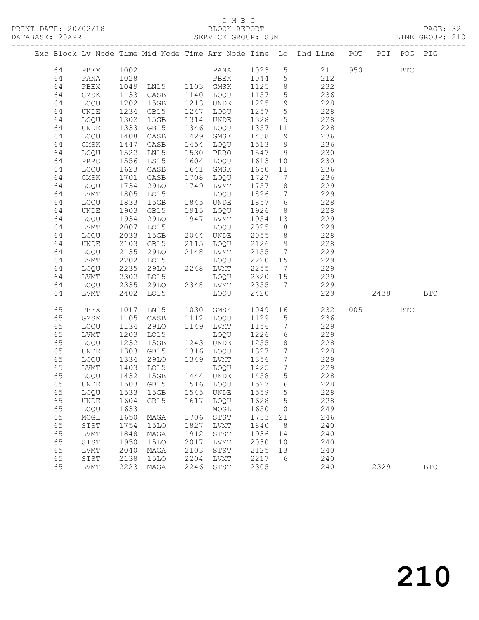## C M B C

|  | DATABASE: 20APR |              |              |              |      | SERVICE GROUP: SUN                                                                                                  |              |                                         |                                                                                |          |      |      | LINE GROUP: 210 |
|--|-----------------|--------------|--------------|--------------|------|---------------------------------------------------------------------------------------------------------------------|--------------|-----------------------------------------|--------------------------------------------------------------------------------|----------|------|------|-----------------|
|  |                 |              |              |              |      |                                                                                                                     |              |                                         | Exc Block Lv Node Time Mid Node Time Arr Node Time Lo Dhd Line POT PIT POG PIG |          |      |      |                 |
|  |                 | 64 PBEX 1002 |              |              |      | ------------<br>1028 PANA 1023 5<br>1049 LN15 1103 GMSK 1125 8<br>1133 CASB 1140 LOQU 1157 5<br>1202 15GB 1213 WWT- |              |                                         | PANA 1023 5 211 950 BTC                                                        |          |      |      |                 |
|  | 64              | PANA         |              |              |      |                                                                                                                     |              |                                         | PBEX 1044 5 212                                                                |          |      |      |                 |
|  | 64              | PBEX         |              |              |      |                                                                                                                     |              |                                         | 232                                                                            |          |      |      |                 |
|  | 64              | GMSK         |              |              |      |                                                                                                                     |              |                                         | 236                                                                            |          |      |      |                 |
|  | 64              | LOQU         |              |              |      |                                                                                                                     |              |                                         | 228                                                                            |          |      |      |                 |
|  | 64              | UNDE         | 1234         | GB15         |      | 1247 LOQU                                                                                                           | 1257 5       |                                         | 228                                                                            |          |      |      |                 |
|  | 64              | LOQU         | 1302         | 15GB         |      | 1314 UNDE                                                                                                           | 1328         | 5 <sup>5</sup>                          | 228                                                                            |          |      |      |                 |
|  | 64              | UNDE         | 1333<br>1408 | GB15         |      | 1346 LOQU                                                                                                           | 1357 11      |                                         | 228                                                                            |          |      |      |                 |
|  | 64              | LOQU         |              | CASB         |      | 1429 GMSK                                                                                                           | 1438         | 9                                       | 236                                                                            |          |      |      |                 |
|  | 64              | GMSK         | 1447         | CASB         |      | 1454 LOQU                                                                                                           | 1513         | 9                                       | 236                                                                            |          |      |      |                 |
|  | 64              | LOQU         | 1522         | LN15         |      | 1530 PRRO                                                                                                           | 1547         | 9                                       | 230                                                                            |          |      |      |                 |
|  | 64              | PRRO         | 1556<br>1623 | LS15         |      | 1604 LOQU                                                                                                           | 1613         | $\begin{array}{c} 10 \\ 11 \end{array}$ | 230                                                                            |          |      |      |                 |
|  | 64              | LOQU         |              | CASB         |      | 1641 GMSK                                                                                                           | 1650         |                                         | 236                                                                            |          |      |      |                 |
|  | 64              | GMSK         | 1701         | CASB         |      | 1708 LOQU                                                                                                           | 1727         |                                         | 7 236                                                                          |          |      |      |                 |
|  | 64              | LOQU         | 1734         | 29LO         |      | 1749 LVMT                                                                                                           | 1757         | 8 <sup>8</sup>                          | 229                                                                            |          |      |      |                 |
|  | 64              | LVMT         | 1805<br>1833 | LO15         |      | LOQU                                                                                                                | 1826         | $7\overline{ }$                         | 229                                                                            |          |      |      |                 |
|  | 64              | LOQU         |              | 15GB         |      | 1845 UNDE                                                                                                           | 1857 6       |                                         | 228                                                                            |          |      |      |                 |
|  | 64              | UNDE         | 1903         | GB15         |      | 1915 LOQU                                                                                                           | 1926         | 8 <sup>8</sup>                          | 228                                                                            |          |      |      |                 |
|  | 64              | LOQU         | 1934         | 29LO         | 1947 | LVMT                                                                                                                | 1954         | 13                                      | 229                                                                            |          |      |      |                 |
|  | 64              | LVMT         | 2007         | LO15         |      | LOQU                                                                                                                | 2025         | 8 <sup>8</sup>                          | 229                                                                            |          |      |      |                 |
|  | 64              | LOQU         | 2033         | 15GB         |      | 2044 UNDE                                                                                                           | 2055         | 8 <sup>8</sup>                          | 228                                                                            |          |      |      |                 |
|  | 64              | UNDE         | 2103         | GB15         |      | 2115 LOQU                                                                                                           | 2126         | 9                                       | 228                                                                            |          |      |      |                 |
|  | 64              | LOQU         | 2135         | 29LO         |      | 2148 LVMT                                                                                                           | 2155 7       |                                         | 229                                                                            |          |      |      |                 |
|  | 64              | LVMT         | 2202         | LO15         |      | LOQU                                                                                                                | 2220 15      |                                         | 229                                                                            |          |      |      |                 |
|  | 64              | LOQU         | 2235         | 29LO         |      | 2248 LVMT                                                                                                           | 2255         | $7\overline{)}$                         | 229                                                                            |          |      |      |                 |
|  | 64              | LVMT         | 2302         | LO15         |      | LOQU                                                                                                                | 2320 15      |                                         | 229                                                                            |          |      |      |                 |
|  | 64              | LOQU         | 2335         | 29LO         |      | 2348 LVMT 2355                                                                                                      |              |                                         | 7 229                                                                          |          |      |      |                 |
|  | 64              | LVMT         | 2402         | LO15         |      | LOQU                                                                                                                | 2420         |                                         |                                                                                | 229      |      | 2438 | <b>BTC</b>      |
|  | 65              | PBEX         | 1017         | LNI5         |      | 1030 GMSK                                                                                                           | 1049         |                                         |                                                                                | 232 1005 |      | BTC  |                 |
|  | 65              | GMSK         | 1105         | CASB         |      | 1112 LOQU                                                                                                           | 1129         | 5 <sup>5</sup>                          | 236                                                                            |          |      |      |                 |
|  | 65              | LOQU         | 1134         | 29LO         |      | 1149 LVMT                                                                                                           | 1156         | $7\overline{ }$                         | 229                                                                            |          |      |      |                 |
|  | 65              | LVMT         | 1203<br>1232 | LO15         |      | LOQU                                                                                                                | 1226         | 6                                       | 229                                                                            |          |      |      |                 |
|  | 65              | LOQU         | 1303         | 15GB         |      | 1243 UNDE<br>1316 LOQU                                                                                              | 1255         | 8 <sup>8</sup>                          | 228                                                                            |          |      |      |                 |
|  | 65<br>65        | UNDE         |              | GB15<br>29LO |      | 1349 LVMT                                                                                                           | 1327<br>1356 | $7\overline{ }$<br>$7\overline{ }$      | 228<br>229                                                                     |          |      |      |                 |
|  | 65              | LOQU<br>LVMT | 1334         | LO15         |      | LOQU                                                                                                                | 1425         | $\overline{7}$                          | 229                                                                            |          |      |      |                 |
|  | 65              | LOQU         | 1403<br>1432 | 15GB         |      | 1444 UNDE                                                                                                           | 1458         | $5\overline{)}$                         | 228                                                                            |          |      |      |                 |
|  | 65              |              |              |              |      | UNDE 1503 GB15 1516 LOQU 1527 6                                                                                     |              |                                         | 228                                                                            |          |      |      |                 |
|  | 65              | LOQU         |              | 1533 15GB    | 1545 | UNDE                                                                                                                | 1559         | $5^{\circ}$                             | 228                                                                            |          |      |      |                 |
|  | 65              | UNDE         | 1604         | GB15         |      | 1617 LOQU                                                                                                           | 1628         | $5^{\circ}$                             | 228                                                                            |          |      |      |                 |
|  | 65              | LOQU         | 1633         |              |      | MOGL                                                                                                                | 1650         | $\overline{0}$                          | 249                                                                            |          |      |      |                 |
|  | 65              | MOGL         | 1650         | MAGA         | 1706 | STST                                                                                                                | 1733         | 21                                      | 246                                                                            |          |      |      |                 |
|  | 65              | STST         | 1754         | 15LO         | 1827 | LVMT                                                                                                                | 1840         | 8 <sup>8</sup>                          | 240                                                                            |          |      |      |                 |
|  | 65              | LVMT         | 1848         | MAGA         | 1912 | STST                                                                                                                | 1936         | 14                                      | 240                                                                            |          |      |      |                 |
|  | 65              | STST         | 1950         | 15LO         | 2017 | LVMT                                                                                                                | 2030         | 10                                      | 240                                                                            |          |      |      |                 |
|  | 65              | LVMT         | 2040         | MAGA         | 2103 | STST                                                                                                                | 2125         | 13                                      | 240                                                                            |          |      |      |                 |
|  | 65              | STST         | 2138         | 15LO         | 2204 | LVMT                                                                                                                | 2217         | - 6                                     | 240                                                                            |          |      |      |                 |
|  | 65              | LVMT         |              | 2223 MAGA    | 2246 | STST                                                                                                                | 2305         |                                         | 240                                                                            |          | 2329 |      | <b>BTC</b>      |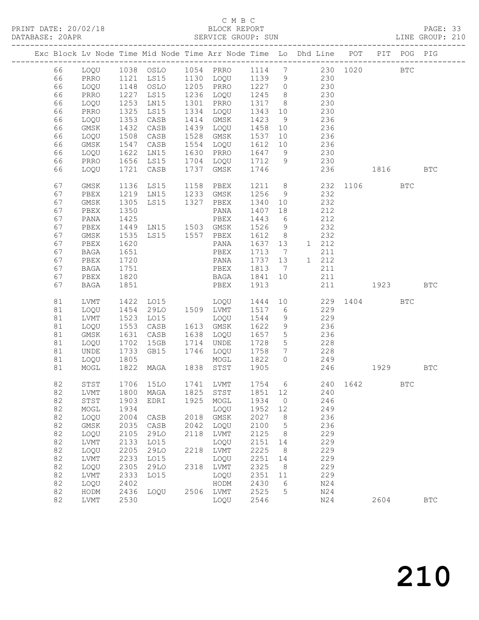## C M B C<br>BLOCK REPORT

PAGE: 33<br>LINE GROUP: 210

|    |              |                  |                                  |      | Exc Block Lv Node Time Mid Node Time Arr Node Time Lo Dhd Line POT |        |                 |    |            |          |                                                                                                                                                                                                                                 | PIT POG PIG  |              |
|----|--------------|------------------|----------------------------------|------|--------------------------------------------------------------------|--------|-----------------|----|------------|----------|---------------------------------------------------------------------------------------------------------------------------------------------------------------------------------------------------------------------------------|--------------|--------------|
| 66 | LOQU         |                  |                                  |      |                                                                    |        |                 |    |            | 230 1020 |                                                                                                                                                                                                                                 | $_{\rm BTC}$ |              |
| 66 | PRRO         | 1121             | LS15                             |      | 1130 LOQU                                                          | 1139   | 9               |    | 230        |          |                                                                                                                                                                                                                                 |              |              |
| 66 | LOQU         | 1148             | OSLO                             |      | 1205 PRRO                                                          | 1227 0 |                 |    | 230        |          |                                                                                                                                                                                                                                 |              |              |
| 66 | PRRO         | 1227             | LS15                             |      | 1236 LOQU                                                          | 1245   | 8 <sup>8</sup>  |    | 230        |          |                                                                                                                                                                                                                                 |              |              |
| 66 | LOQU         | 1253             | LN15                             |      | 1301 PRRO                                                          | 1317   | 8 <sup>8</sup>  |    | 230        |          |                                                                                                                                                                                                                                 |              |              |
| 66 | PRRO         | 1325             | LS15                             | 1334 | LOQU                                                               | 1343   | 10              |    | 230        |          |                                                                                                                                                                                                                                 |              |              |
| 66 | LOQU         | 1353             | CASB                             |      | 1414 GMSK                                                          | 1423   | 9               |    | 236        |          |                                                                                                                                                                                                                                 |              |              |
| 66 | GMSK         | 1432             | CASB                             | 1439 | LOQU                                                               | 1458   | 10              |    | 236        |          |                                                                                                                                                                                                                                 |              |              |
| 66 | LOQU         | 1508             | CASB                             | 1528 | GMSK                                                               | 1537   | 10              |    | 236        |          |                                                                                                                                                                                                                                 |              |              |
| 66 | GMSK         | 1547             | CASB                             | 1554 | LOQU                                                               | 1612   | 10              |    | 236        |          |                                                                                                                                                                                                                                 |              |              |
| 66 | LOQU         | 1622             | LN15                             |      | 1630 PRRO                                                          | 1647   | 9               |    | 230        |          |                                                                                                                                                                                                                                 |              |              |
| 66 | PRRO         | $\frac{1}{1656}$ | LS15                             |      | 1704 LOQU                                                          | 1712   | 9               |    | 230        |          |                                                                                                                                                                                                                                 |              |              |
| 66 | LOQU         | 1721             | CASB                             | 1737 | GMSK                                                               | 1746   |                 |    | 236        |          | 1816                                                                                                                                                                                                                            |              | <b>BTC</b>   |
| 67 | GMSK         | 1136             | LS15                             |      | 1158 PBEX                                                          | 1211 8 |                 |    |            |          | 232 1106                                                                                                                                                                                                                        | <b>BTC</b>   |              |
| 67 | PBEX         | 1219             | LN15                             |      | 1233 GMSK                                                          | 1256   | 9               |    | 232        |          |                                                                                                                                                                                                                                 |              |              |
| 67 | GMSK         | 1305             | LS15                             | 1327 | PBEX                                                               | 1340   | 10              |    | 232        |          |                                                                                                                                                                                                                                 |              |              |
| 67 | PBEX         | 1350             |                                  |      | PANA                                                               | 1407   | 18              |    | 212        |          |                                                                                                                                                                                                                                 |              |              |
| 67 | PANA         | 1425             |                                  |      | PBEX                                                               | 1443   | 6               |    | 212        |          |                                                                                                                                                                                                                                 |              |              |
| 67 | PBEX         |                  | 1425 PBEX<br>1449 LN15 1503 GMSK |      |                                                                    | 1526   | 9               |    | 232        |          |                                                                                                                                                                                                                                 |              |              |
| 67 | GMSK         | 1535             | LS15 1557 PBEX                   |      |                                                                    | 1612   | 8 <sup>8</sup>  |    | 232        |          |                                                                                                                                                                                                                                 |              |              |
| 67 | PBEX         | 1620             |                                  |      | PANA                                                               | 1637   | 13              |    | 1 212      |          |                                                                                                                                                                                                                                 |              |              |
| 67 | BAGA         | 1651             |                                  |      | PBEX                                                               | 1713   | $\overline{7}$  |    | 211        |          |                                                                                                                                                                                                                                 |              |              |
| 67 | PBEX         | 1720             |                                  |      | PANA                                                               | 1737   | 13              |    | 1 212      |          |                                                                                                                                                                                                                                 |              |              |
| 67 | BAGA         | 1751             |                                  |      | PBEX                                                               | 1813   | $\overline{7}$  |    | 211        |          |                                                                                                                                                                                                                                 |              |              |
| 67 | PBEX         | 1820             |                                  |      | BAGA                                                               | 1841   | 10              |    | 211        |          |                                                                                                                                                                                                                                 |              |              |
| 67 | <b>BAGA</b>  | 1851             |                                  |      | PBEX                                                               | 1913   |                 |    | 211        |          | 1923 — 1923 — 1924 — 1925 — 1926 — 1927 — 1928 — 1928 — 1928 — 1928 — 1928 — 1928 — 1928 — 1928 — 1928 — 1928 — 1928 — 1928 — 1928 — 1928 — 1928 — 1928 — 1928 — 1928 — 1928 — 1928 — 1928 — 1928 — 1928 — 1928 — 1928 — 1928 — |              | <b>BTC</b>   |
| 81 | LVMT         | 1422             | LO15                             |      | LOQU                                                               | 1444   |                 | 10 |            |          | 229 1404                                                                                                                                                                                                                        | <b>BTC</b>   |              |
| 81 | LOQU         | 1454             | 29LO                             |      | 1509 LVMT                                                          | 1517   | 6               |    | 229        |          |                                                                                                                                                                                                                                 |              |              |
| 81 | LVMT         | 1523             | LO15                             |      | LOQU                                                               | 1544   | 9               |    | 229        |          |                                                                                                                                                                                                                                 |              |              |
| 81 | LOQU         | 1553             | CASB                             |      | 1613 GMSK                                                          | 1622   | 9               |    | 236        |          |                                                                                                                                                                                                                                 |              |              |
| 81 | GMSK         | 1631             | CASB                             |      | 1638 LOQU                                                          | 1657   | $5\overline{)}$ |    | 236        |          |                                                                                                                                                                                                                                 |              |              |
| 81 | LOQU         | 1702             | 15GB                             | 1714 | UNDE                                                               | 1728   | $5\overline{)}$ |    | 228        |          |                                                                                                                                                                                                                                 |              |              |
| 81 | UNDE         | 1733             | GB15                             | 1746 | LOQU                                                               | 1758   | $7\phantom{.0}$ |    | 228        |          |                                                                                                                                                                                                                                 |              |              |
| 81 | LOQU         | 1805             |                                  |      | MOGL                                                               | 1822   | $\circ$         |    | 249        |          |                                                                                                                                                                                                                                 |              |              |
| 81 | MOGL         | 1822             | MAGA                             |      | 1838 STST                                                          | 1905   |                 |    | 246        |          | 1929                                                                                                                                                                                                                            |              | <b>BTC</b>   |
|    |              |                  |                                  |      |                                                                    |        |                 |    |            |          |                                                                                                                                                                                                                                 |              |              |
| 82 | STST         |                  | 1706 15LO                        |      | 1741 LVMT<br>82 LVMT 1800 MAGA 1825 STST 1851 12                   |        |                 |    | 240        |          | 1754 6 240 1642                                                                                                                                                                                                                 | <b>BTC</b>   |              |
| 82 |              |                  |                                  | 1925 |                                                                    | 1934   | $\circ$         |    |            |          |                                                                                                                                                                                                                                 |              |              |
|    | ${\tt STST}$ | 1903             | EDRI                             |      | MOGL                                                               |        |                 |    | 246        |          |                                                                                                                                                                                                                                 |              |              |
| 82 | MOGL         | 1934             |                                  |      | LOQU                                                               | 1952   | 12              |    | 249        |          |                                                                                                                                                                                                                                 |              |              |
| 82 | LOQU         | 2004             | CASB                             | 2018 | GMSK                                                               | 2027   | 8               |    | 236        |          |                                                                                                                                                                                                                                 |              |              |
| 82 | GMSK         | 2035             | CASB                             | 2042 | LOQU                                                               | 2100   | 5               |    | 236<br>229 |          |                                                                                                                                                                                                                                 |              |              |
| 82 | LOQU         | 2105             | 29LO                             | 2118 | LVMT                                                               | 2125   | 8               |    |            |          |                                                                                                                                                                                                                                 |              |              |
| 82 | ${\rm LVMT}$ | 2133             | L015                             |      | LOQU                                                               | 2151   | 14              |    | 229        |          |                                                                                                                                                                                                                                 |              |              |
| 82 | LOQU         | 2205             | <b>29LO</b>                      | 2218 | LVMT                                                               | 2225   | 8               |    | 229        |          |                                                                                                                                                                                                                                 |              |              |
| 82 | LVMT         | 2233             | LO15                             |      | LOQU                                                               | 2251   | 14              |    | 229        |          |                                                                                                                                                                                                                                 |              |              |
| 82 | LOQU         | 2305             | 29LO                             | 2318 | LVMT                                                               | 2325   | 8               |    | 229        |          |                                                                                                                                                                                                                                 |              |              |
| 82 | LVMT         | 2333             | L015                             |      | LOQU                                                               | 2351   | 11              |    | 229        |          |                                                                                                                                                                                                                                 |              |              |
| 82 | LOQU         | 2402             |                                  |      | HODM                                                               | 2430   | 6               |    | N24        |          |                                                                                                                                                                                                                                 |              |              |
| 82 | HODM         | 2436             | LOQU                             | 2506 | LVMT                                                               | 2525   | 5               |    | N24        |          |                                                                                                                                                                                                                                 |              |              |
| 82 | LVMT         | 2530             |                                  |      | LOQU                                                               | 2546   |                 |    | N24        |          | 2604                                                                                                                                                                                                                            |              | $_{\rm BTC}$ |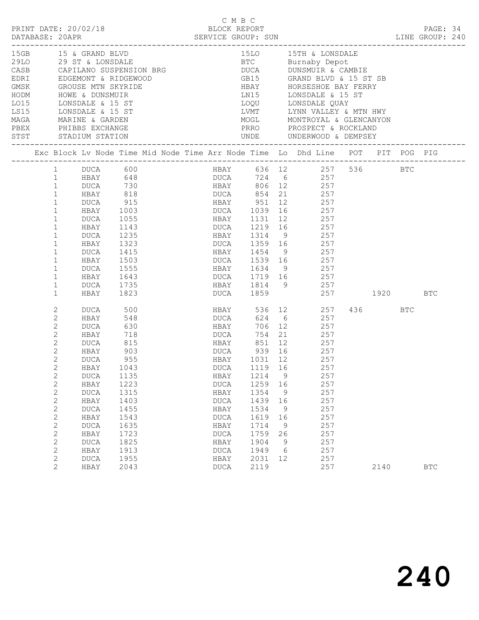| PRINT DATE: 20/02/18                                                                                                                                                                                         |                                                                                                                                                                                                                                                                        |                                                                                                                                                                                                             |                                                                                                                                               |  | C M B C<br>BLOCK REPORT                                                                                                                                                    |      |                                                                                               |                                                          |                                                                                                                                                                                                                                                                                                   |             |     | PAGE: 34   |  |
|--------------------------------------------------------------------------------------------------------------------------------------------------------------------------------------------------------------|------------------------------------------------------------------------------------------------------------------------------------------------------------------------------------------------------------------------------------------------------------------------|-------------------------------------------------------------------------------------------------------------------------------------------------------------------------------------------------------------|-----------------------------------------------------------------------------------------------------------------------------------------------|--|----------------------------------------------------------------------------------------------------------------------------------------------------------------------------|------|-----------------------------------------------------------------------------------------------|----------------------------------------------------------|---------------------------------------------------------------------------------------------------------------------------------------------------------------------------------------------------------------------------------------------------------------------------------------------------|-------------|-----|------------|--|
| 15GB 15 & GRAND BLVD<br>HODM HOWE & DUNSMUIR<br>LO15 LONSDALE & 15 ST<br>LS15 LONSDALE & 15 ST<br>MAGA MARINE & GARDEN<br>PBEX PHIBBS EXCHANGE<br>STST STADIUM STATION<br>__________________________________ |                                                                                                                                                                                                                                                                        |                                                                                                                                                                                                             |                                                                                                                                               |  |                                                                                                                                                                            |      |                                                                                               |                                                          | 15LO 15TH & LONSDALE<br>29LO 29 ST & LONSDALE 29LO BTC Burnaby Depot<br>LN15 LONSDALE & 15 ST<br>LOQU LONSDALE QUAY<br>LVMT        LYNN VALLEY & MTN HWY<br>MOGL         MONTROYAL & GLENCANYON<br>PRRO PROSPECT & ROCKLAND                                                                       |             |     |            |  |
|                                                                                                                                                                                                              |                                                                                                                                                                                                                                                                        |                                                                                                                                                                                                             |                                                                                                                                               |  |                                                                                                                                                                            |      |                                                                                               |                                                          | Exc Block Lv Node Time Mid Node Time Arr Node Time Lo Dhd Line POT PIT POG PIG                                                                                                                                                                                                                    |             |     |            |  |
|                                                                                                                                                                                                              | 1<br>$\mathbf{1}$<br>$\mathbf{1}$<br>$\mathbf{1}$<br>$\mathbf{1}$<br>$\mathbf{1}$<br>$\mathbf 1$<br>$\mathbf{1}$<br>$\mathbf 1$<br>$\mathbf{1}$<br>$\mathbf 1$<br>$\mathbf{1}$<br>$\mathbf 1$<br>$\mathbf{1}$<br>$\mathbf 1$                                           | 1 DUCA 600<br>DUCA<br>HBAY<br>DUCA<br>HBAY<br>DUCA<br>HBAY<br>DUCA<br>HBAY<br>DUCA<br>HBAY<br>DUCA<br>HBAY                                                                                                  | 915<br>1003<br>1055<br>1143<br>1235<br>1323<br>1415<br>1503<br>1555<br>1643<br>1735<br>1823                                                   |  | HBAY 1454 9                                                                                                                                                                |      |                                                                                               |                                                          | HBAY 636 12 257 536 BTC<br>DUCA 724 6 257<br>HBAY 806 12 257<br>HBAY 951 12 257<br>DUCA 1039 16 257<br>HBAY 1131 12 257<br>DUCA 1219 16 257<br>HBAY 1314 9 257<br>DUCA 1359 16 257<br>257<br>DUCA 1539 16 257<br>HBAY 1634 9 257<br>DUCA 1719 16 257<br>HBAY 1814 9 257<br>DUCA 1859 257 1920 BTC |             |     |            |  |
|                                                                                                                                                                                                              | 2<br>$\mathbf{2}$<br>2<br>2<br>2<br>$\mathbf{2}$<br>$\mathbf{2}$<br>$\mathbf{2}$<br>2<br>$\mathbf{2}$<br>$\mathbf 2$<br>$\mathbf{2}$<br>$\mathbf{2}$<br>$\sqrt{2}$<br>$\sqrt{2}$<br>$\sqrt{2}$<br>$\mathbf{2}$<br>$\mathbf{2}$<br>$\mathbf 2$<br>$\mathbf{2}^{\prime}$ | DUCA<br>HBAY<br>DUCA<br>HBAY<br>DUCA<br>HBAY<br>DUCA<br>HBAY 1043<br><b>DUCA</b><br>HBAY<br><b>DUCA</b><br>HBAY<br><b>DUCA</b><br>HBAY<br><b>DUCA</b><br>HBAY<br><b>DUCA</b><br>HBAY<br><b>DUCA</b><br>HBAY | 500<br>548<br>630<br>718<br>815<br>903<br>955<br>1135<br>1223<br>1315<br>1403<br>1455<br>1543<br>1635<br>1723<br>1825<br>1913<br>1955<br>2043 |  | DUCA<br><b>HBAY</b><br><b>DUCA</b><br>HBAY 851<br>HBAY<br>DUCA<br>HBAY<br><b>DUCA</b><br>HBAY<br><b>DUCA</b><br>HBAY<br><b>DUCA</b><br>HBAY<br><b>DUCA</b><br>HBAY<br>DUCA | 1214 | 624 6<br>1259<br>1354<br>1439<br>1534<br>1619<br>1714<br>1759<br>1904<br>1949<br>2031<br>2119 | 9<br>16<br>9<br>16<br>9<br>16<br>9<br>26<br>9<br>6<br>12 | HBAY 536 12 257<br>257<br>706 12<br>257<br>754 21 257<br>12 257<br>257<br>257<br>DUCA 1119 16 257<br>257<br>257<br>257<br>257<br>257<br>257<br>257<br>257<br>257<br>257<br>257<br>257                                                                                                             | 436<br>2140 | BTC | <b>BTC</b> |  |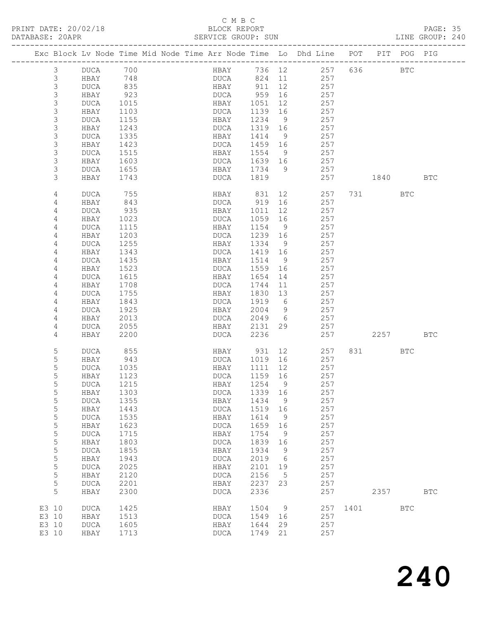## C M B C

| DATABASE: 20APR |                |              |              | SERVICE GROUP: SUN                                                             |                |                 |                              |          |           |            | LINE GROUP: 240 |  |
|-----------------|----------------|--------------|--------------|--------------------------------------------------------------------------------|----------------|-----------------|------------------------------|----------|-----------|------------|-----------------|--|
|                 |                |              |              | Exc Block Lv Node Time Mid Node Time Arr Node Time Lo Dhd Line POT PIT POG PIG |                |                 |                              |          |           |            |                 |  |
|                 | 3              | DUCA 700     |              |                                                                                |                |                 | HBAY 736 12 257 636 BTC      |          |           |            |                 |  |
|                 | 3              | HBAY         | 748          |                                                                                |                |                 | DUCA 824 11 257              |          |           |            |                 |  |
|                 | 3              | DUCA         | 835          | HBAY 911                                                                       |                | 12              | 257                          |          |           |            |                 |  |
|                 | $\mathsf S$    | HBAY         | 923          | DUCA                                                                           | 959            | 16              | 257                          |          |           |            |                 |  |
|                 | $\mathsf 3$    | DUCA         | 1015         | HBAY                                                                           | 1051           | 12              | 257                          |          |           |            |                 |  |
|                 | $\mathsf 3$    | HBAY         | 1103         | DUCA                                                                           | 1139           | 16              | 257                          |          |           |            |                 |  |
|                 | 3              | DUCA         | 1155         | HBAY                                                                           | 1234           | - 9             | 257                          |          |           |            |                 |  |
|                 | $\mathsf 3$    | HBAY         | 1243         | DUCA                                                                           | 1319 16        |                 | 257                          |          |           |            |                 |  |
|                 | $\mathsf 3$    | DUCA         | 1335         | HBAY                                                                           | 1414           | 9               | 257                          |          |           |            |                 |  |
|                 | $\mathfrak{Z}$ | HBAY         | 1423         | DUCA                                                                           | 1459 16        |                 | 257                          |          |           |            |                 |  |
|                 | $\mathsf 3$    | DUCA         | 1515         | HBAY                                                                           | 1554           | - 9             | 257                          |          |           |            |                 |  |
|                 | $\mathsf 3$    | HBAY         | 1603         | DUCA                                                                           | 1639 16        |                 | 257                          |          |           |            |                 |  |
|                 | $\mathfrak{Z}$ | DUCA         | 1655         | HBAY                                                                           | 1734 9         |                 | 257                          |          |           |            |                 |  |
|                 | 3              | HBAY         | 1743         | DUCA                                                                           | 1819           |                 | 257                          |          | 1840      |            | BTC             |  |
|                 | 4              | DUCA         | 755          | HBAY                                                                           | 831            | 12              | 257                          |          | 731 — 17  | BTC        |                 |  |
|                 | 4              | HBAY         | 843          | DUCA                                                                           | 919            | 16              | 257                          |          |           |            |                 |  |
|                 | 4              | DUCA         | 935          | HBAY                                                                           | 1011           | 12              | 257                          |          |           |            |                 |  |
|                 | 4              | HBAY         | 1023         | DUCA                                                                           | 1059           | 16              | 257                          |          |           |            |                 |  |
|                 | 4              | DUCA         | 1115         | HBAY                                                                           | 1154           | $\overline{9}$  | 257                          |          |           |            |                 |  |
|                 | 4              | HBAY         | 1203         | DUCA                                                                           | 1239 16        |                 | 257                          |          |           |            |                 |  |
|                 | 4              | DUCA         | 1255         | HBAY                                                                           | 1334           | 9               | 257                          |          |           |            |                 |  |
|                 | 4              | HBAY         | 1343         | DUCA                                                                           | 1419           | 16              | 257                          |          |           |            |                 |  |
|                 | 4              | DUCA         | 1435         | HBAY                                                                           | 1514           | $\overline{9}$  | 257                          |          |           |            |                 |  |
|                 | 4              | HBAY         | 1523         | DUCA                                                                           | 1559           | 16              | 257                          |          |           |            |                 |  |
|                 | 4              | DUCA         | 1615         | HBAY                                                                           | 1654           | 14              | 257                          |          |           |            |                 |  |
|                 | 4              | HBAY         | 1708         | DUCA                                                                           | 1744           | 11              | 257                          |          |           |            |                 |  |
|                 | 4              | DUCA         | 1755         | HBAY                                                                           | 1830           | 13              | 257                          |          |           |            |                 |  |
|                 | 4              | HBAY         | 1843<br>1925 | DUCA                                                                           | 1919           | $6\overline{6}$ | 257                          |          |           |            |                 |  |
|                 | 4<br>4         | DUCA         |              | HBAY<br>DUCA                                                                   | 2004<br>2049 6 | 9               | 257<br>257                   |          |           |            |                 |  |
|                 | 4              | HBAY<br>DUCA | 2013<br>2055 | HBAY                                                                           | 2131           | 29              | 257                          |          |           |            |                 |  |
|                 | 4              | HBAY         | 2200         | DUCA                                                                           | 2236           |                 | 257                          |          | 2257      |            | BTC             |  |
|                 | 5              | DUCA         | 855          | HBAY 931                                                                       |                |                 | 12 and $\overline{a}$<br>257 |          | 831 — 100 | BTC        |                 |  |
|                 | 5              | HBAY         | 943          | DUCA 1019                                                                      |                | 16              | 257                          |          |           |            |                 |  |
|                 | 5              | DUCA         | 1035         | HBAY                                                                           | 1111           | 12              | 257                          |          |           |            |                 |  |
|                 | 5              | HBAY         | 1123         | DUCA                                                                           | 1159 16        |                 | 257                          |          |           |            |                 |  |
|                 | 5              | DUCA 1215    |              | HBAY 1254 9                                                                    |                |                 | 257                          |          |           |            |                 |  |
|                 | 5              | HBAY         | 1303         | <b>DUCA</b>                                                                    | 1339           | 16              | 257                          |          |           |            |                 |  |
|                 | 5              | <b>DUCA</b>  | 1355         | HBAY                                                                           | 1434           | 9               | 257                          |          |           |            |                 |  |
|                 | 5              | HBAY         | 1443         | DUCA                                                                           | 1519           | 16              | 257                          |          |           |            |                 |  |
|                 | 5              | <b>DUCA</b>  | 1535         | HBAY                                                                           | 1614           | $\overline{9}$  | 257                          |          |           |            |                 |  |
|                 | 5              | HBAY         | 1623         | DUCA                                                                           | 1659           | 16              | 257                          |          |           |            |                 |  |
|                 | $\mathsf S$    | <b>DUCA</b>  | 1715         | HBAY                                                                           | 1754           | $\overline{9}$  | 257                          |          |           |            |                 |  |
|                 | $\mathsf S$    | HBAY         | 1803         | <b>DUCA</b>                                                                    | 1839           | 16              | 257                          |          |           |            |                 |  |
|                 | $\mathsf S$    | <b>DUCA</b>  | 1855         | HBAY                                                                           | 1934           | $\overline{9}$  | 257                          |          |           |            |                 |  |
|                 | 5              | HBAY         | 1943         | DUCA                                                                           | 2019           | $6\overline{6}$ | 257                          |          |           |            |                 |  |
|                 | $\mathsf S$    | <b>DUCA</b>  | 2025         | HBAY                                                                           | 2101           | 19              | 257                          |          |           |            |                 |  |
|                 | $\mathsf S$    | HBAY         | 2120         | DUCA                                                                           | 2156           | $-5$            | 257                          |          |           |            |                 |  |
|                 | 5              | <b>DUCA</b>  | 2201         | HBAY                                                                           | 2237           | 23              | 257                          |          |           |            |                 |  |
|                 | 5              | HBAY         | 2300         | DUCA                                                                           | 2336           |                 | 257                          |          | 2357      |            | $_{\rm BTC}$    |  |
| E3 10           |                | DUCA         | 1425         | HBAY                                                                           | 1504           | 9               |                              | 257 1401 |           | <b>BTC</b> |                 |  |
| E3 10           |                | HBAY         | 1513         | DUCA                                                                           | 1549           | 16              | 257                          |          |           |            |                 |  |
| E3 10           |                | DUCA         | 1605         | HBAY                                                                           | 1644           | 29              | 257                          |          |           |            |                 |  |
| E3 10           |                | HBAY         | 1713         | DUCA                                                                           | 1749           | 21              | 257                          |          |           |            |                 |  |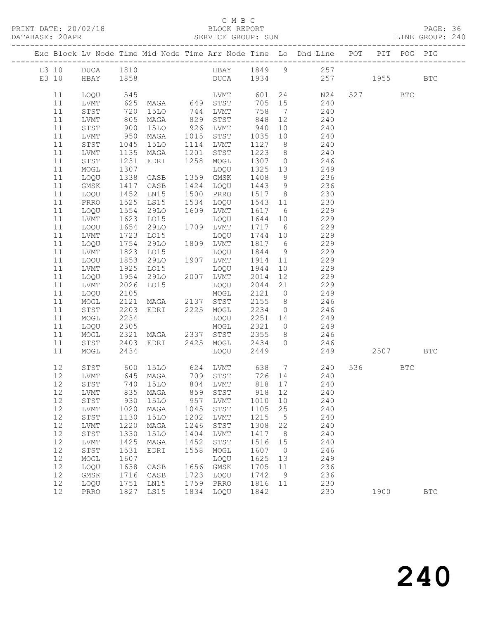## C M B C

| DATABASE: 20APR |    |                 |                                    |                                          |      |                                                               |                          |                |                                                                                                                                       |          |     |              |  |
|-----------------|----|-----------------|------------------------------------|------------------------------------------|------|---------------------------------------------------------------|--------------------------|----------------|---------------------------------------------------------------------------------------------------------------------------------------|----------|-----|--------------|--|
|                 |    |                 |                                    |                                          |      |                                                               |                          |                | Exc Block Lv Node Time Mid Node Time Arr Node Time Lo Dhd Line POT PIT POG PIG                                                        |          |     |              |  |
|                 |    |                 |                                    |                                          |      |                                                               |                          |                | E3 10 DUCA 1810 HBAY 1849 9 257                                                                                                       |          |     |              |  |
|                 |    | E3 10 HBAY 1858 |                                    |                                          |      |                                                               |                          |                | DUCA 1934 257 1955 BTC                                                                                                                |          |     |              |  |
|                 | 11 | LOQU            |                                    |                                          |      |                                                               |                          |                |                                                                                                                                       | 527      | BTC |              |  |
|                 | 11 | LVMT            |                                    |                                          |      |                                                               |                          |                | LVMT 601 24 N24<br>STST 705 15 240                                                                                                    |          |     |              |  |
|                 | 11 | STST            | 720                                |                                          |      | 15LO 744 LVMT                                                 |                          |                | 758 7 240                                                                                                                             |          |     |              |  |
|                 | 11 | LVMT            |                                    | MAGA                                     |      | 829 STST                                                      | 848                      | 12             | 240                                                                                                                                   |          |     |              |  |
|                 | 11 | STST            |                                    | 15LO                                     |      | 926 LVMT                                                      |                          | 10             | 240                                                                                                                                   |          |     |              |  |
|                 | 11 | LVMT            | 805<br>900<br>950                  | MAGA                                     |      | 1015 STST                                                     | $940$<br>1035<br>1035 10 |                | 240                                                                                                                                   |          |     |              |  |
|                 | 11 | STST            | 1045                               | 15LO                                     |      | 1114 LVMT                                                     |                          |                | 1127 8 240                                                                                                                            |          |     |              |  |
|                 | 11 | LVMT            | 1135                               | MAGA                                     | 1201 | STST                                                          | 1223                     |                | 8 240                                                                                                                                 |          |     |              |  |
|                 | 11 | STST            |                                    | EDRI                                     |      | 1258 MOGL                                                     | 1307 0                   |                | 246                                                                                                                                   |          |     |              |  |
|                 | 11 | MOGL            | $\frac{1}{1307}$<br>$\frac{1}{28}$ |                                          |      | LOQU                                                          | $1325$ $13$              |                | 249                                                                                                                                   |          |     |              |  |
|                 | 11 | LOQU            | 1338                               | CASB                                     |      | 1359 GMSK                                                     | 1408                     | 9              | 236                                                                                                                                   |          |     |              |  |
|                 | 11 | GMSK            | 1417                               | CASB                                     |      | 1424 LOQU                                                     | 1443 9                   |                | 236                                                                                                                                   |          |     |              |  |
|                 | 11 | LOQU            |                                    | LN15                                     |      | 1500 PRRO                                                     | 1517 8                   |                | 230                                                                                                                                   |          |     |              |  |
|                 | 11 | PRRO            | 1452<br>1525                       | LS15                                     |      | 1534 LOQU                                                     | 1543 11                  |                | 230                                                                                                                                   |          |     |              |  |
|                 | 11 | LOQU            | 1554                               | 29LO                                     |      | 1609 LVMT                                                     | 1617 6                   |                | 229                                                                                                                                   |          |     |              |  |
|                 | 11 | LVMT            | 1623                               | LO15                                     |      | LOQU                                                          | 1644 10                  |                | 229                                                                                                                                   |          |     |              |  |
|                 | 11 | LOQU            |                                    | 29LO                                     |      | 1709 LVMT                                                     | 1717 6                   |                | 229                                                                                                                                   |          |     |              |  |
|                 | 11 | LVMT            | 1654<br>1723                       | L015                                     |      | LOQU                                                          | 1744 10                  |                | 229                                                                                                                                   |          |     |              |  |
|                 | 11 | LOQU            | 1754                               | 29LO                                     |      | 1809 LVMT                                                     | 1817 6                   |                | 229                                                                                                                                   |          |     |              |  |
|                 | 11 | LVMT            | 1823                               | LO15                                     |      | LOQU                                                          | 1844                     | 9              | 229                                                                                                                                   |          |     |              |  |
|                 | 11 | LOQU            | 1853                               | 29LO                                     |      | 1907 LVMT                                                     | 1914                     | 11             | 229                                                                                                                                   |          |     |              |  |
|                 | 11 | LVMT            | 1925                               | LO15                                     |      | LOQU                                                          | 1944                     | 10             | 229                                                                                                                                   |          |     |              |  |
|                 | 11 | LOQU            | 1954                               | 29LO 2007 LVMT                           |      |                                                               | 2014                     | 12             | 229                                                                                                                                   |          |     |              |  |
|                 | 11 | LVMT            | 2026                               | LO15                                     |      | LOQU                                                          |                          |                | 2044 21 229                                                                                                                           |          |     |              |  |
|                 | 11 | LOQU            | 2105                               | MOGL<br>MAGA 2137 STST<br>EDRI 2225 MOGL |      | MOGL                                                          | 2121 0                   |                | 249                                                                                                                                   |          |     |              |  |
|                 | 11 | MOGL            | 2121                               |                                          |      |                                                               | 2155 8                   |                | 246                                                                                                                                   |          |     |              |  |
|                 | 11 | STST            | 2203                               |                                          |      |                                                               |                          |                | $2234$ 0 246                                                                                                                          |          |     |              |  |
|                 | 11 | MOGL            | 2234                               |                                          |      | LOQU                                                          |                          |                | 2251 14 249                                                                                                                           |          |     |              |  |
|                 | 11 | LOQU            | 2305                               |                                          |      | MOGL 2321 0<br>MAGA 2337 STST 2355 8<br>EDRI 2425 MOGL 2434 0 | 2321 0                   |                | 249                                                                                                                                   |          |     |              |  |
|                 | 11 | MOGL            | 2321<br>2403                       |                                          |      |                                                               |                          |                | $\frac{15}{246}$                                                                                                                      |          |     |              |  |
|                 | 11 | STST            |                                    |                                          |      |                                                               |                          |                | 246                                                                                                                                   |          |     |              |  |
|                 | 11 | MOGL            | 2434                               |                                          |      | LOQU                                                          | 2449                     |                | 249                                                                                                                                   | 2507 BTC |     |              |  |
|                 | 12 | STST            |                                    |                                          |      |                                                               |                          |                | 600 15LO       624   LVMT         638     7               240<br>645   MAGA         709    STST          726    14                240 | 536 7    | BTC |              |  |
|                 | 12 | LVMT            |                                    |                                          |      |                                                               |                          |                |                                                                                                                                       |          |     |              |  |
|                 |    |                 |                                    |                                          |      | 12 STST 740 15LO 804 LVMT 818 17                              |                          |                | 240                                                                                                                                   |          |     |              |  |
|                 | 12 | LVMT            | 835                                | MAGA                                     | 859  | STST                                                          | 918                      | 12             | 240                                                                                                                                   |          |     |              |  |
|                 | 12 | STST            | 930                                | 15LO                                     | 957  | LVMT                                                          | 1010                     | 10             | 240                                                                                                                                   |          |     |              |  |
|                 | 12 | LVMT            | 1020                               | MAGA                                     | 1045 | STST                                                          | 1105                     | 25             | 240                                                                                                                                   |          |     |              |  |
|                 | 12 | STST            | 1130                               | <b>15LO</b>                              | 1202 | LVMT                                                          | 1215                     | $5^{\circ}$    | 240                                                                                                                                   |          |     |              |  |
|                 | 12 | LVMT            | 1220                               | MAGA                                     | 1246 | $_{\footnotesize\rm STST}$                                    | 1308                     | 22             | 240                                                                                                                                   |          |     |              |  |
|                 | 12 | STST            | 1330                               | <b>15LO</b>                              | 1404 | LVMT                                                          | 1417                     | 8              | 240                                                                                                                                   |          |     |              |  |
|                 | 12 | LVMT            | 1425                               | MAGA                                     | 1452 | STST                                                          | 1516                     | 15             | 240                                                                                                                                   |          |     |              |  |
|                 | 12 | STST            | 1531                               | EDRI                                     | 1558 | MOGL                                                          | 1607                     | $\overline{0}$ | 246                                                                                                                                   |          |     |              |  |
|                 | 12 | MOGL            | 1607                               |                                          |      | LOQU                                                          | 1625                     | 13             | 249                                                                                                                                   |          |     |              |  |
|                 | 12 | LOQU            | 1638                               | CASB                                     | 1656 | GMSK                                                          | 1705                     | 11             | 236                                                                                                                                   |          |     |              |  |
|                 | 12 | GMSK            | 1716                               | CASB                                     | 1723 | LOQU                                                          | 1742                     | 9              | 236                                                                                                                                   |          |     |              |  |
|                 | 12 | LOQU            | 1751                               | LN15                                     | 1759 | PRRO                                                          | 1816                     | 11             | 230                                                                                                                                   |          |     |              |  |
|                 | 12 | PRRO            | 1827                               | LS15                                     | 1834 | LOQU                                                          | 1842                     |                | 230                                                                                                                                   | 1900     |     | $_{\rm BTC}$ |  |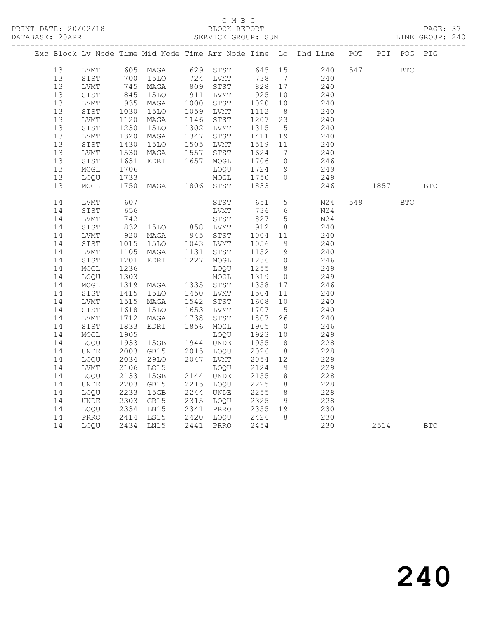## C M B C<br>BLOCK REPORT

PAGE: 37<br>LINE GROUP: 240

|  |    |      |                      |                                  |      |                                                    |                                                       |                 | Exc Block Lv Node Time Mid Node Time Arr Node Time Lo Dhd Line POT PIT POG PIG                                                                                |     |            |            |            |
|--|----|------|----------------------|----------------------------------|------|----------------------------------------------------|-------------------------------------------------------|-----------------|---------------------------------------------------------------------------------------------------------------------------------------------------------------|-----|------------|------------|------------|
|  | 13 | LVMT |                      |                                  |      |                                                    |                                                       |                 | 605 MAGA 629 STST 645 15 240<br>700 15LO 724 LVMT 738 7 240<br>745 MAGA 809 STST 828 17 240<br>845 15LO 911 LVMT 925 10 240<br>935 MAGA 1000 STST 1020 10 240 | 547 | <b>BTC</b> |            |            |
|  | 13 | STST |                      |                                  |      |                                                    |                                                       |                 |                                                                                                                                                               |     |            |            |            |
|  | 13 | LVMT |                      |                                  |      |                                                    |                                                       |                 |                                                                                                                                                               |     |            |            |            |
|  | 13 | STST |                      |                                  |      |                                                    |                                                       |                 |                                                                                                                                                               |     |            |            |            |
|  | 13 | LVMT |                      |                                  |      |                                                    |                                                       |                 |                                                                                                                                                               |     |            |            |            |
|  | 13 | STST | 1030<br>1120         | 15LO                             |      | 1059 LVMT                                          | $\begin{array}{cc} 1112 & 8 \\ 1207 & 23 \end{array}$ |                 | 240                                                                                                                                                           |     |            |            |            |
|  | 13 | LVMT |                      | MAGA                             |      | 1146 STST                                          |                                                       |                 | 240                                                                                                                                                           |     |            |            |            |
|  | 13 | STST | 1230                 | <b>15LO</b>                      |      | 1302 LVMT 1315                                     |                                                       | $5^{\circ}$     | 240                                                                                                                                                           |     |            |            |            |
|  | 13 | LVMT | 1320                 | MAGA                             |      | 1347 STST 1411 19<br>1505 LVMT 1519 11             |                                                       |                 | 240                                                                                                                                                           |     |            |            |            |
|  | 13 | STST | 1430                 | 15LO                             |      |                                                    |                                                       |                 | 240                                                                                                                                                           |     |            |            |            |
|  | 13 | LVMT | 1530                 | MAGA                             | 1557 | STST                                               | 1624<br>1706                                          | $7\overline{ }$ | 240                                                                                                                                                           |     |            |            |            |
|  | 13 | STST | 1631                 | EDRI                             |      | 1657 MOGL                                          |                                                       | $\overline{0}$  | $\frac{246}{}$                                                                                                                                                |     |            |            |            |
|  | 13 | MOGL | 1706                 |                                  |      | LOQU                                               | 1724                                                  | 9               | 249                                                                                                                                                           |     |            |            |            |
|  | 13 | LOQU | 1733                 |                                  |      | $MOGL$ 1750                                        |                                                       | $\overline{0}$  | 249                                                                                                                                                           |     |            |            |            |
|  | 13 | MOGL |                      | 1750 MAGA 1806 STST 1833         |      |                                                    |                                                       |                 | 246                                                                                                                                                           |     | 1857       |            | <b>BTC</b> |
|  | 14 | LVMT | 607                  |                                  |      | STST 651                                           |                                                       | $5\overline{)}$ | N24                                                                                                                                                           |     | 549        | <b>BTC</b> |            |
|  | 14 | STST | 656                  |                                  |      | LVMT 736<br>STST 827                               | 736                                                   | 6               | N24                                                                                                                                                           |     |            |            |            |
|  | 14 | LVMT | 742                  |                                  |      |                                                    |                                                       | $5\overline{)}$ | N24                                                                                                                                                           |     |            |            |            |
|  | 14 | STST | 832                  | 15LO 858 LVMT                    |      |                                                    | 912                                                   | 8               | 240                                                                                                                                                           |     |            |            |            |
|  | 14 | LVMT | 920                  | MAGA                             |      | 945 STST                                           | 1004 11<br>1056 9                                     |                 | 240                                                                                                                                                           |     |            |            |            |
|  | 14 | STST |                      | 1015 15LO 1043 LVMT              |      |                                                    |                                                       |                 | 240                                                                                                                                                           |     |            |            |            |
|  | 14 | LVMT | 1105                 | MAGA 1131 STST<br>EDRI 1227 MOGL |      |                                                    | 1152 9<br>1236 0                                      |                 | 240                                                                                                                                                           |     |            |            |            |
|  | 14 | STST | 1201                 |                                  |      |                                                    |                                                       |                 | 246                                                                                                                                                           |     |            |            |            |
|  | 14 | MOGL | 1236                 |                                  |      | LOQU                                               | 1255                                                  | 8 <sup>8</sup>  | 249                                                                                                                                                           |     |            |            |            |
|  | 14 | LOQU | 1303                 |                                  |      | MOGL                                               | 1319                                                  | $\overline{0}$  | 249                                                                                                                                                           |     |            |            |            |
|  | 14 | MOGL |                      | 1319 MAGA 1335 STST 1358 17      |      |                                                    |                                                       |                 | 246                                                                                                                                                           |     |            |            |            |
|  | 14 | STST | 1415<br>1515         | <b>15LO</b>                      |      | 1450 LVMT 1504<br>1542 STST 1608                   |                                                       | 11              | 240                                                                                                                                                           |     |            |            |            |
|  | 14 | LVMT |                      | MAGA                             |      |                                                    |                                                       | 10              | 240                                                                                                                                                           |     |            |            |            |
|  | 14 | STST | 1618                 | 15LO                             |      | 1653 LVMT<br>1738 STST                             | 1707<br>1807                                          | $5^{\circ}$     | 240                                                                                                                                                           |     |            |            |            |
|  | 14 | LVMT | 1712                 | MAGA                             |      |                                                    | 1807 26                                               |                 | 240                                                                                                                                                           |     |            |            |            |
|  | 14 | STST | 1833                 | EDRI                             |      | 1856 MOGL                                          | 1905                                                  | $\overline{0}$  | 246                                                                                                                                                           |     |            |            |            |
|  | 14 | MOGL | 1905                 |                                  |      | LOQU                                               | 1923 10                                               |                 | 249                                                                                                                                                           |     |            |            |            |
|  | 14 | LOQU | 1933                 | 15GB  1944  UNDE                 |      |                                                    | 1955                                                  | 8 <sup>8</sup>  | 228                                                                                                                                                           |     |            |            |            |
|  | 14 | UNDE | 2003                 | GB15                             |      | 2015 LOQU<br>2047 LVMT                             | 2026 8<br>2054 12                                     |                 | 228                                                                                                                                                           |     |            |            |            |
|  | 14 | LOQU | 2034                 | 29LO                             |      |                                                    |                                                       |                 | 229                                                                                                                                                           |     |            |            |            |
|  | 14 | LVMT | 2106                 | LO15                             |      | LOQU                                               | 2124                                                  | 9               | 229                                                                                                                                                           |     |            |            |            |
|  | 14 | LOQU | 2133                 | 15GB                             |      | 2144 UNDE                                          | 2155                                                  | 8 <sup>8</sup>  | 228                                                                                                                                                           |     |            |            |            |
|  | 14 | UNDE | 2203                 | GB15                             |      | 2215 LOQU                                          | 2225                                                  | 8 <sup>8</sup>  | 228                                                                                                                                                           |     |            |            |            |
|  | 14 | LOQU | 2233<br>2233<br>2303 | 15GB                             |      | 2244   UNDE        2255<br>2315   LOQU        2325 |                                                       | 8 <sup>8</sup>  | 228                                                                                                                                                           |     |            |            |            |
|  | 14 | UNDE |                      | GB15                             |      |                                                    |                                                       | 9               | $\frac{228}{}$                                                                                                                                                |     |            |            |            |
|  | 14 | LOQU |                      | 2334 LN15<br>2414 LS15           |      | 2341 PRRO 2355 19<br>2420 LOQU 2426 8              |                                                       |                 | 230                                                                                                                                                           |     |            |            |            |
|  | 14 | PRRO |                      |                                  |      |                                                    |                                                       |                 | 230                                                                                                                                                           |     |            |            |            |
|  | 14 | LOQU |                      | 2434 LN15                        |      | 2441 PRRO 2454                                     |                                                       |                 | 230                                                                                                                                                           |     | 2514       |            | <b>BTC</b> |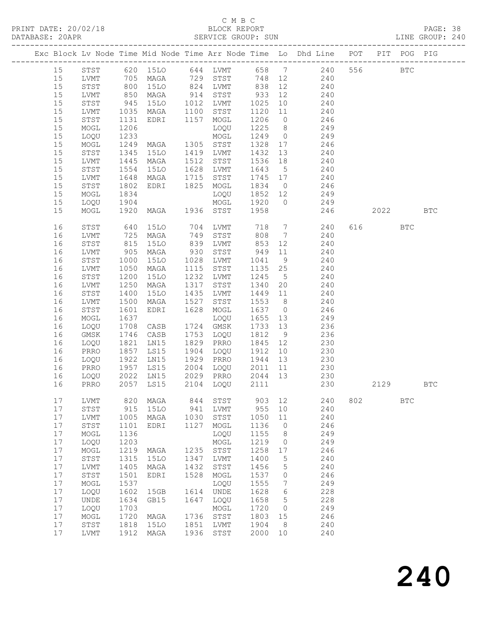## C M B C<br>BLOCK REPORT

| DATABASE: 20APR |          |                                |                   |                                     |      |                        |                 |             |                                                                                    |     |          |              |     |  |
|-----------------|----------|--------------------------------|-------------------|-------------------------------------|------|------------------------|-----------------|-------------|------------------------------------------------------------------------------------|-----|----------|--------------|-----|--|
|                 |          | ------------------------------ |                   |                                     |      |                        |                 |             | Exc Block Lv Node Time Mid Node Time Arr Node Time Lo Dhd Line POT PIT POG PIG     |     |          |              |     |  |
|                 | 15       |                                |                   |                                     |      |                        |                 |             | STST 620 15LO 644 LVMT 658 7 240 556 BTC                                           |     |          |              |     |  |
|                 | 15       |                                |                   |                                     |      |                        |                 |             | LVMT 705 MAGA 729 STST 748 12 240                                                  |     |          |              |     |  |
|                 | 15       | STST                           | 800<br>850<br>945 |                                     |      |                        |                 |             | 15LO 824 LVMT 838 12 240<br>MAGA 914 STST 933 12 240<br>15LO 1012 LVMT 1025 10 240 |     |          |              |     |  |
|                 | 15       | LVMT                           |                   |                                     |      |                        |                 |             |                                                                                    |     |          |              |     |  |
|                 | 15       | STST                           |                   |                                     |      |                        |                 |             |                                                                                    |     |          |              |     |  |
|                 | 15       | LVMT                           | 1035              | MAGA 1100 STST                      |      |                        |                 |             | 1120 11 240                                                                        |     |          |              |     |  |
|                 | 15       | STST                           |                   | EDRI 1157 MOGL                      |      |                        | 1206            |             |                                                                                    |     |          |              |     |  |
|                 | 15       |                                | 1131<br>1206      |                                     |      |                        | 1225 8          |             | $0 \qquad \qquad 246$<br>249                                                       |     |          |              |     |  |
|                 |          | MOGL                           | 1233              | LOQU<br>MOGL<br>MAGA 1305 STST      |      | LOQU                   |                 |             | $1249$ 0 249                                                                       |     |          |              |     |  |
|                 | 15       | LOQU                           |                   |                                     |      |                        |                 |             |                                                                                    |     |          |              |     |  |
|                 | 15       | MOGL                           | 1249              |                                     |      |                        |                 |             | 1328 17 246                                                                        |     |          |              |     |  |
|                 | 15       | STST                           | 1345              | 15LO 1419 LVMT                      |      |                        | 1432            | 13          | 240                                                                                |     |          |              |     |  |
|                 | 15       | LVMT                           | 1445<br>1554      | MAGA                                |      | 1512 STST              |                 |             | $1643$ 5 240                                                                       |     |          |              |     |  |
|                 | 15       | STST                           |                   | 15LO                                |      | 1628 LVMT              |                 |             |                                                                                    |     |          |              |     |  |
|                 | 15       | LVMT                           | 1648              | MAGA                                |      | 1715 STST              |                 |             | 1745 17 240                                                                        |     |          |              |     |  |
|                 | 15       | STST                           | 1802              | EDRI 1825                           |      | MOGL                   |                 |             | 1834 0 246                                                                         |     |          |              |     |  |
|                 | 15       | MOGL                           | 1834<br>1904      |                                     |      | LOQU                   | 1852 12         |             | 249                                                                                |     |          |              |     |  |
|                 | 15       | LOQU                           |                   |                                     |      |                        | 1920 0          |             | 249                                                                                |     |          |              |     |  |
|                 | 15       | MOGL                           |                   |                                     |      |                        |                 |             | 246                                                                                |     | 2022 BTC |              |     |  |
|                 | 16       | STST                           | 640<br>725<br>815 | 15LO                                |      |                        |                 |             |                                                                                    |     | 616 7    | <b>BTC</b>   |     |  |
|                 | 16       | LVMT                           |                   | MAGA                                |      |                        |                 |             |                                                                                    |     |          |              |     |  |
|                 | 16       | STST                           |                   | 15LO                                |      | 839 LVMT               | 853             | 12          | 240                                                                                |     |          |              |     |  |
|                 | 16       | LVMT                           | 905               | MAGA                                |      | 930 STST               | 949             |             | 11 240                                                                             |     |          |              |     |  |
|                 | 16       | STST                           | 1000<br>1050      | <b>15LO</b>                         |      | 1028 LVMT              | 1041 9          |             | 240                                                                                |     |          |              |     |  |
|                 | 16       | LVMT                           |                   | MAGA                                |      | 1115 STST              | 1135 25         |             | 240                                                                                |     |          |              |     |  |
|                 | 16       | STST                           | 1200              | 15LO                                |      | 1232 LVMT              | 1245 5          |             | 240                                                                                |     |          |              |     |  |
|                 | 16       | LVMT                           | 1250              | MAGA                                | 1317 | STST                   | 1340 20         |             | 240                                                                                |     |          |              |     |  |
|                 | 16       | STST                           | 1400              | 15LO                                | 1435 | LVMT                   | 1449            | 11          | 240                                                                                |     |          |              |     |  |
|                 | 16       | LVMT                           | 1500              | MAGA                                | 1527 | STST                   | 1553 8          |             | 240                                                                                |     |          |              |     |  |
|                 | 16       | STST                           | 1601              | EDRI                                |      | 1628 MOGL              | $1637 \qquad 0$ |             | 246                                                                                |     |          |              |     |  |
|                 | 16       | MOGL                           | 1637              |                                     |      | LOQU                   | 1655 13         |             | 249                                                                                |     |          |              |     |  |
|                 | 16       | LOQU                           | 1708              | CASB                                |      | 1724 GMSK              | 1733 13         |             | 236                                                                                |     |          |              |     |  |
|                 | 16       | GMSK                           | 1746              | CASB                                |      | 1753 LOQU              | 1812 9          |             | 236                                                                                |     |          |              |     |  |
|                 | 16       | LOQU                           | 1821              | LN15                                |      | 1829 PRRO              | 1845 12         |             | 230                                                                                |     |          |              |     |  |
|                 | 16       |                                | 1857              | LS15                                |      | 1904 LOQU              | 1912 10         |             | 230                                                                                |     |          |              |     |  |
|                 |          | PRRO                           |                   |                                     |      |                        |                 |             |                                                                                    |     |          |              |     |  |
|                 | 16       | LOQU                           |                   |                                     |      | 1929 PRRO              | 1944 13         |             | 230                                                                                |     |          |              |     |  |
|                 | 16       | PRRO                           |                   | 1922 LN15<br>1957 LS15<br>2022 LN15 |      | 2004 LOQU<br>2029 PRRO |                 |             | $\begin{array}{cccc} 2011 & 11 & & & 230 \\ 2044 & 13 & & & 230 \end{array}$       |     |          |              |     |  |
|                 | 16       | LOQU                           |                   |                                     |      | 2029 PRRO              |                 |             |                                                                                    |     |          |              |     |  |
|                 |          |                                |                   |                                     |      |                        |                 |             | 16 PRRO 2057 LS15 2104 LOQU 2111 230                                               |     | 2129     |              | BTC |  |
|                 | 17<br>17 | LVMT                           | 820<br>915        | MAGA<br><b>15LO</b>                 | 844  | STST                   | 903<br>955      | 12<br>10    | 240<br>240                                                                         | 802 |          | $_{\rm BTC}$ |     |  |
|                 |          | ${\tt STST}$                   |                   |                                     | 941  | LVMT                   |                 |             |                                                                                    |     |          |              |     |  |
|                 | 17       | LVMT                           | 1005              | MAGA                                | 1030 | STST                   | 1050            | 11          | 240                                                                                |     |          |              |     |  |
|                 | 17       | ${\tt STST}$                   | 1101              | EDRI                                | 1127 | MOGL                   | 1136            | $\mathbf 0$ | 246                                                                                |     |          |              |     |  |
|                 | 17       | $\sf{MOGL}$                    | 1136              |                                     |      | LOQU                   | 1155            | 8           | 249                                                                                |     |          |              |     |  |
|                 | 17       | LOQU                           | 1203              |                                     |      | MOGL                   | 1219            | 0           | 249                                                                                |     |          |              |     |  |
|                 | 17       | MOGL                           | 1219              | MAGA                                | 1235 | STST                   | 1258            | 17          | 246                                                                                |     |          |              |     |  |
|                 | 17       | STST                           | 1315              | 15LO                                | 1347 | LVMT                   | 1400            | 5           | 240                                                                                |     |          |              |     |  |
|                 | 17       | ${\rm LVMT}$                   | 1405              | MAGA                                | 1432 | STST                   | 1456            | 5           | 240                                                                                |     |          |              |     |  |
|                 | 17       | STST                           | 1501              | EDRI                                | 1528 | MOGL                   | 1537            | 0           | 246                                                                                |     |          |              |     |  |
|                 | 17       | $\sf{MOGL}$                    | 1537              |                                     |      | LOQU                   | 1555            | 7           | 249                                                                                |     |          |              |     |  |
|                 | 17       | LOQU                           | 1602              | 15GB                                | 1614 | UNDE                   | 1628            | 6           | 228                                                                                |     |          |              |     |  |
|                 | 17       | UNDE                           | 1634              | GB15                                | 1647 | LOQU                   | 1658            | 5           | 228                                                                                |     |          |              |     |  |
|                 | 17       | LOQU                           | 1703              |                                     |      | MOGL                   | 1720            | 0           | 249                                                                                |     |          |              |     |  |
|                 | 17       | MOGL                           | 1720              | MAGA                                | 1736 | STST                   | 1803            | 15          | 246                                                                                |     |          |              |     |  |
|                 | 17       | STST                           | 1818              | 15LO                                | 1851 | LVMT                   | 1904            | 8           | 240                                                                                |     |          |              |     |  |
|                 | 17       | LVMT                           | 1912              | MAGA                                | 1936 | STST                   | 2000            | 10          | 240                                                                                |     |          |              |     |  |
|                 |          |                                |                   |                                     |      |                        |                 |             |                                                                                    |     |          |              |     |  |

240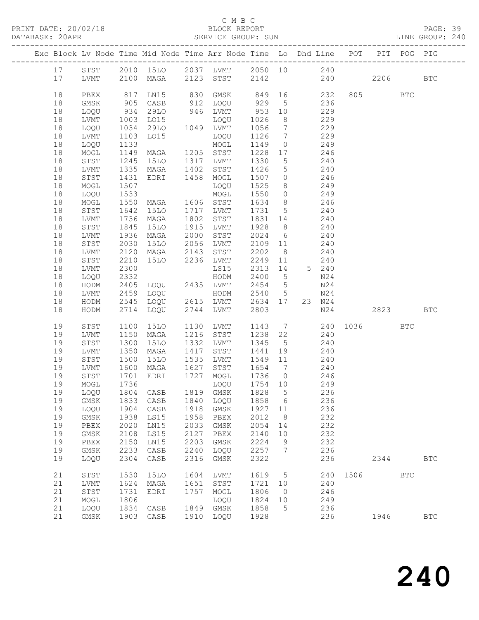## C M B C<br>BLOCK REPORT

PAGE: 39<br>LINE GROUP: 240

|          |                   |              | Exc Block Lv Node Time Mid Node Time Arr Node Time Lo Dhd Line POT PIT POG PIG |              |                        |                 |                              |                 |            |      |          |            |                      |
|----------|-------------------|--------------|--------------------------------------------------------------------------------|--------------|------------------------|-----------------|------------------------------|-----------------|------------|------|----------|------------|----------------------|
| 17       | STST              |              | 2010 15LO 2037 LVMT 2050 10 240                                                |              |                        |                 |                              |                 |            |      |          |            |                      |
| 17       | LVMT              |              | 2100 MAGA 2123 STST                                                            |              |                        | 2142            |                              |                 |            | 240  | 2206     |            | $_{\rm BTC}$         |
|          |                   |              |                                                                                |              |                        |                 |                              |                 |            |      |          |            |                      |
| 18       | PBEX              | 817          | LNI5                                                                           | 830          | GMSK                   | 849 16          |                              |                 | 232        |      | 805      | BTC        |                      |
| 18       | GMSK              | 905          | CASB                                                                           |              | 912 LOQU               | 929             | $5^{\circ}$                  | 236             |            |      |          |            |                      |
| 18       | LOQU              | 934          | 29LO                                                                           |              | 946 LVMT               | 953             | 10                           |                 | 229        |      |          |            |                      |
| 18       | LVMT              | 1003         | L015                                                                           |              | LOQU                   | 1026            | 8                            |                 | 229        |      |          |            |                      |
| 18       | LOQU              | 1034         | 29LO                                                                           |              | 1049 LVMT              | 1056            | $7\phantom{.0}\phantom{.0}7$ |                 | 229        |      |          |            |                      |
| 18       | LVMT              | 1103         | L015                                                                           |              | LOQU                   | 1126            | $\overline{7}$               | 229             |            |      |          |            |                      |
| 18       | LOQU              | 1133         |                                                                                |              | MOGL                   | 1149            | $\overline{0}$               |                 | 249        |      |          |            |                      |
| 18       | MOGL              | 1149<br>1245 | MAGA<br>15LO                                                                   |              | 1205 STST<br>1317 LVMT | 1228 17<br>1330 | $5\overline{)}$              |                 | 246<br>240 |      |          |            |                      |
| 18<br>18 | STST<br>LVMT      | 1335         | MAGA                                                                           | 1402         | STST                   | 1426            | $5\overline{)}$              | 240             |            |      |          |            |                      |
| 18       | STST              | 1431         | EDRI                                                                           | 1458         | MOGL                   | 1507            | $\overline{0}$               | 246             |            |      |          |            |                      |
| 18       | MOGL              | 1507         |                                                                                |              | LOQU                   | 1525            | 8 <sup>8</sup>               |                 | 249        |      |          |            |                      |
| 18       | LOQU              | 1533         |                                                                                |              | MOGL                   | 1550            | $\overline{0}$               |                 | 249        |      |          |            |                      |
| 18       | MOGL              | 1550         | MAGA                                                                           |              | 1606 STST              | 1634            | 8 <sup>8</sup>               | 246             |            |      |          |            |                      |
| 18       | STST              | 1642         | <b>15LO</b>                                                                    | 1717         | LVMT                   | 1731            | $5\overline{)}$              |                 | 240        |      |          |            |                      |
| 18       | LVMT              | 1736         | MAGA                                                                           | 1802         | STST                   | 1831            | 14                           |                 | 240        |      |          |            |                      |
| 18       | STST              | 1845         | 15LO                                                                           | 1915         | LVMT                   | 1928            | 8 <sup>8</sup>               |                 | 240        |      |          |            |                      |
| 18       | LVMT              | 1936         | MAGA                                                                           | 2000         | STST                   | 2024            | $6\overline{6}$              |                 | 240        |      |          |            |                      |
| 18       | STST              | 2030         | 15LO                                                                           | 2056         | LVMT                   | 2109            | 11                           | 240             |            |      |          |            |                      |
| 18       | LVMT              | 2120         | MAGA                                                                           | 2143         | STST                   | 2202            | 8 <sup>8</sup>               |                 | 240        |      |          |            |                      |
| 18       | STST              | 2210         | 15LO                                                                           |              | 2236 LVMT              | 2249            | 11                           |                 | 240        |      |          |            |                      |
| 18       | LVMT              | 2300         |                                                                                |              | LS15                   | 2313            | 14                           |                 | 5 240      |      |          |            |                      |
| 18       | LOQU              | 2332         |                                                                                |              | HODM                   | 2400            | $5^{\circ}$                  |                 | N24        |      |          |            |                      |
| 18       | HODM              | 2405         | LOQU 2435 LVMT                                                                 |              |                        | 2454            | $5\overline{)}$              |                 | N24        |      |          |            |                      |
| 18       | LVMT              | 2459         | LOQU                                                                           |              | HODM                   | 2540            | $5\phantom{.0}$              | 23 N24          | N24        |      |          |            |                      |
| 18<br>18 | HODM<br>HODM      | 2545<br>2714 | LOQU<br>LOQU                                                                   | 2744         | 2615 LVMT<br>LVMT      | 2634 17<br>2803 |                              |                 | N24        |      | 2823     |            | $_{\rm BTC}$         |
|          |                   |              |                                                                                |              |                        |                 |                              |                 |            |      |          |            |                      |
| 19       | STST              | 1100         | 15LO                                                                           |              | 1130 LVMT              | 1143            |                              | $7\overline{ }$ |            |      | 240 1036 | <b>BTC</b> |                      |
| 19       | LVMT              | 1150         | MAGA                                                                           | 1216         | STST                   | 1238            | 22                           |                 | 240        |      |          |            |                      |
| 19       | STST              | 1300         | 15LO                                                                           | 1332         | LVMT                   | 1345            | $5^{\circ}$                  |                 | 240        |      |          |            |                      |
| 19       | LVMT              | 1350         | MAGA                                                                           | 1417         | STST                   | 1441            | 19                           |                 | 240        |      |          |            |                      |
| 19       | STST              | 1500         | 15LO                                                                           | 1535         | LVMT                   | 1549 11         |                              |                 | 240        |      |          |            |                      |
| 19       | LVMT              | 1600         | MAGA                                                                           |              | 1627 STST              | 1654 7          |                              |                 | 240        |      |          |            |                      |
| 19       | STST              | 1701         | EDRI                                                                           |              | 1727 MOGL              | 1736 0          |                              | 246             |            |      |          |            |                      |
| 19       | MOGL              | 1736         |                                                                                |              | LOQU                   | 1754 10         |                              |                 | 249        |      |          |            |                      |
|          | 19 LOQU 1804 CASB |              |                                                                                |              | 1819 GMSK 1828 5       |                 |                              |                 | 236        |      |          |            |                      |
| 19       | GMSK              | 1833         | CASB                                                                           | 1840         | LOQU                   | 1858            | 6                            |                 | 236        |      |          |            |                      |
| 19<br>19 | LOQU<br>GMSK      | 1904<br>1938 | CASB<br>LS15                                                                   | 1918<br>1958 | GMSK<br>PBEX           | 1927<br>2012    | 11<br>8                      |                 | 236<br>232 |      |          |            |                      |
| 19       | ${\tt PBEX}$      | 2020         | LN15                                                                           | 2033         | GMSK                   | 2054            | 14                           |                 | 232        |      |          |            |                      |
| 19       | $\rm{GMSK}$       | 2108         | LS15                                                                           | 2127         | PBEX                   | 2140            | 10                           |                 | 232        |      |          |            |                      |
| 19       | ${\tt PBEX}$      | 2150         | LN15                                                                           | 2203         | <b>GMSK</b>            | 2224            | 9                            |                 | 232        |      |          |            |                      |
| 19       | GMSK              | 2233         | CASB                                                                           | 2240         | LOQU                   | 2257            | 7                            |                 | 236        |      |          |            |                      |
| 19       | LOQU              | 2304         | $\mathtt{CASE}$                                                                | 2316         | GMSK                   | 2322            |                              |                 | 236        |      | 2344     |            | $_{\rm BTC}$         |
|          |                   |              |                                                                                |              |                        |                 |                              |                 |            |      |          |            |                      |
| 21       | ${\tt STST}$      | 1530         | <b>15LO</b>                                                                    | 1604         | LVMT                   | 1619            | 5                            |                 | 240        | 1506 |          | <b>BTC</b> |                      |
| 21       | LVMT              | 1624         | MAGA                                                                           | 1651         | STST                   | 1721            | 10                           |                 | 240        |      |          |            |                      |
| 21       | STST              | 1731         | EDRI                                                                           | 1757         | MOGL                   | 1806            | $\circ$                      |                 | 246        |      |          |            |                      |
| 21       | MOGL              | 1806         |                                                                                |              | LOQU                   | 1824            | 10                           |                 | 249        |      |          |            |                      |
| 21<br>21 | LOQU<br>GMSK      | 1834<br>1903 | CASB<br>CASB                                                                   | 1849<br>1910 | $\rm{GMSK}$<br>LOQU    | 1858<br>1928    | 5                            |                 | 236<br>236 |      | 1946     |            | $\operatorname{BTC}$ |
|          |                   |              |                                                                                |              |                        |                 |                              |                 |            |      |          |            |                      |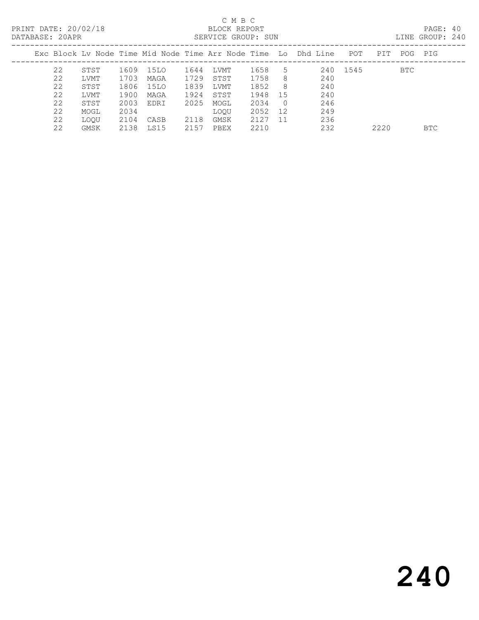PRINT DATE: 20/02/18 BLOCK REPORT<br>
DATABASE: 20APR

## C M B C<br>BLOCK REPORT

PAGE: 40<br>LINE GROUP: 240

| DAIADASE. ZUAIR |    |      |      |      |      | ALLVIUS GRUUP. JUN |      |            |                                                                    |          |      |     | ATNA GUOQI. ZIV |
|-----------------|----|------|------|------|------|--------------------|------|------------|--------------------------------------------------------------------|----------|------|-----|-----------------|
|                 |    |      |      |      |      |                    |      |            | Exc Block Ly Node Time Mid Node Time Arr Node Time Lo Dhd Line POT |          | PIT  |     | POG PIG         |
|                 | 22 | STST | 1609 | 15LO | 1644 | LVMT               | 1658 | .5         |                                                                    | 240 1545 |      | BTC |                 |
|                 | 22 | LVMT | 1703 | MAGA | 1729 | STST               | 1758 | 8          | 240                                                                |          |      |     |                 |
|                 | 22 | STST | 1806 | 15LO | 1839 | LVMT               | 1852 | 8          | 240                                                                |          |      |     |                 |
|                 | 22 | LVMT | 1900 | MAGA | 1924 | STST               | 1948 | 15         | 240                                                                |          |      |     |                 |
|                 | 22 | STST | 2003 | EDRI | 2025 | MOGL               | 2034 | $\bigcirc$ | 246                                                                |          |      |     |                 |
|                 | 22 | MOGL | 2034 |      |      | <b>LOOU</b>        | 2052 | 12         | 249                                                                |          |      |     |                 |
|                 | 22 | LOOU | 2104 | CASB | 2118 | GMSK               | 2127 | 11         | 236                                                                |          |      |     |                 |
|                 | 22 | GMSK | 2138 | LS15 | 2157 | PBEX               | 2210 |            | 232                                                                |          | 2220 |     | BTC             |
|                 |    |      |      |      |      |                    |      |            |                                                                    |          |      |     |                 |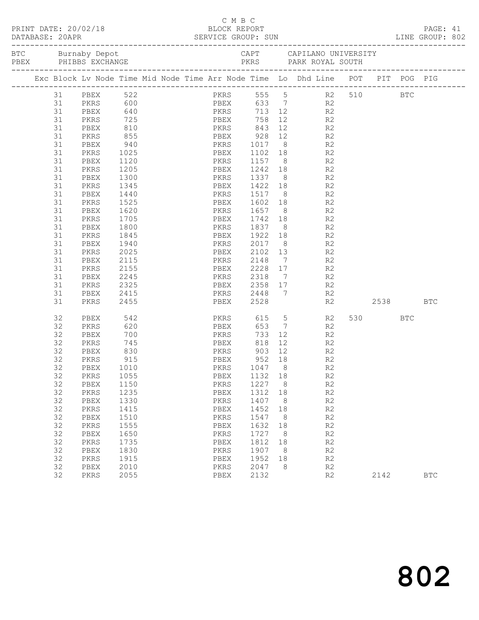|  |          |              |              |                                  |              |              |         | PRINT DATE: 20/02/18 BLOCK REPORT PAGE: 41<br>DATABASE: 20APR SERVICE GROUP: SUN LINE GROUP: 802 |         |            |  |
|--|----------|--------------|--------------|----------------------------------|--------------|--------------|---------|--------------------------------------------------------------------------------------------------|---------|------------|--|
|  |          |              |              |                                  |              |              |         |                                                                                                  |         |            |  |
|  |          |              |              |                                  |              |              |         | Exc Block Lv Node Time Mid Node Time Arr Node Time Lo Dhd Line POT PIT POG PIG                   |         |            |  |
|  |          | 31 PBEX 522  |              |                                  |              |              |         | PKRS 555 5 R2 510 BTC                                                                            |         |            |  |
|  | 31       |              |              | PKRS 600<br>PBEX 640<br>PKRS 725 |              |              |         | PBEX 633 7 R2<br>PKRS 713 12 R2<br>PBEX 758 12 R2                                                |         |            |  |
|  | 31       |              |              |                                  |              |              |         |                                                                                                  |         |            |  |
|  | 31       |              |              |                                  |              |              |         |                                                                                                  |         |            |  |
|  | 31       | PBEX         | 810          |                                  |              |              |         | PKRS 843 12 R2                                                                                   |         |            |  |
|  | 31       | PKRS         | 855          |                                  |              |              |         | PBEX 928 12 R2<br>PKRS 1017 8 R2<br>PBEX 1102 18 R2                                              |         |            |  |
|  | 31       | PBEX         |              | $940$<br>$1025$                  |              |              |         |                                                                                                  |         |            |  |
|  | 31       | PKRS         |              |                                  |              |              |         |                                                                                                  |         |            |  |
|  | 31       | PBEX         | 1120         |                                  |              |              |         | PKRS 1157 8 R2                                                                                   |         |            |  |
|  | 31       | PKRS         | 1205         |                                  |              |              |         | PBEX 1242 18 R2                                                                                  |         |            |  |
|  | 31       | PBEX         | 1300<br>1345 |                                  |              |              |         | PKRS 1337 8 R2<br>PBEX 1422 18 R2                                                                |         |            |  |
|  | 31       | PKRS         |              |                                  |              |              |         |                                                                                                  |         |            |  |
|  | 31       | PBEX         | 1440         |                                  |              |              |         | PKRS 1517 8 R2                                                                                   |         |            |  |
|  | 31       | PKRS         | 1525         |                                  |              |              |         | PBEX 1602 18 R2                                                                                  |         |            |  |
|  | 31       | PBEX<br>PKRS | 1620<br>1705 |                                  |              |              |         | PKRS 1657 8 R2<br>PBEX 1742 18 R2                                                                |         |            |  |
|  | 31<br>31 | PBEX         | 1800         |                                  |              |              |         | PKRS 1837 8 R2                                                                                   |         |            |  |
|  | 31       |              |              |                                  |              |              |         |                                                                                                  |         |            |  |
|  | 31       | PKRS<br>PBEX | 1845         |                                  |              |              |         | PBEX 1922 18 R2                                                                                  |         |            |  |
|  | 31       | PKRS         | 1940<br>2025 |                                  |              |              |         |                                                                                                  |         |            |  |
|  | 31       | PBEX         | 2115         |                                  |              |              |         | PKRS 2017 8 R2<br>PBEX 2102 13 R2<br>PKRS 2148 7 R2                                              |         |            |  |
|  | 31       | PKRS         | 2155         |                                  |              |              |         | PBEX 2228 17 R2                                                                                  |         |            |  |
|  | 31       | PBEX         | 2245         |                                  |              |              |         |                                                                                                  |         |            |  |
|  | 31       | PKRS         | 2325         |                                  |              |              |         | PKRS 2318 7 R2<br>PBEX 2358 17 R2<br>PKRS 2448 7 R2                                              |         |            |  |
|  | 31       | PBEX         | 2415         |                                  |              |              |         |                                                                                                  |         |            |  |
|  | 31       | PKRS 2455    |              |                                  |              |              |         | PBEX 2528 R2 2538 BTC                                                                            |         |            |  |
|  |          |              |              |                                  |              |              |         |                                                                                                  |         |            |  |
|  | 32       | PBEX         | 542          |                                  |              |              |         | PKRS 615 5 R2                                                                                    | 530 BTC |            |  |
|  | 32       | PKRS         | 620          |                                  | PBEX         |              |         | 653 7 R2                                                                                         |         |            |  |
|  | 32       | PBEX         | 700          | <b>EXAMPLE SERVICES</b>          |              | 733          |         | 12 R2                                                                                            |         |            |  |
|  | 32       | PKRS         | 745          |                                  | PBEX 818     |              |         | 12 R2                                                                                            |         |            |  |
|  | 32       |              |              |                                  |              |              |         |                                                                                                  |         |            |  |
|  | 32       |              |              |                                  |              |              |         | PKRS 1047 8 R2                                                                                   |         |            |  |
|  | 32       | PBEX         | 1010<br>1055 |                                  |              | 1132 18      |         |                                                                                                  |         |            |  |
|  | 32<br>32 | PKRS         |              |                                  | PBEX         | 1227         |         | R2<br>R2                                                                                         |         |            |  |
|  | 32       | PBEX         | 1150         |                                  | PKRS         | 1312         | 8       |                                                                                                  |         |            |  |
|  | 32       | PKRS         | 1235         |                                  | PBEX         |              | 18      | $\mathbb{R}2$                                                                                    |         |            |  |
|  |          | PBEX<br>PKRS | 1330<br>1415 |                                  | PKRS         | 1407<br>1452 | 8<br>18 | R2                                                                                               |         |            |  |
|  | 32<br>32 |              |              |                                  | PBEX         |              |         | R2<br>R2                                                                                         |         |            |  |
|  | 32       | PBEX<br>PKRS | 1510<br>1555 |                                  | PKRS         | 1547<br>1632 | 8<br>18 | R2                                                                                               |         |            |  |
|  | 32       | PBEX         | 1650         |                                  | PBEX<br>PKRS | 1727         | 8       | R2                                                                                               |         |            |  |
|  | 32       |              | 1735         |                                  |              | 1812         | 18      | R2                                                                                               |         |            |  |
|  | 32       | PKRS<br>PBEX | 1830         |                                  | PBEX<br>PKRS | 1907         | 8       | R2                                                                                               |         |            |  |
|  | 32       | PKRS         | 1915         |                                  | PBEX         | 1952         | 18      | R2                                                                                               |         |            |  |
|  | 32       | PBEX         | 2010         |                                  | PKRS         | 2047         | 8       | R2                                                                                               |         |            |  |
|  | 32       | PKRS         | 2055         |                                  | ${\tt PBEX}$ | 2132         |         | R2                                                                                               | 2142    | <b>BTC</b> |  |
|  |          |              |              |                                  |              |              |         |                                                                                                  |         |            |  |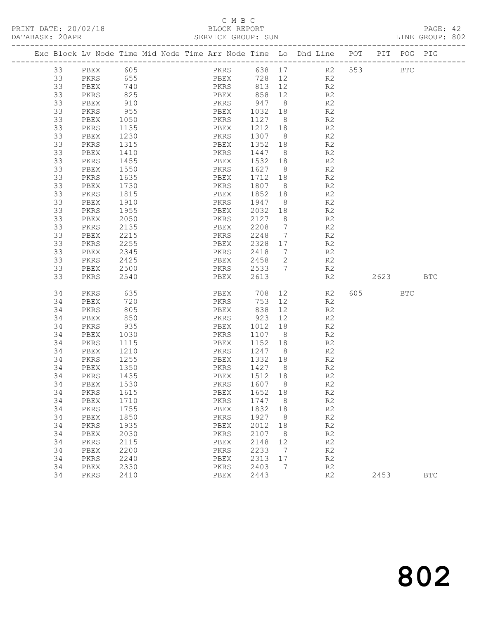## C M B C<br>BLOCK REPORT

PAGE: 42<br>LINE GROUP: 802

|    |      |            |  |      |      |                            |                | Exc Block Lv Node Time Mid Node Time Arr Node Time Lo Dhd Line POT PIT POG PIG |    |           |            |            |
|----|------|------------|--|------|------|----------------------------|----------------|--------------------------------------------------------------------------------|----|-----------|------------|------------|
| 33 | PBEX | 605        |  |      | PKRS |                            |                | 638 17 R2 553                                                                  |    |           | <b>BTC</b> |            |
| 33 | PKRS | 655        |  |      |      |                            |                | PBEX 728 12 R2                                                                 |    |           |            |            |
| 33 | PBEX |            |  |      |      | 813 12                     |                | R2                                                                             |    |           |            |            |
| 33 | PKRS | 740<br>825 |  |      |      | PKRS 813 12<br>PBEX 858 12 |                | R2                                                                             |    |           |            |            |
| 33 | PBEX | 910        |  |      |      | PKRS 947                   | 8 <sup>8</sup> | R2                                                                             |    |           |            |            |
| 33 | PKRS | 955        |  | PBEX |      | 1032                       | 18             | R <sub>2</sub>                                                                 |    |           |            |            |
| 33 | PBEX | 1050       |  | PKRS |      | 1127                       | 8 <sup>8</sup> | R <sub>2</sub>                                                                 |    |           |            |            |
| 33 | PKRS | 1135       |  | PBEX |      | 1212                       | 18             | R <sub>2</sub>                                                                 |    |           |            |            |
| 33 | PBEX | 1230       |  | PKRS |      | 1307                       | 8 <sup>8</sup> | R <sub>2</sub>                                                                 |    |           |            |            |
| 33 | PKRS | 1315       |  | PBEX |      | 1352                       | 18             | R <sub>2</sub>                                                                 |    |           |            |            |
| 33 | PBEX | 1410       |  | PKRS |      | 1447                       | 8 <sup>8</sup> | R <sub>2</sub>                                                                 |    |           |            |            |
| 33 | PKRS | 1455       |  | PBEX |      | 1532                       | 18             | R <sub>2</sub>                                                                 |    |           |            |            |
| 33 | PBEX | 1550       |  | PKRS |      | 1627                       | 8 <sup>8</sup> | R <sub>2</sub>                                                                 |    |           |            |            |
| 33 | PKRS | 1635       |  | PBEX |      | 1712                       | 18             | R2                                                                             |    |           |            |            |
| 33 | PBEX | 1730       |  | PKRS |      | 1807                       | 8 <sup>8</sup> | R <sub>2</sub>                                                                 |    |           |            |            |
| 33 | PKRS | 1815       |  | PBEX |      | 1852                       | 18             | R <sub>2</sub>                                                                 |    |           |            |            |
| 33 | PBEX | 1910       |  | PKRS |      | 1947                       | 8 <sup>8</sup> | R <sub>2</sub>                                                                 |    |           |            |            |
| 33 | PKRS | 1955       |  | PBEX |      | 2032                       | 18             | R <sub>2</sub>                                                                 |    |           |            |            |
| 33 | PBEX | 2050       |  | PKRS |      | 2127                       | 8 <sup>8</sup> | R <sub>2</sub>                                                                 |    |           |            |            |
| 33 | PKRS | 2135       |  | PBEX |      | 2208                       | $\overline{7}$ | R <sub>2</sub>                                                                 |    |           |            |            |
| 33 | PBEX | 2215       |  | PKRS |      | 2248                       | $\overline{7}$ | R <sub>2</sub>                                                                 |    |           |            |            |
| 33 | PKRS | 2255       |  | PBEX |      | 2328                       | 17             | R2                                                                             |    |           |            |            |
| 33 | PBEX | 2345       |  | PKRS |      | 2418                       | $\overline{7}$ | R <sub>2</sub>                                                                 |    |           |            |            |
| 33 | PKRS | 2425       |  | PBEX |      | 2458                       | 2              | R2                                                                             |    |           |            |            |
| 33 | PBEX | 2500       |  | PKRS |      | 2533                       | 7              | R2                                                                             |    |           |            |            |
| 33 | PKRS | 2540       |  | PBEX |      | 2613                       |                | R2                                                                             |    | 2623      |            | <b>BTC</b> |
|    |      |            |  |      |      |                            |                |                                                                                |    |           |            |            |
| 34 | PKRS | 635        |  | PBEX |      | 708                        | 12             |                                                                                | R2 | 605 — 100 | BTC        |            |
| 34 | PBEX | 720        |  | PKRS |      | 753                        | 12             | R2                                                                             |    |           |            |            |
| 34 | PKRS | 805        |  | PBEX |      | 838                        | 12             | R2                                                                             |    |           |            |            |
| 34 | PBEX | 850        |  | PKRS |      | 923                        | 12             | R2                                                                             |    |           |            |            |
| 34 | PKRS | 935        |  | PBEX |      | 1012                       | 18             | R2                                                                             |    |           |            |            |
| 34 | PBEX | 1030       |  | PKRS |      | 1107                       | 8 <sup>8</sup> | R <sub>2</sub>                                                                 |    |           |            |            |
| 34 | PKRS | 1115       |  | PBEX |      | 1152                       | 18             | R <sub>2</sub>                                                                 |    |           |            |            |
| 34 | PBEX | 1210       |  | PKRS |      | 1247                       | 8 <sup>8</sup> | R <sub>2</sub>                                                                 |    |           |            |            |
| 34 | PKRS | 1255       |  | PBEX |      | 1332                       | 18             | R2                                                                             |    |           |            |            |
| 34 | PBEX | 1350       |  | PKRS |      | 1427 8                     |                | R2                                                                             |    |           |            |            |
| 34 | PKRS | 1435       |  | PBEX |      | 1512 18                    |                | R <sub>2</sub>                                                                 |    |           |            |            |
| 34 | PBEX | 1530       |  | PKRS |      | 1607                       | 8 <sup>8</sup> | R2                                                                             |    |           |            |            |
| 34 | PKRS | 1615       |  | PBEX |      | 1652 18                    |                | R2                                                                             |    |           |            |            |
| 34 | PBEX | 1710       |  | PKRS |      | 1747                       | 8              | R2                                                                             |    |           |            |            |
| 34 | PKRS | 1755       |  | PBEX |      | 1832                       | 18             | R2                                                                             |    |           |            |            |
| 34 | PBEX | 1850       |  | PKRS |      | 1927                       | 8              | R2                                                                             |    |           |            |            |
| 34 | PKRS | 1935       |  | PBEX |      | 2012                       | 18             | R2                                                                             |    |           |            |            |
| 34 | PBEX | 2030       |  | PKRS |      | 2107                       | 8              | R2                                                                             |    |           |            |            |
| 34 | PKRS | 2115       |  | PBEX |      | 2148                       | 12             | R2                                                                             |    |           |            |            |
| 34 | PBEX | 2200       |  | PKRS |      | 2233                       | 7              | R2                                                                             |    |           |            |            |
| 34 | PKRS | 2240       |  | PBEX |      | 2313                       | 17             | R2                                                                             |    |           |            |            |
| 34 | PBEX | 2330       |  | PKRS |      | 2403                       | 7              | R2                                                                             |    |           |            |            |
| 34 | PKRS | 2410       |  | PBEX |      | 2443                       |                | R2                                                                             |    | 2453      |            | <b>BTC</b> |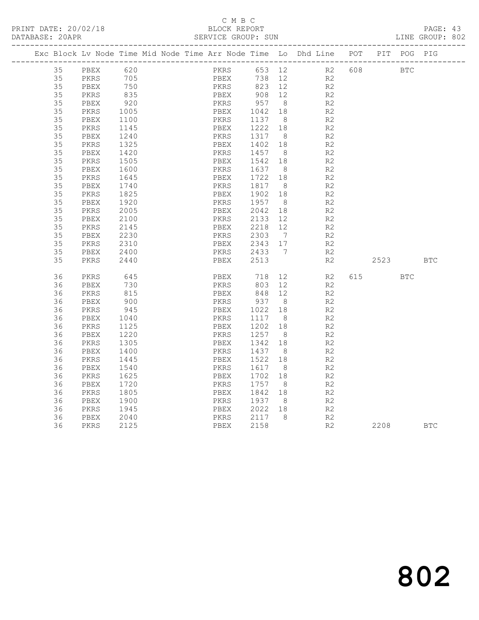## C M B C<br>BLOCK REPORT

PAGE: 43<br>LINE GROUP: 802

|  |          |              |              | Exc Block Lv Node Time Mid Node Time Arr Node Time Lo Dhd Line POT |              |      |                 |                |                                  |     |           | PIT POG PIG |            |
|--|----------|--------------|--------------|--------------------------------------------------------------------|--------------|------|-----------------|----------------|----------------------------------|-----|-----------|-------------|------------|
|  | 35       | PBEX         | 620          |                                                                    |              | PKRS | 653 12          |                | R2                               | 608 |           | <b>BTC</b>  |            |
|  | 35       | PKRS         | 705          |                                                                    |              | PBEX | 738             | 12             | R2                               |     |           |             |            |
|  | 35       | PBEX         | 750          |                                                                    | PKRS         |      | 823 12          |                | R2                               |     |           |             |            |
|  | 35       | PKRS         | 835          |                                                                    | PBEX         |      | 908             | 12             | R2                               |     |           |             |            |
|  | 35       | PBEX         | 920          |                                                                    | PKRS         |      | 957             | 8 <sup>8</sup> | R2                               |     |           |             |            |
|  | 35       | PKRS         | 1005         |                                                                    | PBEX         |      | 1042            | 18             | R <sub>2</sub>                   |     |           |             |            |
|  | 35       | PBEX         | 1100         |                                                                    | PKRS         |      | 1137            | 8 <sup>8</sup> | R <sub>2</sub>                   |     |           |             |            |
|  | 35       | PKRS         | 1145         |                                                                    | PBEX         |      | 1222            | 18             | R2                               |     |           |             |            |
|  | 35       | PBEX         | 1240         |                                                                    | PKRS         |      | 1317            | 8 <sup>8</sup> | R2                               |     |           |             |            |
|  | 35       | PKRS         | 1325         |                                                                    | PBEX         |      | 1402            | 18             | R2                               |     |           |             |            |
|  | 35       | PBEX         | 1420         |                                                                    | PKRS         |      | 1457            | - 8            | R <sub>2</sub>                   |     |           |             |            |
|  | 35       | PKRS         | 1505         |                                                                    | PBEX         |      | 1542            | 18             | R <sub>2</sub>                   |     |           |             |            |
|  | 35       | PBEX         | 1600         |                                                                    | PKRS         |      | 1637            | 8 <sup>8</sup> | R <sub>2</sub>                   |     |           |             |            |
|  | 35       | PKRS         | 1645         |                                                                    | PBEX         |      | 1722            | 18             | R <sub>2</sub>                   |     |           |             |            |
|  | 35       | PBEX         | 1740         |                                                                    | PKRS         |      | 1817 8          |                | R2                               |     |           |             |            |
|  | 35       | PKRS         | 1825         |                                                                    | PBEX         |      | 1902            | 18             | R2                               |     |           |             |            |
|  | 35       | PBEX         | 1920         |                                                                    | PKRS         |      | 1957            | 8 <sup>8</sup> | R2                               |     |           |             |            |
|  | 35<br>35 | PKRS         | 2005         |                                                                    | PBEX         |      | 2042            | 18             | R <sub>2</sub>                   |     |           |             |            |
|  | 35       | PBEX         | 2100         |                                                                    | PKRS         |      | 2133<br>2218    | 12<br>12       | R <sub>2</sub>                   |     |           |             |            |
|  | 35       | PKRS         | 2145<br>2230 |                                                                    | PBEX<br>PKRS |      | 2303            | $\overline{7}$ | R <sub>2</sub><br>R <sub>2</sub> |     |           |             |            |
|  | 35       | PBEX<br>PKRS | 2310         |                                                                    | PBEX         |      | 2343 17         |                | R2                               |     |           |             |            |
|  | 35       | PBEX         | 2400         |                                                                    | PKRS         |      | 2433            | $\overline{7}$ | R2                               |     |           |             |            |
|  | 35       | PKRS         | 2440         |                                                                    | PBEX         |      | 2513            |                | R2                               |     | 2523      |             | <b>BTC</b> |
|  |          |              |              |                                                                    |              |      |                 |                |                                  |     |           |             |            |
|  | 36       | PKRS         | 645          |                                                                    | PBEX         |      | 718             | 12             | R2                               |     | 615 — 100 | <b>BTC</b>  |            |
|  | 36       | PBEX         | 730          |                                                                    | PKRS         |      | 803             | 12             | R2                               |     |           |             |            |
|  | 36       | PKRS         | 815          |                                                                    | PBEX         |      | 848             | 12             | R2                               |     |           |             |            |
|  | 36       | PBEX         | 900          |                                                                    | PKRS         |      | 937             | 8              | R2                               |     |           |             |            |
|  | 36       | PKRS         | 945          |                                                                    | PBEX         |      | 1022            | 18             | R2                               |     |           |             |            |
|  | 36       | PBEX         | 1040         |                                                                    | PKRS         |      | 1117            | 8 <sup>8</sup> | R <sub>2</sub>                   |     |           |             |            |
|  | 36       | PKRS         | 1125         |                                                                    | PBEX         |      | 1202            | 18             | R <sub>2</sub>                   |     |           |             |            |
|  | 36       | PBEX         | 1220         |                                                                    | PKRS         |      | 1257            | 8              | R <sub>2</sub>                   |     |           |             |            |
|  | 36       | PKRS         | 1305         |                                                                    | PBEX         |      | 1342            | 18             | R2                               |     |           |             |            |
|  | 36       | PBEX         | 1400         |                                                                    | PKRS         |      | 1437            | 8              | R <sub>2</sub>                   |     |           |             |            |
|  | 36       | PKRS         | 1445         |                                                                    | PBEX         |      | 1522            | 18             | R2                               |     |           |             |            |
|  | 36       | PBEX         | 1540         |                                                                    | PKRS         |      | 1617            | - 8            | R <sub>2</sub>                   |     |           |             |            |
|  | 36       | PKRS         | 1625         |                                                                    | PBEX         |      | 1702            | 18             | R <sub>2</sub>                   |     |           |             |            |
|  | 36       | PBEX         | 1720         |                                                                    | PKRS         |      | 1757 8          |                | R2                               |     |           |             |            |
|  | 36       | PKRS         | 1805         |                                                                    | PBEX         |      | 1842            | 18             | R <sub>2</sub>                   |     |           |             |            |
|  | 36<br>36 | PBEX         | 1900         |                                                                    | PKRS         |      | 1937<br>2022 18 | 8 <sup>8</sup> | R <sub>2</sub>                   |     |           |             |            |
|  | 36       | PKRS         | 1945<br>2040 |                                                                    | PBEX<br>PKRS |      | 2117            | 8 <sup>8</sup> | R2<br>R2                         |     |           |             |            |
|  | 36       | PBEX<br>PKRS | 2125         |                                                                    | PBEX         |      | 2158            |                | R2                               |     | 2208      |             | <b>BTC</b> |
|  |          |              |              |                                                                    |              |      |                 |                |                                  |     |           |             |            |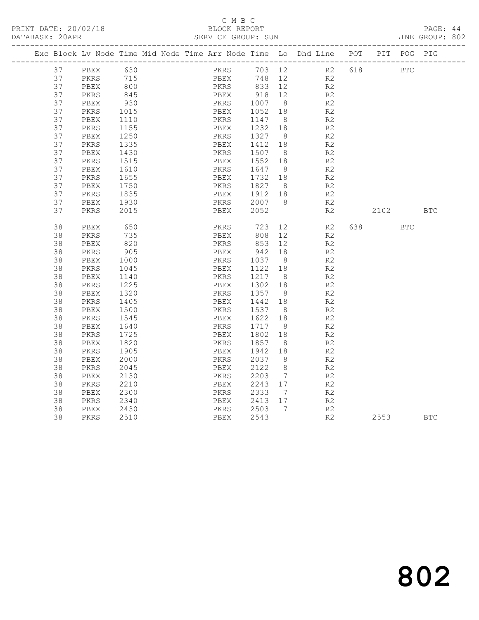## C M B C<br>BLOCK REPORT

PAGE: 44<br>LINE GROUP: 802

| PKRS<br>37<br>630<br>703 12<br>R2<br><b>BTC</b><br>PBEX<br>618<br>37<br>715<br>PBEX<br>748 12<br>R2<br>PKRS<br>37<br>800<br>PKRS<br>833 12<br>R2<br>PBEX<br>918<br>845<br>37<br>PKRS<br>PBEX<br>12<br>R2<br>37<br>930<br>PKRS<br>1007<br>1052<br>8 <sup>8</sup><br>R2<br>PBEX<br>37<br>PKRS<br>1015<br>PBEX<br>18<br>R2<br>37<br>1110<br>PKRS<br>1147<br>R2<br>PBEX<br>8 <sup>8</sup><br>37<br>1232<br>R2<br>PKRS<br>1155<br>PBEX<br>18<br>1327<br>37<br>1250<br>PKRS<br>8 <sup>8</sup><br>R2<br>PBEX<br>37<br>1412<br>PKRS<br>1335<br>PBEX<br>18<br>R2<br>37<br>1507<br>R2<br>PBEX<br>1430<br>PKRS<br>8 <sup>8</sup><br>37<br>PKRS<br>1515<br>PBEX<br>1552<br>18<br>R2<br>37<br>1647<br>R <sub>2</sub><br>PBEX<br>1610<br>PKRS<br>8 <sup>8</sup><br>1732<br>37<br>1655<br>R2<br>PKRS<br>PBEX<br>18<br>37<br>1827 8<br>1912 18<br>PBEX<br>1750<br>PKRS<br>R2<br>37<br>PKRS<br>1835<br>PBEX<br>R2<br>2007<br>37<br>1930<br>R2<br>PBEX<br>PKRS<br>8<br>2052<br>37<br>2015<br>R2<br>PKRS<br>PBEX<br>2102<br><b>BTC</b><br>38<br>650<br>723<br>638 — 100<br>PBEX<br>PKRS<br>12<br>R2<br><b>BTC</b><br>38<br>735<br>808<br>12<br>R2<br>PKRS<br>PBEX<br>820<br>853<br>38<br>PBEX<br>PKRS<br>12<br>R2<br>38<br>PKRS<br>905<br>PBEX<br>942<br>18<br>R <sub>2</sub><br>1037<br>38<br>8<br>R <sub>2</sub><br>PBEX<br>1000<br>PKRS<br>38<br>1122<br>R2<br>PKRS<br>1045<br>PBEX<br>18<br>38<br>PBEX<br>1140<br>PKRS<br>1217<br>8 <sup>8</sup><br>R2<br>38<br>1225<br>1302<br>R2<br>PKRS<br>PBEX<br>18<br>38<br>1320<br>1357<br>PBEX<br>PKRS<br>8 <sup>8</sup><br>R2<br>38<br>1405<br>1442<br>R2<br>PKRS<br>PBEX<br>18<br>38<br>1500<br>PKRS<br>1537<br>8 <sup>8</sup><br>R2<br>PBEX<br>38<br>1622<br>R <sub>2</sub><br>PKRS<br>1545<br>PBEX<br>18<br>38<br>1717<br>PBEX<br>1640<br>PKRS<br>8 <sup>8</sup><br>R2<br>38<br>1802<br>PKRS<br>1725<br>PBEX<br>18<br>R2<br>1857<br>38<br>1820<br>PKRS<br>8<br>R <sub>2</sub><br>PBEX<br>38<br>PKRS<br>1905<br>PBEX<br>1942<br>18<br>R2<br>38<br>2000<br>PKRS<br>2037<br>8<br>R2<br>PBEX<br>38<br>2045<br>2122<br>8<br>R <sub>2</sub><br>PKRS<br>PBEX<br>38<br>2130<br>PKRS<br>2203<br>$\overline{7}$<br>R2<br>PBEX<br>38<br>2210<br>2243<br>17<br>R2<br>PKRS<br>PBEX<br>38<br>PBEX<br>2300<br>PKRS<br>2333<br>R <sub>2</sub><br>$\overline{7}$<br>38<br>2340<br>PBEX<br>2413<br>R2<br>PKRS<br>17<br>2503<br>38<br>PBEX<br>2430<br>PKRS<br>$7\phantom{0}$<br>R2<br>2543<br>38<br>2510<br>PBEX<br>R2<br>2553<br>PKRS<br><b>BTC</b> |  | Exc Block Lv Node Time Mid Node Time Arr Node Time Lo Dhd Line POT |  |  |  |  |  | PIT POG PIG |  |
|----------------------------------------------------------------------------------------------------------------------------------------------------------------------------------------------------------------------------------------------------------------------------------------------------------------------------------------------------------------------------------------------------------------------------------------------------------------------------------------------------------------------------------------------------------------------------------------------------------------------------------------------------------------------------------------------------------------------------------------------------------------------------------------------------------------------------------------------------------------------------------------------------------------------------------------------------------------------------------------------------------------------------------------------------------------------------------------------------------------------------------------------------------------------------------------------------------------------------------------------------------------------------------------------------------------------------------------------------------------------------------------------------------------------------------------------------------------------------------------------------------------------------------------------------------------------------------------------------------------------------------------------------------------------------------------------------------------------------------------------------------------------------------------------------------------------------------------------------------------------------------------------------------------------------------------------------------------------------------------------------------------------------------------------------------------------------------------------------------------------------------------------------------------------------------------------------------------------------------------------------------------------------------------------------------------------------------------------------------------------------------------------------------------------------------------------------------------|--|--------------------------------------------------------------------|--|--|--|--|--|-------------|--|
|                                                                                                                                                                                                                                                                                                                                                                                                                                                                                                                                                                                                                                                                                                                                                                                                                                                                                                                                                                                                                                                                                                                                                                                                                                                                                                                                                                                                                                                                                                                                                                                                                                                                                                                                                                                                                                                                                                                                                                                                                                                                                                                                                                                                                                                                                                                                                                                                                                                                |  |                                                                    |  |  |  |  |  |             |  |
|                                                                                                                                                                                                                                                                                                                                                                                                                                                                                                                                                                                                                                                                                                                                                                                                                                                                                                                                                                                                                                                                                                                                                                                                                                                                                                                                                                                                                                                                                                                                                                                                                                                                                                                                                                                                                                                                                                                                                                                                                                                                                                                                                                                                                                                                                                                                                                                                                                                                |  |                                                                    |  |  |  |  |  |             |  |
|                                                                                                                                                                                                                                                                                                                                                                                                                                                                                                                                                                                                                                                                                                                                                                                                                                                                                                                                                                                                                                                                                                                                                                                                                                                                                                                                                                                                                                                                                                                                                                                                                                                                                                                                                                                                                                                                                                                                                                                                                                                                                                                                                                                                                                                                                                                                                                                                                                                                |  |                                                                    |  |  |  |  |  |             |  |
|                                                                                                                                                                                                                                                                                                                                                                                                                                                                                                                                                                                                                                                                                                                                                                                                                                                                                                                                                                                                                                                                                                                                                                                                                                                                                                                                                                                                                                                                                                                                                                                                                                                                                                                                                                                                                                                                                                                                                                                                                                                                                                                                                                                                                                                                                                                                                                                                                                                                |  |                                                                    |  |  |  |  |  |             |  |
|                                                                                                                                                                                                                                                                                                                                                                                                                                                                                                                                                                                                                                                                                                                                                                                                                                                                                                                                                                                                                                                                                                                                                                                                                                                                                                                                                                                                                                                                                                                                                                                                                                                                                                                                                                                                                                                                                                                                                                                                                                                                                                                                                                                                                                                                                                                                                                                                                                                                |  |                                                                    |  |  |  |  |  |             |  |
|                                                                                                                                                                                                                                                                                                                                                                                                                                                                                                                                                                                                                                                                                                                                                                                                                                                                                                                                                                                                                                                                                                                                                                                                                                                                                                                                                                                                                                                                                                                                                                                                                                                                                                                                                                                                                                                                                                                                                                                                                                                                                                                                                                                                                                                                                                                                                                                                                                                                |  |                                                                    |  |  |  |  |  |             |  |
|                                                                                                                                                                                                                                                                                                                                                                                                                                                                                                                                                                                                                                                                                                                                                                                                                                                                                                                                                                                                                                                                                                                                                                                                                                                                                                                                                                                                                                                                                                                                                                                                                                                                                                                                                                                                                                                                                                                                                                                                                                                                                                                                                                                                                                                                                                                                                                                                                                                                |  |                                                                    |  |  |  |  |  |             |  |
|                                                                                                                                                                                                                                                                                                                                                                                                                                                                                                                                                                                                                                                                                                                                                                                                                                                                                                                                                                                                                                                                                                                                                                                                                                                                                                                                                                                                                                                                                                                                                                                                                                                                                                                                                                                                                                                                                                                                                                                                                                                                                                                                                                                                                                                                                                                                                                                                                                                                |  |                                                                    |  |  |  |  |  |             |  |
|                                                                                                                                                                                                                                                                                                                                                                                                                                                                                                                                                                                                                                                                                                                                                                                                                                                                                                                                                                                                                                                                                                                                                                                                                                                                                                                                                                                                                                                                                                                                                                                                                                                                                                                                                                                                                                                                                                                                                                                                                                                                                                                                                                                                                                                                                                                                                                                                                                                                |  |                                                                    |  |  |  |  |  |             |  |
|                                                                                                                                                                                                                                                                                                                                                                                                                                                                                                                                                                                                                                                                                                                                                                                                                                                                                                                                                                                                                                                                                                                                                                                                                                                                                                                                                                                                                                                                                                                                                                                                                                                                                                                                                                                                                                                                                                                                                                                                                                                                                                                                                                                                                                                                                                                                                                                                                                                                |  |                                                                    |  |  |  |  |  |             |  |
|                                                                                                                                                                                                                                                                                                                                                                                                                                                                                                                                                                                                                                                                                                                                                                                                                                                                                                                                                                                                                                                                                                                                                                                                                                                                                                                                                                                                                                                                                                                                                                                                                                                                                                                                                                                                                                                                                                                                                                                                                                                                                                                                                                                                                                                                                                                                                                                                                                                                |  |                                                                    |  |  |  |  |  |             |  |
|                                                                                                                                                                                                                                                                                                                                                                                                                                                                                                                                                                                                                                                                                                                                                                                                                                                                                                                                                                                                                                                                                                                                                                                                                                                                                                                                                                                                                                                                                                                                                                                                                                                                                                                                                                                                                                                                                                                                                                                                                                                                                                                                                                                                                                                                                                                                                                                                                                                                |  |                                                                    |  |  |  |  |  |             |  |
|                                                                                                                                                                                                                                                                                                                                                                                                                                                                                                                                                                                                                                                                                                                                                                                                                                                                                                                                                                                                                                                                                                                                                                                                                                                                                                                                                                                                                                                                                                                                                                                                                                                                                                                                                                                                                                                                                                                                                                                                                                                                                                                                                                                                                                                                                                                                                                                                                                                                |  |                                                                    |  |  |  |  |  |             |  |
|                                                                                                                                                                                                                                                                                                                                                                                                                                                                                                                                                                                                                                                                                                                                                                                                                                                                                                                                                                                                                                                                                                                                                                                                                                                                                                                                                                                                                                                                                                                                                                                                                                                                                                                                                                                                                                                                                                                                                                                                                                                                                                                                                                                                                                                                                                                                                                                                                                                                |  |                                                                    |  |  |  |  |  |             |  |
|                                                                                                                                                                                                                                                                                                                                                                                                                                                                                                                                                                                                                                                                                                                                                                                                                                                                                                                                                                                                                                                                                                                                                                                                                                                                                                                                                                                                                                                                                                                                                                                                                                                                                                                                                                                                                                                                                                                                                                                                                                                                                                                                                                                                                                                                                                                                                                                                                                                                |  |                                                                    |  |  |  |  |  |             |  |
|                                                                                                                                                                                                                                                                                                                                                                                                                                                                                                                                                                                                                                                                                                                                                                                                                                                                                                                                                                                                                                                                                                                                                                                                                                                                                                                                                                                                                                                                                                                                                                                                                                                                                                                                                                                                                                                                                                                                                                                                                                                                                                                                                                                                                                                                                                                                                                                                                                                                |  |                                                                    |  |  |  |  |  |             |  |
|                                                                                                                                                                                                                                                                                                                                                                                                                                                                                                                                                                                                                                                                                                                                                                                                                                                                                                                                                                                                                                                                                                                                                                                                                                                                                                                                                                                                                                                                                                                                                                                                                                                                                                                                                                                                                                                                                                                                                                                                                                                                                                                                                                                                                                                                                                                                                                                                                                                                |  |                                                                    |  |  |  |  |  |             |  |
|                                                                                                                                                                                                                                                                                                                                                                                                                                                                                                                                                                                                                                                                                                                                                                                                                                                                                                                                                                                                                                                                                                                                                                                                                                                                                                                                                                                                                                                                                                                                                                                                                                                                                                                                                                                                                                                                                                                                                                                                                                                                                                                                                                                                                                                                                                                                                                                                                                                                |  |                                                                    |  |  |  |  |  |             |  |
|                                                                                                                                                                                                                                                                                                                                                                                                                                                                                                                                                                                                                                                                                                                                                                                                                                                                                                                                                                                                                                                                                                                                                                                                                                                                                                                                                                                                                                                                                                                                                                                                                                                                                                                                                                                                                                                                                                                                                                                                                                                                                                                                                                                                                                                                                                                                                                                                                                                                |  |                                                                    |  |  |  |  |  |             |  |
|                                                                                                                                                                                                                                                                                                                                                                                                                                                                                                                                                                                                                                                                                                                                                                                                                                                                                                                                                                                                                                                                                                                                                                                                                                                                                                                                                                                                                                                                                                                                                                                                                                                                                                                                                                                                                                                                                                                                                                                                                                                                                                                                                                                                                                                                                                                                                                                                                                                                |  |                                                                    |  |  |  |  |  |             |  |
|                                                                                                                                                                                                                                                                                                                                                                                                                                                                                                                                                                                                                                                                                                                                                                                                                                                                                                                                                                                                                                                                                                                                                                                                                                                                                                                                                                                                                                                                                                                                                                                                                                                                                                                                                                                                                                                                                                                                                                                                                                                                                                                                                                                                                                                                                                                                                                                                                                                                |  |                                                                    |  |  |  |  |  |             |  |
|                                                                                                                                                                                                                                                                                                                                                                                                                                                                                                                                                                                                                                                                                                                                                                                                                                                                                                                                                                                                                                                                                                                                                                                                                                                                                                                                                                                                                                                                                                                                                                                                                                                                                                                                                                                                                                                                                                                                                                                                                                                                                                                                                                                                                                                                                                                                                                                                                                                                |  |                                                                    |  |  |  |  |  |             |  |
|                                                                                                                                                                                                                                                                                                                                                                                                                                                                                                                                                                                                                                                                                                                                                                                                                                                                                                                                                                                                                                                                                                                                                                                                                                                                                                                                                                                                                                                                                                                                                                                                                                                                                                                                                                                                                                                                                                                                                                                                                                                                                                                                                                                                                                                                                                                                                                                                                                                                |  |                                                                    |  |  |  |  |  |             |  |
|                                                                                                                                                                                                                                                                                                                                                                                                                                                                                                                                                                                                                                                                                                                                                                                                                                                                                                                                                                                                                                                                                                                                                                                                                                                                                                                                                                                                                                                                                                                                                                                                                                                                                                                                                                                                                                                                                                                                                                                                                                                                                                                                                                                                                                                                                                                                                                                                                                                                |  |                                                                    |  |  |  |  |  |             |  |
|                                                                                                                                                                                                                                                                                                                                                                                                                                                                                                                                                                                                                                                                                                                                                                                                                                                                                                                                                                                                                                                                                                                                                                                                                                                                                                                                                                                                                                                                                                                                                                                                                                                                                                                                                                                                                                                                                                                                                                                                                                                                                                                                                                                                                                                                                                                                                                                                                                                                |  |                                                                    |  |  |  |  |  |             |  |
|                                                                                                                                                                                                                                                                                                                                                                                                                                                                                                                                                                                                                                                                                                                                                                                                                                                                                                                                                                                                                                                                                                                                                                                                                                                                                                                                                                                                                                                                                                                                                                                                                                                                                                                                                                                                                                                                                                                                                                                                                                                                                                                                                                                                                                                                                                                                                                                                                                                                |  |                                                                    |  |  |  |  |  |             |  |
|                                                                                                                                                                                                                                                                                                                                                                                                                                                                                                                                                                                                                                                                                                                                                                                                                                                                                                                                                                                                                                                                                                                                                                                                                                                                                                                                                                                                                                                                                                                                                                                                                                                                                                                                                                                                                                                                                                                                                                                                                                                                                                                                                                                                                                                                                                                                                                                                                                                                |  |                                                                    |  |  |  |  |  |             |  |
|                                                                                                                                                                                                                                                                                                                                                                                                                                                                                                                                                                                                                                                                                                                                                                                                                                                                                                                                                                                                                                                                                                                                                                                                                                                                                                                                                                                                                                                                                                                                                                                                                                                                                                                                                                                                                                                                                                                                                                                                                                                                                                                                                                                                                                                                                                                                                                                                                                                                |  |                                                                    |  |  |  |  |  |             |  |
|                                                                                                                                                                                                                                                                                                                                                                                                                                                                                                                                                                                                                                                                                                                                                                                                                                                                                                                                                                                                                                                                                                                                                                                                                                                                                                                                                                                                                                                                                                                                                                                                                                                                                                                                                                                                                                                                                                                                                                                                                                                                                                                                                                                                                                                                                                                                                                                                                                                                |  |                                                                    |  |  |  |  |  |             |  |
|                                                                                                                                                                                                                                                                                                                                                                                                                                                                                                                                                                                                                                                                                                                                                                                                                                                                                                                                                                                                                                                                                                                                                                                                                                                                                                                                                                                                                                                                                                                                                                                                                                                                                                                                                                                                                                                                                                                                                                                                                                                                                                                                                                                                                                                                                                                                                                                                                                                                |  |                                                                    |  |  |  |  |  |             |  |
|                                                                                                                                                                                                                                                                                                                                                                                                                                                                                                                                                                                                                                                                                                                                                                                                                                                                                                                                                                                                                                                                                                                                                                                                                                                                                                                                                                                                                                                                                                                                                                                                                                                                                                                                                                                                                                                                                                                                                                                                                                                                                                                                                                                                                                                                                                                                                                                                                                                                |  |                                                                    |  |  |  |  |  |             |  |
|                                                                                                                                                                                                                                                                                                                                                                                                                                                                                                                                                                                                                                                                                                                                                                                                                                                                                                                                                                                                                                                                                                                                                                                                                                                                                                                                                                                                                                                                                                                                                                                                                                                                                                                                                                                                                                                                                                                                                                                                                                                                                                                                                                                                                                                                                                                                                                                                                                                                |  |                                                                    |  |  |  |  |  |             |  |
|                                                                                                                                                                                                                                                                                                                                                                                                                                                                                                                                                                                                                                                                                                                                                                                                                                                                                                                                                                                                                                                                                                                                                                                                                                                                                                                                                                                                                                                                                                                                                                                                                                                                                                                                                                                                                                                                                                                                                                                                                                                                                                                                                                                                                                                                                                                                                                                                                                                                |  |                                                                    |  |  |  |  |  |             |  |
|                                                                                                                                                                                                                                                                                                                                                                                                                                                                                                                                                                                                                                                                                                                                                                                                                                                                                                                                                                                                                                                                                                                                                                                                                                                                                                                                                                                                                                                                                                                                                                                                                                                                                                                                                                                                                                                                                                                                                                                                                                                                                                                                                                                                                                                                                                                                                                                                                                                                |  |                                                                    |  |  |  |  |  |             |  |
|                                                                                                                                                                                                                                                                                                                                                                                                                                                                                                                                                                                                                                                                                                                                                                                                                                                                                                                                                                                                                                                                                                                                                                                                                                                                                                                                                                                                                                                                                                                                                                                                                                                                                                                                                                                                                                                                                                                                                                                                                                                                                                                                                                                                                                                                                                                                                                                                                                                                |  |                                                                    |  |  |  |  |  |             |  |
|                                                                                                                                                                                                                                                                                                                                                                                                                                                                                                                                                                                                                                                                                                                                                                                                                                                                                                                                                                                                                                                                                                                                                                                                                                                                                                                                                                                                                                                                                                                                                                                                                                                                                                                                                                                                                                                                                                                                                                                                                                                                                                                                                                                                                                                                                                                                                                                                                                                                |  |                                                                    |  |  |  |  |  |             |  |
|                                                                                                                                                                                                                                                                                                                                                                                                                                                                                                                                                                                                                                                                                                                                                                                                                                                                                                                                                                                                                                                                                                                                                                                                                                                                                                                                                                                                                                                                                                                                                                                                                                                                                                                                                                                                                                                                                                                                                                                                                                                                                                                                                                                                                                                                                                                                                                                                                                                                |  |                                                                    |  |  |  |  |  |             |  |
|                                                                                                                                                                                                                                                                                                                                                                                                                                                                                                                                                                                                                                                                                                                                                                                                                                                                                                                                                                                                                                                                                                                                                                                                                                                                                                                                                                                                                                                                                                                                                                                                                                                                                                                                                                                                                                                                                                                                                                                                                                                                                                                                                                                                                                                                                                                                                                                                                                                                |  |                                                                    |  |  |  |  |  |             |  |
|                                                                                                                                                                                                                                                                                                                                                                                                                                                                                                                                                                                                                                                                                                                                                                                                                                                                                                                                                                                                                                                                                                                                                                                                                                                                                                                                                                                                                                                                                                                                                                                                                                                                                                                                                                                                                                                                                                                                                                                                                                                                                                                                                                                                                                                                                                                                                                                                                                                                |  |                                                                    |  |  |  |  |  |             |  |
|                                                                                                                                                                                                                                                                                                                                                                                                                                                                                                                                                                                                                                                                                                                                                                                                                                                                                                                                                                                                                                                                                                                                                                                                                                                                                                                                                                                                                                                                                                                                                                                                                                                                                                                                                                                                                                                                                                                                                                                                                                                                                                                                                                                                                                                                                                                                                                                                                                                                |  |                                                                    |  |  |  |  |  |             |  |
|                                                                                                                                                                                                                                                                                                                                                                                                                                                                                                                                                                                                                                                                                                                                                                                                                                                                                                                                                                                                                                                                                                                                                                                                                                                                                                                                                                                                                                                                                                                                                                                                                                                                                                                                                                                                                                                                                                                                                                                                                                                                                                                                                                                                                                                                                                                                                                                                                                                                |  |                                                                    |  |  |  |  |  |             |  |
|                                                                                                                                                                                                                                                                                                                                                                                                                                                                                                                                                                                                                                                                                                                                                                                                                                                                                                                                                                                                                                                                                                                                                                                                                                                                                                                                                                                                                                                                                                                                                                                                                                                                                                                                                                                                                                                                                                                                                                                                                                                                                                                                                                                                                                                                                                                                                                                                                                                                |  |                                                                    |  |  |  |  |  |             |  |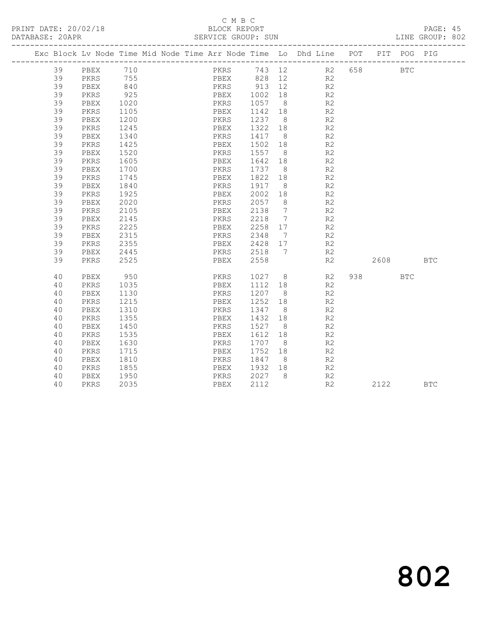## C M B C<br>BLOCK REPORT

PAGE: 45<br>LINE GROUP: 802

|  |    |      |            |  |              |         |                | Exc Block Lv Node Time Mid Node Time Arr Node Time Lo Dhd Line POT |      |       | PIT POG PIG |            |
|--|----|------|------------|--|--------------|---------|----------------|--------------------------------------------------------------------|------|-------|-------------|------------|
|  | 39 | PBEX | 710        |  |              |         |                | PKRS 743 12 R2 658                                                 |      |       | <b>BTC</b>  |            |
|  | 39 | PKRS | 755<br>840 |  |              |         |                | PBEX 828 12 R2                                                     |      |       |             |            |
|  | 39 | PBEX |            |  |              |         |                | R <sub>2</sub>                                                     |      |       |             |            |
|  | 39 | PKRS | 925        |  |              |         |                | R2                                                                 |      |       |             |            |
|  | 39 | PBEX | 1020       |  | PKRS 1057 8  |         |                | R <sub>2</sub>                                                     |      |       |             |            |
|  | 39 | PKRS | 1105       |  | PBEX         | 1142    | 18             | R2                                                                 |      |       |             |            |
|  | 39 | PBEX | 1200       |  | PKRS         | 1237 8  |                | R2                                                                 |      |       |             |            |
|  | 39 | PKRS | 1245       |  | PBEX         | 1322    | 18             | R <sub>2</sub>                                                     |      |       |             |            |
|  | 39 | PBEX | 1340       |  | PKRS         | 1417 8  |                | R2                                                                 |      |       |             |            |
|  | 39 | PKRS | 1425       |  | PBEX         | 1502    | 18             | R <sub>2</sub>                                                     |      |       |             |            |
|  | 39 | PBEX | 1520       |  | PKRS         | 1557 8  |                | R2                                                                 |      |       |             |            |
|  | 39 | PKRS | 1605       |  | PBEX         | 1642    | 18             | R <sub>2</sub>                                                     |      |       |             |            |
|  | 39 | PBEX | 1700       |  | PKRS         | 1737 8  |                | R2                                                                 |      |       |             |            |
|  | 39 | PKRS | 1745       |  | PBEX         | 1822    | 18             | R <sub>2</sub>                                                     |      |       |             |            |
|  | 39 | PBEX | 1840       |  | PKRS         | 1917    | 8 <sup>8</sup> | R <sub>2</sub>                                                     |      |       |             |            |
|  | 39 | PKRS | 1925       |  | PBEX         | 2002    | 18             | R2                                                                 |      |       |             |            |
|  | 39 | PBEX | 2020       |  | PKRS         | 2057    | 8 <sup>8</sup> | R <sub>2</sub>                                                     |      |       |             |            |
|  | 39 | PKRS | 2105       |  | PBEX         | 2138    | $\overline{7}$ | R <sub>2</sub>                                                     |      |       |             |            |
|  | 39 | PBEX | 2145       |  | PKRS         | 2218    | $7\phantom{0}$ | R <sub>2</sub>                                                     |      |       |             |            |
|  | 39 | PKRS | 2225       |  | PBEX         | 2258 17 |                | R2                                                                 |      |       |             |            |
|  | 39 | PBEX | 2315       |  | PKRS         | 2348    | $\overline{7}$ | R <sub>2</sub>                                                     |      |       |             |            |
|  | 39 | PKRS | 2355       |  | PBEX 2428 17 |         |                | R <sub>2</sub>                                                     |      |       |             |            |
|  | 39 | PBEX | 2445       |  | PKRS         | 2518 7  |                | R2                                                                 |      |       |             |            |
|  | 39 | PKRS | 2525       |  | PBEX         | 2558    |                | R2                                                                 | 2608 |       |             | <b>BTC</b> |
|  | 40 | PBEX | 950        |  | PKRS         |         |                | 1027 8<br>R2                                                       |      | 938 8 | <b>BTC</b>  |            |
|  | 40 | PKRS | 1035       |  | PBEX         | 1112 18 |                | R2                                                                 |      |       |             |            |
|  | 40 | PBEX | 1130       |  | PKRS         | 1207 8  |                | R2                                                                 |      |       |             |            |
|  | 40 | PKRS | 1215       |  | PBEX         | 1252 18 |                | R <sub>2</sub>                                                     |      |       |             |            |
|  | 40 | PBEX | 1310       |  | PKRS         | 1347 8  |                | R <sub>2</sub>                                                     |      |       |             |            |
|  | 40 | PKRS | 1355       |  | PBEX         | 1432    | 18             | R <sub>2</sub>                                                     |      |       |             |            |
|  | 40 | PBEX | 1450       |  | PKRS         | 1527    | 8 <sup>8</sup> | R <sub>2</sub>                                                     |      |       |             |            |
|  | 40 | PKRS | 1535       |  | PBEX         | 1612 18 |                | R <sub>2</sub>                                                     |      |       |             |            |
|  | 40 | PBEX | 1630       |  | PKRS         | 1707 8  |                | R2                                                                 |      |       |             |            |
|  | 40 | PKRS | 1715       |  | PBEX         | 1752    | 18             | R <sub>2</sub>                                                     |      |       |             |            |
|  | 40 | PBEX | 1810       |  | PKRS         | 1847    | 8 <sup>8</sup> | R <sub>2</sub>                                                     |      |       |             |            |
|  | 40 | PKRS | 1855       |  | PBEX         | 1932    | 18             | R <sub>2</sub>                                                     |      |       |             |            |
|  | 40 | PBEX | 1950       |  | PKRS         | 2027 8  |                | R2                                                                 |      |       |             |            |
|  | 40 | PKRS | 2035       |  | PBEX         | 2112    |                | R2                                                                 |      | 2122  |             | <b>BTC</b> |
|  |    |      |            |  |              |         |                |                                                                    |      |       |             |            |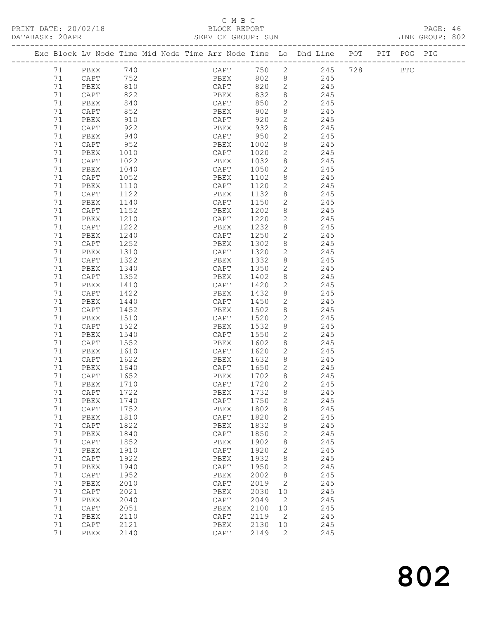PRINT DATE: 20/02/18<br>DATABASE: 20APR

## C M B C<br>BLOCK REPORT<br>SERVICE GROUP: SUN

|    |              |      |                      |                 |        |              |                                                                                |  | PAGE: 46<br>LINE GROUP: 802 |  |
|----|--------------|------|----------------------|-----------------|--------|--------------|--------------------------------------------------------------------------------|--|-----------------------------|--|
|    |              |      |                      |                 |        |              | Exc Block Lv Node Time Mid Node Time Arr Node Time Lo Dhd Line POT PIT POG PIG |  |                             |  |
|    | 71 PBEX 740  |      |                      |                 |        |              | CAPT 750 2 245 728 BTC                                                         |  |                             |  |
| 71 |              |      | CAPT 752<br>PBEX 810 |                 |        |              | PBEX 802 8 245                                                                 |  |                             |  |
| 71 |              |      |                      |                 |        |              | CAPT 820 2 245                                                                 |  |                             |  |
| 71 | CAPT         | 822  |                      |                 |        |              |                                                                                |  |                             |  |
| 71 | PBEX         | 840  |                      |                 |        |              | PBEX 832 8 245<br>CAPT 850 2 245                                               |  |                             |  |
| 71 | CAPT         | 852  |                      | PBEX            |        |              | $902 \t 8$ 245                                                                 |  |                             |  |
| 71 | PBEX         | 910  |                      | CAPT            | 920    |              | 2 245                                                                          |  |                             |  |
| 71 | CAPT         | 922  |                      | PBEX            |        |              | 932 8 245                                                                      |  |                             |  |
| 71 | PBEX         | 940  |                      | CAPT 950 2      |        |              |                                                                                |  |                             |  |
| 71 | CAPT         | 952  |                      |                 |        |              | CAPT 950 2 245<br>PBEX 1002 8 245                                              |  |                             |  |
| 71 | PBEX         | 1010 |                      |                 |        |              | CAPT 1020 2 245                                                                |  |                             |  |
| 71 | CAPT         | 1022 |                      | PBEX            |        |              | 1032 8 245                                                                     |  |                             |  |
| 71 | PBEX         | 1040 |                      | CAPT            |        |              |                                                                                |  |                             |  |
| 71 | CAPT         | 1052 |                      | PBEX            |        |              | 1050  2  245<br>1102  8  245                                                   |  |                             |  |
| 71 | PBEX         | 1110 |                      | CAPT            |        |              | 1120 2 245                                                                     |  |                             |  |
| 71 | CAPT         | 1122 |                      | PBEX            |        |              | 1132 8 245                                                                     |  |                             |  |
| 71 | PBEX         | 1140 |                      | CAPT            |        |              |                                                                                |  |                             |  |
| 71 | CAPT         | 1152 |                      | PBEX            |        |              | 1150  2  245<br>1202  8  245                                                   |  |                             |  |
| 71 | PBEX         | 1210 |                      |                 |        |              | CAPT 1220 2 245                                                                |  |                             |  |
| 71 |              | 1222 |                      | PBEX            |        |              |                                                                                |  |                             |  |
|    | CAPT         |      |                      |                 |        |              | 1232 8 245                                                                     |  |                             |  |
| 71 | PBEX         | 1240 |                      |                 |        |              | CAPT 1250 2 245<br>PBEX 1302 8 245                                             |  |                             |  |
| 71 | CAPT         | 1252 |                      | CAPT 1320       |        |              | 2 245                                                                          |  |                             |  |
| 71 | PBEX         | 1310 |                      |                 |        |              |                                                                                |  |                             |  |
| 71 | CAPT         | 1322 |                      | PBEX            | 1332   |              | 8 245                                                                          |  |                             |  |
| 71 | PBEX         | 1340 |                      | CAPT            |        |              | CAPT 1350 2 245<br>PBEX 1402 8 245                                             |  |                             |  |
| 71 | CAPT         | 1352 |                      |                 |        |              |                                                                                |  |                             |  |
| 71 | PBEX         | 1410 |                      |                 |        |              | CAPT 1420 2 245                                                                |  |                             |  |
| 71 | CAPT         | 1422 |                      | PBEX            | 1432   |              | 8 245                                                                          |  |                             |  |
| 71 | PBEX         | 1440 |                      | CAPT            | 1450   |              | $\begin{array}{ccc}\n2 & 245 \\ 8 & 245\n\end{array}$                          |  |                             |  |
| 71 | CAPT         | 1452 |                      | PBEX            | 1502 8 |              |                                                                                |  |                             |  |
| 71 | PBEX         | 1510 |                      | CAPT 1520       |        |              | $\frac{2}{2}$ 245                                                              |  |                             |  |
| 71 | CAPT         | 1522 |                      | PBEX            | 1532   |              | 8 245                                                                          |  |                             |  |
| 71 | PBEX         | 1540 |                      | CAPT            |        |              | 1550 2 245                                                                     |  |                             |  |
| 71 | CAPT         | 1552 |                      |                 |        |              | PBEX 1602 8 245<br>CAPT 1620 2 245                                             |  |                             |  |
| 71 | PBEX         | 1610 |                      |                 |        |              |                                                                                |  |                             |  |
| 71 | CAPT         | 1622 |                      |                 |        |              | PBEX 1632 8 245                                                                |  |                             |  |
| 71 | PBEX         | 1640 |                      | CAPT            | 1650 2 |              | 245                                                                            |  |                             |  |
|    | 71 CAPT 1652 |      |                      | PBEX 1702 8     |        |              | 245                                                                            |  |                             |  |
| 71 | PBEX         | 1710 |                      | CAPT            | 1720   | $\mathbf{2}$ | 245                                                                            |  |                             |  |
| 71 | CAPT         | 1722 |                      | PBEX            | 1732   | 8            | 245                                                                            |  |                             |  |
| 71 | PBEX         | 1740 |                      | CAPT            | 1750   | 2            | 245                                                                            |  |                             |  |
| 71 | CAPT         | 1752 |                      | PBEX            | 1802   | 8            | 245                                                                            |  |                             |  |
| 71 | PBEX         | 1810 |                      | $\texttt{CAPT}$ | 1820   | 2            | 245                                                                            |  |                             |  |
| 71 | CAPT         | 1822 |                      | PBEX            | 1832   | 8            | 245                                                                            |  |                             |  |
| 71 | PBEX         | 1840 |                      | CAPT            | 1850   | 2            | 245                                                                            |  |                             |  |
| 71 | CAPT         | 1852 |                      | PBEX            | 1902   | 8            | 245                                                                            |  |                             |  |
| 71 | PBEX         | 1910 |                      | $\texttt{CAPT}$ | 1920   | 2            | 245                                                                            |  |                             |  |
| 71 | CAPT         | 1922 |                      | PBEX            | 1932   | 8            | 245                                                                            |  |                             |  |
| 71 | PBEX         | 1940 |                      | CAPT            | 1950   | 2            | 245                                                                            |  |                             |  |
| 71 | CAPT         | 1952 |                      | PBEX            | 2002   | 8            | 245                                                                            |  |                             |  |
| 71 | PBEX         | 2010 |                      | CAPT            | 2019   | 2            | 245                                                                            |  |                             |  |
| 71 | CAPT         | 2021 |                      | PBEX            | 2030   | 10           | 245                                                                            |  |                             |  |
| 71 | PBEX         | 2040 |                      | CAPT            | 2049   | 2            | 245                                                                            |  |                             |  |
| 71 | CAPT         | 2051 |                      | PBEX            | 2100   | 10           | 245                                                                            |  |                             |  |
| 71 | PBEX         | 2110 |                      | CAPT            | 2119   | 2            | 245                                                                            |  |                             |  |
| 71 | CAPT         | 2121 |                      | PBEX            | 2130   | 10           | 245                                                                            |  |                             |  |
| 71 | PBEX         | 2140 |                      | CAPT            | 2149   | 2            | 245                                                                            |  |                             |  |
|    |              |      |                      |                 |        |              |                                                                                |  |                             |  |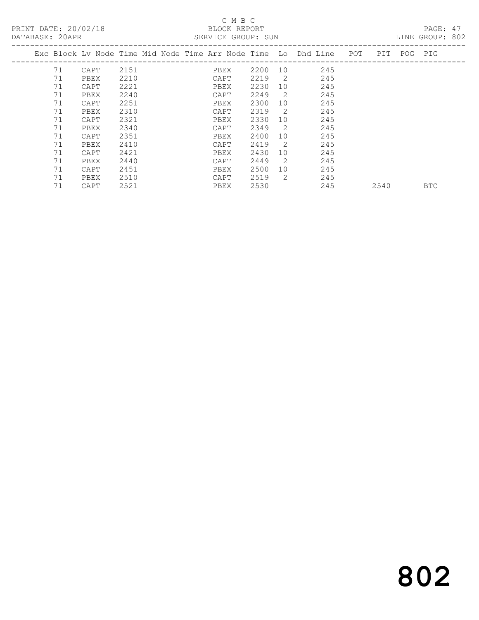## C M B C

| DATABASE: 20APR |    |                                                                |      |  |      | SERVICE GROUP: SUN |                |     |     |      |             | LINE GROUP: 802 |  |
|-----------------|----|----------------------------------------------------------------|------|--|------|--------------------|----------------|-----|-----|------|-------------|-----------------|--|
|                 |    | Exc Block Lv Node Time Mid Node Time Arr Node Time Lo Dhd Line |      |  |      |                    |                |     | POT |      | PIT POG PIG |                 |  |
|                 | 71 | CAPT                                                           | 2151 |  | PBEX | 2200               | 10             | 245 |     |      |             |                 |  |
|                 | 71 | PBEX                                                           | 2210 |  | CAPT | 2219               | $\overline{2}$ | 245 |     |      |             |                 |  |
|                 | 71 | CAPT                                                           | 2221 |  | PBEX | 2230               | 10             | 245 |     |      |             |                 |  |
|                 | 71 | PBEX                                                           | 2240 |  | CAPT | 2249               | 2              | 245 |     |      |             |                 |  |
|                 | 71 | CAPT                                                           | 2251 |  | PBEX | 2300               | 10             | 245 |     |      |             |                 |  |
|                 | 71 | PBEX                                                           | 2310 |  | CAPT | 2319               | 2              | 245 |     |      |             |                 |  |
|                 | 71 | CAPT                                                           | 2321 |  | PBEX | 2330               | 10             | 245 |     |      |             |                 |  |
|                 | 71 | PBEX                                                           | 2340 |  | CAPT | 2349               | 2              | 245 |     |      |             |                 |  |
|                 | 71 | CAPT                                                           | 2351 |  | PBEX | 2400               | 10             | 245 |     |      |             |                 |  |
|                 | 71 | PBEX                                                           | 2410 |  | CAPT | 2419               | 2              | 245 |     |      |             |                 |  |
|                 | 71 | CAPT                                                           | 2421 |  | PBEX | 2430               | 10             | 245 |     |      |             |                 |  |
|                 | 71 | PBEX                                                           | 2440 |  | CAPT | 2449               | 2              | 245 |     |      |             |                 |  |
|                 | 71 | CAPT                                                           | 2451 |  | PBEX | 2500               | 10             | 245 |     |      |             |                 |  |
|                 | 71 | PBEX                                                           | 2510 |  | CAPT | 2519               | 2              | 245 |     |      |             |                 |  |
|                 | 71 | CAPT                                                           | 2521 |  | PBEX | 2530               |                | 245 |     | 2540 |             | <b>BTC</b>      |  |

# 802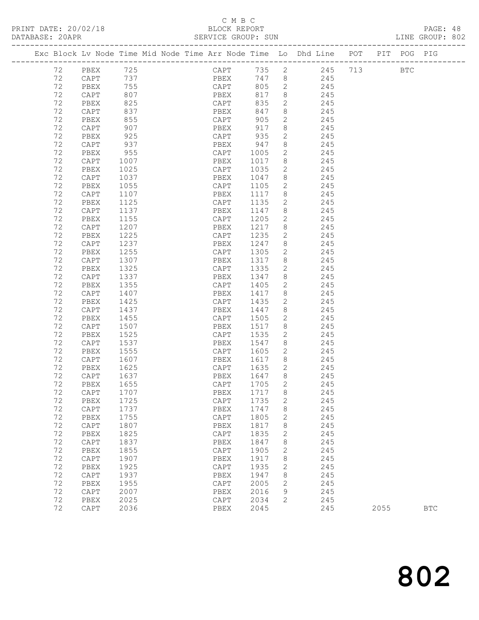#### C M B C DATABASE: 20APR SERVICE GROUP: SUN SERVICE GROUP: SUN LINE GROUP: 802

|    |      |      | Exc Block Lv Node Time Mid Node Time Arr Node Time Lo Dhd Line POT PIT POG PIG |       |                |               |  |            |  |
|----|------|------|--------------------------------------------------------------------------------|-------|----------------|---------------|--|------------|--|
| 72 | PBEX | 725  | CAPT                                                                           |       |                | 735 2 245 713 |  | <b>BTC</b> |  |
| 72 | CAPT | 737  | PBEX                                                                           | 747 8 |                | 245           |  |            |  |
| 72 | PBEX | 755  | CAPT                                                                           | 805   | 2              | 245           |  |            |  |
| 72 | CAPT | 807  | PBEX                                                                           | 817   | 8              | 245           |  |            |  |
| 72 | PBEX | 825  | $\texttt{CAPT}$                                                                | 835   | $\overline{2}$ | 245           |  |            |  |
| 72 | CAPT | 837  | PBEX                                                                           | 847   | 8              | 245           |  |            |  |
| 72 | PBEX | 855  | $\texttt{CAPT}$                                                                | 905   | $\mathbf{2}$   | 245           |  |            |  |
| 72 | CAPT | 907  | PBEX                                                                           | 917   | 8              | 245           |  |            |  |
| 72 | PBEX | 925  | CAPT                                                                           | 935   | $\mathbf{2}$   | 245           |  |            |  |
| 72 | CAPT | 937  | PBEX                                                                           | 947   | 8              | 245           |  |            |  |
| 72 | PBEX | 955  | CAPT                                                                           | 1005  | 2              | 245           |  |            |  |
| 72 | CAPT | 1007 | PBEX                                                                           | 1017  | 8              | 245           |  |            |  |
| 72 | PBEX | 1025 | CAPT                                                                           | 1035  | 2              | 245           |  |            |  |
| 72 | CAPT | 1037 | PBEX                                                                           | 1047  | 8              | 245           |  |            |  |
| 72 | PBEX | 1055 | CAPT                                                                           | 1105  | $\mathbf{2}$   | 245           |  |            |  |
| 72 | CAPT | 1107 | PBEX                                                                           | 1117  | 8              | 245           |  |            |  |
| 72 | PBEX | 1125 | CAPT                                                                           | 1135  | 2              | 245           |  |            |  |
| 72 | CAPT | 1137 | PBEX                                                                           | 1147  | 8              | 245           |  |            |  |
| 72 | PBEX | 1155 | CAPT                                                                           | 1205  | $\mathbf{2}$   | 245           |  |            |  |
| 72 | CAPT | 1207 | PBEX                                                                           | 1217  | 8              | 245           |  |            |  |
| 72 | PBEX | 1225 | CAPT                                                                           | 1235  | $\mathbf{2}$   | 245           |  |            |  |
| 72 | CAPT | 1237 | PBEX                                                                           | 1247  | 8              | 245           |  |            |  |
| 72 | PBEX | 1255 | CAPT                                                                           | 1305  | $\mathbf{2}$   | 245           |  |            |  |
| 72 | CAPT | 1307 | PBEX                                                                           | 1317  | 8              | 245           |  |            |  |
| 72 | PBEX | 1325 | CAPT                                                                           | 1335  | $\mathbf{2}$   | 245           |  |            |  |
| 72 | CAPT | 1337 | PBEX                                                                           | 1347  | 8              | 245           |  |            |  |
| 72 | PBEX | 1355 | CAPT                                                                           | 1405  | 2              | 245           |  |            |  |
| 72 | CAPT | 1407 | PBEX                                                                           | 1417  | 8              | 245           |  |            |  |
| 72 | PBEX | 1425 | CAPT                                                                           | 1435  | $\mathbf{2}$   | 245           |  |            |  |
| 72 | CAPT | 1437 | PBEX                                                                           | 1447  | 8              | 245           |  |            |  |
| 72 | PBEX | 1455 | CAPT                                                                           | 1505  | 2              | 245           |  |            |  |
| 72 | CAPT | 1507 | PBEX                                                                           | 1517  | 8              | 245           |  |            |  |
| 72 | PBEX | 1525 | CAPT                                                                           | 1535  | 2              | 245           |  |            |  |
| 72 | CAPT | 1537 | PBEX                                                                           | 1547  | 8              | 245           |  |            |  |
| 72 | PBEX | 1555 | CAPT                                                                           | 1605  | $\overline{2}$ | 245           |  |            |  |
| 72 | CAPT | 1607 | PBEX                                                                           | 1617  | 8              | 245           |  |            |  |
| 72 | PBEX | 1625 | CAPT                                                                           | 1635  | 2              | 245           |  |            |  |

 72 CAPT 1637 PBEX 1647 8 245 72 PBEX 1655 CAPT 1705 2 245 72 CAPT 1707 PBEX 1717 8 245 72 PBEX 1725 CAPT 1735 2 245 72 CAPT 1737 PBEX 1747 8 245 72 PBEX 1755 CAPT 1805 2 245 72 CAPT 1807 PBEX 1817 8 245 72 PBEX 1825 CAPT 1835 2 245 72 CAPT 1837 PBEX 1847 8 245 72 PBEX 1855 CAPT 1905 2 245 72 CAPT 1907 PBEX 1917 8 245 72 PBEX 1925 CAPT 1935 2 245 72 CAPT 1937 PBEX 1947 8 245 72 PBEX 1955 CAPT 2005 2 245 72 CAPT 2007 PBEX 2016 9 245 72 PBEX 2025 CAPT 2034 2 245

| 2036<br>CAPT | PBEX | 2045 | 245 | 2055 | <b>BTC</b> |
|--------------|------|------|-----|------|------------|
|--------------|------|------|-----|------|------------|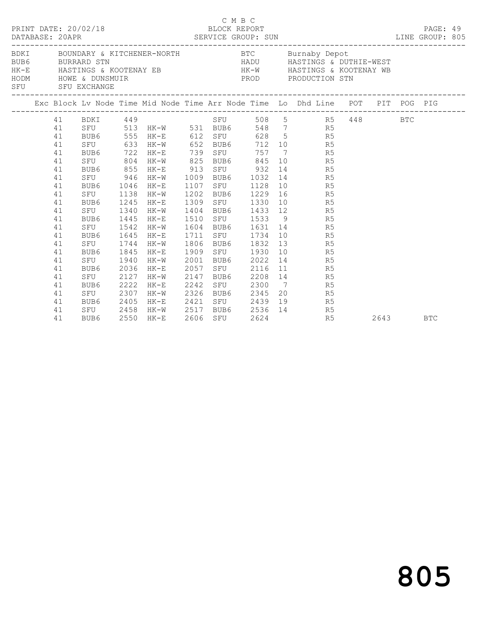|                                                                                                                                                                                                                                                                      |          | PRINT DATE: 20/02/18 |      |                       | C M B C<br>BLOCK REPORT<br>LINE GROUP: 805 |      |     |                                       |  |                                  |                                                                                    |  | PAGE: 49   |  |
|----------------------------------------------------------------------------------------------------------------------------------------------------------------------------------------------------------------------------------------------------------------------|----------|----------------------|------|-----------------------|--------------------------------------------|------|-----|---------------------------------------|--|----------------------------------|------------------------------------------------------------------------------------|--|------------|--|
| BDKI BOUNDARY & KITCHENER-NORTH BTC Burnaby Depot<br>BUB6 BURRARD STN BURRARD STN HADU HASTINGS & DUTHIE-WEST<br>HK-E HASTINGS & KOOTENAY EB HK-W HASTINGS & KOOTENAY WB<br>HODM HOWE & CUINNER PRODUCTION STN<br>SFU SFU EXCHANGE<br>------------------------------ |          |                      |      |                       |                                            |      |     |                                       |  |                                  |                                                                                    |  |            |  |
|                                                                                                                                                                                                                                                                      |          |                      |      |                       |                                            |      |     |                                       |  |                                  | Exc Block Lv Node Time Mid Node Time Arr Node Time Lo Dhd Line POT PIT POG PIG     |  |            |  |
|                                                                                                                                                                                                                                                                      |          | 41 BDKI 449          |      |                       |                                            |      |     |                                       |  |                                  | BDKI 449<br>SFU 513 HK-W 531 BUB6 548 7 R5 448 BTC<br>RUB6 555 HK-F 412 OFII 600 5 |  |            |  |
|                                                                                                                                                                                                                                                                      | 41       |                      |      |                       |                                            |      |     |                                       |  |                                  |                                                                                    |  |            |  |
|                                                                                                                                                                                                                                                                      | 41       |                      |      | BUB6 555 HK-E 612 SFU |                                            |      |     |                                       |  | 628 5 R5                         |                                                                                    |  |            |  |
|                                                                                                                                                                                                                                                                      | 41       | SFU                  | 633  |                       |                                            |      |     |                                       |  | HK-W 652 BUB6 712 10 R5          |                                                                                    |  |            |  |
|                                                                                                                                                                                                                                                                      | 41       | BUB6 722             |      | $HK-E$                | 739                                        |      | SFU | 757                                   |  | 7 R5                             |                                                                                    |  |            |  |
|                                                                                                                                                                                                                                                                      | 41       | SFU                  | 804  | $HK-W$                | 825                                        |      |     |                                       |  | BUB6 845 10 R5                   |                                                                                    |  |            |  |
|                                                                                                                                                                                                                                                                      | 41       | BUB6 855             |      | HK-E                  | 913                                        |      |     | SFU 932                               |  | 14 R5                            |                                                                                    |  |            |  |
|                                                                                                                                                                                                                                                                      | 41       | SFU                  | 946  | HK-W                  | 1009                                       |      |     | BUB6 1032                             |  | 14 R5                            |                                                                                    |  |            |  |
|                                                                                                                                                                                                                                                                      | 41       | BUB6 1046            |      | HK-E                  | 1107                                       |      |     | SFU 1128                              |  | 10 R5                            |                                                                                    |  |            |  |
|                                                                                                                                                                                                                                                                      | 41       | SFU 1138             |      | HK-W                  | 1202                                       |      |     | BUB6 1229                             |  | 16 R5                            |                                                                                    |  |            |  |
|                                                                                                                                                                                                                                                                      | 41       | BUB6                 | 1245 | HK-E                  | 1309                                       |      |     | SFU 1330                              |  | 10 R5                            |                                                                                    |  |            |  |
|                                                                                                                                                                                                                                                                      | 41       | SFU 1340             |      | HK-W                  | 1404                                       |      |     |                                       |  | BUB6 1433 12 R5                  |                                                                                    |  |            |  |
|                                                                                                                                                                                                                                                                      | 41<br>41 | BUB6 1445            |      | HK-E                  | 1510                                       |      |     |                                       |  | SFU 1533 9 R5<br>BUB6 1631 14 R5 |                                                                                    |  |            |  |
|                                                                                                                                                                                                                                                                      | 41       | SFU 1542             |      | HK-W                  | 1604                                       |      |     |                                       |  | 10 R5                            |                                                                                    |  |            |  |
|                                                                                                                                                                                                                                                                      | 41       | BUB6<br>SFU 1744     | 1645 | HK-E<br>$HK-W$        | 1711<br>1806                               |      |     | SFU 1734<br>BUB6 1832                 |  | 13 R5                            |                                                                                    |  |            |  |
|                                                                                                                                                                                                                                                                      | 41       | BUB6                 | 1845 | HK-E                  | 1909                                       |      |     | SFU 1930                              |  | 10 R5                            |                                                                                    |  |            |  |
|                                                                                                                                                                                                                                                                      | 41       | SFU                  | 1940 | HK-W                  | 2001                                       |      |     | BUB6 2022                             |  | 14 R5                            |                                                                                    |  |            |  |
|                                                                                                                                                                                                                                                                      | 41       | BUB6                 | 2036 | HK-E                  | 2057                                       |      | SFU | 2116                                  |  | 11 R5                            |                                                                                    |  |            |  |
|                                                                                                                                                                                                                                                                      | 41       | SFU                  | 2127 | HK-W                  | 2147                                       | BUB6 |     |                                       |  | 2208 14 R5                       |                                                                                    |  |            |  |
|                                                                                                                                                                                                                                                                      | 41       | BUB6                 | 2222 | $HK-E$                | 2242                                       |      |     |                                       |  | SFU 2300 7 R5                    |                                                                                    |  |            |  |
|                                                                                                                                                                                                                                                                      | 41       | SFU                  | 2307 | $HK-W$                | 2326                                       |      |     | BUB6 2345                             |  | 20 R5                            |                                                                                    |  |            |  |
|                                                                                                                                                                                                                                                                      | 41       | BUB6                 | 2405 | HK-E                  |                                            |      |     |                                       |  | 19<br>R5                         |                                                                                    |  |            |  |
|                                                                                                                                                                                                                                                                      | 41       | SFU 2458             |      | HK-W                  |                                            |      |     |                                       |  | R5                               |                                                                                    |  |            |  |
|                                                                                                                                                                                                                                                                      | 41       | BUB6                 |      | 2550 HK-E             |                                            |      | SFU | 2421 SFU 2439 12<br>2517 BUB6 2536 14 |  | R5                               | 2643                                                                               |  | <b>BTC</b> |  |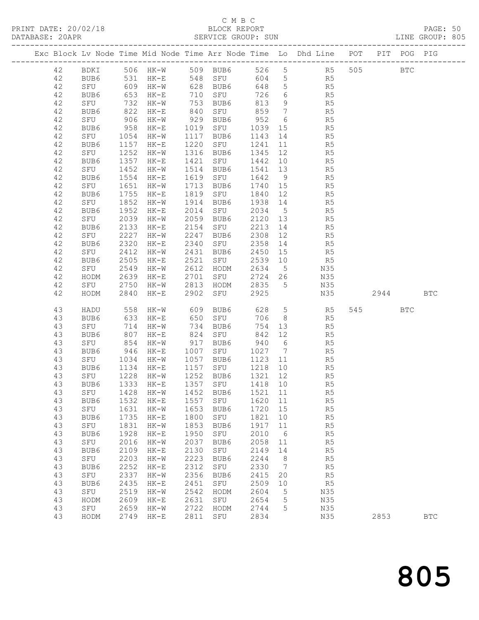## C M B C<br>BLOCK REPORT

PRINT DATE: 20/02/18 BLOCK REPORT BATABASE: 20APR BLOCK REPORT

PAGE: 50<br>LINE GROUP: 805

|  |          |             |              |                                 |                   |                  |                 |                 | Exc Block Lv Node Time Mid Node Time Arr Node Time Lo Dhd Line POT PIT POG PIG |         |            |            |
|--|----------|-------------|--------------|---------------------------------|-------------------|------------------|-----------------|-----------------|--------------------------------------------------------------------------------|---------|------------|------------|
|  |          |             |              |                                 |                   |                  |                 |                 |                                                                                |         |            |            |
|  | 42       |             |              |                                 |                   |                  |                 |                 | BDKI 506 HK-W 509 BUB6 526 5 R5                                                | 505 BTC |            |            |
|  | 42       | BUB6        |              | 531 HK-E 548 SFU                |                   |                  |                 |                 | 604 5 R5                                                                       |         |            |            |
|  | 42       | SFU         |              | 609 HK-W                        |                   | 628 BUB6         | 648 5           |                 | R <sub>5</sub>                                                                 |         |            |            |
|  | 42       | BUB6        | 653          | $HK-E$                          | 710<br>753<br>840 | 710 SFU          | 726             | $6\overline{6}$ | R5                                                                             |         |            |            |
|  | 42       | SFU         | 732          | HK-W                            |                   | 753 BUB6         | 813             | 9               | R5                                                                             |         |            |            |
|  | 42       | BUB6        | 822          | $HK-E$                          |                   | SFU              | 859             | $\overline{7}$  | R5                                                                             |         |            |            |
|  | 42       | SFU         | 906          | HK-W                            |                   | 929 BUB6         | 952             | 6               | R <sub>5</sub>                                                                 |         |            |            |
|  | 42       | BUB6        | 958          | $HK-E$                          |                   | 1019 SFU         | 1039 15         |                 | R5                                                                             |         |            |            |
|  | 42       | SFU         | 1054         | HK-W                            |                   | 1117 BUB6        | 1143 14         |                 | R5                                                                             |         |            |            |
|  | 42<br>42 | BUB6<br>SFU | 1157<br>1252 | $HK-E$                          | 1220              | SFU<br>1316 BUB6 | 1241<br>1345 12 | 11              | R5                                                                             |         |            |            |
|  | 42       | BUB6        | 1357         | HK-W<br>HK-E                    | 1421              | SFU              | 1442            | 10              | R5<br>R5                                                                       |         |            |            |
|  | 42       | SFU         | 1452         | HK-W                            |                   | 1514 BUB6        | 1541 13         |                 | R5                                                                             |         |            |            |
|  | 42       | BUB6        | 1554         | $HK-E$                          |                   | 1619 SFU         | 1642            | 9               | R5                                                                             |         |            |            |
|  | 42       | SFU         | 1651         | HK-W                            | 1713              | BUB6             | 1740 15         |                 | R5                                                                             |         |            |            |
|  | 42       | BUB6        | 1755         | HK-E                            |                   | 1819 SFU         | 1840 12         |                 | R5                                                                             |         |            |            |
|  | 42       | SFU         | 1852         | $HK-W$                          |                   | 1914 BUB6        | 1938 14         |                 | R5                                                                             |         |            |            |
|  | 42       | BUB6        | 1952         | $HK-E$                          |                   | 2014 SFU         | 2034 5          |                 | R5                                                                             |         |            |            |
|  | 42       | SFU         | 2039         | HK-W                            | 2059              | BUB6             | 2120 13         |                 | R5                                                                             |         |            |            |
|  | 42       | BUB6        | 2133         | HK-E                            | 2154              | SFU              | 2213 14         |                 | R5                                                                             |         |            |            |
|  | 42       | SFU         | 2227         | HK-W                            | 2247              | BUB6             | 2308 12         |                 | R5                                                                             |         |            |            |
|  | 42       | BUB6        | 2320         | $HK-E$                          | 2340              | SFU              | 2358 14         |                 | R5                                                                             |         |            |            |
|  | 42       | SFU         | 2412         | HK-W                            | 2431              | BUB6             | 2450 15         |                 | R5                                                                             |         |            |            |
|  | 42       | BUB6        | 2505         | $HK-E$                          |                   | 2521 SFU         | 2539            | 10              | R5                                                                             |         |            |            |
|  | 42       | SFU         | 2549         | HK-W                            | 2612<br>2701      | HODM             | 2634 5          |                 | N35                                                                            |         |            |            |
|  | 42       | HODM        | 2639         | HK-E                            |                   | SFU              | 2724 26         |                 | N35                                                                            |         |            |            |
|  | 42       | SFU         | 2750         | HK-W                            | 2813              | HODM             | 2835 5          |                 | N35                                                                            |         |            |            |
|  | 42       | HODM        | 2840         | $HK-E$                          | 2902              | SFU              | 2925            |                 | N35                                                                            | 2944    |            | <b>BTC</b> |
|  | 43       | HADU        | 558          | HK-W                            |                   | 609 BUB6         |                 |                 | 628 5 R5                                                                       | 545     | <b>BTC</b> |            |
|  | 43       | BUB6        | 633          | $HK-E$                          |                   | 650 SFU          | 706             | 8 <sup>8</sup>  | R5                                                                             |         |            |            |
|  | 43       | SFU         | 714          | HK-W                            |                   | 734 BUB6         | 754 13          |                 | R5                                                                             |         |            |            |
|  | 43       | BUB6        | 807          | $HK-E$                          |                   | 824 SFU          | 842             | 12              | R5                                                                             |         |            |            |
|  | 43       | SFU         | 854          | $HK-W$                          |                   | 917 BUB6         | 940 6           |                 | R5                                                                             |         |            |            |
|  | 43       | BUB6        | 946          | $HK-E$                          | 1007              | SFU              | 1027 7          |                 | R5                                                                             |         |            |            |
|  | 43       | SFU         | 1034         | HK-W                            | 1057              | BUB6             | 1123 11         |                 | R5                                                                             |         |            |            |
|  | 43       | BUB6        | 1134         | $HK-E$                          |                   | 1157 SFU         | 1218            | 10              | R5                                                                             |         |            |            |
|  | 43       | SFU         | 1228         | HK-W                            |                   | 1252 BUB6        | 1321 12         |                 | R5                                                                             |         |            |            |
|  | 43       | BUB6        |              | 1333 HK-E                       |                   | 1357 SFU         | 1418 10         |                 | R5                                                                             |         |            |            |
|  | 43       |             |              | SFU 1428 HK-W 1452 BUB6 1521 11 |                   |                  |                 |                 | R5                                                                             |         |            |            |
|  | 43       | BUB6        | 1532         | HK-E                            | 1557              | SFU              | 1620            | 11              | R5                                                                             |         |            |            |
|  | 43       | SFU         | 1631         | HK-W                            | 1653              | BUB6             | 1720 15         |                 | R5                                                                             |         |            |            |
|  | 43<br>43 | BUB6<br>SFU | 1735<br>1831 | $HK-E$<br>HK-W                  | 1800<br>1853      | SFU<br>BUB6      | 1821<br>1917    | 10<br>11        | R <sub>5</sub><br>R5                                                           |         |            |            |
|  | 43       | BUB6        | 1928         | $HK-E$                          | 1950              | SFU              | 2010            | 6               | R <sub>5</sub>                                                                 |         |            |            |
|  | 43       | SFU         | 2016         | HK-W                            | 2037              | BUB6             | 2058            | 11              | R5                                                                             |         |            |            |
|  | 43       | BUB6        | 2109         | $HK-E$                          | 2130              | SFU              | 2149 14         |                 | R5                                                                             |         |            |            |
|  | 43       | SFU         | 2203         | $HK-W$                          | 2223              | BUB6             | 2244            | 8 <sup>8</sup>  | R5                                                                             |         |            |            |
|  | 43       | BUB6        | 2252         | $HK-E$                          | 2312              | SFU              | 2330            | $\overline{7}$  | R5                                                                             |         |            |            |
|  | 43       | SFU         | 2337         | $HK-W$                          | 2356              | BUB6             | 2415            | 20              | R <sub>5</sub>                                                                 |         |            |            |
|  | 43       | BUB6        | 2435         | $HK-E$                          | 2451              | SFU              | 2509            | 10              | R <sub>5</sub>                                                                 |         |            |            |
|  | 43       | SFU         | 2519         | $HK-W$                          | 2542              | HODM             | 2604            | $5\phantom{.0}$ | N35                                                                            |         |            |            |
|  | 43       | HODM        | 2609         | $HK-E$                          | 2631              | SFU              | 2654            | $5\phantom{0}$  | N35                                                                            |         |            |            |
|  | 43       | SFU         | 2659         | $HK-W$                          | 2722              | HODM             | 2744            | 5               | N35                                                                            |         |            |            |
|  | 43       | HODM        | 2749         | $HK-E$                          | 2811              | SFU              | 2834            |                 | N35                                                                            | 2853    |            | <b>BTC</b> |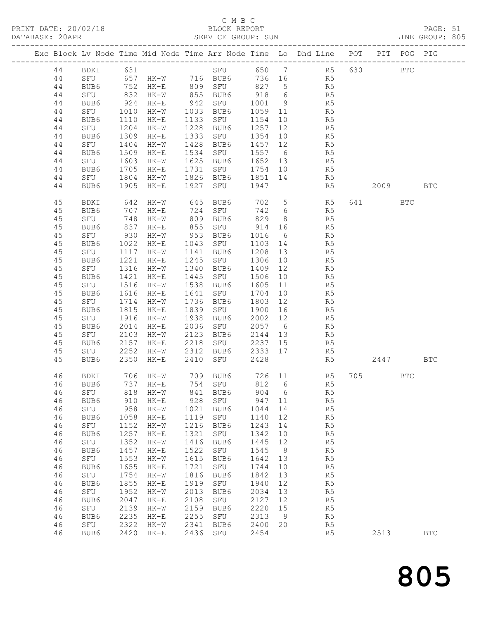# C M B C<br>BLOCK REPORT<br>SERVICE GROUP: SUN

| PRINT DATE: 20/02/18 |                      |                                                |                              |                                                   |                      | C M B C<br>BLOCK REPORT            |                      |                  |                                                                                                                                                                  |     |          |            | PAGE: 51     |
|----------------------|----------------------|------------------------------------------------|------------------------------|---------------------------------------------------|----------------------|------------------------------------|----------------------|------------------|------------------------------------------------------------------------------------------------------------------------------------------------------------------|-----|----------|------------|--------------|
|                      |                      |                                                |                              |                                                   |                      |                                    |                      |                  | Exc Block Lv Node Time Mid Node Time Arr Node Time Lo Dhd Line POT PIT POG PIG                                                                                   |     |          |            |              |
|                      | 44                   |                                                |                              |                                                   |                      |                                    |                      |                  | 44 BDKI 631 SFU 650 7 R5 630 BTC<br>44 SFU 657 HK-W 716 BUB6 736 16 R5                                                                                           |     |          |            |              |
|                      | 44<br>44<br>44<br>44 | BUB6                                           | 1110                         | $HK-E$                                            |                      |                                    |                      |                  | BUB6 752 HK-E 809 SFU 827 5 R5<br>SFU 832 HK-W 855 BUB6 918 6 R5<br>BUB6 924 HK-E 942 SFU 1001 9 R5<br>SFU 1010 HK-W 1033 BUB6 1059 11 R5<br>1133 SFU 1154 10 R5 |     |          |            |              |
|                      | 44<br>44<br>44       | SFU 1204 HK-W<br>BUB6 1309 HK-E<br>SFU         | 1404                         | $HK-W$                                            | 1428                 | BUB6                               |                      |                  | 1228 BUB6 1257 12 R5<br>1333 SFU 1354 10 R5<br>$1457$ $12$ R5                                                                                                    |     |          |            |              |
|                      | 44<br>44<br>44<br>44 | BUB6<br>SFU<br>BUB6                            | 1509<br>1603<br>1705         | HK-E<br>HK-W<br>$HK-E$                            |                      |                                    |                      |                  | 1534 SFU 1557 6 R5<br>1625 BUB6 1652 13 R5<br>1731 SFU 1754 10 R5<br>SFU 1804 HK-W 1826 BUB6 1851 14 R5                                                          |     |          |            |              |
|                      | 44                   | BUB6                                           |                              | 1905 HK-E                                         |                      | 1927 SFU 1947                      |                      |                  | R <sub>5</sub>                                                                                                                                                   |     | 2009 BTC |            |              |
|                      | 45<br>45<br>45       | BDKI<br>BUB6<br>SFU                            |                              | 707 HK-E<br>748 HK-W                              |                      |                                    |                      |                  | 642 HK-W 645 BUB6 702 5 R5 641 BTC<br>724 SFU 742 6 R5<br>809 BUB6 829 8 R5                                                                                      |     |          |            |              |
|                      | 45<br>45<br>45       | BUB6 837<br>SFU 930<br>BUB6 1022               |                              | HK-E<br>$HK-W$<br>$HK-E$                          |                      |                                    |                      |                  | 855 SFU 914 16 R5<br>953 BUB6 1016 6 R5<br>1043 SFU 1103 14 R5                                                                                                   |     |          |            |              |
|                      | 45<br>45<br>45       | SFU 1117 HK-W<br>BUB6                          | 1221                         | HK-E                                              |                      |                                    |                      |                  | 1141 BUB6 1208 13 R5<br>1245 SFU 1306 10 R5                                                                                                                      |     |          |            |              |
|                      | 45<br>45<br>45       | SFU 1316 HK-W<br>BUB6 1421 HK-E<br>SFU<br>BUB6 | 1516<br>1616                 | HK-W<br>HK-E                                      | 1641                 | 1538 BUB6<br>SFU                   | 1704                 |                  | 1340 BUB6 1409 12 R5<br>1445 SFU 1506 10 R5<br>1605 11 R5<br>10 R5                                                                                               |     |          |            |              |
|                      | 45<br>45<br>45<br>45 | SFU<br>BUB6<br>SFU<br>BUB6                     | 1714<br>1815<br>1916<br>2014 | HK-W<br>$HK-E$<br>HK-W<br>HK-E                    |                      | 1736 BUB6<br>1938 BUB6<br>2036 SFU |                      |                  | 1736 BUB6 1803 12 R5<br>1839 SFU 1900 16 R5<br>2002 12 R5<br>2057 6 R5                                                                                           |     |          |            |              |
|                      | 45<br>45<br>45       | SFU 2103 HK-W<br>BUB6 2157 HK-E                |                              |                                                   |                      |                                    |                      |                  | 2123 BUB6 2144 13 R5<br>2218 SFU 2237 15 R5<br>SFU 2252 HK-W 2312 BUB6 2333 17 R5                                                                                |     |          |            |              |
|                      | 45                   | BUB6 2350 HK-E                                 |                              |                                                   |                      | 2410 SFU 2428                      |                      |                  | R <sub>5</sub>                                                                                                                                                   |     | 2447 BTC |            |              |
|                      | 46<br>46<br>46       | BDKI<br>BUB6<br>SFU                            | 706<br>737<br>818            | $HK-W$<br>$HK-E$<br>$HK-W$                        | 709<br>754<br>841    | BUB6<br>SFU<br>BUB6                | 726<br>812<br>904    | 11<br>6<br>6     | R5<br>R5<br>R <sub>5</sub>                                                                                                                                       | 705 |          | <b>BTC</b> |              |
|                      | 46<br>46<br>46       | BUB6<br>${\tt SFU}$<br>BUB6                    | 910<br>958<br>1058           | $HK-E$<br>$HK-W$<br>$HK-E$                        | 928<br>1021<br>1119  | SFU<br>BUB6<br>SFU                 | 947<br>1044<br>1140  | 11<br>14<br>12   | R5<br>R5<br>R5                                                                                                                                                   |     |          |            |              |
|                      | 46<br>46<br>46       | SFU<br>BUB6<br>SFU                             | 1152<br>1257<br>1352         | $HK-W$<br>$\rm{HK\!-\!E}$<br>$HK-W$               | 1216<br>1321<br>1416 | BUB6<br>${\tt SFU}$<br>BUB6        | 1243<br>1342<br>1445 | 14<br>10<br>12   | R <sub>5</sub><br>R <sub>5</sub><br>R5                                                                                                                           |     |          |            |              |
|                      | 46<br>46<br>46       | BUB6<br>SFU<br>BUB6                            | 1457<br>1553<br>1655         | $HK-E$<br>$HK-W$<br>$HK-E$                        | 1522<br>1615<br>1721 | SFU<br>BUB6<br>SFU                 | 1545<br>1642<br>1744 | 8<br>13<br>10    | R5<br>R5<br>R5                                                                                                                                                   |     |          |            |              |
|                      | 46<br>46<br>46       | SFU<br>BUB6<br>SFU                             | 1754<br>1855<br>1952         | $HK-W$<br>$\rm{HK\!-\!E}$<br>$HK-W$               | 1816<br>1919<br>2013 | BUB6<br>SFU<br>BUB6                | 1842<br>1940<br>2034 | 13<br>$12$<br>13 | R5<br>R5<br>R <sub>5</sub>                                                                                                                                       |     |          |            |              |
|                      | 46<br>46<br>46       | BUB6<br>SFU<br>BUB6                            | 2047<br>2139<br>2235         | $HK-E$<br>$\rm{HK}\!-\!\rm{W}$<br>$\rm{HK\!-\!E}$ | 2108<br>2159<br>2255 | SFU<br>BUB6<br>SFU                 | 2127<br>2220<br>2313 | 12<br>15<br>9    | R <sub>5</sub><br>R5<br>R <sub>5</sub>                                                                                                                           |     |          |            |              |
|                      | 46<br>46             | SFU<br>BUB6                                    | 2322<br>2420                 | $HK-W$<br>$\rm{HK\!-\!E}$                         | 2341<br>2436         | BUB6<br>SFU                        | 2400<br>2454         | 20               | R <sub>5</sub><br>R <sub>5</sub>                                                                                                                                 |     | 2513     |            | $_{\rm BTC}$ |

805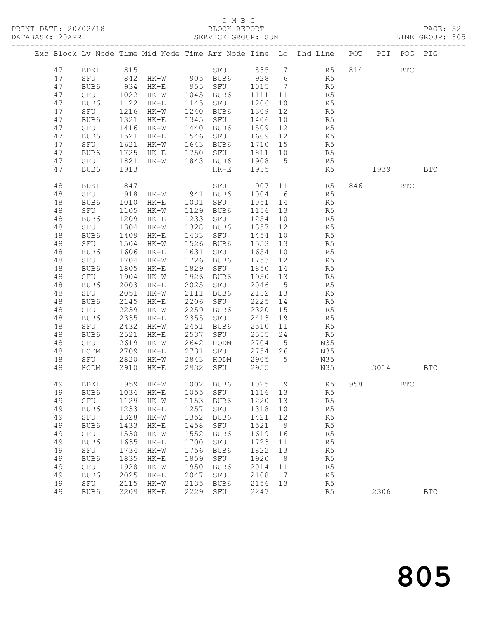## C M B C<br>BLOCK REPORT

| PRINT DATE: 20/02/18 BLOCK REPORT PAGE: 52<br>DATABASE: 20APR SERVICE GROUP: SUN SERVICE SUN LINE GROUP: 805 |             |              |                                                                 |      |                                  |              |                       |                                                                                                             |     |                                                                                                                                                                                                                                 |            | PAGE: 52<br>LINE GROUP: 805 |  |
|--------------------------------------------------------------------------------------------------------------|-------------|--------------|-----------------------------------------------------------------|------|----------------------------------|--------------|-----------------------|-------------------------------------------------------------------------------------------------------------|-----|---------------------------------------------------------------------------------------------------------------------------------------------------------------------------------------------------------------------------------|------------|-----------------------------|--|
|                                                                                                              |             |              |                                                                 |      |                                  |              |                       | Exc Block Lv Node Time Mid Node Time Arr Node Time Lo Dhd Line POT PIT POG PIG                              |     |                                                                                                                                                                                                                                 |            |                             |  |
|                                                                                                              |             |              |                                                                 |      |                                  |              |                       | 47 BDKI 815 SFU 835 7 R5 814 BTC                                                                            |     |                                                                                                                                                                                                                                 |            |                             |  |
| 47                                                                                                           |             |              |                                                                 |      |                                  |              |                       | SFU 842 HK-W 905 BUB6 928 6 R5                                                                              |     |                                                                                                                                                                                                                                 |            |                             |  |
| 47                                                                                                           | BUB6        |              |                                                                 |      |                                  |              |                       |                                                                                                             |     |                                                                                                                                                                                                                                 |            |                             |  |
| 47                                                                                                           |             |              |                                                                 |      |                                  |              |                       |                                                                                                             |     |                                                                                                                                                                                                                                 |            |                             |  |
| 47                                                                                                           |             |              |                                                                 |      |                                  |              |                       | BUB6 934 HK-E 955 SFU 1015 7 R5<br>SFU 1022 HK-W 1045 BUB6 1111 11 R5<br>BUB6 1122 HK-E 1145 SFU 1206 10 R5 |     |                                                                                                                                                                                                                                 |            |                             |  |
| 47                                                                                                           | SFU         |              | 1216 HK-W                                                       |      | 1240 BUB6                        | 1309         | 12                    | R5                                                                                                          |     |                                                                                                                                                                                                                                 |            |                             |  |
| 47                                                                                                           | BUB6        |              | 1321 HK-E                                                       |      | 1345 SFU 1406                    |              | 10                    | R5                                                                                                          |     |                                                                                                                                                                                                                                 |            |                             |  |
| 47                                                                                                           | SFU         |              | 1416 НК-W<br>1521 НК-Е                                          |      |                                  |              |                       |                                                                                                             |     |                                                                                                                                                                                                                                 |            |                             |  |
| 47                                                                                                           | BUB6        |              |                                                                 |      |                                  |              |                       |                                                                                                             |     |                                                                                                                                                                                                                                 |            |                             |  |
| 47                                                                                                           | SFU         |              | 1621 HK-W                                                       |      |                                  |              |                       | 1643 BUB6 1710 15 R5                                                                                        |     |                                                                                                                                                                                                                                 |            |                             |  |
| 47                                                                                                           | BUB6        | 1725         | HK-E                                                            |      |                                  |              |                       | 1750 SFU 1811 10 R5                                                                                         |     |                                                                                                                                                                                                                                 |            |                             |  |
| 47                                                                                                           | SFU         | 1821         |                                                                 |      | HK-W 1843 BUB6 1908<br>HK-E 1935 |              |                       | $5$ R5                                                                                                      |     |                                                                                                                                                                                                                                 |            |                             |  |
| 47                                                                                                           | BUB6        | 1913         |                                                                 |      |                                  |              |                       | R5                                                                                                          |     | 1939 — 1939 — 1940 — 1941 — 1941 — 1941 — 1941 — 1941 — 1941 — 1941 — 1941 — 1941 — 1941 — 1941 — 1941 — 1941 — 1941 — 1941 — 1941 — 1941 — 1941 — 1941 — 1941 — 1941 — 1941 — 1941 — 1941 — 1941 — 1941 — 1941 — 1941 — 1941 — |            | <b>BTC</b>                  |  |
| 48                                                                                                           | BDKI        | 847          |                                                                 |      |                                  |              |                       | SFU 907 11 R5                                                                                               |     | 846   100                                                                                                                                                                                                                       | <b>BTC</b> |                             |  |
| 48                                                                                                           |             |              | SFU 918 HK-W 941 BUB6 1004 6<br>BUB6 1010 HK-E 1031 SFU 1051 14 |      |                                  |              |                       | R5                                                                                                          |     |                                                                                                                                                                                                                                 |            |                             |  |
| 48                                                                                                           |             |              |                                                                 |      |                                  |              |                       | R5                                                                                                          |     |                                                                                                                                                                                                                                 |            |                             |  |
| 48                                                                                                           | SFU         |              | 1105 HK-W 1129 BUB6                                             |      |                                  | 1156 13      |                       | R <sub>5</sub>                                                                                              |     |                                                                                                                                                                                                                                 |            |                             |  |
| 48                                                                                                           | BUB6        | 1209         | $HK-E$                                                          |      | 1233 SFU 1254                    |              | 10                    | R5                                                                                                          |     |                                                                                                                                                                                                                                 |            |                             |  |
| 48                                                                                                           | SFU         | 1304         | HK-W                                                            | 1328 | BUB6                             | 1357         | 12                    | R5                                                                                                          |     |                                                                                                                                                                                                                                 |            |                             |  |
| 48                                                                                                           | BUB6        | 1409         | HK-E                                                            |      | 1433 SFU 1454                    |              | 10                    | R5                                                                                                          |     |                                                                                                                                                                                                                                 |            |                             |  |
| 48                                                                                                           | SFU         |              | 1504 HK-W                                                       |      | 1526 BUB6                        | 1553         | 13                    | R5                                                                                                          |     |                                                                                                                                                                                                                                 |            |                             |  |
| 48                                                                                                           | BUB6        |              | 1606 HK-E                                                       | 1631 | SFU 1654                         |              | 10                    | R5                                                                                                          |     |                                                                                                                                                                                                                                 |            |                             |  |
| 48                                                                                                           | SFU         | 1704         | $HK - W$                                                        | 1726 | BUB6                             | 1753         | 12                    | R5                                                                                                          |     |                                                                                                                                                                                                                                 |            |                             |  |
| 48                                                                                                           | BUB6<br>SFU | 1805         | HK-E                                                            | 1829 | SFU 1850                         |              |                       | 1850  14  R5<br>1950  13  R5                                                                                |     |                                                                                                                                                                                                                                 |            |                             |  |
| 48                                                                                                           |             |              | 1904 HK-W                                                       |      | 1926 BUB6<br>2025 SFU 2046       |              |                       | R <sub>5</sub>                                                                                              |     |                                                                                                                                                                                                                                 |            |                             |  |
| 48<br>48                                                                                                     | BUB6<br>SFU | 2003<br>2051 | $HK-E$                                                          | 2111 |                                  |              | $5\overline{)}$<br>13 | R5                                                                                                          |     |                                                                                                                                                                                                                                 |            |                             |  |
| 48                                                                                                           | BUB6        | 2145         | HK-W<br>$HK-E$                                                  | 2206 | BUB6<br>SFU                      | 2132<br>2225 | 14                    | R5                                                                                                          |     |                                                                                                                                                                                                                                 |            |                             |  |
| 48                                                                                                           | SFU         |              | 2239 HK-W                                                       |      | 2259 BUB6                        | 2320         | 15                    | R5                                                                                                          |     |                                                                                                                                                                                                                                 |            |                             |  |
| 48                                                                                                           | BUB6        |              | 2335 HK-E                                                       | 2355 | SFU 2413                         |              | 19                    | R5                                                                                                          |     |                                                                                                                                                                                                                                 |            |                             |  |
| 48                                                                                                           | SFU         | 2432         | HK-W                                                            | 2451 | BUB6                             | 2510         | 11                    | R <sub>5</sub>                                                                                              |     |                                                                                                                                                                                                                                 |            |                             |  |
| 48                                                                                                           | BUB6        | 2521         | $HK-E$                                                          | 2537 |                                  |              | 24                    |                                                                                                             |     |                                                                                                                                                                                                                                 |            |                             |  |
| 48                                                                                                           | BUB6<br>SFU |              | 2619 HK-W                                                       | 2642 | SFU 2555<br>HODM 2704<br>HODM    |              | 5 <sup>5</sup>        | R5<br>N35                                                                                                   |     |                                                                                                                                                                                                                                 |            |                             |  |
| 48                                                                                                           | HODM        |              | 2709 HK-E                                                       | 2731 | SFU 2754 26                      |              |                       | N35                                                                                                         |     |                                                                                                                                                                                                                                 |            |                             |  |
| 48                                                                                                           | SFU         | 2820         | HK-W                                                            |      | 2843 HODM 2905                   |              | $5\overline{)}$       | N35                                                                                                         |     |                                                                                                                                                                                                                                 |            |                             |  |
| 48                                                                                                           | HODM        | 2910         | $HK-E$                                                          |      | 2932 SFU 2955                    |              |                       | N35 3014 BTC                                                                                                |     |                                                                                                                                                                                                                                 |            |                             |  |
| 49                                                                                                           | <b>BDKI</b> | 959          | $HK-W$                                                          | 1002 | BUB6                             | 1025         | 9                     | R5                                                                                                          | 958 |                                                                                                                                                                                                                                 | <b>BTC</b> |                             |  |
| 49                                                                                                           | BUB6        | 1034         | $HK-E$                                                          | 1055 | SFU                              | 1116         | 13                    | R <sub>5</sub>                                                                                              |     |                                                                                                                                                                                                                                 |            |                             |  |
| 49                                                                                                           | SFU         | 1129         | $HK-W$                                                          | 1153 | BUB6                             | 1220         | 13                    | R <sub>5</sub>                                                                                              |     |                                                                                                                                                                                                                                 |            |                             |  |
| 49                                                                                                           | BUB6        | 1233         | $\rm{HK\!-\!E}$                                                 | 1257 | ${\tt SFU}$                      | 1318         | 10                    | R5                                                                                                          |     |                                                                                                                                                                                                                                 |            |                             |  |
| 49                                                                                                           | SFU         | 1328         | $HK-W$                                                          | 1352 | BUB6                             | 1421         | 12                    | R5                                                                                                          |     |                                                                                                                                                                                                                                 |            |                             |  |
| 49                                                                                                           | BUB6        | 1433         | $HK-E$                                                          | 1458 | SFU                              | 1521         | 9                     | R <sub>5</sub>                                                                                              |     |                                                                                                                                                                                                                                 |            |                             |  |
| 49                                                                                                           | ${\tt SFU}$ | 1530         | $HK-W$                                                          | 1552 | BUB6                             | 1619         | 16                    | R5                                                                                                          |     |                                                                                                                                                                                                                                 |            |                             |  |
| 49                                                                                                           | BUB6        | 1635         | $HK-E$                                                          | 1700 | SFU                              | 1723         | 11                    | R5                                                                                                          |     |                                                                                                                                                                                                                                 |            |                             |  |
| 49                                                                                                           | SFU         | 1734         | $HK-W$                                                          | 1756 | BUB6                             | 1822         | 13                    | R5                                                                                                          |     |                                                                                                                                                                                                                                 |            |                             |  |
| 49                                                                                                           | BUB6        | 1835         | $HK-E$                                                          | 1859 | SFU                              | 1920         | 8                     | R <sub>5</sub>                                                                                              |     |                                                                                                                                                                                                                                 |            |                             |  |
| 49                                                                                                           | SFU         | 1928         | $HK-W$                                                          | 1950 | BUB6                             | 2014         | 11                    | R <sub>5</sub>                                                                                              |     |                                                                                                                                                                                                                                 |            |                             |  |
| 49                                                                                                           | BUB6        | 2025         | $HK-E$                                                          | 2047 | SFU                              | 2108         | 7                     | R5                                                                                                          |     |                                                                                                                                                                                                                                 |            |                             |  |
| 49                                                                                                           | SFU         | 2115         | $HK-W$                                                          | 2135 | BUB6                             | 2156         | 13                    | R5                                                                                                          |     |                                                                                                                                                                                                                                 |            |                             |  |

49 BUB6 2209 HK-E 2229 SFU 2247 R5 2306 BTC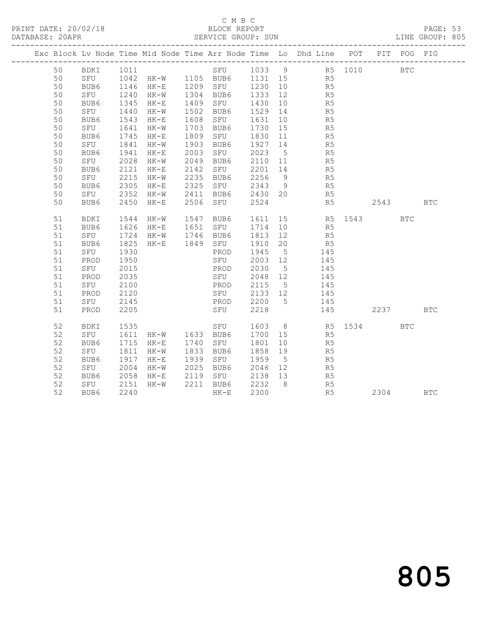## C M B C<br>BLOCK REPORT

PAGE: 53<br>LINE GROUP: 805

|  |    |                         |                      |                                                        |                                                        |         |    | Exc Block Lv Node Time Mid Node Time Arr Node Time Lo Dhd Line POT PIT POG PIG |          |            |            |
|--|----|-------------------------|----------------------|--------------------------------------------------------|--------------------------------------------------------|---------|----|--------------------------------------------------------------------------------|----------|------------|------------|
|  | 50 |                         |                      |                                                        |                                                        |         |    |                                                                                |          |            |            |
|  | 50 |                         |                      |                                                        |                                                        |         |    |                                                                                |          |            |            |
|  | 50 |                         |                      | BUB6 1146 HK-E 1209 SFU 1230 10                        |                                                        |         |    | R5                                                                             |          |            |            |
|  | 50 | SFU                     | 1240<br>1345<br>1440 | HK-W 1304 BUB6                                         |                                                        | 1333 12 |    | R5                                                                             |          |            |            |
|  | 50 | BUB6                    |                      | 1345 HK-E                                              | 1409 SFU                                               | 1430 10 |    | R5<br>R5                                                                       |          |            |            |
|  | 50 | SFU                     |                      | HK-W                                                   | 1502 BUB6                                              | 1529 14 |    |                                                                                |          |            |            |
|  | 50 | BUB6                    |                      | 1543 HK-E                                              | 1608 SFU 1631 10                                       |         |    | R <sub>5</sub>                                                                 |          |            |            |
|  | 50 | SFU                     | 1641<br>1745         | $HK-W$                                                 | 1703 BUB6<br>1809 SFU                                  | 1730 15 |    | R <sub>5</sub>                                                                 |          |            |            |
|  | 50 | BUB6                    |                      | 1745 HK-E                                              |                                                        | 1830 11 |    | R5                                                                             |          |            |            |
|  | 50 | SFU                     | 1841                 | $HK-W$                                                 | 1903 BUB6                                              | 1927 14 |    | R5                                                                             |          |            |            |
|  | 50 | BUB6                    | 1941                 | $HK-E$                                                 | 2003 SFU                                               | 2023 5  |    | R <sub>5</sub>                                                                 |          |            |            |
|  | 50 | SFU                     | 2028                 | HK-W                                                   | 2049 BUB6<br>2049 BUB6   2110 11<br>2142 SFU   2201 14 | 2110 11 |    | R5<br>R5                                                                       |          |            |            |
|  | 50 | BUB6                    | 2121                 | $HK-E$                                                 |                                                        |         |    | R <sub>5</sub>                                                                 |          |            |            |
|  | 50 | SFU                     |                      | 2215 HK-W 2235 BUB6                                    |                                                        | 2256 9  |    |                                                                                |          |            |            |
|  | 50 | BUB6                    | 2305                 | $HK-E$                                                 | 2325 SFU                                               | 2343 9  |    | R <sub>5</sub>                                                                 |          |            |            |
|  | 50 | SFU<br>BUB6             |                      | 2352 HK-W 2411 BUB6 2430 20<br>2450 HK-E 2506 SFU 2524 |                                                        |         |    | R5                                                                             |          |            |            |
|  | 50 |                         |                      |                                                        |                                                        |         |    | R <sub>5</sub>                                                                 | 2543 BTC |            |            |
|  | 51 | BDKI                    | 1544                 | $HK-W$                                                 | 1547 BUB6                                              |         |    |                                                                                |          | <b>BTC</b> |            |
|  | 51 | BUB6                    |                      | 1626 HK-E                                              | 1947 BUB6<br>1651 SFU                                  | 1714 10 |    | 1611 15 R5 1543<br>R5                                                          |          |            |            |
|  | 51 | SFU                     |                      | 1724 HK-W 1746 BUB6                                    |                                                        | 1813 12 |    | R5                                                                             |          |            |            |
|  | 51 | BUB6                    | 1825                 | HK-E 1849 SFU                                          |                                                        | 1910 20 |    | R <sub>5</sub>                                                                 |          |            |            |
|  | 51 | SFU                     | 1930                 |                                                        | PROD                                                   | 1945 5  |    | 145                                                                            |          |            |            |
|  | 51 | PROD                    | 1950                 |                                                        | SFU                                                    | 2003 12 |    | 145                                                                            |          |            |            |
|  | 51 | SFU                     | 2015                 |                                                        | PROD                                                   | 2030 5  |    | 145                                                                            |          |            |            |
|  | 51 | PROD                    | 2035                 |                                                        | SFU                                                    | 2048 12 |    | 145                                                                            |          |            |            |
|  | 51 | SFU                     | 2100                 |                                                        | PROD                                                   | 2115 5  |    | 145                                                                            |          |            |            |
|  | 51 | PROD                    | 2120                 |                                                        | PROD 2115 5<br>SFU 2133 12                             |         |    | $\begin{array}{c} 111 \\ 145 \end{array}$                                      |          |            |            |
|  | 51 | SFU                     | 2145                 |                                                        | PROD 2200 5                                            |         |    | 145                                                                            |          |            |            |
|  | 51 | PROD                    | 2205                 |                                                        | SFU                                                    | 2218    |    | 145                                                                            | 2237     |            | <b>BTC</b> |
|  |    |                         |                      |                                                        |                                                        |         |    |                                                                                |          |            |            |
|  | 52 | BDKI                    | 1535                 |                                                        |                                                        |         |    | SFU 1603 8 R5 1534 BTC                                                         |          |            |            |
|  | 52 | SFU                     | 1611                 | HK-W 1633 BUB6                                         |                                                        |         |    | 1700 15 R5                                                                     |          |            |            |
|  | 52 | BUB6                    | 1715                 | HK-E 1740 SFU<br>HK-W 1833 BUB6                        |                                                        | 1801    | 10 | R5<br>R5                                                                       |          |            |            |
|  | 52 | SFU                     | 1811                 |                                                        |                                                        | 1858 19 |    |                                                                                |          |            |            |
|  | 52 | BUB6                    | 1917                 | $HK-E$                                                 | 1939 SFU 1959 5                                        |         |    | R5                                                                             |          |            |            |
|  | 52 | SFU                     | 2004                 | $HK-W$                                                 | 2025 BUB6                                              | 2046 12 |    | R <sub>5</sub>                                                                 |          |            |            |
|  | 52 |                         | 2058                 |                                                        | HK-E 2119 SFU 2138 13<br>HK-W 2211 BUB6 2232 8         |         |    | R5<br>R5                                                                       |          |            |            |
|  | 52 | 0مر<br>SFU کا<br>BUR کا | 2151                 |                                                        |                                                        |         |    |                                                                                |          |            |            |
|  | 52 |                         | 2240                 |                                                        | HK-E                                                   | 2300    |    | R <sub>5</sub>                                                                 | 2304 BTC |            |            |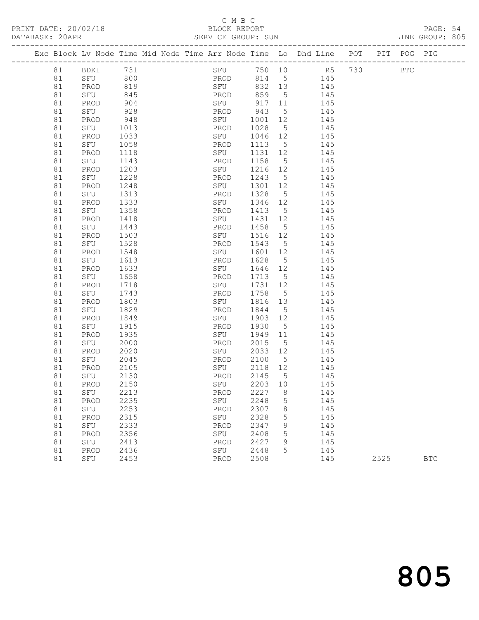## C M B C<br>BLOCK REPORT

PRINT DATE: 20/02/18 BLOCK REPORT BATABASE: 20APR BLOCK REPORT PAGE: 54<br>LINE GROUP: 805

|          |             |              |  |             |              |                   | Exc Block Lv Node Time Mid Node Time Arr Node Time Lo Dhd Line POT |      | PIT POG PIG |            |
|----------|-------------|--------------|--|-------------|--------------|-------------------|--------------------------------------------------------------------|------|-------------|------------|
| 81       | BDKI        | 731          |  |             |              |                   | SFU 750 10 R5 730                                                  |      | <b>BTC</b>  |            |
| 81       | SFU 800     |              |  | PROD        |              |                   | 814 5 145                                                          |      |             |            |
| 81       | PROD        | 819          |  | SFU         | 832 13       |                   | 145                                                                |      |             |            |
| 81       | SFU         | 845          |  | PROD        | 859          | $5\overline{)}$   | 145                                                                |      |             |            |
| 81       | PROD        | 904          |  | SFU         | 917 11       |                   | 145                                                                |      |             |            |
| 81       | SFU         | 928          |  | PROD        | 943          | $5\overline{)}$   | 145                                                                |      |             |            |
| 81       | PROD        | 948          |  | SFU         | 1001 12      |                   | 145                                                                |      |             |            |
| 81       | SFU         | 1013         |  | PROD        | 1028         | $5^{\circ}$       | 145                                                                |      |             |            |
| 81       | PROD        | 1033         |  | SFU         | 1046 12      |                   | 145                                                                |      |             |            |
| 81       | SFU         | 1058         |  | PROD        | 1113         | $5\overline{)}$   | 145                                                                |      |             |            |
| 81       | PROD        | 1118         |  | SFU         | 1131 12      |                   | 145                                                                |      |             |            |
| 81       | SFU         | 1143         |  | PROD        | 1158         | $5\overline{)}$   | 145                                                                |      |             |            |
| 81       | PROD        | 1203         |  | SFU         | 1216 12      |                   | 145                                                                |      |             |            |
| 81       | SFU         | 1228         |  | PROD        | 1243         | $5\overline{)}$   | 145                                                                |      |             |            |
| 81       | PROD        | 1248         |  | SFU         | 1301 12      |                   | 145                                                                |      |             |            |
| 81       | SFU         | 1313         |  | PROD        | 1328         | $5^{\circ}$       | 145                                                                |      |             |            |
| 81       | PROD        | 1333         |  | SFU         | 1346 12      |                   | 145                                                                |      |             |            |
| 81       | SFU         | 1358         |  | PROD        | 1413         | $5\overline{)}$   | 145                                                                |      |             |            |
| 81       | PROD        | 1418         |  | SFU         | 1431 12      |                   | 145                                                                |      |             |            |
| 81       | SFU         | 1443         |  | PROD        | 1458         | $5^{\circ}$       | 145                                                                |      |             |            |
| 81       | PROD        | 1503         |  | SFU         | 1516 12      |                   | 145                                                                |      |             |            |
| 81       | SFU         | 1528         |  | PROD        | 1543         | $5\overline{)}$   | 145                                                                |      |             |            |
| 81       | PROD        | 1548         |  | SFU         | 1601 12      |                   | 145                                                                |      |             |            |
| 81       | SFU         | 1613         |  | PROD        | 1628         | $5^{\circ}$       | 145                                                                |      |             |            |
| 81       | PROD        | 1633         |  | SFU         | 1646 12      |                   | 145                                                                |      |             |            |
| 81       | SFU         | 1658         |  | PROD        | 1713 5       |                   | 145                                                                |      |             |            |
| 81       | PROD        | 1718         |  | SFU         | 1731 12      |                   | 145                                                                |      |             |            |
| 81       | SFU         | 1743         |  | PROD        | 1758         | $5^{\circ}$       | 145                                                                |      |             |            |
| 81       | PROD        | 1803         |  | SFU         | 1816         | 13                | 145                                                                |      |             |            |
| 81       | SFU         | 1829         |  | PROD        | 1844         | $5^{\circ}$       | 145                                                                |      |             |            |
| 81       | PROD        | 1849         |  | SFU         | 1903 12      |                   | 145                                                                |      |             |            |
| 81       | SFU         | 1915<br>1935 |  | PROD<br>SFU | 1930<br>1949 | $5^{\circ}$<br>11 | 145                                                                |      |             |            |
| 81       | PROD<br>SFU | 2000         |  | PROD        | 2015         | $5\overline{)}$   | 145<br>145                                                         |      |             |            |
| 81<br>81 | PROD        | 2020         |  | SFU         | 2033 12      |                   | 145                                                                |      |             |            |
| 81       | SFU         | 2045         |  | PROD        | 2100         | $5^{\circ}$       | 145                                                                |      |             |            |
| 81       | PROD        | 2105         |  | SFU         | 2118 12      |                   | 145                                                                |      |             |            |
| 81       | SFU         | 2130         |  | PROD        | 2145         | $5^{\circ}$       | 145                                                                |      |             |            |
| 81       | PROD        | 2150         |  | SFU         | 2203 10      |                   | 145                                                                |      |             |            |
| 81       | SFU         | 2213         |  | PROD 2227 8 |              |                   | 145                                                                |      |             |            |
| 81       | PROD        | 2235         |  | SFU         | 2248         | 5                 | 145                                                                |      |             |            |
| 81       | SFU         | 2253         |  | PROD        | 2307         | 8                 | 145                                                                |      |             |            |
| 81       | PROD        | 2315         |  | SFU         | 2328         | $\mathsf S$       | 145                                                                |      |             |            |
| 81       | SFU         | 2333         |  | PROD        | 2347         | 9                 | 145                                                                |      |             |            |
| 81       | PROD        | 2356         |  | SFU         | 2408         | 5                 | 145                                                                |      |             |            |
| 81       | SFU         | 2413         |  | PROD        | 2427         | 9                 | 145                                                                |      |             |            |
| 81       | PROD        | 2436         |  | SFU         | 2448         | 5                 | 145                                                                |      |             |            |
| 81       | SFU         | 2453         |  | PROD        | 2508         |                   | 145                                                                | 2525 |             | <b>BTC</b> |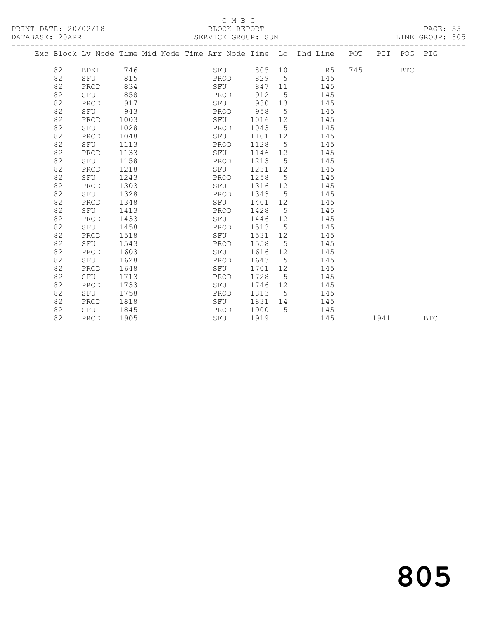## C M B C<br>BLOCK REPORT

| PRINT DATE: 20/02/18 |    |          | BLOCK REPORT<br>DATABASE: 20APR SERVICE GROUP: SUN |  | PAGE: 55<br>LINE GROUP: 805 |         |                |                                                                                |  |            |  |  |
|----------------------|----|----------|----------------------------------------------------|--|-----------------------------|---------|----------------|--------------------------------------------------------------------------------|--|------------|--|--|
|                      |    |          |                                                    |  |                             |         |                | Exc Block Lv Node Time Mid Node Time Arr Node Time Lo Dhd Line POT PIT POG PIG |  |            |  |  |
|                      | 82 | BDKI 746 |                                                    |  |                             |         |                | SFU 805 10 R5 745                                                              |  | <b>BTC</b> |  |  |
|                      | 82 | SFU 815  |                                                    |  | <b>EXAMPLE PROD</b>         |         |                | 829 5 145                                                                      |  |            |  |  |
|                      | 82 | PROD     | 834                                                |  | SFU                         |         |                | 847 11 145                                                                     |  |            |  |  |
|                      | 82 | SFU 858  |                                                    |  | PROD                        |         |                | 912 5 145                                                                      |  |            |  |  |
|                      | 82 | PROD     | 917                                                |  | SFU                         |         |                | 930 13<br>145                                                                  |  |            |  |  |
|                      | 82 | SFU      | 943                                                |  | PROD 958                    |         |                | $5 - 5$<br>145                                                                 |  |            |  |  |
|                      | 82 | PROD     | 1003                                               |  | SFU                         | 1016 12 |                | 145                                                                            |  |            |  |  |
|                      | 82 | SFU      | 1028                                               |  | PROD                        | 1043 5  |                | 145                                                                            |  |            |  |  |
|                      | 82 | PROD     | 1048                                               |  | SFU                         | 1101 12 |                | 145                                                                            |  |            |  |  |
|                      | 82 | SFU      | 1113                                               |  | PROD                        | 1128 5  |                | 145                                                                            |  |            |  |  |
|                      | 82 | PROD     | 1133                                               |  | SFU                         | 1146 12 |                | 145                                                                            |  |            |  |  |
|                      | 82 | SFU      | 1158                                               |  | PROD                        | 1213 5  |                | 145                                                                            |  |            |  |  |
|                      | 82 | PROD     | 1218                                               |  | SFU                         | 1231 12 |                | 145                                                                            |  |            |  |  |
|                      | 82 | SFU      | 1243                                               |  | PROD                        | 1258 5  |                | 145                                                                            |  |            |  |  |
|                      | 82 | PROD     | 1303                                               |  | SFU                         | 1316    |                | 145                                                                            |  |            |  |  |
|                      | 82 | SFU      | 1328                                               |  | PROD                        | 1343 5  |                | 145                                                                            |  |            |  |  |
|                      | 82 | PROD     | 1348                                               |  | SFU                         | 1401 12 |                | 145                                                                            |  |            |  |  |
|                      | 82 | SFU      | 1413                                               |  | PROD                        | 1428    |                | $5^{\circ}$<br>145                                                             |  |            |  |  |
|                      | 82 | PROD     | 1433                                               |  | SFU                         | 1446    |                | 145                                                                            |  |            |  |  |
|                      | 82 | SFU      | 1458                                               |  | PROD                        | 1513 5  |                | 145                                                                            |  |            |  |  |
|                      | 82 | PROD     | 1518                                               |  | SFU                         | 1531 12 |                | 145                                                                            |  |            |  |  |
|                      | 82 | SFU      | 1543                                               |  | PROD                        | 1558    |                | $5 \quad$<br>145                                                               |  |            |  |  |
|                      | 82 | PROD     | 1603                                               |  | SFU                         | 1616 12 |                | 145                                                                            |  |            |  |  |
|                      | 82 | SFU      | 1628                                               |  | PROD                        | 1643    | 5 <sup>7</sup> | 145                                                                            |  |            |  |  |

 82 PROD 1648 SFU 1701 12 145 82 SFU 1713 PROD 1728 5 145 82 PROD 1733 SFU 1746 12 145 82 SFU 1758 PROD 1813 5 145

82 PROD 1818 SFU 1831 14 145<br>82 SFU 1845 PROD 1900 5 145 82 SFU 1845<br>82 SFU 1845 PROD 1900 5 145<br>82 PROD 1905 SFU 1919 145

# 805

1941 BTC